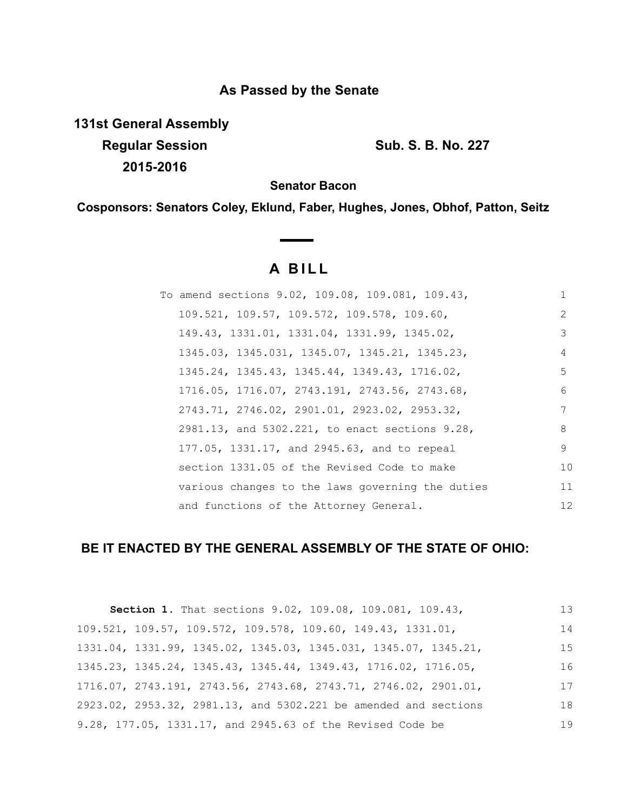## **As Passed by the Senate**

**131st General Assembly Regular Session Sub. S. B. No. 227 2015-2016**

**Senator Bacon**

**Cosponsors: Senators Coley, Eklund, Faber, Hughes, Jones, Obhof, Patton, Seitz**

# **A B I L L**

<u>and the state</u>

| To amend sections 9.02, 109.08, 109.081, 109.43, |    |
|--------------------------------------------------|----|
| 109.521, 109.57, 109.572, 109.578, 109.60,       | 2  |
| 149.43, 1331.01, 1331.04, 1331.99, 1345.02,      | 3  |
| 1345.03, 1345.031, 1345.07, 1345.21, 1345.23,    | 4  |
| 1345.24, 1345.43, 1345.44, 1349.43, 1716.02,     | 5  |
| 1716.05, 1716.07, 2743.191, 2743.56, 2743.68,    | 6  |
| 2743.71, 2746.02, 2901.01, 2923.02, 2953.32,     | 7  |
| 2981.13, and 5302.221, to enact sections 9.28,   | 8  |
| 177.05, 1331.17, and 2945.63, and to repeal      | 9  |
| section 1331.05 of the Revised Code to make      | 10 |
| various changes to the laws governing the duties | 11 |
| and functions of the Attorney General.           | 12 |

## **BE IT ENACTED BY THE GENERAL ASSEMBLY OF THE STATE OF OHIO:**

| Section 1. That sections 9.02, 109.08, 109.081, 109.43,         | 13 |
|-----------------------------------------------------------------|----|
| 109.521, 109.57, 109.572, 109.578, 109.60, 149.43, 1331.01,     | 14 |
| 1331.04, 1331.99, 1345.02, 1345.03, 1345.031, 1345.07, 1345.21, | 15 |
| 1345.23, 1345.24, 1345.43, 1345.44, 1349.43, 1716.02, 1716.05,  | 16 |
| 1716.07, 2743.191, 2743.56, 2743.68, 2743.71, 2746.02, 2901.01, | 17 |
| 2923.02, 2953.32, 2981.13, and 5302.221 be amended and sections | 18 |
| 9.28, 177.05, 1331.17, and 2945.63 of the Revised Code be       | 19 |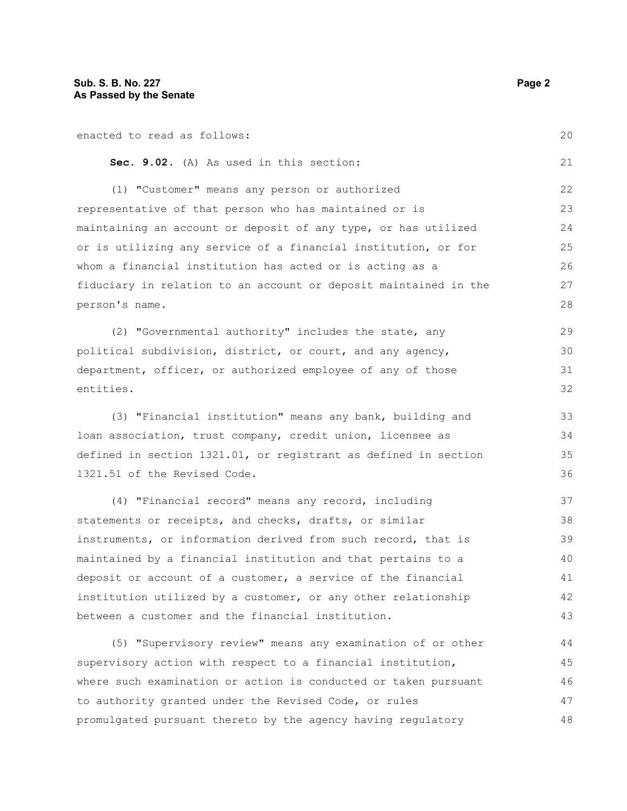| enacted to read as follows:                                      | 20 |
|------------------------------------------------------------------|----|
| Sec. 9.02. (A) As used in this section:                          | 21 |
| (1) "Customer" means any person or authorized                    | 22 |
| representative of that person who has maintained or is           | 23 |
| maintaining an account or deposit of any type, or has utilized   | 24 |
| or is utilizing any service of a financial institution, or for   | 25 |
| whom a financial institution has acted or is acting as a         | 26 |
| fiduciary in relation to an account or deposit maintained in the | 27 |
| person's name.                                                   | 28 |
| (2) "Governmental authority" includes the state, any             | 29 |
| political subdivision, district, or court, and any agency,       | 30 |
| department, officer, or authorized employee of any of those      | 31 |
| entities.                                                        | 32 |
| (3) "Financial institution" means any bank, building and         | 33 |
| loan association, trust company, credit union, licensee as       | 34 |
| defined in section 1321.01, or registrant as defined in section  | 35 |
| 1321.51 of the Revised Code.                                     | 36 |
| (4) "Financial record" means any record, including               | 37 |
| statements or receipts, and checks, drafts, or similar           | 38 |
| instruments, or information derived from such record, that is    | 39 |
| maintained by a financial institution and that pertains to a     | 40 |
| deposit or account of a customer, a service of the financial     | 41 |
| institution utilized by a customer, or any other relationship    | 42 |
| between a customer and the financial institution.                | 43 |
| (5) "Supervisory review" means any examination of or other       | 44 |
| supervisory action with respect to a financial institution,      | 45 |
| where such examination or action is conducted or taken pursuant  | 46 |

to authority granted under the Revised Code, or rules promulgated pursuant thereto by the agency having regulatory 47 48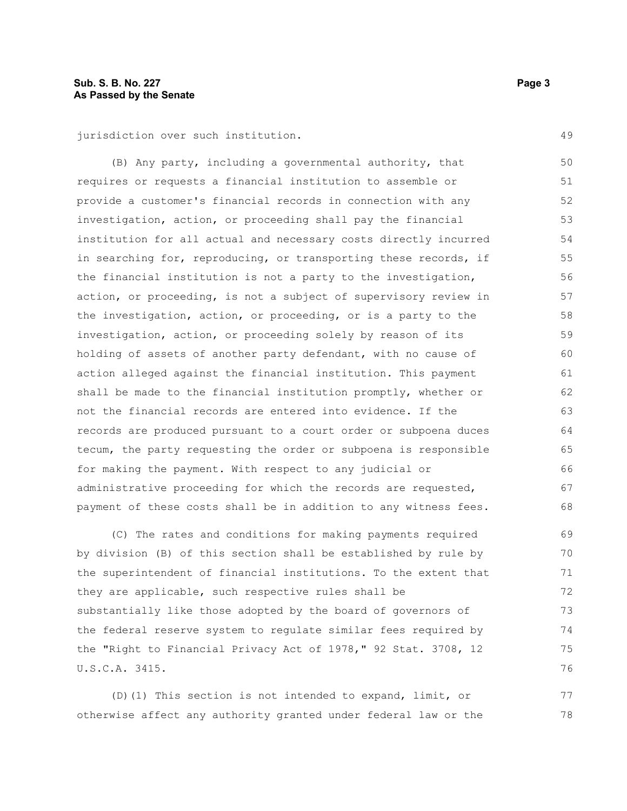jurisdiction over such institution.

(B) Any party, including a governmental authority, that requires or requests a financial institution to assemble or provide a customer's financial records in connection with any investigation, action, or proceeding shall pay the financial institution for all actual and necessary costs directly incurred in searching for, reproducing, or transporting these records, if the financial institution is not a party to the investigation, action, or proceeding, is not a subject of supervisory review in the investigation, action, or proceeding, or is a party to the investigation, action, or proceeding solely by reason of its holding of assets of another party defendant, with no cause of action alleged against the financial institution. This payment shall be made to the financial institution promptly, whether or not the financial records are entered into evidence. If the records are produced pursuant to a court order or subpoena duces tecum, the party requesting the order or subpoena is responsible for making the payment. With respect to any judicial or administrative proceeding for which the records are requested, payment of these costs shall be in addition to any witness fees. 50 51 52 53 54 55 56 57 58 59 60 61 62 63 64 65 66 67 68

(C) The rates and conditions for making payments required by division (B) of this section shall be established by rule by the superintendent of financial institutions. To the extent that they are applicable, such respective rules shall be substantially like those adopted by the board of governors of the federal reserve system to regulate similar fees required by the "Right to Financial Privacy Act of 1978," 92 Stat. 3708, 12 U.S.C.A. 3415.

(D)(1) This section is not intended to expand, limit, or otherwise affect any authority granted under federal law or the 77 78

49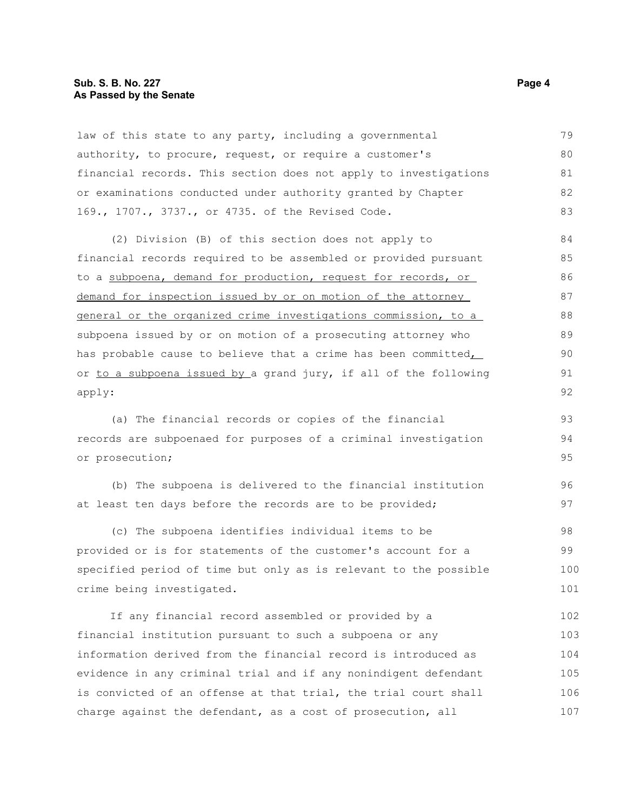#### **Sub. S. B. No. 227 Page 4 As Passed by the Senate**

law of this state to any party, including a governmental authority, to procure, request, or require a customer's financial records. This section does not apply to investigations or examinations conducted under authority granted by Chapter 169., 1707., 3737., or 4735. of the Revised Code. 79 80 81 82 83

(2) Division (B) of this section does not apply to financial records required to be assembled or provided pursuant to a subpoena, demand for production, request for records, or demand for inspection issued by or on motion of the attorney general or the organized crime investigations commission, to a subpoena issued by or on motion of a prosecuting attorney who has probable cause to believe that a crime has been committed, or to a subpoena issued by a grand jury, if all of the following apply:

(a) The financial records or copies of the financial records are subpoenaed for purposes of a criminal investigation or prosecution; 93 94 95

(b) The subpoena is delivered to the financial institution at least ten days before the records are to be provided;

(c) The subpoena identifies individual items to be provided or is for statements of the customer's account for a specified period of time but only as is relevant to the possible crime being investigated. 98 99 100 101

If any financial record assembled or provided by a financial institution pursuant to such a subpoena or any information derived from the financial record is introduced as evidence in any criminal trial and if any nonindigent defendant is convicted of an offense at that trial, the trial court shall charge against the defendant, as a cost of prosecution, all 102 103 104 105 106 107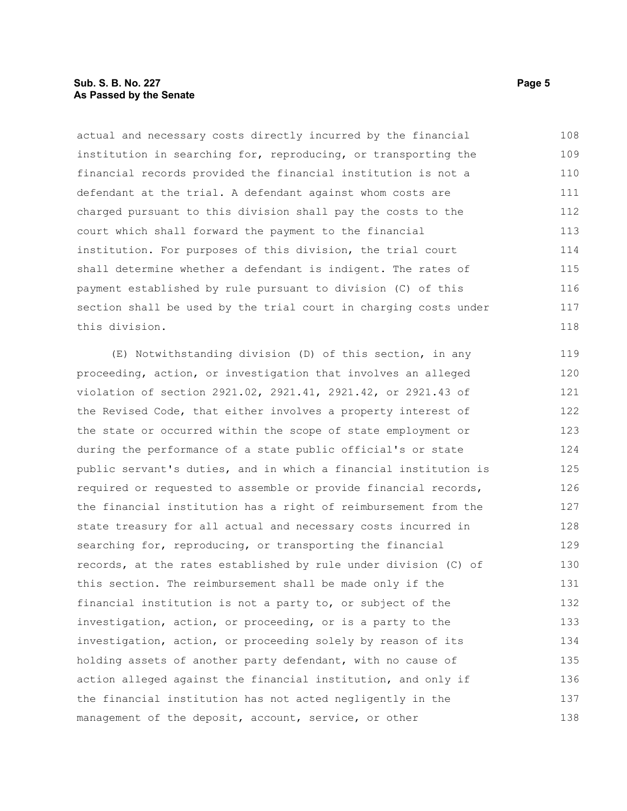#### **Sub. S. B. No. 227 Page 5 As Passed by the Senate**

actual and necessary costs directly incurred by the financial institution in searching for, reproducing, or transporting the financial records provided the financial institution is not a defendant at the trial. A defendant against whom costs are charged pursuant to this division shall pay the costs to the court which shall forward the payment to the financial institution. For purposes of this division, the trial court shall determine whether a defendant is indigent. The rates of payment established by rule pursuant to division (C) of this section shall be used by the trial court in charging costs under this division. 108 109 110 111 112 113 114 115 116 117 118

(E) Notwithstanding division (D) of this section, in any proceeding, action, or investigation that involves an alleged violation of section 2921.02, 2921.41, 2921.42, or 2921.43 of the Revised Code, that either involves a property interest of the state or occurred within the scope of state employment or during the performance of a state public official's or state public servant's duties, and in which a financial institution is required or requested to assemble or provide financial records, the financial institution has a right of reimbursement from the state treasury for all actual and necessary costs incurred in searching for, reproducing, or transporting the financial records, at the rates established by rule under division (C) of this section. The reimbursement shall be made only if the financial institution is not a party to, or subject of the investigation, action, or proceeding, or is a party to the investigation, action, or proceeding solely by reason of its holding assets of another party defendant, with no cause of action alleged against the financial institution, and only if the financial institution has not acted negligently in the management of the deposit, account, service, or other 119 120 121 122 123 124 125 126 127 128 129 130 131 132 133 134 135 136 137 138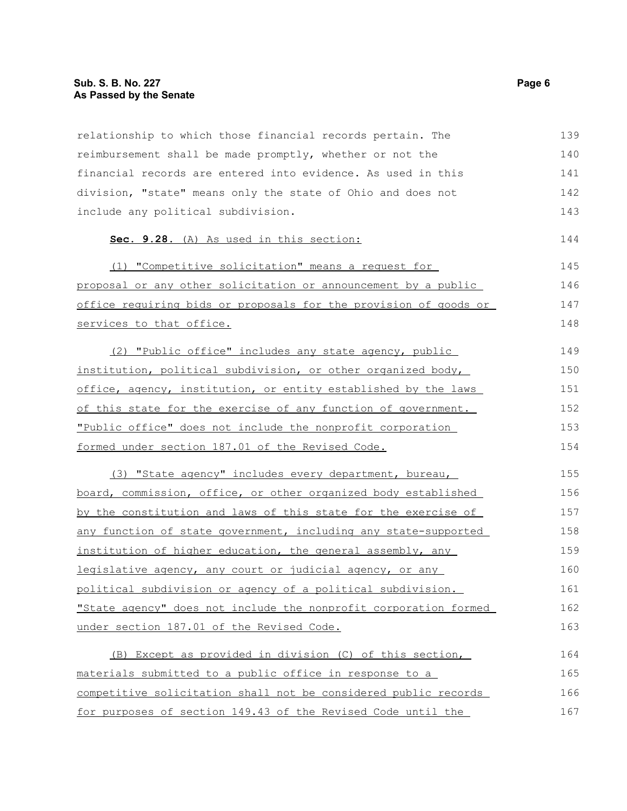| relationship to which those financial records pertain. The       | 139 |
|------------------------------------------------------------------|-----|
| reimbursement shall be made promptly, whether or not the         | 140 |
| financial records are entered into evidence. As used in this     | 141 |
| division, "state" means only the state of Ohio and does not      | 142 |
| include any political subdivision.                               | 143 |
| Sec. 9.28. (A) As used in this section:                          | 144 |
| (1) "Competitive solicitation" means a request for               | 145 |
| proposal or any other solicitation or announcement by a public   | 146 |
| office requiring bids or proposals for the provision of goods or | 147 |
| services to that office.                                         | 148 |
| (2) "Public office" includes any state agency, public            | 149 |
| institution, political subdivision, or other organized body,     | 150 |
| office, agency, institution, or entity established by the laws   | 151 |
| of this state for the exercise of any function of government.    | 152 |
| "Public office" does not include the nonprofit corporation       | 153 |
| formed under section 187.01 of the Revised Code.                 | 154 |
| (3) "State agency" includes every department, bureau,            | 155 |
| board, commission, office, or other organized body established   | 156 |
| by the constitution and laws of this state for the exercise of   | 157 |
| any function of state government, including any state-supported  | 158 |
| institution of higher education, the general assembly, any       | 159 |
| legislative agency, any court or judicial agency, or any         | 160 |
| political subdivision or agency of a political subdivision.      | 161 |
| "State agency" does not include the nonprofit corporation formed | 162 |
| under section 187.01 of the Revised Code.                        | 163 |
| (B) Except as provided in division (C) of this section,          | 164 |
| materials submitted to a public office in response to a          | 165 |
| competitive solicitation shall not be considered public records  | 166 |
| for purposes of section 149.43 of the Revised Code until the     | 167 |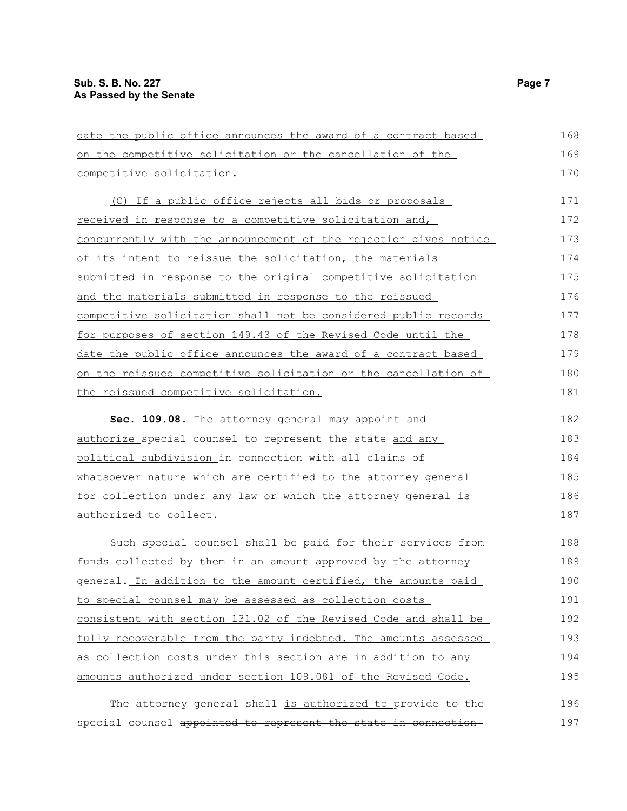| date the public office announces the award of a contract based   | 168 |
|------------------------------------------------------------------|-----|
| on the competitive solicitation or the cancellation of the       | 169 |
| competitive solicitation.                                        | 170 |
| (C) If a public office rejects all bids or proposals             | 171 |
| <u>received in response to a competitive solicitation and,</u>   | 172 |
| concurrently with the announcement of the rejection gives notice | 173 |
| of its intent to reissue the solicitation, the materials         | 174 |
| submitted in response to the original competitive solicitation   | 175 |
| and the materials submitted in response to the reissued          | 176 |
| competitive solicitation shall not be considered public records  | 177 |
| for purposes of section 149.43 of the Revised Code until the     | 178 |
| date the public office announces the award of a contract based   | 179 |
| on the reissued competitive solicitation or the cancellation of  | 180 |
| the reissued competitive solicitation.                           | 181 |
| Sec. 109.08. The attorney general may appoint and                | 182 |
| authorize special counsel to represent the state and any         | 183 |
| political subdivision in connection with all claims of           | 184 |
| whatsoever nature which are certified to the attorney general    | 185 |
| for collection under any law or which the attorney general is    | 186 |
| authorized to collect.                                           | 187 |
| Such special counsel shall be paid for their services from       | 188 |
| funds collected by them in an amount approved by the attorney    | 189 |
| general. In addition to the amount certified, the amounts paid   | 190 |
| to special counsel may be assessed as collection costs           | 191 |
| consistent with section 131.02 of the Revised Code and shall be  | 192 |
| fully recoverable from the party indebted. The amounts assessed  | 193 |
| as collection costs under this section are in addition to any    | 194 |
| amounts authorized under section 109.081 of the Revised Code.    | 195 |
| The attorney general shall-is authorized to provide to the       | 196 |
| special counsel appointed to represent the state in connection-  | 197 |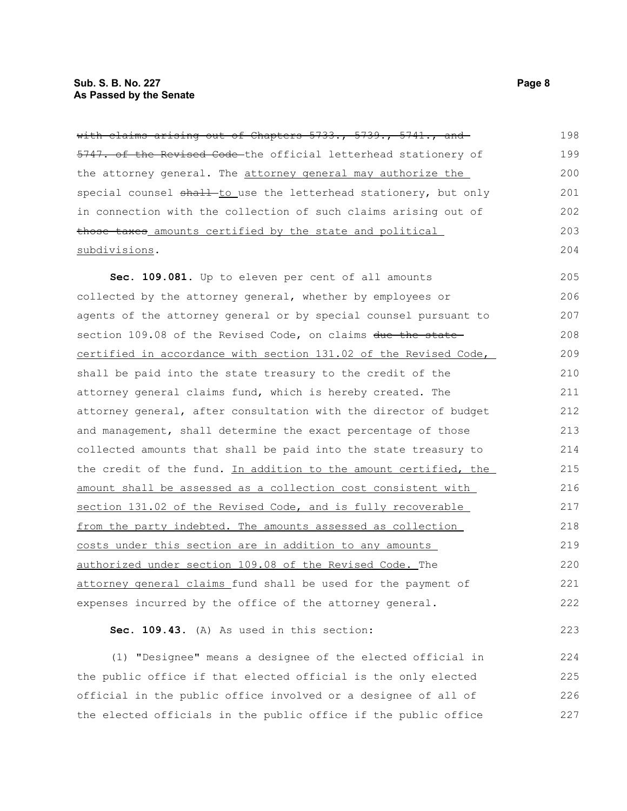### **Sub. S. B. No. 227 Page 8 As Passed by the Senate**

| with claims arising out of Chapters 5733., 5739., 5741., and-    | 198 |
|------------------------------------------------------------------|-----|
| 5747. of the Revised Code-the official letterhead stationery of  | 199 |
| the attorney general. The attorney general may authorize the     | 200 |
| special counsel shall-to use the letterhead stationery, but only | 201 |
| in connection with the collection of such claims arising out of  | 202 |
| those taxes_amounts certified by the state and political         | 203 |
| subdivisions.                                                    | 204 |
| Sec. 109.081. Up to eleven per cent of all amounts               | 205 |
| collected by the attorney general, whether by employees or       | 206 |
| agents of the attorney general or by special counsel pursuant to | 207 |
| section 109.08 of the Revised Code, on claims due the state      | 208 |
| certified in accordance with section 131.02 of the Revised Code, | 209 |
| shall be paid into the state treasury to the credit of the       | 210 |
| attorney general claims fund, which is hereby created. The       | 211 |
| attorney general, after consultation with the director of budget | 212 |
| and management, shall determine the exact percentage of those    | 213 |
| collected amounts that shall be paid into the state treasury to  | 214 |
| the credit of the fund. In addition to the amount certified, the | 215 |
| amount shall be assessed as a collection cost consistent with    | 216 |
| section 131.02 of the Revised Code, and is fully recoverable     | 217 |
| from the party indebted. The amounts assessed as collection      | 218 |
| costs under this section are in addition to any amounts          | 219 |
| authorized under section 109.08 of the Revised Code. The         | 220 |
| attorney general claims fund shall be used for the payment of    | 221 |
| expenses incurred by the office of the attorney general.         | 222 |
| Sec. 109.43. (A) As used in this section:                        | 223 |

(1) "Designee" means a designee of the elected official in the public office if that elected official is the only elected official in the public office involved or a designee of all of the elected officials in the public office if the public office 224 225 226 227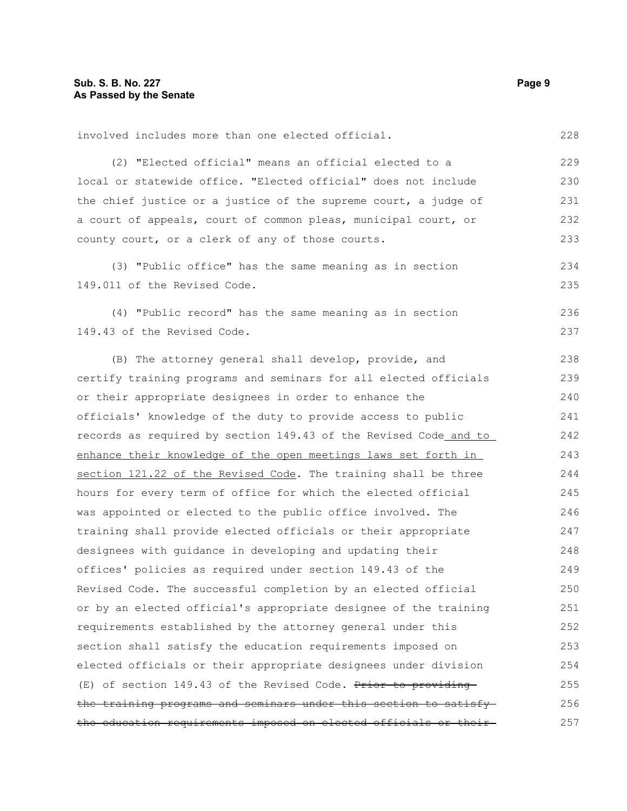involved includes more than one elected official.

(2) "Elected official" means an official elected to a local or statewide office. "Elected official" does not include the chief justice or a justice of the supreme court, a judge of a court of appeals, court of common pleas, municipal court, or county court, or a clerk of any of those courts. 229 230 231 232 233

(3) "Public office" has the same meaning as in section 149.011 of the Revised Code.

(4) "Public record" has the same meaning as in section 149.43 of the Revised Code.

(B) The attorney general shall develop, provide, and certify training programs and seminars for all elected officials or their appropriate designees in order to enhance the officials' knowledge of the duty to provide access to public records as required by section 149.43 of the Revised Code and to enhance their knowledge of the open meetings laws set forth in section 121.22 of the Revised Code. The training shall be three hours for every term of office for which the elected official was appointed or elected to the public office involved. The training shall provide elected officials or their appropriate designees with guidance in developing and updating their offices' policies as required under section 149.43 of the Revised Code. The successful completion by an elected official or by an elected official's appropriate designee of the training requirements established by the attorney general under this section shall satisfy the education requirements imposed on elected officials or their appropriate designees under division (E) of section 149.43 of the Revised Code. Prior to providing the training programs and seminars under this section to satisfythe education requirements imposed on elected officials or their 238 239 240 241 242 243 244 245 246 247 248 249 250 251 252 253 254 255 256 257

228

234 235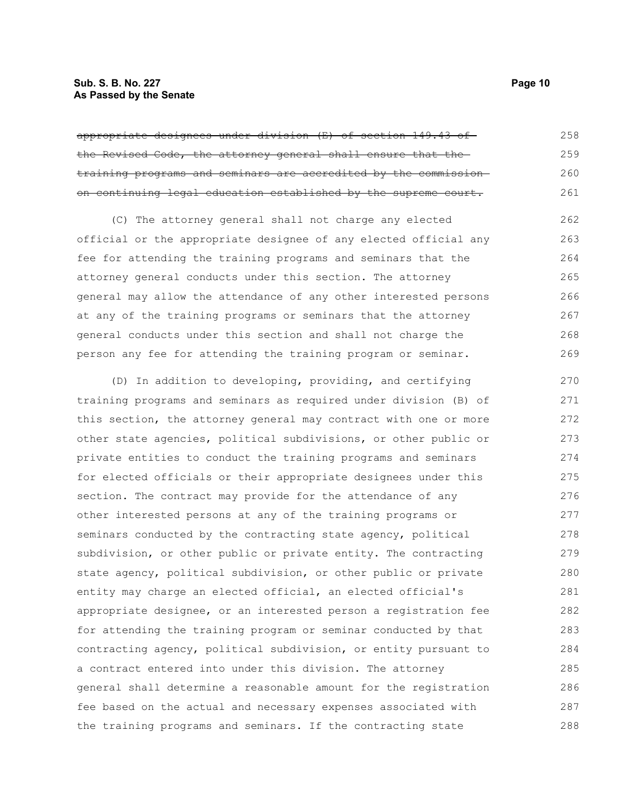#### **Sub. S. B. No. 227 Page 10 As Passed by the Senate**

appropriate designees under division (E) of section 149.43 of the Revised Code, the attorney general shall ensure that the training programs and seminars are accredited by the commission on continuing legal education established by the supreme court. 258 259 260 261

(C) The attorney general shall not charge any elected official or the appropriate designee of any elected official any fee for attending the training programs and seminars that the attorney general conducts under this section. The attorney general may allow the attendance of any other interested persons at any of the training programs or seminars that the attorney general conducts under this section and shall not charge the person any fee for attending the training program or seminar. 262 263 264 265 266 267 268 269

(D) In addition to developing, providing, and certifying training programs and seminars as required under division (B) of this section, the attorney general may contract with one or more other state agencies, political subdivisions, or other public or private entities to conduct the training programs and seminars for elected officials or their appropriate designees under this section. The contract may provide for the attendance of any other interested persons at any of the training programs or seminars conducted by the contracting state agency, political subdivision, or other public or private entity. The contracting state agency, political subdivision, or other public or private entity may charge an elected official, an elected official's appropriate designee, or an interested person a registration fee for attending the training program or seminar conducted by that contracting agency, political subdivision, or entity pursuant to a contract entered into under this division. The attorney general shall determine a reasonable amount for the registration fee based on the actual and necessary expenses associated with the training programs and seminars. If the contracting state 270 271 272 273 274 275 276 277 278 279 280 281 282 283 284 285 286 287 288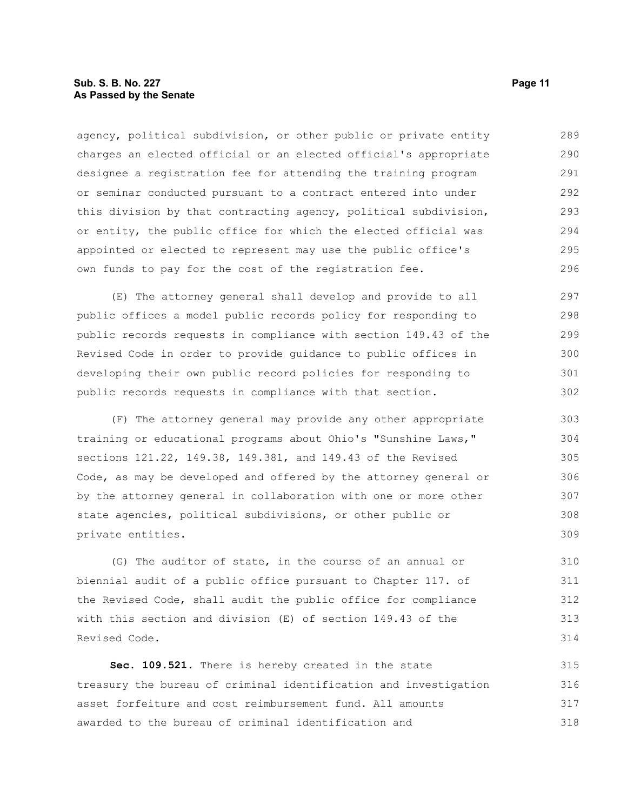#### **Sub. S. B. No. 227 Page 11 As Passed by the Senate**

agency, political subdivision, or other public or private entity charges an elected official or an elected official's appropriate designee a registration fee for attending the training program or seminar conducted pursuant to a contract entered into under this division by that contracting agency, political subdivision, or entity, the public office for which the elected official was appointed or elected to represent may use the public office's own funds to pay for the cost of the registration fee. 289 290 291 292 293 294 295 296

(E) The attorney general shall develop and provide to all public offices a model public records policy for responding to public records requests in compliance with section 149.43 of the Revised Code in order to provide guidance to public offices in developing their own public record policies for responding to public records requests in compliance with that section. 297 298 299 300 301 302

(F) The attorney general may provide any other appropriate training or educational programs about Ohio's "Sunshine Laws," sections 121.22, 149.38, 149.381, and 149.43 of the Revised Code, as may be developed and offered by the attorney general or by the attorney general in collaboration with one or more other state agencies, political subdivisions, or other public or private entities. 303 304 305 306 307 308 309

(G) The auditor of state, in the course of an annual or biennial audit of a public office pursuant to Chapter 117. of the Revised Code, shall audit the public office for compliance with this section and division (E) of section 149.43 of the Revised Code. 310 311 312 313 314

**Sec. 109.521.** There is hereby created in the state treasury the bureau of criminal identification and investigation asset forfeiture and cost reimbursement fund. All amounts awarded to the bureau of criminal identification and 315 316 317 318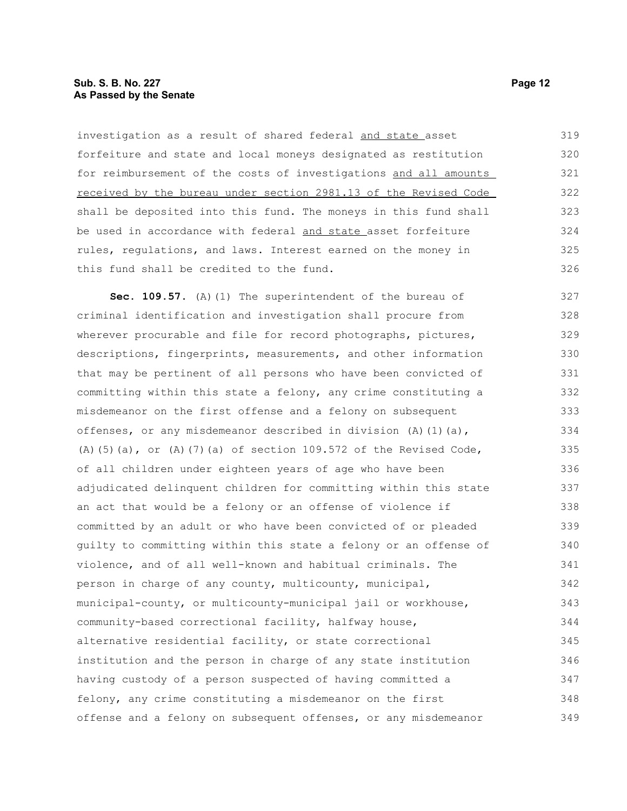investigation as a result of shared federal and state asset forfeiture and state and local moneys designated as restitution for reimbursement of the costs of investigations and all amounts received by the bureau under section 2981.13 of the Revised Code shall be deposited into this fund. The moneys in this fund shall be used in accordance with federal and state asset forfeiture rules, regulations, and laws. Interest earned on the money in this fund shall be credited to the fund. **Sec. 109.57.** (A) (1) The superintendent of the bureau of criminal identification and investigation shall procure from wherever procurable and file for record photographs, pictures, descriptions, fingerprints, measurements, and other information that may be pertinent of all persons who have been convicted of committing within this state a felony, any crime constituting a misdemeanor on the first offense and a felony on subsequent offenses, or any misdemeanor described in division  $(A)$   $(1)$   $(a)$ , (A)(5)(a), or (A)(7)(a) of section  $109.572$  of the Revised Code, of all children under eighteen years of age who have been adjudicated delinquent children for committing within this state an act that would be a felony or an offense of violence if committed by an adult or who have been convicted of or pleaded guilty to committing within this state a felony or an offense of violence, and of all well-known and habitual criminals. The person in charge of any county, multicounty, municipal, municipal-county, or multicounty-municipal jail or workhouse, community-based correctional facility, halfway house, alternative residential facility, or state correctional institution and the person in charge of any state institution having custody of a person suspected of having committed a 319 320 321 322 323 324 325 326 327 328 329 330 331 332 333 334 335 336 337 338 339 340 341 342 343 344 345 346 347

felony, any crime constituting a misdemeanor on the first offense and a felony on subsequent offenses, or any misdemeanor 349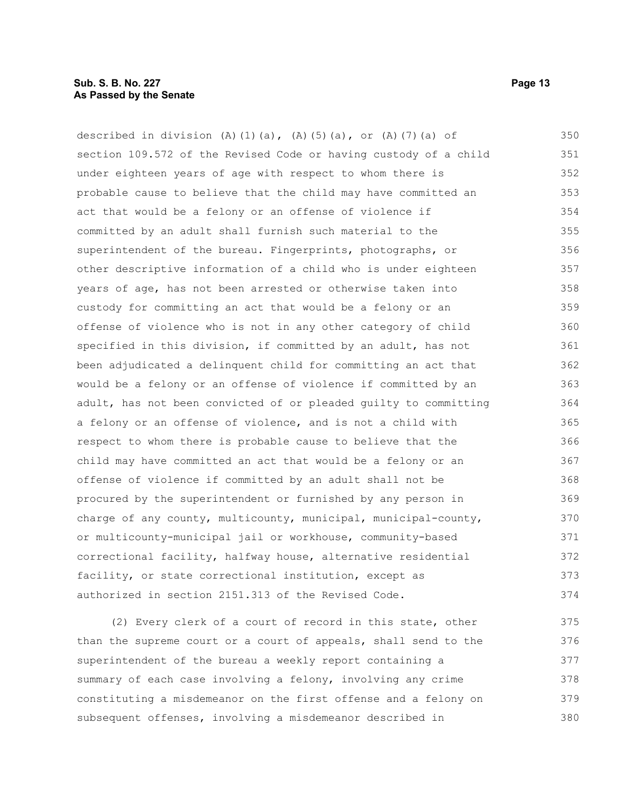#### **Sub. S. B. No. 227 Page 13 As Passed by the Senate**

described in division (A)(1)(a), (A)(5)(a), or (A)(7)(a) of section 109.572 of the Revised Code or having custody of a child under eighteen years of age with respect to whom there is probable cause to believe that the child may have committed an act that would be a felony or an offense of violence if committed by an adult shall furnish such material to the superintendent of the bureau. Fingerprints, photographs, or other descriptive information of a child who is under eighteen years of age, has not been arrested or otherwise taken into custody for committing an act that would be a felony or an offense of violence who is not in any other category of child specified in this division, if committed by an adult, has not been adjudicated a delinquent child for committing an act that would be a felony or an offense of violence if committed by an adult, has not been convicted of or pleaded guilty to committing a felony or an offense of violence, and is not a child with respect to whom there is probable cause to believe that the child may have committed an act that would be a felony or an offense of violence if committed by an adult shall not be procured by the superintendent or furnished by any person in charge of any county, multicounty, municipal, municipal-county, or multicounty-municipal jail or workhouse, community-based correctional facility, halfway house, alternative residential facility, or state correctional institution, except as authorized in section 2151.313 of the Revised Code. 350 351 352 353 354 355 356 357 358 359 360 361 362 363 364 365 366 367 368 369 370 371 372 373 374

(2) Every clerk of a court of record in this state, other than the supreme court or a court of appeals, shall send to the superintendent of the bureau a weekly report containing a summary of each case involving a felony, involving any crime constituting a misdemeanor on the first offense and a felony on subsequent offenses, involving a misdemeanor described in 375 376 377 378 379 380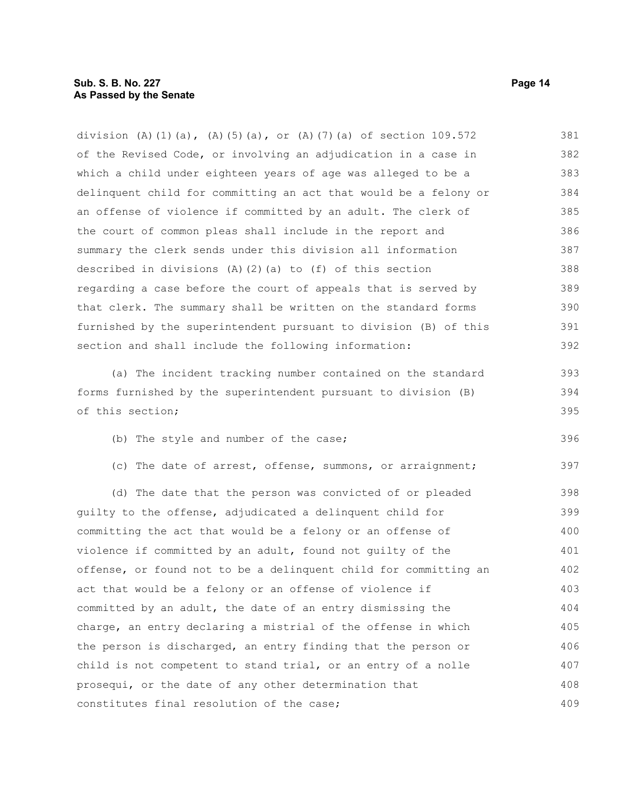#### **Sub. S. B. No. 227 Page 14 As Passed by the Senate**

division (A)(1)(a), (A)(5)(a), or (A)(7)(a) of section  $109.572$ of the Revised Code, or involving an adjudication in a case in which a child under eighteen years of age was alleged to be a delinquent child for committing an act that would be a felony or an offense of violence if committed by an adult. The clerk of the court of common pleas shall include in the report and summary the clerk sends under this division all information described in divisions (A)(2)(a) to (f) of this section regarding a case before the court of appeals that is served by that clerk. The summary shall be written on the standard forms furnished by the superintendent pursuant to division (B) of this section and shall include the following information: 381 382 383 384 385 386 387 388 389 390 391 392

(a) The incident tracking number contained on the standard forms furnished by the superintendent pursuant to division (B) of this section;

(b) The style and number of the case;

(c) The date of arrest, offense, summons, or arraignment; 397

(d) The date that the person was convicted of or pleaded guilty to the offense, adjudicated a delinquent child for committing the act that would be a felony or an offense of violence if committed by an adult, found not guilty of the offense, or found not to be a delinquent child for committing an act that would be a felony or an offense of violence if committed by an adult, the date of an entry dismissing the charge, an entry declaring a mistrial of the offense in which the person is discharged, an entry finding that the person or child is not competent to stand trial, or an entry of a nolle prosequi, or the date of any other determination that constitutes final resolution of the case; 398 399 400 401 402 403 404 405 406 407 408 409

393 394 395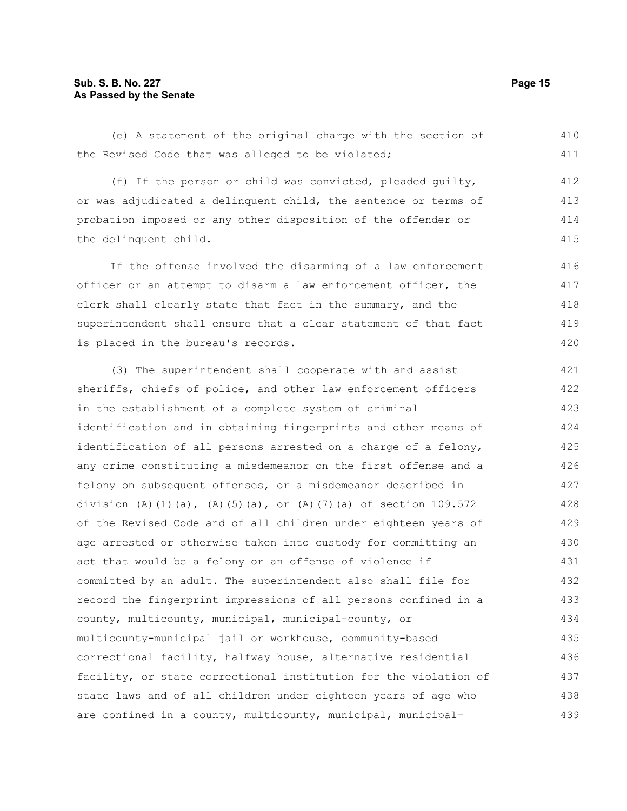#### **Sub. S. B. No. 227 Page 15 As Passed by the Senate**

(e) A statement of the original charge with the section of the Revised Code that was alleged to be violated; (f) If the person or child was convicted, pleaded guilty, or was adjudicated a delinquent child, the sentence or terms of probation imposed or any other disposition of the offender or the delinquent child. If the offense involved the disarming of a law enforcement officer or an attempt to disarm a law enforcement officer, the clerk shall clearly state that fact in the summary, and the superintendent shall ensure that a clear statement of that fact is placed in the bureau's records. (3) The superintendent shall cooperate with and assist sheriffs, chiefs of police, and other law enforcement officers in the establishment of a complete system of criminal identification and in obtaining fingerprints and other means of identification of all persons arrested on a charge of a felony, any crime constituting a misdemeanor on the first offense and a felony on subsequent offenses, or a misdemeanor described in division (A)(1)(a), (A)(5)(a), or (A)(7)(a) of section 109.572 of the Revised Code and of all children under eighteen years of age arrested or otherwise taken into custody for committing an act that would be a felony or an offense of violence if committed by an adult. The superintendent also shall file for record the fingerprint impressions of all persons confined in a county, multicounty, municipal, municipal-county, or multicounty-municipal jail or workhouse, community-based correctional facility, halfway house, alternative residential facility, or state correctional institution for the violation of state laws and of all children under eighteen years of age who 410 411 412 413 414 415 416 417 418 419 420 421 422 423 424 425 426 427 428 429 430 431 432 433 434 435 436 437 438

are confined in a county, multicounty, municipal, municipal-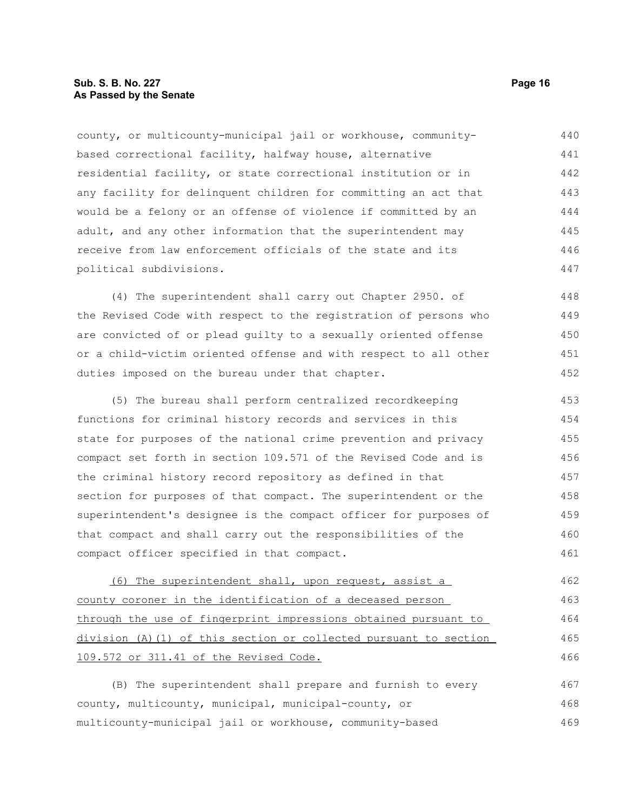#### **Sub. S. B. No. 227 Page 16 As Passed by the Senate**

county, or multicounty-municipal jail or workhouse, communitybased correctional facility, halfway house, alternative residential facility, or state correctional institution or in any facility for delinquent children for committing an act that would be a felony or an offense of violence if committed by an adult, and any other information that the superintendent may receive from law enforcement officials of the state and its political subdivisions. 440 441 442 443 444 445 446 447

(4) The superintendent shall carry out Chapter 2950. of the Revised Code with respect to the registration of persons who are convicted of or plead guilty to a sexually oriented offense or a child-victim oriented offense and with respect to all other duties imposed on the bureau under that chapter. 448 449 450 451

(5) The bureau shall perform centralized recordkeeping functions for criminal history records and services in this state for purposes of the national crime prevention and privacy compact set forth in section 109.571 of the Revised Code and is the criminal history record repository as defined in that section for purposes of that compact. The superintendent or the superintendent's designee is the compact officer for purposes of that compact and shall carry out the responsibilities of the compact officer specified in that compact. 453 454 455 456 457 458 459 460 461

(6) The superintendent shall, upon request, assist a county coroner in the identification of a deceased person through the use of fingerprint impressions obtained pursuant to division (A)(1) of this section or collected pursuant to section 109.572 or 311.41 of the Revised Code. 462 463 464 465 466

(B) The superintendent shall prepare and furnish to every county, multicounty, municipal, municipal-county, or multicounty-municipal jail or workhouse, community-based 467 468 469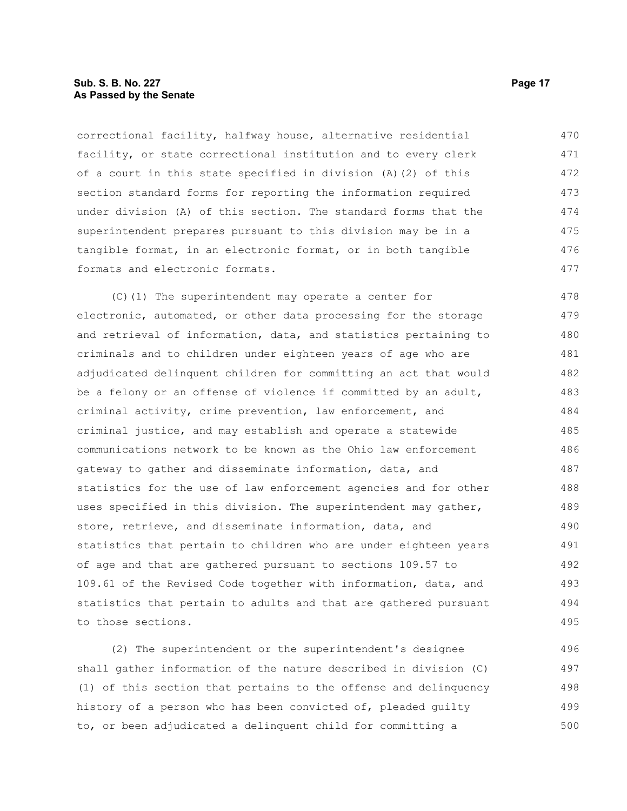correctional facility, halfway house, alternative residential facility, or state correctional institution and to every clerk of a court in this state specified in division (A)(2) of this section standard forms for reporting the information required under division (A) of this section. The standard forms that the superintendent prepares pursuant to this division may be in a tangible format, in an electronic format, or in both tangible formats and electronic formats. 470 471 472 473 474 475 476 477

(C)(1) The superintendent may operate a center for electronic, automated, or other data processing for the storage and retrieval of information, data, and statistics pertaining to criminals and to children under eighteen years of age who are adjudicated delinquent children for committing an act that would be a felony or an offense of violence if committed by an adult, criminal activity, crime prevention, law enforcement, and criminal justice, and may establish and operate a statewide communications network to be known as the Ohio law enforcement gateway to gather and disseminate information, data, and statistics for the use of law enforcement agencies and for other uses specified in this division. The superintendent may gather, store, retrieve, and disseminate information, data, and statistics that pertain to children who are under eighteen years of age and that are gathered pursuant to sections 109.57 to 109.61 of the Revised Code together with information, data, and statistics that pertain to adults and that are gathered pursuant to those sections. 478 479 480 481 482 483 484 485 486 487 488 489 490 491 492 493 494 495

(2) The superintendent or the superintendent's designee shall gather information of the nature described in division (C) (1) of this section that pertains to the offense and delinquency history of a person who has been convicted of, pleaded guilty to, or been adjudicated a delinquent child for committing a 496 497 498 499 500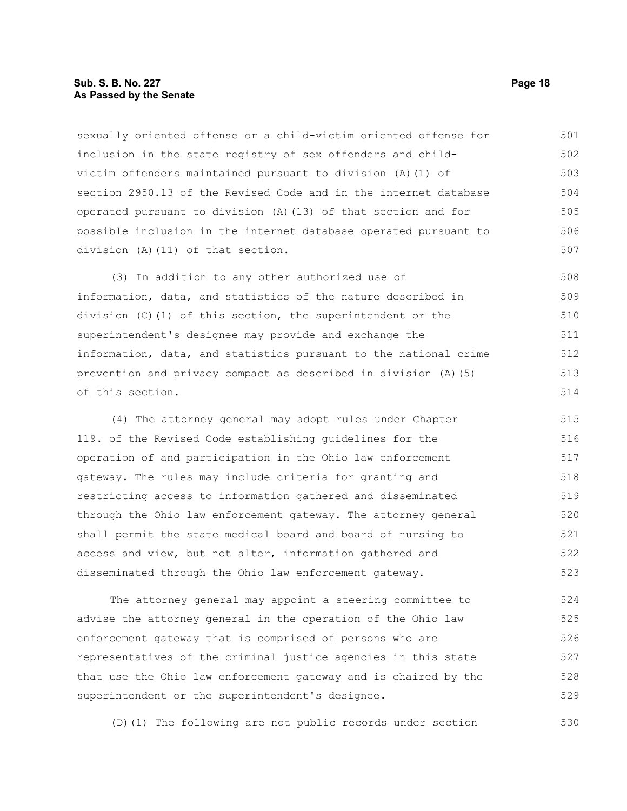#### **Sub. S. B. No. 227 Page 18 As Passed by the Senate**

sexually oriented offense or a child-victim oriented offense for inclusion in the state registry of sex offenders and childvictim offenders maintained pursuant to division (A)(1) of section 2950.13 of the Revised Code and in the internet database operated pursuant to division (A)(13) of that section and for possible inclusion in the internet database operated pursuant to division (A)(11) of that section. 501 502 503 504 505 506 507

(3) In addition to any other authorized use of information, data, and statistics of the nature described in division (C)(1) of this section, the superintendent or the superintendent's designee may provide and exchange the information, data, and statistics pursuant to the national crime prevention and privacy compact as described in division (A)(5) of this section. 508 509 510 511 512 513 514

(4) The attorney general may adopt rules under Chapter 119. of the Revised Code establishing guidelines for the operation of and participation in the Ohio law enforcement gateway. The rules may include criteria for granting and restricting access to information gathered and disseminated through the Ohio law enforcement gateway. The attorney general shall permit the state medical board and board of nursing to access and view, but not alter, information gathered and disseminated through the Ohio law enforcement gateway. 515 516 517 518 519 520 521 522 523

The attorney general may appoint a steering committee to advise the attorney general in the operation of the Ohio law enforcement gateway that is comprised of persons who are representatives of the criminal justice agencies in this state that use the Ohio law enforcement gateway and is chaired by the superintendent or the superintendent's designee. 524 525 526 527 528 529

(D)(1) The following are not public records under section 530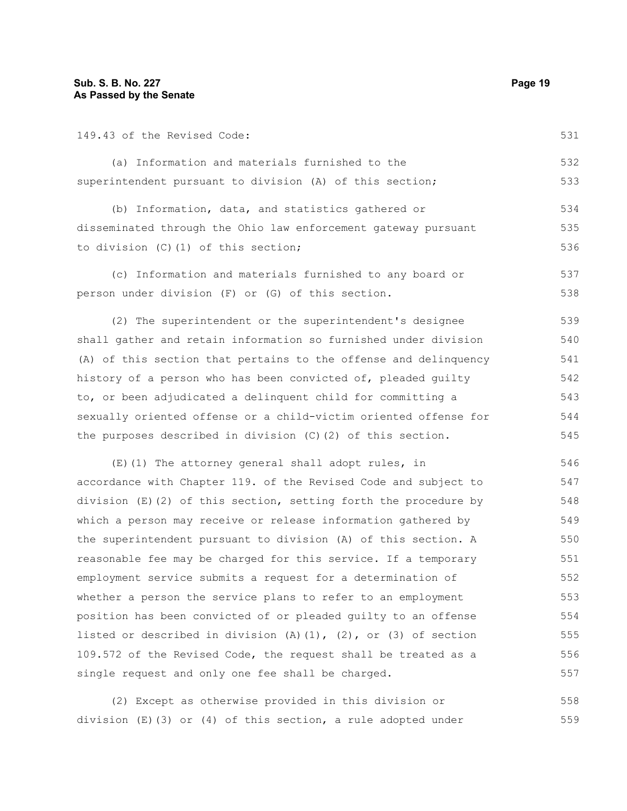149.43 of the Revised Code:

(a) Information and materials furnished to the superintendent pursuant to division (A) of this section; 532 533

(b) Information, data, and statistics gathered or disseminated through the Ohio law enforcement gateway pursuant to division (C)(1) of this section; 534 535 536

(c) Information and materials furnished to any board or person under division (F) or (G) of this section. 537 538

(2) The superintendent or the superintendent's designee shall gather and retain information so furnished under division (A) of this section that pertains to the offense and delinquency history of a person who has been convicted of, pleaded guilty to, or been adjudicated a delinquent child for committing a sexually oriented offense or a child-victim oriented offense for the purposes described in division (C)(2) of this section. 539 540 541 542 543 544 545

(E)(1) The attorney general shall adopt rules, in accordance with Chapter 119. of the Revised Code and subject to division (E)(2) of this section, setting forth the procedure by which a person may receive or release information gathered by the superintendent pursuant to division (A) of this section. A reasonable fee may be charged for this service. If a temporary employment service submits a request for a determination of whether a person the service plans to refer to an employment position has been convicted of or pleaded guilty to an offense listed or described in division  $(A)(1)$ ,  $(2)$ , or  $(3)$  of section 109.572 of the Revised Code, the request shall be treated as a single request and only one fee shall be charged. 546 547 548 549 550 551 552 553 554 555 556 557

(2) Except as otherwise provided in this division or division (E)(3) or (4) of this section, a rule adopted under 558 559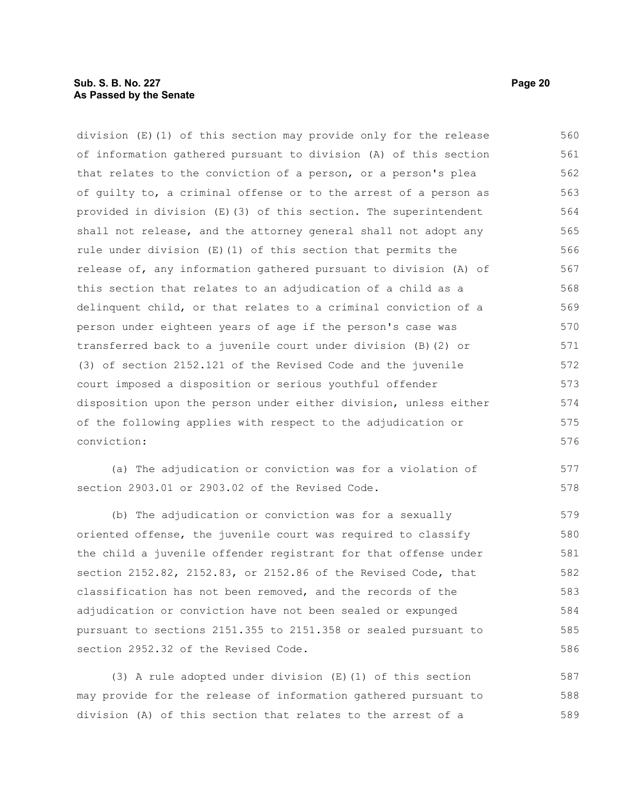#### **Sub. S. B. No. 227 Page 20 As Passed by the Senate**

division (E)(1) of this section may provide only for the release of information gathered pursuant to division (A) of this section that relates to the conviction of a person, or a person's plea of guilty to, a criminal offense or to the arrest of a person as provided in division (E)(3) of this section. The superintendent shall not release, and the attorney general shall not adopt any rule under division (E)(1) of this section that permits the release of, any information gathered pursuant to division (A) of this section that relates to an adjudication of a child as a delinquent child, or that relates to a criminal conviction of a person under eighteen years of age if the person's case was transferred back to a juvenile court under division (B)(2) or (3) of section 2152.121 of the Revised Code and the juvenile court imposed a disposition or serious youthful offender disposition upon the person under either division, unless either of the following applies with respect to the adjudication or conviction: 560 561 562 563 564 565 566 567 568 569 570 571 572 573 574 575 576

(a) The adjudication or conviction was for a violation of section 2903.01 or 2903.02 of the Revised Code. 577 578

(b) The adjudication or conviction was for a sexually oriented offense, the juvenile court was required to classify the child a juvenile offender registrant for that offense under section 2152.82, 2152.83, or 2152.86 of the Revised Code, that classification has not been removed, and the records of the adjudication or conviction have not been sealed or expunged pursuant to sections 2151.355 to 2151.358 or sealed pursuant to section 2952.32 of the Revised Code. 579 580 581 582 583 584 585 586

(3) A rule adopted under division (E)(1) of this section may provide for the release of information gathered pursuant to division (A) of this section that relates to the arrest of a 587 588 589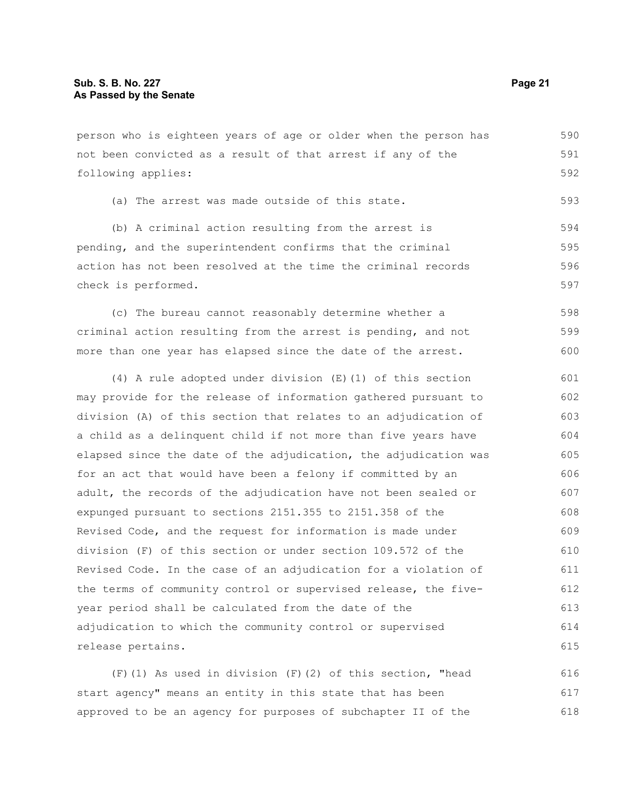person who is eighteen years of age or older when the person has not been convicted as a result of that arrest if any of the following applies: (a) The arrest was made outside of this state. (b) A criminal action resulting from the arrest is pending, and the superintendent confirms that the criminal action has not been resolved at the time the criminal records check is performed. (c) The bureau cannot reasonably determine whether a criminal action resulting from the arrest is pending, and not more than one year has elapsed since the date of the arrest. (4) A rule adopted under division (E)(1) of this section may provide for the release of information gathered pursuant to division (A) of this section that relates to an adjudication of a child as a delinquent child if not more than five years have elapsed since the date of the adjudication, the adjudication was for an act that would have been a felony if committed by an adult, the records of the adjudication have not been sealed or expunged pursuant to sections 2151.355 to 2151.358 of the Revised Code, and the request for information is made under division (F) of this section or under section 109.572 of the Revised Code. In the case of an adjudication for a violation of the terms of community control or supervised release, the fiveyear period shall be calculated from the date of the adjudication to which the community control or supervised release pertains.  $(F)$  (1) As used in division  $(F)$  (2) of this section, "head 590 591 592 593 594 595 596 597 598 599 600 601 602 603 604 605 606 607 608 609 610 611 612 613 614 615 616

start agency" means an entity in this state that has been approved to be an agency for purposes of subchapter II of the 617 618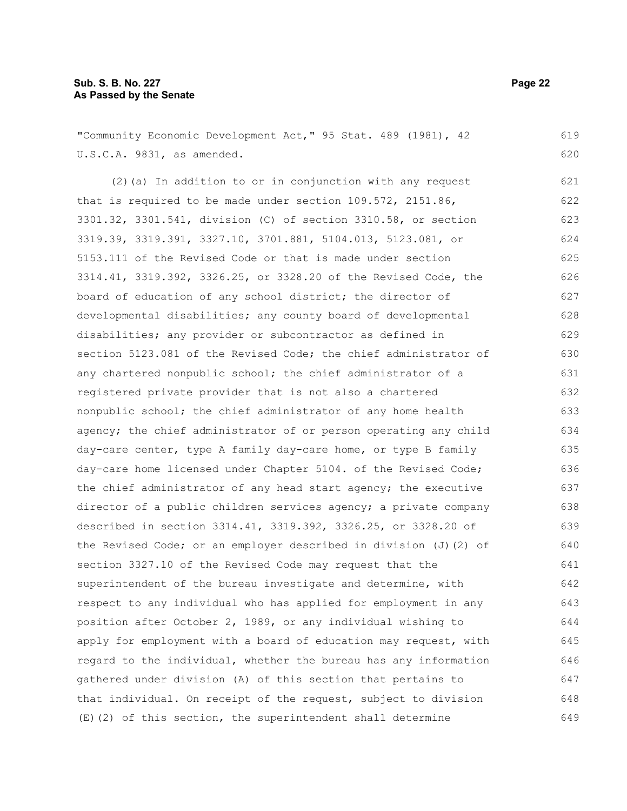| "Community Economic Development Act," 95 Stat. 489 (1981), 42       | 619 |
|---------------------------------------------------------------------|-----|
| U.S.C.A. 9831, as amended.                                          | 620 |
| (2) (a) In addition to or in conjunction with any request           | 621 |
| that is required to be made under section $109.572$ , $2151.86$ ,   | 622 |
| 3301.32, 3301.541, division (C) of section 3310.58, or section      | 623 |
| 3319.39, 3319.391, 3327.10, 3701.881, 5104.013, 5123.081, or        | 624 |
| 5153.111 of the Revised Code or that is made under section          | 625 |
| 3314.41, 3319.392, 3326.25, or 3328.20 of the Revised Code, the     | 626 |
| board of education of any school district; the director of          | 627 |
| developmental disabilities; any county board of developmental       | 628 |
| disabilities; any provider or subcontractor as defined in           | 629 |
| section 5123.081 of the Revised Code; the chief administrator of    | 630 |
| any chartered nonpublic school; the chief administrator of a        | 631 |
| registered private provider that is not also a chartered            | 632 |
| nonpublic school; the chief administrator of any home health        | 633 |
| agency; the chief administrator of or person operating any child    | 634 |
| day-care center, type A family day-care home, or type B family      | 635 |
| day-care home licensed under Chapter 5104. of the Revised Code;     | 636 |
| the chief administrator of any head start agency; the executive     | 637 |
| director of a public children services agency; a private company    | 638 |
| described in section 3314.41, 3319.392, 3326.25, or 3328.20 of      | 639 |
| the Revised Code; or an employer described in division $(J)$ (2) of | 640 |
| section 3327.10 of the Revised Code may request that the            | 641 |
| superintendent of the bureau investigate and determine, with        | 642 |
| respect to any individual who has applied for employment in any     | 643 |
| position after October 2, 1989, or any individual wishing to        | 644 |
| apply for employment with a board of education may request, with    | 645 |
| regard to the individual, whether the bureau has any information    | 646 |
| gathered under division (A) of this section that pertains to        | 647 |
| that individual. On receipt of the request, subject to division     | 648 |
| (E)(2) of this section, the superintendent shall determine          | 649 |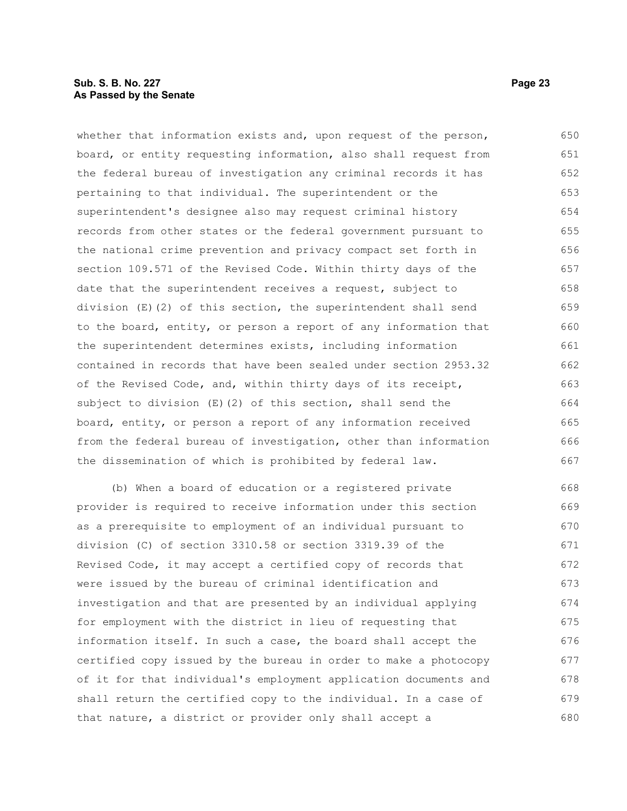#### **Sub. S. B. No. 227 Page 23 As Passed by the Senate**

whether that information exists and, upon request of the person, board, or entity requesting information, also shall request from the federal bureau of investigation any criminal records it has pertaining to that individual. The superintendent or the superintendent's designee also may request criminal history records from other states or the federal government pursuant to the national crime prevention and privacy compact set forth in section 109.571 of the Revised Code. Within thirty days of the date that the superintendent receives a request, subject to division (E)(2) of this section, the superintendent shall send to the board, entity, or person a report of any information that the superintendent determines exists, including information contained in records that have been sealed under section 2953.32 of the Revised Code, and, within thirty days of its receipt, subject to division (E)(2) of this section, shall send the board, entity, or person a report of any information received from the federal bureau of investigation, other than information the dissemination of which is prohibited by federal law. 650 651 652 653 654 655 656 657 658 659 660 661 662 663 664 665 666 667

(b) When a board of education or a registered private provider is required to receive information under this section as a prerequisite to employment of an individual pursuant to division (C) of section 3310.58 or section 3319.39 of the Revised Code, it may accept a certified copy of records that were issued by the bureau of criminal identification and investigation and that are presented by an individual applying for employment with the district in lieu of requesting that information itself. In such a case, the board shall accept the certified copy issued by the bureau in order to make a photocopy of it for that individual's employment application documents and shall return the certified copy to the individual. In a case of that nature, a district or provider only shall accept a 668 669 670 671 672 673 674 675 676 677 678 679 680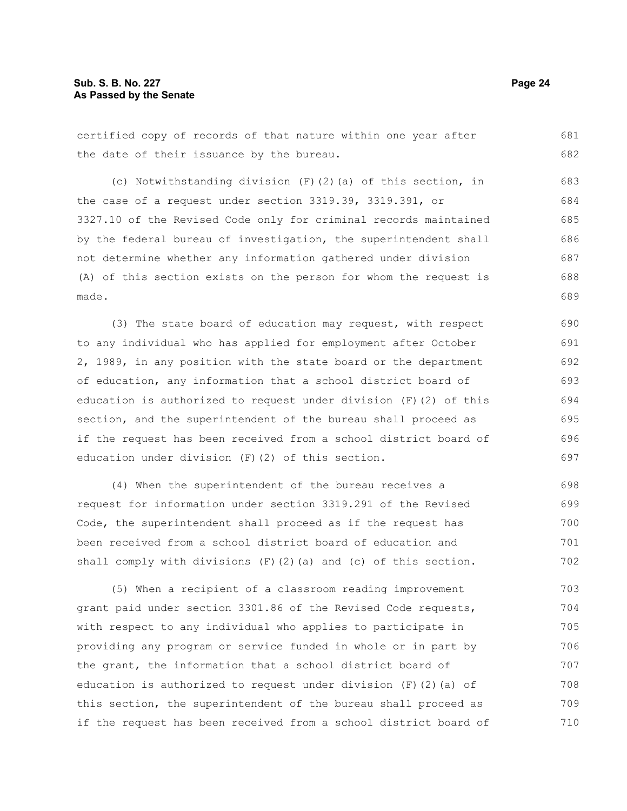certified copy of records of that nature within one year after the date of their issuance by the bureau. (c) Notwithstanding division (F)(2)(a) of this section, in the case of a request under section 3319.39, 3319.391, or 3327.10 of the Revised Code only for criminal records maintained by the federal bureau of investigation, the superintendent shall not determine whether any information gathered under division (A) of this section exists on the person for whom the request is made. (3) The state board of education may request, with respect to any individual who has applied for employment after October 2, 1989, in any position with the state board or the department of education, any information that a school district board of 681 682 683 684 685 686 687 688 689 690 691 692 693

education is authorized to request under division (F)(2) of this section, and the superintendent of the bureau shall proceed as if the request has been received from a school district board of education under division (F)(2) of this section. 694 695 696 697

(4) When the superintendent of the bureau receives a request for information under section 3319.291 of the Revised Code, the superintendent shall proceed as if the request has been received from a school district board of education and shall comply with divisions (F)(2)(a) and (c) of this section. 698 699 700 701 702

(5) When a recipient of a classroom reading improvement grant paid under section 3301.86 of the Revised Code requests, with respect to any individual who applies to participate in providing any program or service funded in whole or in part by the grant, the information that a school district board of education is authorized to request under division (F)(2)(a) of this section, the superintendent of the bureau shall proceed as if the request has been received from a school district board of 703 704 705 706 707 708 709 710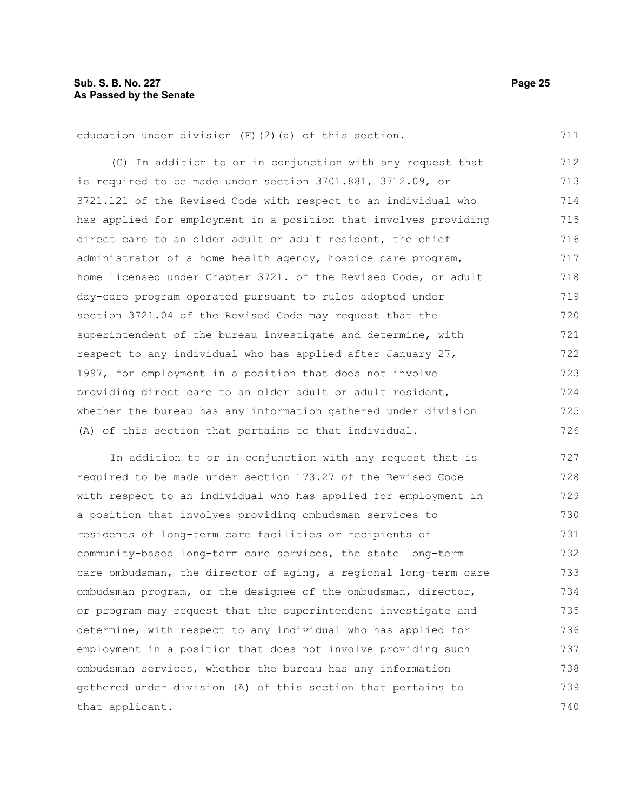education under division (F)(2)(a) of this section.

(G) In addition to or in conjunction with any request that is required to be made under section 3701.881, 3712.09, or 3721.121 of the Revised Code with respect to an individual who has applied for employment in a position that involves providing direct care to an older adult or adult resident, the chief administrator of a home health agency, hospice care program, home licensed under Chapter 3721. of the Revised Code, or adult day-care program operated pursuant to rules adopted under section 3721.04 of the Revised Code may request that the superintendent of the bureau investigate and determine, with respect to any individual who has applied after January 27, 1997, for employment in a position that does not involve providing direct care to an older adult or adult resident, whether the bureau has any information gathered under division (A) of this section that pertains to that individual. 712 713 714 715 716 717 718 719 720 721 722 723 724 725 726

In addition to or in conjunction with any request that is required to be made under section 173.27 of the Revised Code with respect to an individual who has applied for employment in a position that involves providing ombudsman services to residents of long-term care facilities or recipients of community-based long-term care services, the state long-term care ombudsman, the director of aging, a regional long-term care ombudsman program, or the designee of the ombudsman, director, or program may request that the superintendent investigate and determine, with respect to any individual who has applied for employment in a position that does not involve providing such ombudsman services, whether the bureau has any information gathered under division (A) of this section that pertains to that applicant. 727 728 729 730 731 732 733 734 735 736 737 738 739 740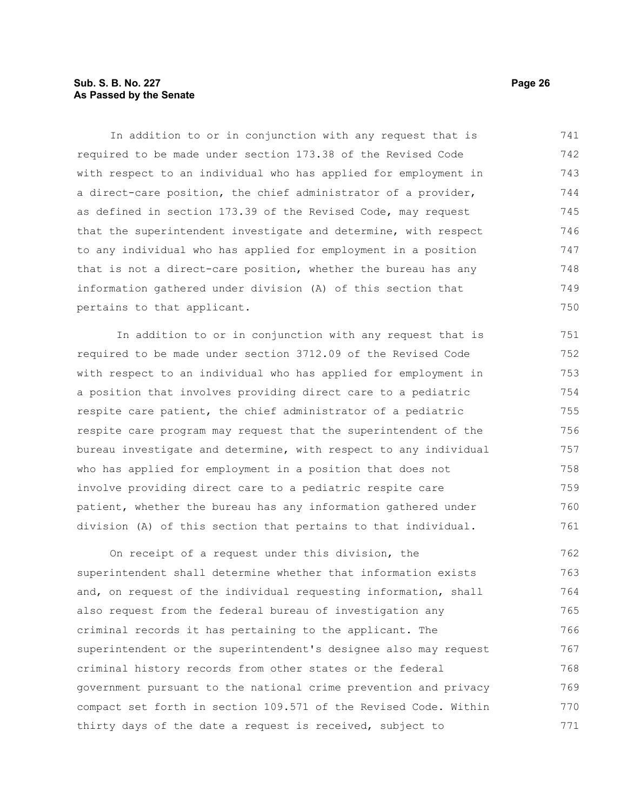#### **Sub. S. B. No. 227 Page 26 As Passed by the Senate**

In addition to or in conjunction with any request that is required to be made under section 173.38 of the Revised Code with respect to an individual who has applied for employment in a direct-care position, the chief administrator of a provider, as defined in section 173.39 of the Revised Code, may request that the superintendent investigate and determine, with respect to any individual who has applied for employment in a position that is not a direct-care position, whether the bureau has any information gathered under division (A) of this section that pertains to that applicant. 741 742 743 744 745 746 747 748 749 750

In addition to or in conjunction with any request that is required to be made under section 3712.09 of the Revised Code with respect to an individual who has applied for employment in a position that involves providing direct care to a pediatric respite care patient, the chief administrator of a pediatric respite care program may request that the superintendent of the bureau investigate and determine, with respect to any individual who has applied for employment in a position that does not involve providing direct care to a pediatric respite care patient, whether the bureau has any information gathered under division (A) of this section that pertains to that individual. 751 752 753 754 755 756 757 758 759 760 761

On receipt of a request under this division, the superintendent shall determine whether that information exists and, on request of the individual requesting information, shall also request from the federal bureau of investigation any criminal records it has pertaining to the applicant. The superintendent or the superintendent's designee also may request criminal history records from other states or the federal government pursuant to the national crime prevention and privacy compact set forth in section 109.571 of the Revised Code. Within thirty days of the date a request is received, subject to 762 763 764 765 766 767 768 769 770 771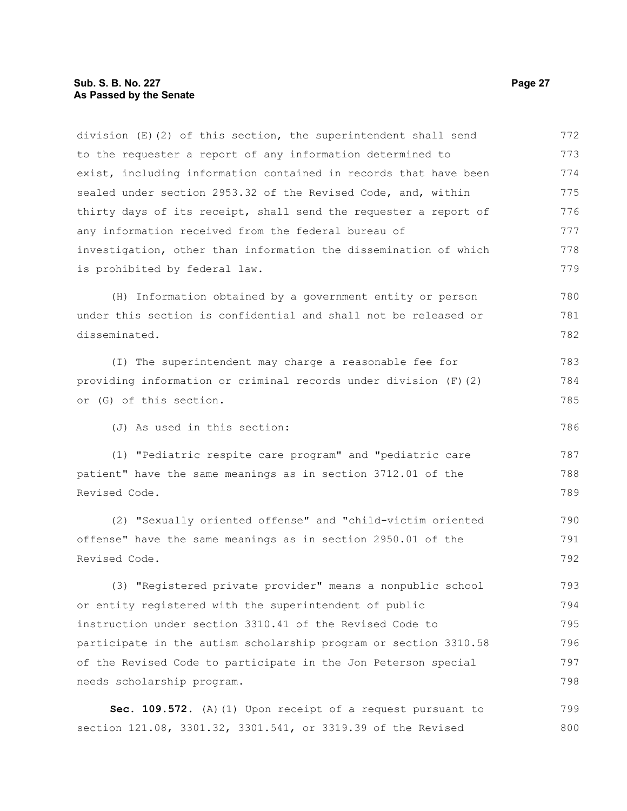division (E)(2) of this section, the superintendent shall send to the requester a report of any information determined to exist, including information contained in records that have been sealed under section 2953.32 of the Revised Code, and, within thirty days of its receipt, shall send the requester a report of any information received from the federal bureau of investigation, other than information the dissemination of which is prohibited by federal law. 772 773 774 775 776 777 778 779

(H) Information obtained by a government entity or person under this section is confidential and shall not be released or disseminated. 780 781 782

(I) The superintendent may charge a reasonable fee for providing information or criminal records under division (F)(2) or (G) of this section. 783 784 785

(J) As used in this section:

(1) "Pediatric respite care program" and "pediatric care patient" have the same meanings as in section 3712.01 of the Revised Code. 787 788 789

(2) "Sexually oriented offense" and "child-victim oriented offense" have the same meanings as in section 2950.01 of the Revised Code. 790 791 792

(3) "Registered private provider" means a nonpublic school or entity registered with the superintendent of public instruction under section 3310.41 of the Revised Code to participate in the autism scholarship program or section 3310.58 of the Revised Code to participate in the Jon Peterson special needs scholarship program. 793 794 795 796 797 798

**Sec. 109.572.** (A)(1) Upon receipt of a request pursuant to section 121.08, 3301.32, 3301.541, or 3319.39 of the Revised 799 800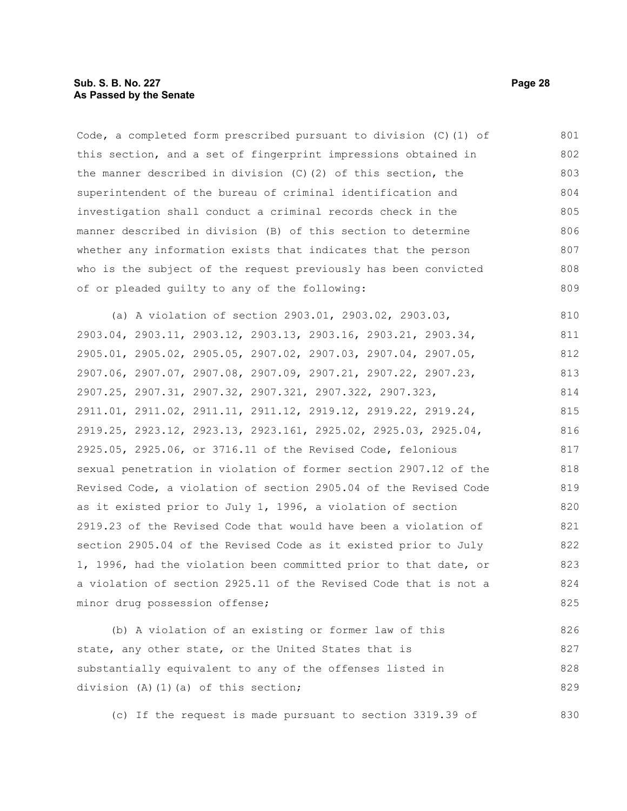#### **Sub. S. B. No. 227 Page 28 As Passed by the Senate**

Code, a completed form prescribed pursuant to division (C)(1) of this section, and a set of fingerprint impressions obtained in the manner described in division (C)(2) of this section, the superintendent of the bureau of criminal identification and investigation shall conduct a criminal records check in the manner described in division (B) of this section to determine whether any information exists that indicates that the person who is the subject of the request previously has been convicted of or pleaded guilty to any of the following: (a) A violation of section 2903.01, 2903.02, 2903.03, 2903.04, 2903.11, 2903.12, 2903.13, 2903.16, 2903.21, 2903.34, 2905.01, 2905.02, 2905.05, 2907.02, 2907.03, 2907.04, 2907.05, 2907.06, 2907.07, 2907.08, 2907.09, 2907.21, 2907.22, 2907.23, 2907.25, 2907.31, 2907.32, 2907.321, 2907.322, 2907.323, 801 802 803 804 805 806 807 808 809 810 811 812 813 814

2911.01, 2911.02, 2911.11, 2911.12, 2919.12, 2919.22, 2919.24, 2919.25, 2923.12, 2923.13, 2923.161, 2925.02, 2925.03, 2925.04, 2925.05, 2925.06, or 3716.11 of the Revised Code, felonious sexual penetration in violation of former section 2907.12 of the Revised Code, a violation of section 2905.04 of the Revised Code as it existed prior to July 1, 1996, a violation of section 2919.23 of the Revised Code that would have been a violation of section 2905.04 of the Revised Code as it existed prior to July 1, 1996, had the violation been committed prior to that date, or a violation of section 2925.11 of the Revised Code that is not a minor drug possession offense; 815 816 817 818 819 820 821 822 823 824 825

(b) A violation of an existing or former law of this state, any other state, or the United States that is substantially equivalent to any of the offenses listed in division (A)(1)(a) of this section; 826 827 828 829

(c) If the request is made pursuant to section 3319.39 of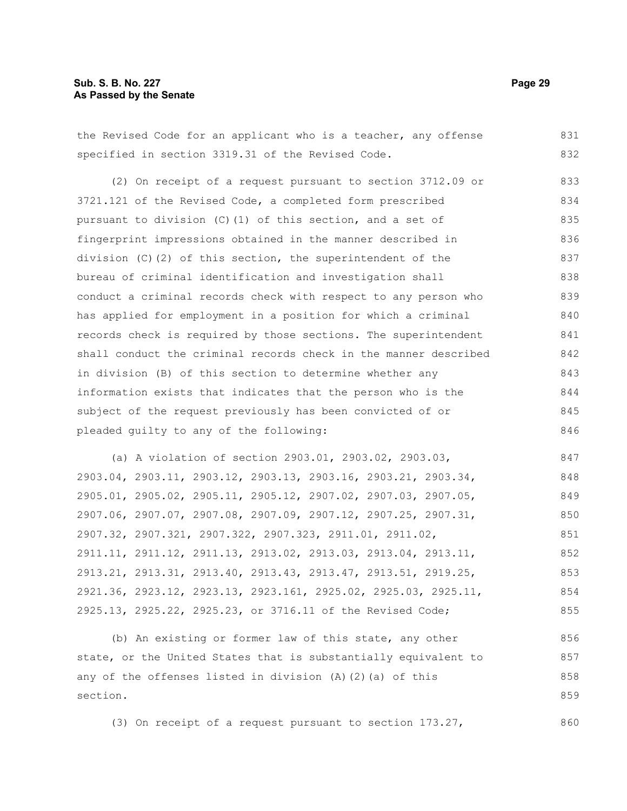#### **Sub. S. B. No. 227 Page 29 As Passed by the Senate**

860

| the Revised Code for an applicant who is a teacher, any offense  | 831 |
|------------------------------------------------------------------|-----|
| specified in section 3319.31 of the Revised Code.                | 832 |
| (2) On receipt of a request pursuant to section 3712.09 or       | 833 |
| 3721.121 of the Revised Code, a completed form prescribed        | 834 |
| pursuant to division (C)(1) of this section, and a set of        | 835 |
| fingerprint impressions obtained in the manner described in      | 836 |
| division $(C)$ (2) of this section, the superintendent of the    | 837 |
| bureau of criminal identification and investigation shall        | 838 |
| conduct a criminal records check with respect to any person who  | 839 |
| has applied for employment in a position for which a criminal    | 840 |
| records check is required by those sections. The superintendent  | 841 |
| shall conduct the criminal records check in the manner described | 842 |
| in division (B) of this section to determine whether any         | 843 |
| information exists that indicates that the person who is the     | 844 |
| subject of the request previously has been convicted of or       | 845 |
| pleaded quilty to any of the following:                          | 846 |
| (a) A violation of section 2903.01, 2903.02, 2903.03,            | 847 |
| 2903.04, 2903.11, 2903.12, 2903.13, 2903.16, 2903.21, 2903.34,   | 848 |
| 2905.01, 2905.02, 2905.11, 2905.12, 2907.02, 2907.03, 2907.05,   | 849 |

(b) An existing or former law of this state, any other state, or the United States that is substantially equivalent to any of the offenses listed in division (A)(2)(a) of this section. 856 857 858 859

2907.06, 2907.07, 2907.08, 2907.09, 2907.12, 2907.25, 2907.31,

2911.11, 2911.12, 2911.13, 2913.02, 2913.03, 2913.04, 2913.11, 2913.21, 2913.31, 2913.40, 2913.43, 2913.47, 2913.51, 2919.25, 2921.36, 2923.12, 2923.13, 2923.161, 2925.02, 2925.03, 2925.11,

2907.32, 2907.321, 2907.322, 2907.323, 2911.01, 2911.02,

2925.13, 2925.22, 2925.23, or 3716.11 of the Revised Code;

(3) On receipt of a request pursuant to section 173.27,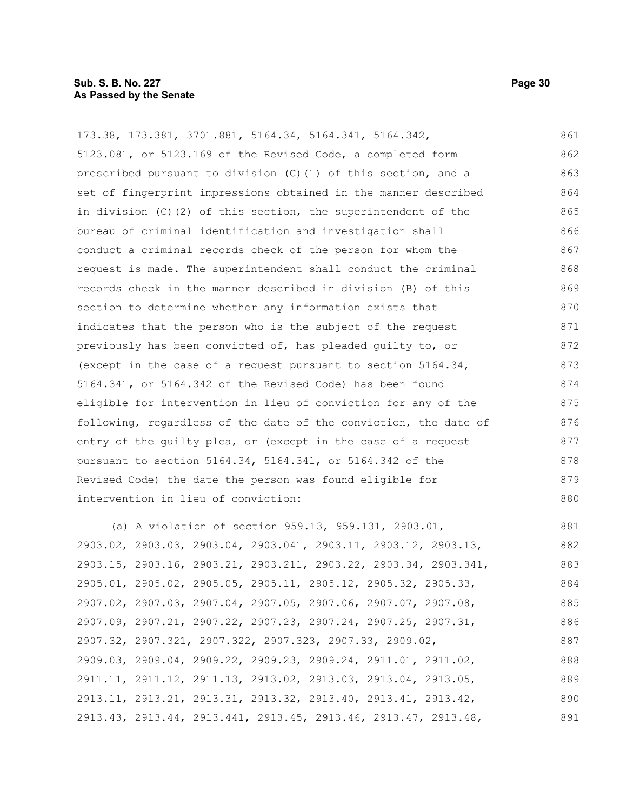#### **Sub. S. B. No. 227 Page 30 As Passed by the Senate**

173.38, 173.381, 3701.881, 5164.34, 5164.341, 5164.342, 5123.081, or 5123.169 of the Revised Code, a completed form prescribed pursuant to division (C)(1) of this section, and a set of fingerprint impressions obtained in the manner described in division (C)(2) of this section, the superintendent of the bureau of criminal identification and investigation shall conduct a criminal records check of the person for whom the request is made. The superintendent shall conduct the criminal records check in the manner described in division (B) of this section to determine whether any information exists that indicates that the person who is the subject of the request previously has been convicted of, has pleaded guilty to, or (except in the case of a request pursuant to section 5164.34, 5164.341, or 5164.342 of the Revised Code) has been found eligible for intervention in lieu of conviction for any of the following, regardless of the date of the conviction, the date of entry of the guilty plea, or (except in the case of a request pursuant to section 5164.34, 5164.341, or 5164.342 of the Revised Code) the date the person was found eligible for intervention in lieu of conviction: (a) A violation of section 959.13, 959.131, 2903.01, 2903.02, 2903.03, 2903.04, 2903.041, 2903.11, 2903.12, 2903.13, 2903.15, 2903.16, 2903.21, 2903.211, 2903.22, 2903.34, 2903.341, 2905.01, 2905.02, 2905.05, 2905.11, 2905.12, 2905.32, 2905.33, 2907.02, 2907.03, 2907.04, 2907.05, 2907.06, 2907.07, 2907.08, 2907.09, 2907.21, 2907.22, 2907.23, 2907.24, 2907.25, 2907.31, 2907.32, 2907.321, 2907.322, 2907.323, 2907.33, 2909.02, 2909.03, 2909.04, 2909.22, 2909.23, 2909.24, 2911.01, 2911.02, 861 862 863 864 865 866 867 868 869 870 871 872 873 874 875 876 877 878 879 880 881 882 883 884 885 886 887 888

2911.11, 2911.12, 2911.13, 2913.02, 2913.03, 2913.04, 2913.05, 2913.11, 2913.21, 2913.31, 2913.32, 2913.40, 2913.41, 2913.42, 2913.43, 2913.44, 2913.441, 2913.45, 2913.46, 2913.47, 2913.48, 889 890 891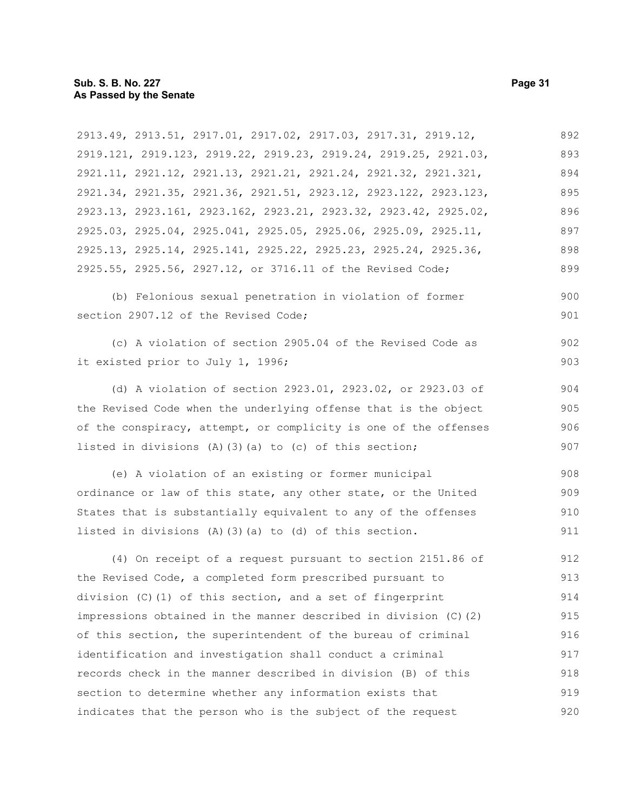| 2913.49, 2913.51, 2917.01, 2917.02, 2917.03, 2917.31, 2919.12,   | 892 |
|------------------------------------------------------------------|-----|
| 2919.121, 2919.123, 2919.22, 2919.23, 2919.24, 2919.25, 2921.03, | 893 |
| 2921.11, 2921.12, 2921.13, 2921.21, 2921.24, 2921.32, 2921.321,  | 894 |
| 2921.34, 2921.35, 2921.36, 2921.51, 2923.12, 2923.122, 2923.123, | 895 |
| 2923.13, 2923.161, 2923.162, 2923.21, 2923.32, 2923.42, 2925.02, | 896 |
| 2925.03, 2925.04, 2925.041, 2925.05, 2925.06, 2925.09, 2925.11,  | 897 |
| 2925.13, 2925.14, 2925.141, 2925.22, 2925.23, 2925.24, 2925.36,  | 898 |
| 2925.55, 2925.56, 2927.12, or 3716.11 of the Revised Code;       | 899 |
| (b) Felonious sexual penetration in violation of former          | 900 |
| section 2907.12 of the Revised Code;                             | 901 |
| (c) A violation of section 2905.04 of the Revised Code as        | 902 |
| it existed prior to July 1, 1996;                                | 903 |
| (d) A violation of section 2923.01, 2923.02, or 2923.03 of       | 904 |
| the Revised Code when the underlying offense that is the object  | 905 |
| of the conspiracy, attempt, or complicity is one of the offenses | 906 |
| listed in divisions (A)(3)(a) to (c) of this section;            | 907 |
| (e) A violation of an existing or former municipal               | 908 |
| ordinance or law of this state, any other state, or the United   | 909 |
| States that is substantially equivalent to any of the offenses   | 910 |
| listed in divisions $(A)$ $(3)$ $(a)$ to $(d)$ of this section.  | 911 |
| (4) On receipt of a request pursuant to section 2151.86 of       | 912 |
| the Revised Code, a completed form prescribed pursuant to        | 913 |
| division $(C)$ (1) of this section, and a set of fingerprint     | 914 |
| impressions obtained in the manner described in division (C)(2)  | 915 |
| of this section, the superintendent of the bureau of criminal    | 916 |
| identification and investigation shall conduct a criminal        | 917 |
| records check in the manner described in division (B) of this    | 918 |
| section to determine whether any information exists that         | 919 |
| indicates that the person who is the subject of the request      | 920 |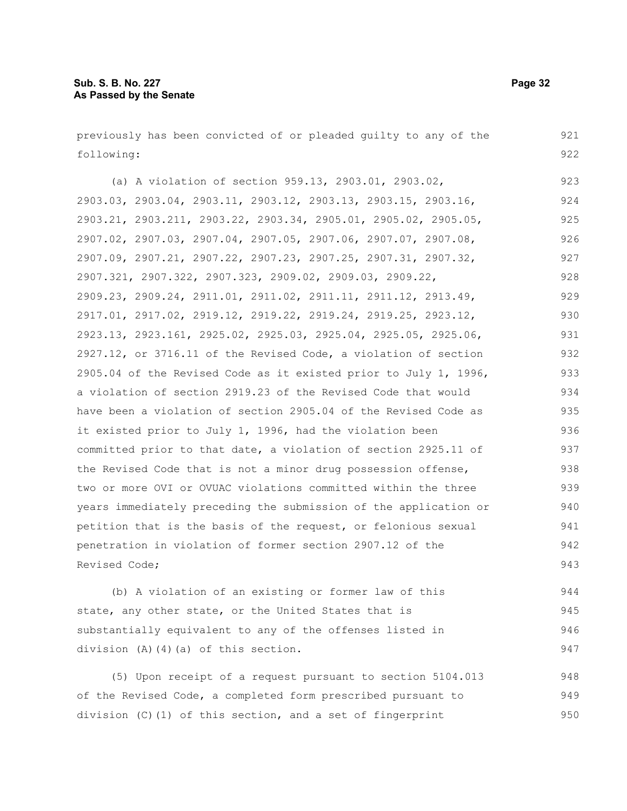previously has been convicted of or pleaded guilty to any of the following:

(a) A violation of section 959.13, 2903.01, 2903.02, 2903.03, 2903.04, 2903.11, 2903.12, 2903.13, 2903.15, 2903.16, 2903.21, 2903.211, 2903.22, 2903.34, 2905.01, 2905.02, 2905.05, 2907.02, 2907.03, 2907.04, 2907.05, 2907.06, 2907.07, 2907.08, 2907.09, 2907.21, 2907.22, 2907.23, 2907.25, 2907.31, 2907.32, 2907.321, 2907.322, 2907.323, 2909.02, 2909.03, 2909.22, 2909.23, 2909.24, 2911.01, 2911.02, 2911.11, 2911.12, 2913.49, 2917.01, 2917.02, 2919.12, 2919.22, 2919.24, 2919.25, 2923.12, 2923.13, 2923.161, 2925.02, 2925.03, 2925.04, 2925.05, 2925.06, 2927.12, or 3716.11 of the Revised Code, a violation of section 2905.04 of the Revised Code as it existed prior to July 1, 1996, a violation of section 2919.23 of the Revised Code that would have been a violation of section 2905.04 of the Revised Code as it existed prior to July 1, 1996, had the violation been committed prior to that date, a violation of section 2925.11 of the Revised Code that is not a minor drug possession offense, two or more OVI or OVUAC violations committed within the three years immediately preceding the submission of the application or petition that is the basis of the request, or felonious sexual penetration in violation of former section 2907.12 of the Revised Code; 923 924 925 926 927 928 929 930 931 932 933 934 935 936 937 938 939 940 941 942 943

(b) A violation of an existing or former law of this state, any other state, or the United States that is substantially equivalent to any of the offenses listed in division (A)(4)(a) of this section. 944 945 946 947

(5) Upon receipt of a request pursuant to section 5104.013 of the Revised Code, a completed form prescribed pursuant to division (C)(1) of this section, and a set of fingerprint 948 949 950

922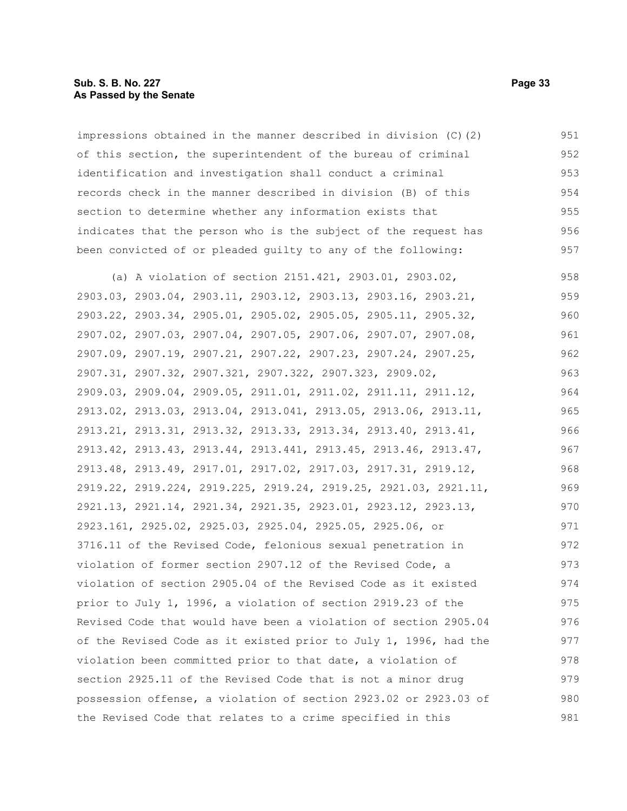#### **Sub. S. B. No. 227 Page 33 As Passed by the Senate**

impressions obtained in the manner described in division (C)(2) of this section, the superintendent of the bureau of criminal identification and investigation shall conduct a criminal records check in the manner described in division (B) of this section to determine whether any information exists that indicates that the person who is the subject of the request has been convicted of or pleaded guilty to any of the following: 951 952 953 954 955 956 957

(a) A violation of section 2151.421, 2903.01, 2903.02, 2903.03, 2903.04, 2903.11, 2903.12, 2903.13, 2903.16, 2903.21, 2903.22, 2903.34, 2905.01, 2905.02, 2905.05, 2905.11, 2905.32, 2907.02, 2907.03, 2907.04, 2907.05, 2907.06, 2907.07, 2907.08, 2907.09, 2907.19, 2907.21, 2907.22, 2907.23, 2907.24, 2907.25, 2907.31, 2907.32, 2907.321, 2907.322, 2907.323, 2909.02, 2909.03, 2909.04, 2909.05, 2911.01, 2911.02, 2911.11, 2911.12, 2913.02, 2913.03, 2913.04, 2913.041, 2913.05, 2913.06, 2913.11, 2913.21, 2913.31, 2913.32, 2913.33, 2913.34, 2913.40, 2913.41, 2913.42, 2913.43, 2913.44, 2913.441, 2913.45, 2913.46, 2913.47, 2913.48, 2913.49, 2917.01, 2917.02, 2917.03, 2917.31, 2919.12, 2919.22, 2919.224, 2919.225, 2919.24, 2919.25, 2921.03, 2921.11, 2921.13, 2921.14, 2921.34, 2921.35, 2923.01, 2923.12, 2923.13, 2923.161, 2925.02, 2925.03, 2925.04, 2925.05, 2925.06, or 3716.11 of the Revised Code, felonious sexual penetration in violation of former section 2907.12 of the Revised Code, a violation of section 2905.04 of the Revised Code as it existed prior to July 1, 1996, a violation of section 2919.23 of the Revised Code that would have been a violation of section 2905.04 of the Revised Code as it existed prior to July 1, 1996, had the violation been committed prior to that date, a violation of section 2925.11 of the Revised Code that is not a minor drug possession offense, a violation of section 2923.02 or 2923.03 of the Revised Code that relates to a crime specified in this 958 959 960 961 962 963 964 965 966 967 968 969 970 971 972 973 974 975 976 977 978 979 980 981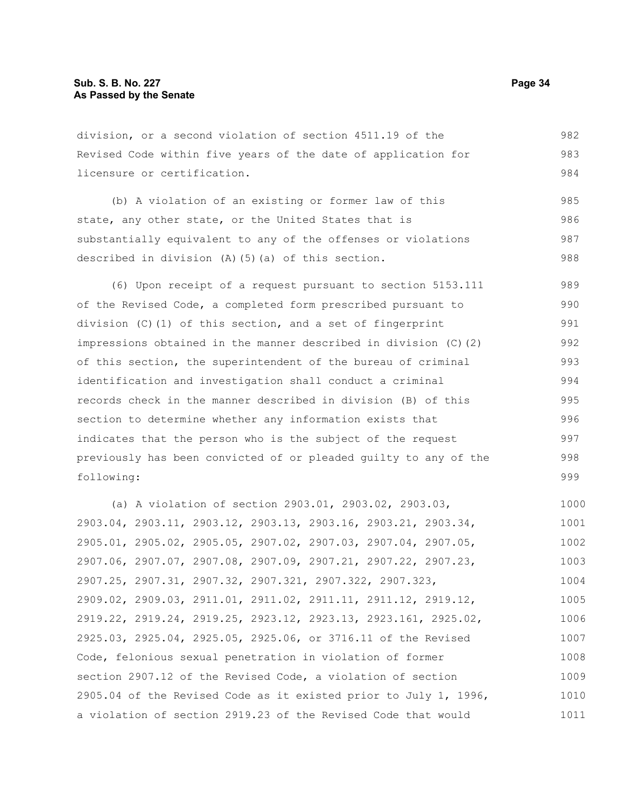division, or a second violation of section 4511.19 of the Revised Code within five years of the date of application for licensure or certification. 982 983 984

(b) A violation of an existing or former law of this state, any other state, or the United States that is substantially equivalent to any of the offenses or violations described in division (A)(5)(a) of this section. 985 986 987 988

(6) Upon receipt of a request pursuant to section 5153.111 of the Revised Code, a completed form prescribed pursuant to division (C)(1) of this section, and a set of fingerprint impressions obtained in the manner described in division (C)(2) of this section, the superintendent of the bureau of criminal identification and investigation shall conduct a criminal records check in the manner described in division (B) of this section to determine whether any information exists that indicates that the person who is the subject of the request previously has been convicted of or pleaded guilty to any of the following: 989 990 991 992 993 994 995 996 997 998 999

(a) A violation of section 2903.01, 2903.02, 2903.03, 2903.04, 2903.11, 2903.12, 2903.13, 2903.16, 2903.21, 2903.34, 2905.01, 2905.02, 2905.05, 2907.02, 2907.03, 2907.04, 2907.05, 2907.06, 2907.07, 2907.08, 2907.09, 2907.21, 2907.22, 2907.23, 2907.25, 2907.31, 2907.32, 2907.321, 2907.322, 2907.323, 2909.02, 2909.03, 2911.01, 2911.02, 2911.11, 2911.12, 2919.12, 2919.22, 2919.24, 2919.25, 2923.12, 2923.13, 2923.161, 2925.02, 2925.03, 2925.04, 2925.05, 2925.06, or 3716.11 of the Revised Code, felonious sexual penetration in violation of former section 2907.12 of the Revised Code, a violation of section 2905.04 of the Revised Code as it existed prior to July 1, 1996, a violation of section 2919.23 of the Revised Code that would 1000 1001 1002 1003 1004 1005 1006 1007 1008 1009 1010 1011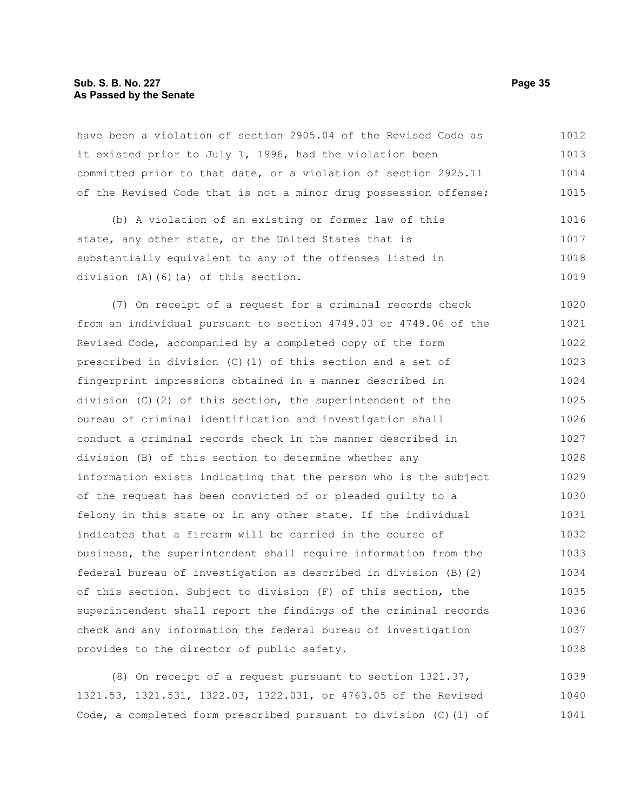#### **Sub. S. B. No. 227 Page 35 As Passed by the Senate**

have been a violation of section 2905.04 of the Revised Code as it existed prior to July 1, 1996, had the violation been committed prior to that date, or a violation of section 2925.11 of the Revised Code that is not a minor drug possession offense; 1012 1013 1014 1015

(b) A violation of an existing or former law of this state, any other state, or the United States that is substantially equivalent to any of the offenses listed in division (A)(6)(a) of this section. 1016 1017 1018 1019

(7) On receipt of a request for a criminal records check from an individual pursuant to section 4749.03 or 4749.06 of the Revised Code, accompanied by a completed copy of the form prescribed in division (C)(1) of this section and a set of fingerprint impressions obtained in a manner described in division (C)(2) of this section, the superintendent of the bureau of criminal identification and investigation shall conduct a criminal records check in the manner described in division (B) of this section to determine whether any information exists indicating that the person who is the subject of the request has been convicted of or pleaded guilty to a felony in this state or in any other state. If the individual indicates that a firearm will be carried in the course of business, the superintendent shall require information from the federal bureau of investigation as described in division (B)(2) of this section. Subject to division (F) of this section, the superintendent shall report the findings of the criminal records check and any information the federal bureau of investigation provides to the director of public safety. 1020 1021 1022 1023 1024 1025 1026 1027 1028 1029 1030 1031 1032 1033 1034 1035 1036 1037 1038

(8) On receipt of a request pursuant to section 1321.37, 1321.53, 1321.531, 1322.03, 1322.031, or 4763.05 of the Revised Code, a completed form prescribed pursuant to division (C)(1) of 1039 1040 1041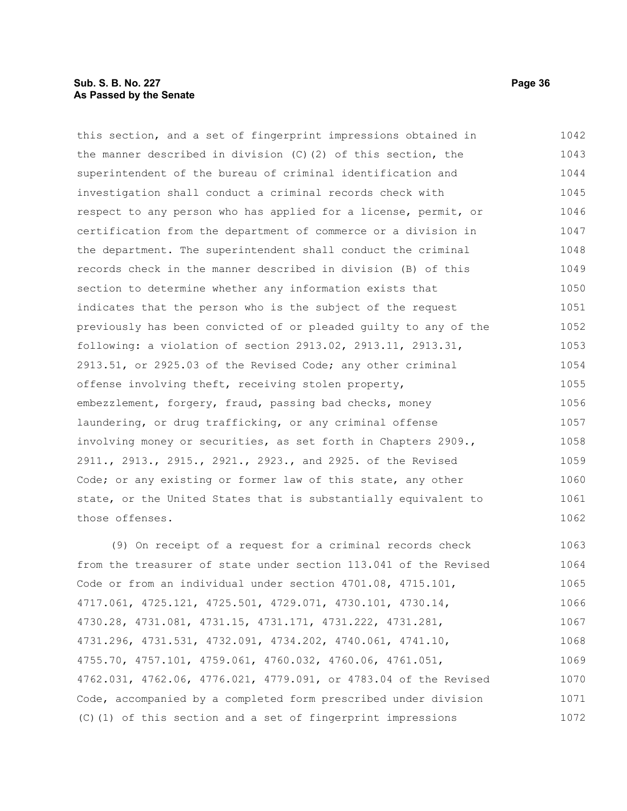#### **Sub. S. B. No. 227 Page 36 As Passed by the Senate**

this section, and a set of fingerprint impressions obtained in the manner described in division (C)(2) of this section, the superintendent of the bureau of criminal identification and investigation shall conduct a criminal records check with respect to any person who has applied for a license, permit, or certification from the department of commerce or a division in the department. The superintendent shall conduct the criminal records check in the manner described in division (B) of this section to determine whether any information exists that indicates that the person who is the subject of the request previously has been convicted of or pleaded guilty to any of the following: a violation of section 2913.02, 2913.11, 2913.31, 2913.51, or 2925.03 of the Revised Code; any other criminal offense involving theft, receiving stolen property, embezzlement, forgery, fraud, passing bad checks, money laundering, or drug trafficking, or any criminal offense involving money or securities, as set forth in Chapters 2909., 2911., 2913., 2915., 2921., 2923., and 2925. of the Revised Code; or any existing or former law of this state, any other state, or the United States that is substantially equivalent to those offenses. 1042 1043 1044 1045 1046 1047 1048 1049 1050 1051 1052 1053 1054 1055 1056 1057 1058 1059 1060 1061 1062

(9) On receipt of a request for a criminal records check from the treasurer of state under section 113.041 of the Revised Code or from an individual under section 4701.08, 4715.101, 4717.061, 4725.121, 4725.501, 4729.071, 4730.101, 4730.14, 4730.28, 4731.081, 4731.15, 4731.171, 4731.222, 4731.281, 4731.296, 4731.531, 4732.091, 4734.202, 4740.061, 4741.10, 4755.70, 4757.101, 4759.061, 4760.032, 4760.06, 4761.051, 4762.031, 4762.06, 4776.021, 4779.091, or 4783.04 of the Revised Code, accompanied by a completed form prescribed under division (C)(1) of this section and a set of fingerprint impressions 1063 1064 1065 1066 1067 1068 1069 1070 1071 1072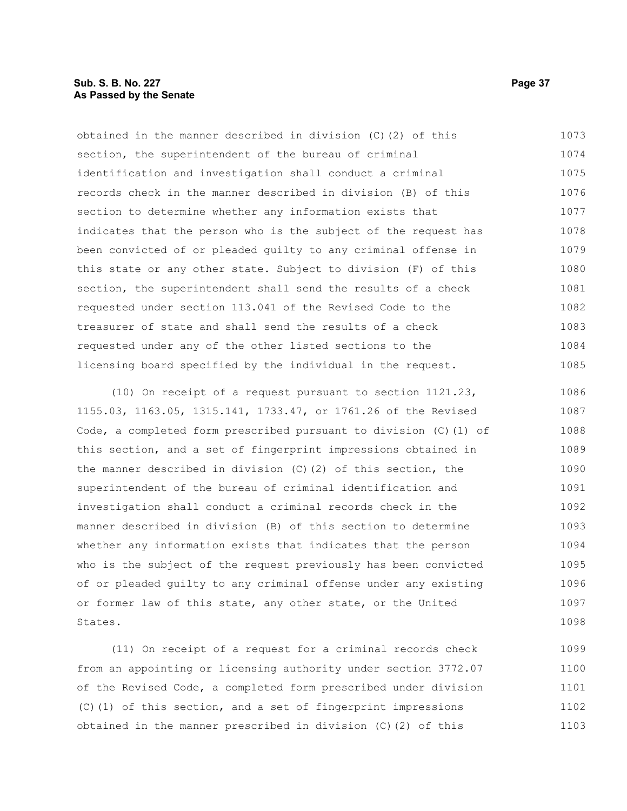# **Sub. S. B. No. 227 Page 37 As Passed by the Senate**

obtained in the manner described in division (C)(2) of this section, the superintendent of the bureau of criminal identification and investigation shall conduct a criminal records check in the manner described in division (B) of this section to determine whether any information exists that indicates that the person who is the subject of the request has been convicted of or pleaded guilty to any criminal offense in this state or any other state. Subject to division (F) of this section, the superintendent shall send the results of a check requested under section 113.041 of the Revised Code to the treasurer of state and shall send the results of a check requested under any of the other listed sections to the licensing board specified by the individual in the request. 1073 1074 1075 1076 1077 1078 1079 1080 1081 1082 1083 1084 1085

(10) On receipt of a request pursuant to section 1121.23, 1155.03, 1163.05, 1315.141, 1733.47, or 1761.26 of the Revised Code, a completed form prescribed pursuant to division (C)(1) of this section, and a set of fingerprint impressions obtained in the manner described in division (C)(2) of this section, the superintendent of the bureau of criminal identification and investigation shall conduct a criminal records check in the manner described in division (B) of this section to determine whether any information exists that indicates that the person who is the subject of the request previously has been convicted of or pleaded guilty to any criminal offense under any existing or former law of this state, any other state, or the United States. 1086 1087 1088 1089 1090 1091 1092 1093 1094 1095 1096 1097 1098

(11) On receipt of a request for a criminal records check from an appointing or licensing authority under section 3772.07 of the Revised Code, a completed form prescribed under division (C)(1) of this section, and a set of fingerprint impressions obtained in the manner prescribed in division (C)(2) of this 1099 1100 1101 1102 1103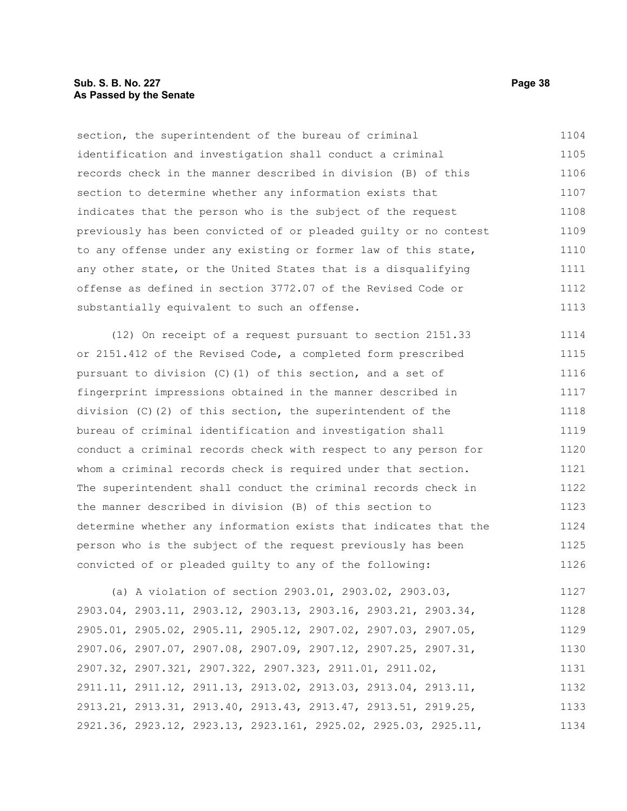section, the superintendent of the bureau of criminal identification and investigation shall conduct a criminal records check in the manner described in division (B) of this section to determine whether any information exists that indicates that the person who is the subject of the request previously has been convicted of or pleaded guilty or no contest to any offense under any existing or former law of this state, any other state, or the United States that is a disqualifying offense as defined in section 3772.07 of the Revised Code or substantially equivalent to such an offense. 1104 1105 1106 1107 1108 1109 1110 1111 1112 1113

(12) On receipt of a request pursuant to section 2151.33 or 2151.412 of the Revised Code, a completed form prescribed pursuant to division (C)(1) of this section, and a set of fingerprint impressions obtained in the manner described in division (C)(2) of this section, the superintendent of the bureau of criminal identification and investigation shall conduct a criminal records check with respect to any person for whom a criminal records check is required under that section. The superintendent shall conduct the criminal records check in the manner described in division (B) of this section to determine whether any information exists that indicates that the person who is the subject of the request previously has been convicted of or pleaded guilty to any of the following: 1114 1115 1116 1117 1118 1119 1120 1121 1122 1123 1124 1125 1126

(a) A violation of section 2903.01, 2903.02, 2903.03, 2903.04, 2903.11, 2903.12, 2903.13, 2903.16, 2903.21, 2903.34, 2905.01, 2905.02, 2905.11, 2905.12, 2907.02, 2907.03, 2907.05, 2907.06, 2907.07, 2907.08, 2907.09, 2907.12, 2907.25, 2907.31, 2907.32, 2907.321, 2907.322, 2907.323, 2911.01, 2911.02, 2911.11, 2911.12, 2911.13, 2913.02, 2913.03, 2913.04, 2913.11, 2913.21, 2913.31, 2913.40, 2913.43, 2913.47, 2913.51, 2919.25, 2921.36, 2923.12, 2923.13, 2923.161, 2925.02, 2925.03, 2925.11, 1127 1128 1129 1130 1131 1132 1133 1134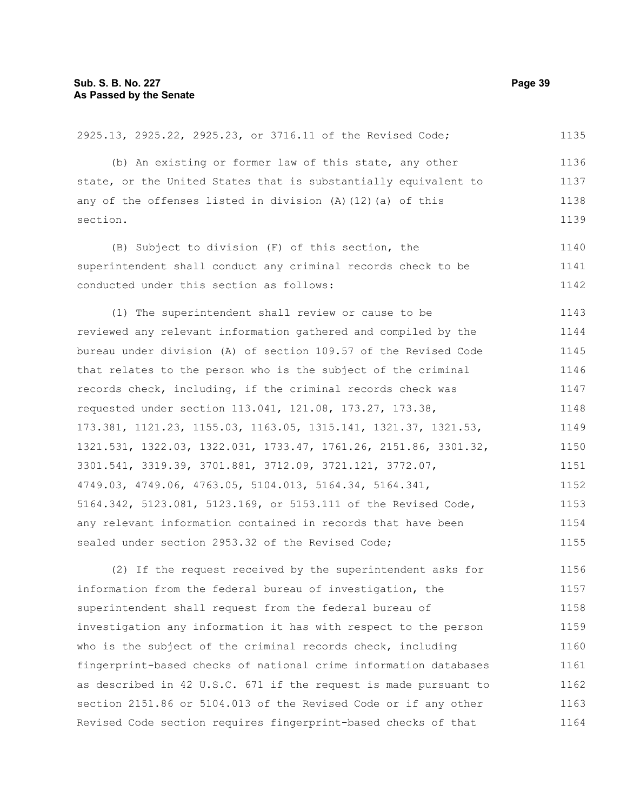2925.13, 2925.22, 2925.23, or 3716.11 of the Revised Code; (b) An existing or former law of this state, any other state, or the United States that is substantially equivalent to any of the offenses listed in division (A)(12)(a) of this section. (B) Subject to division (F) of this section, the superintendent shall conduct any criminal records check to be conducted under this section as follows: (1) The superintendent shall review or cause to be reviewed any relevant information gathered and compiled by the bureau under division (A) of section 109.57 of the Revised Code that relates to the person who is the subject of the criminal records check, including, if the criminal records check was requested under section 113.041, 121.08, 173.27, 173.38, 173.381, 1121.23, 1155.03, 1163.05, 1315.141, 1321.37, 1321.53, 1321.531, 1322.03, 1322.031, 1733.47, 1761.26, 2151.86, 3301.32, 3301.541, 3319.39, 3701.881, 3712.09, 3721.121, 3772.07, 4749.03, 4749.06, 4763.05, 5104.013, 5164.34, 5164.341, 5164.342, 5123.081, 5123.169, or 5153.111 of the Revised Code, any relevant information contained in records that have been sealed under section 2953.32 of the Revised Code; (2) If the request received by the superintendent asks for information from the federal bureau of investigation, the superintendent shall request from the federal bureau of investigation any information it has with respect to the person 1135 1136 1137 1138 1139 1140 1141 1142 1143 1144 1145 1146 1147 1148 1149 1150 1151 1152 1153 1154 1155 1156 1157 1158 1159 1160

who is the subject of the criminal records check, including fingerprint-based checks of national crime information databases as described in 42 U.S.C. 671 if the request is made pursuant to section 2151.86 or 5104.013 of the Revised Code or if any other Revised Code section requires fingerprint-based checks of that 1161 1162 1163 1164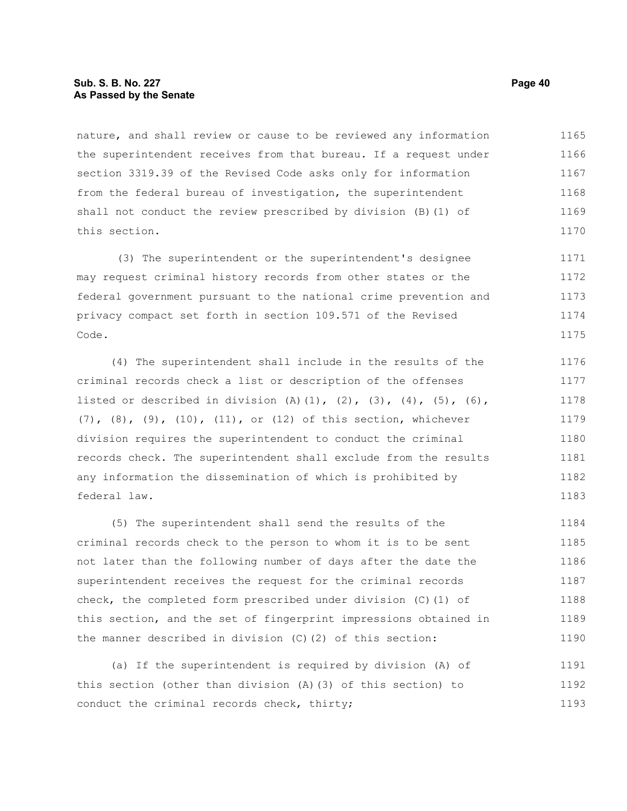## **Sub. S. B. No. 227 Page 40 As Passed by the Senate**

nature, and shall review or cause to be reviewed any information the superintendent receives from that bureau. If a request under section 3319.39 of the Revised Code asks only for information from the federal bureau of investigation, the superintendent shall not conduct the review prescribed by division (B)(1) of this section. 1165 1166 1167 1168 1169 1170

(3) The superintendent or the superintendent's designee may request criminal history records from other states or the federal government pursuant to the national crime prevention and privacy compact set forth in section 109.571 of the Revised Code. 1171 1172 1173 1174 1175

(4) The superintendent shall include in the results of the criminal records check a list or description of the offenses listed or described in division (A)(1), (2), (3), (4), (5), (6),  $(7)$ ,  $(8)$ ,  $(9)$ ,  $(10)$ ,  $(11)$ , or  $(12)$  of this section, whichever division requires the superintendent to conduct the criminal records check. The superintendent shall exclude from the results any information the dissemination of which is prohibited by federal law. 1176 1177 1178 1179 1180 1181 1182 1183

(5) The superintendent shall send the results of the criminal records check to the person to whom it is to be sent not later than the following number of days after the date the superintendent receives the request for the criminal records check, the completed form prescribed under division (C)(1) of this section, and the set of fingerprint impressions obtained in the manner described in division (C)(2) of this section: 1184 1185 1186 1187 1188 1189 1190

(a) If the superintendent is required by division (A) of this section (other than division (A)(3) of this section) to conduct the criminal records check, thirty; 1191 1192 1193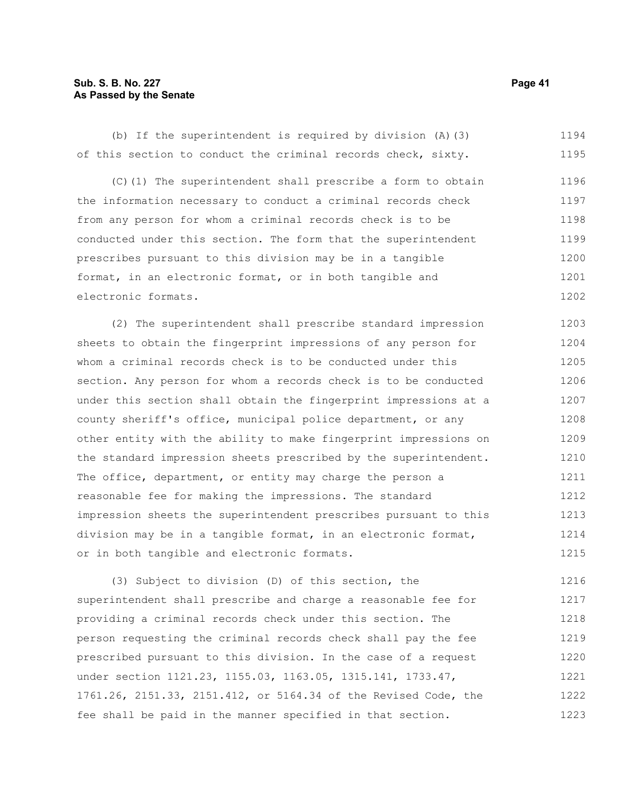# **Sub. S. B. No. 227 Page 41 As Passed by the Senate**

(b) If the superintendent is required by division (A)(3) of this section to conduct the criminal records check, sixty. 1194 1195

(C)(1) The superintendent shall prescribe a form to obtain the information necessary to conduct a criminal records check from any person for whom a criminal records check is to be conducted under this section. The form that the superintendent prescribes pursuant to this division may be in a tangible format, in an electronic format, or in both tangible and electronic formats. 1196 1197 1198 1199 1200 1201 1202

(2) The superintendent shall prescribe standard impression sheets to obtain the fingerprint impressions of any person for whom a criminal records check is to be conducted under this section. Any person for whom a records check is to be conducted under this section shall obtain the fingerprint impressions at a county sheriff's office, municipal police department, or any other entity with the ability to make fingerprint impressions on the standard impression sheets prescribed by the superintendent. The office, department, or entity may charge the person a reasonable fee for making the impressions. The standard impression sheets the superintendent prescribes pursuant to this division may be in a tangible format, in an electronic format, or in both tangible and electronic formats. 1203 1204 1205 1206 1207 1208 1209 1210 1211 1212 1213 1214 1215

(3) Subject to division (D) of this section, the superintendent shall prescribe and charge a reasonable fee for providing a criminal records check under this section. The person requesting the criminal records check shall pay the fee prescribed pursuant to this division. In the case of a request under section 1121.23, 1155.03, 1163.05, 1315.141, 1733.47, 1761.26, 2151.33, 2151.412, or 5164.34 of the Revised Code, the fee shall be paid in the manner specified in that section. 1216 1217 1218 1219 1220 1221 1222 1223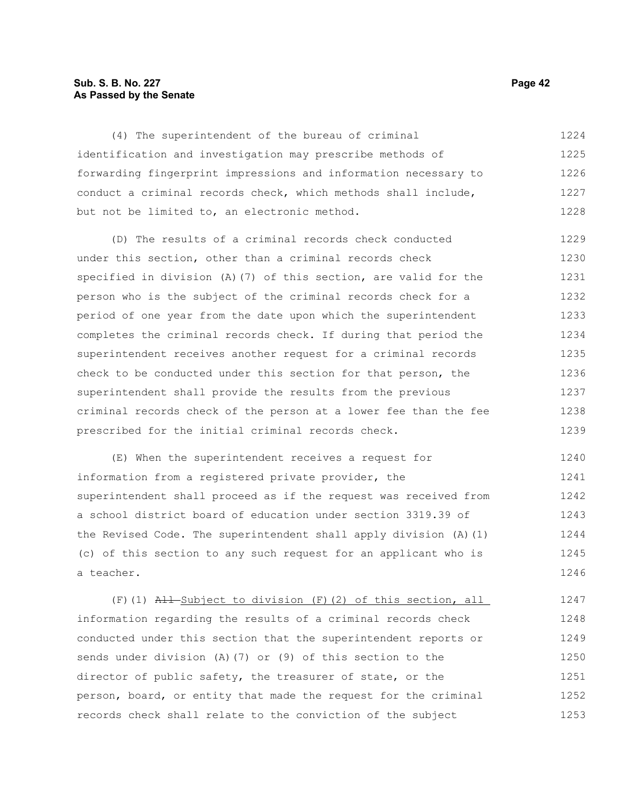# **Sub. S. B. No. 227 Page 42 As Passed by the Senate**

(4) The superintendent of the bureau of criminal identification and investigation may prescribe methods of forwarding fingerprint impressions and information necessary to conduct a criminal records check, which methods shall include, but not be limited to, an electronic method. 1224 1225 1226 1227 1228

(D) The results of a criminal records check conducted under this section, other than a criminal records check specified in division (A)(7) of this section, are valid for the person who is the subject of the criminal records check for a period of one year from the date upon which the superintendent completes the criminal records check. If during that period the superintendent receives another request for a criminal records check to be conducted under this section for that person, the superintendent shall provide the results from the previous criminal records check of the person at a lower fee than the fee prescribed for the initial criminal records check. 1229 1230 1231 1232 1233 1234 1235 1236 1237 1238 1239

(E) When the superintendent receives a request for information from a registered private provider, the superintendent shall proceed as if the request was received from a school district board of education under section 3319.39 of the Revised Code. The superintendent shall apply division (A)(1) (c) of this section to any such request for an applicant who is a teacher. 1240 1241 1242 1243 1244 1245 1246

(F)(1)  $A11-Subject$  to division (F)(2) of this section, all information regarding the results of a criminal records check conducted under this section that the superintendent reports or sends under division (A)(7) or (9) of this section to the director of public safety, the treasurer of state, or the person, board, or entity that made the request for the criminal records check shall relate to the conviction of the subject 1247 1248 1249 1250 1251 1252 1253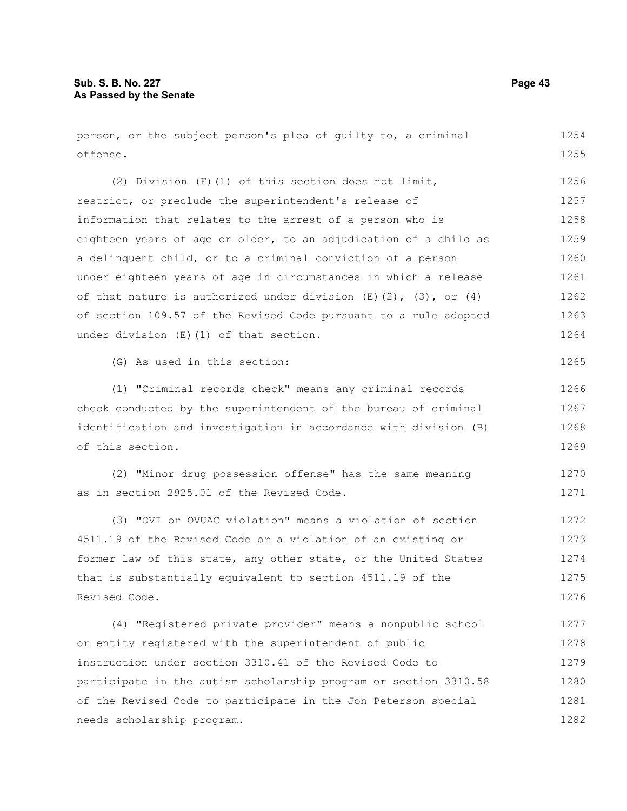| person, or the subject person's plea of guilty to, a criminal      | 1254 |
|--------------------------------------------------------------------|------|
| offense.                                                           | 1255 |
| (2) Division (F)(1) of this section does not limit,                | 1256 |
| restrict, or preclude the superintendent's release of              | 1257 |
| information that relates to the arrest of a person who is          | 1258 |
| eighteen years of age or older, to an adjudication of a child as   | 1259 |
| a delinquent child, or to a criminal conviction of a person        | 1260 |
| under eighteen years of age in circumstances in which a release    | 1261 |
| of that nature is authorized under division $(E)$ (2), (3), or (4) | 1262 |
| of section 109.57 of the Revised Code pursuant to a rule adopted   | 1263 |
| under division (E) (1) of that section.                            | 1264 |
| (G) As used in this section:                                       | 1265 |
| (1) "Criminal records check" means any criminal records            | 1266 |
| check conducted by the superintendent of the bureau of criminal    | 1267 |
| identification and investigation in accordance with division (B)   | 1268 |
| of this section.                                                   | 1269 |
| (2) "Minor drug possession offense" has the same meaning           | 1270 |
| as in section 2925.01 of the Revised Code.                         | 1271 |
| (3) "OVI or OVUAC violation" means a violation of section          | 1272 |
| 4511.19 of the Revised Code or a violation of an existing or       | 1273 |
| former law of this state, any other state, or the United States    | 1274 |
| that is substantially equivalent to section 4511.19 of the         | 1275 |
| Revised Code.                                                      | 1276 |
| (4) "Registered private provider" means a nonpublic school         | 1277 |
| or entity registered with the superintendent of public             | 1278 |
| instruction under section 3310.41 of the Revised Code to           | 1279 |
| participate in the autism scholarship program or section 3310.58   | 1280 |
| of the Revised Code to participate in the Jon Peterson special     | 1281 |
| needs scholarship program.                                         | 1282 |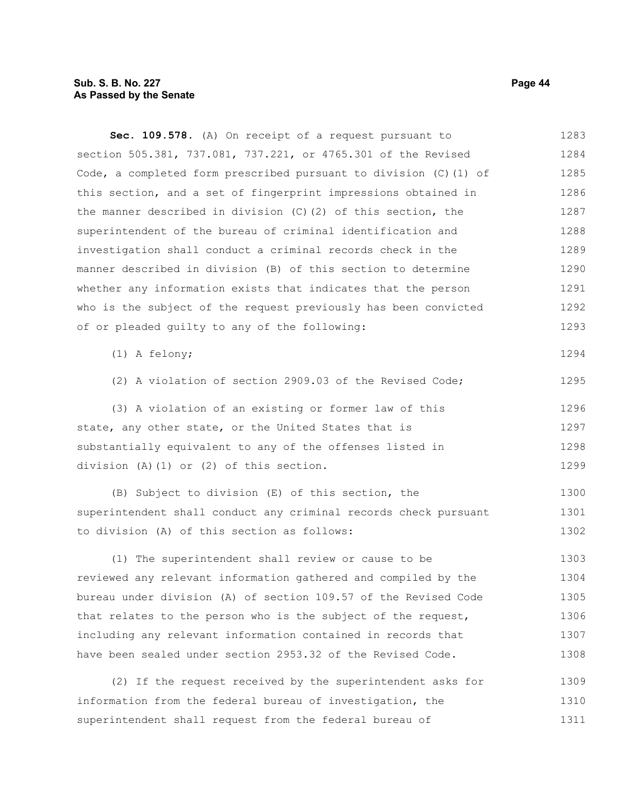# **Sub. S. B. No. 227 Page 44 As Passed by the Senate**

**Sec. 109.578.** (A) On receipt of a request pursuant to section 505.381, 737.081, 737.221, or 4765.301 of the Revised Code, a completed form prescribed pursuant to division (C)(1) of this section, and a set of fingerprint impressions obtained in the manner described in division  $(C)(2)$  of this section, the superintendent of the bureau of criminal identification and investigation shall conduct a criminal records check in the manner described in division (B) of this section to determine whether any information exists that indicates that the person who is the subject of the request previously has been convicted of or pleaded guilty to any of the following: (1) A felony; (2) A violation of section 2909.03 of the Revised Code; (3) A violation of an existing or former law of this state, any other state, or the United States that is substantially equivalent to any of the offenses listed in division (A)(1) or (2) of this section. (B) Subject to division (E) of this section, the superintendent shall conduct any criminal records check pursuant to division (A) of this section as follows: (1) The superintendent shall review or cause to be reviewed any relevant information gathered and compiled by the bureau under division (A) of section 109.57 of the Revised Code that relates to the person who is the subject of the request, including any relevant information contained in records that have been sealed under section 2953.32 of the Revised Code. (2) If the request received by the superintendent asks for information from the federal bureau of investigation, the 1283 1284 1285 1286 1287 1288 1289 1290 1291 1292 1293 1294 1295 1296 1297 1298 1299 1300 1301 1302 1303 1304 1305 1306 1307 1308 1309 1310

superintendent shall request from the federal bureau of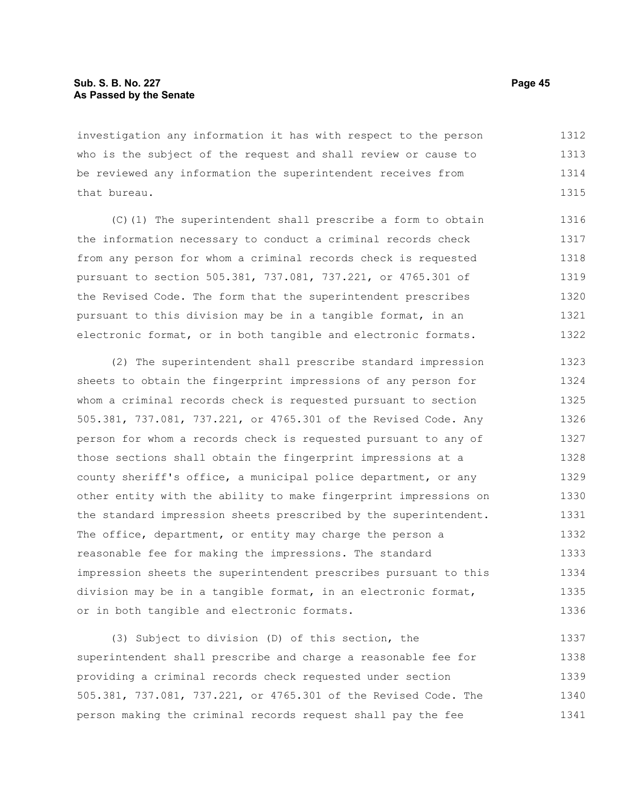# **Sub. S. B. No. 227 Page 45 As Passed by the Senate**

investigation any information it has with respect to the person who is the subject of the request and shall review or cause to be reviewed any information the superintendent receives from that bureau. 1312 1313 1314 1315

(C)(1) The superintendent shall prescribe a form to obtain the information necessary to conduct a criminal records check from any person for whom a criminal records check is requested pursuant to section 505.381, 737.081, 737.221, or 4765.301 of the Revised Code. The form that the superintendent prescribes pursuant to this division may be in a tangible format, in an electronic format, or in both tangible and electronic formats. 1316 1317 1318 1319 1320 1321 1322

(2) The superintendent shall prescribe standard impression sheets to obtain the fingerprint impressions of any person for whom a criminal records check is requested pursuant to section 505.381, 737.081, 737.221, or 4765.301 of the Revised Code. Any person for whom a records check is requested pursuant to any of those sections shall obtain the fingerprint impressions at a county sheriff's office, a municipal police department, or any other entity with the ability to make fingerprint impressions on the standard impression sheets prescribed by the superintendent. The office, department, or entity may charge the person a reasonable fee for making the impressions. The standard impression sheets the superintendent prescribes pursuant to this division may be in a tangible format, in an electronic format, or in both tangible and electronic formats. 1323 1324 1325 1326 1327 1328 1329 1330 1331 1332 1333 1334 1335 1336

(3) Subject to division (D) of this section, the superintendent shall prescribe and charge a reasonable fee for providing a criminal records check requested under section 505.381, 737.081, 737.221, or 4765.301 of the Revised Code. The person making the criminal records request shall pay the fee 1337 1338 1339 1340 1341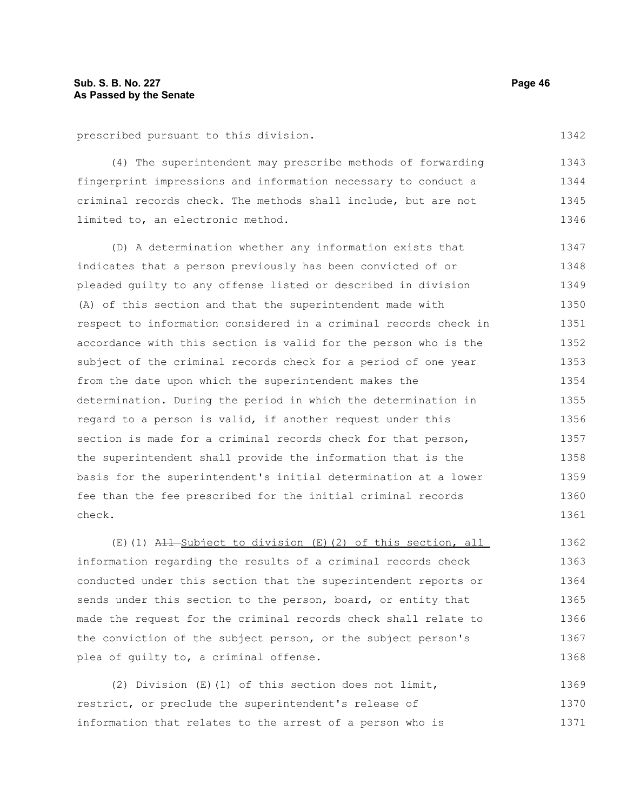prescribed pursuant to this division.

(4) The superintendent may prescribe methods of forwarding fingerprint impressions and information necessary to conduct a criminal records check. The methods shall include, but are not limited to, an electronic method. 1343 1344 1345 1346

(D) A determination whether any information exists that indicates that a person previously has been convicted of or pleaded guilty to any offense listed or described in division (A) of this section and that the superintendent made with respect to information considered in a criminal records check in accordance with this section is valid for the person who is the subject of the criminal records check for a period of one year from the date upon which the superintendent makes the determination. During the period in which the determination in regard to a person is valid, if another request under this section is made for a criminal records check for that person, the superintendent shall provide the information that is the basis for the superintendent's initial determination at a lower fee than the fee prescribed for the initial criminal records check. 1347 1348 1349 1350 1351 1352 1353 1354 1355 1356 1357 1358 1359 1360 1361

(E)(1)  $A11$ -Subject to division (E)(2) of this section, all information regarding the results of a criminal records check conducted under this section that the superintendent reports or sends under this section to the person, board, or entity that made the request for the criminal records check shall relate to the conviction of the subject person, or the subject person's plea of guilty to, a criminal offense. 1362 1363 1364 1365 1366 1367 1368

(2) Division (E)(1) of this section does not limit, restrict, or preclude the superintendent's release of information that relates to the arrest of a person who is 1369 1370 1371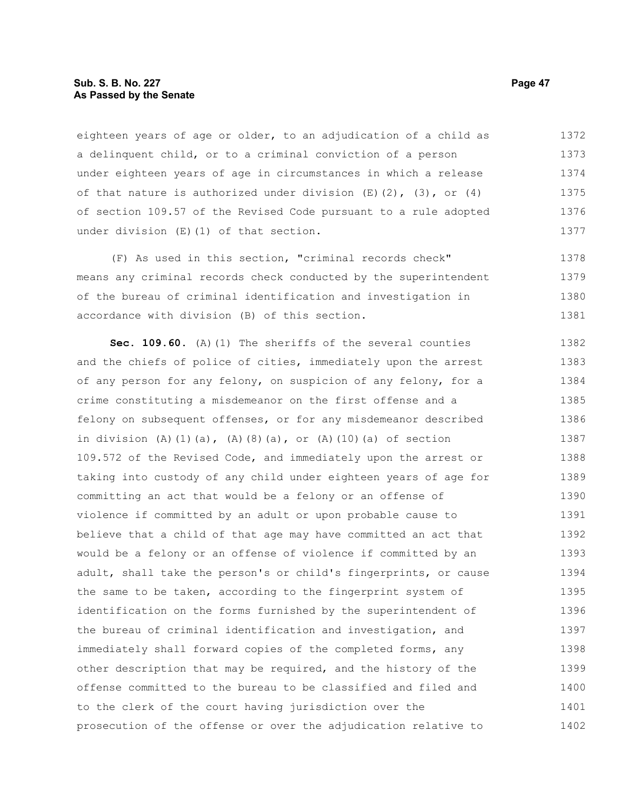## **Sub. S. B. No. 227 Page 47 As Passed by the Senate**

eighteen years of age or older, to an adjudication of a child as a delinquent child, or to a criminal conviction of a person under eighteen years of age in circumstances in which a release of that nature is authorized under division  $(E)(2)$ ,  $(3)$ , or  $(4)$ of section 109.57 of the Revised Code pursuant to a rule adopted under division (E)(1) of that section. 1372 1373 1374 1375 1376 1377

(F) As used in this section, "criminal records check" means any criminal records check conducted by the superintendent of the bureau of criminal identification and investigation in accordance with division (B) of this section. 1378 1379 1380 1381

**Sec. 109.60.** (A)(1) The sheriffs of the several counties and the chiefs of police of cities, immediately upon the arrest of any person for any felony, on suspicion of any felony, for a crime constituting a misdemeanor on the first offense and a felony on subsequent offenses, or for any misdemeanor described in division (A)(1)(a), (A)(8)(a), or (A)(10)(a) of section 109.572 of the Revised Code, and immediately upon the arrest or taking into custody of any child under eighteen years of age for committing an act that would be a felony or an offense of violence if committed by an adult or upon probable cause to believe that a child of that age may have committed an act that would be a felony or an offense of violence if committed by an adult, shall take the person's or child's fingerprints, or cause the same to be taken, according to the fingerprint system of identification on the forms furnished by the superintendent of the bureau of criminal identification and investigation, and immediately shall forward copies of the completed forms, any other description that may be required, and the history of the offense committed to the bureau to be classified and filed and to the clerk of the court having jurisdiction over the prosecution of the offense or over the adjudication relative to 1382 1383 1384 1385 1386 1387 1388 1389 1390 1391 1392 1393 1394 1395 1396 1397 1398 1399 1400 1401 1402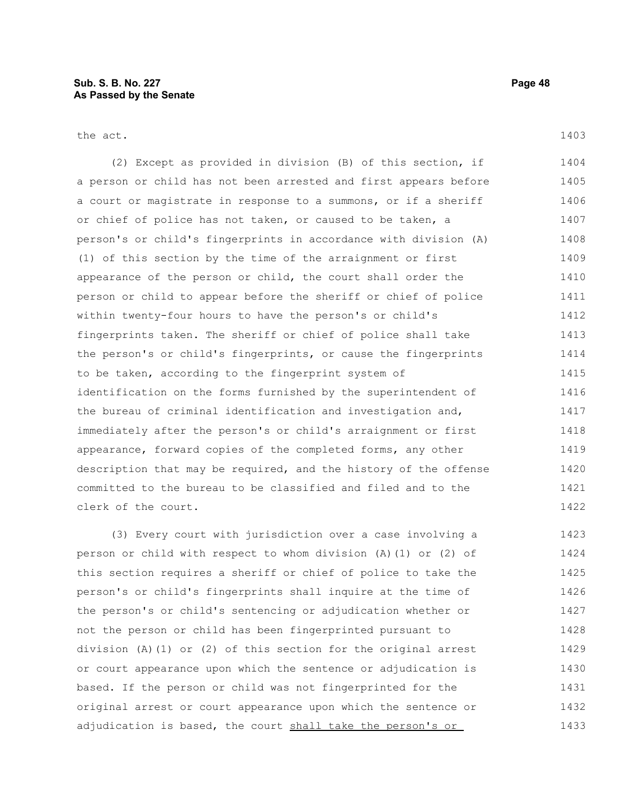the act.

(2) Except as provided in division (B) of this section, if a person or child has not been arrested and first appears before a court or magistrate in response to a summons, or if a sheriff or chief of police has not taken, or caused to be taken, a person's or child's fingerprints in accordance with division (A) (1) of this section by the time of the arraignment or first appearance of the person or child, the court shall order the person or child to appear before the sheriff or chief of police within twenty-four hours to have the person's or child's fingerprints taken. The sheriff or chief of police shall take the person's or child's fingerprints, or cause the fingerprints to be taken, according to the fingerprint system of identification on the forms furnished by the superintendent of the bureau of criminal identification and investigation and, immediately after the person's or child's arraignment or first appearance, forward copies of the completed forms, any other description that may be required, and the history of the offense committed to the bureau to be classified and filed and to the clerk of the court. 1404 1405 1406 1407 1408 1409 1410 1411 1412 1413 1414 1415 1416 1417 1418 1419 1420 1421 1422

(3) Every court with jurisdiction over a case involving a person or child with respect to whom division (A)(1) or (2) of this section requires a sheriff or chief of police to take the person's or child's fingerprints shall inquire at the time of the person's or child's sentencing or adjudication whether or not the person or child has been fingerprinted pursuant to division (A)(1) or (2) of this section for the original arrest or court appearance upon which the sentence or adjudication is based. If the person or child was not fingerprinted for the original arrest or court appearance upon which the sentence or adjudication is based, the court shall take the person's or 1423 1424 1425 1426 1427 1428 1429 1430 1431 1432 1433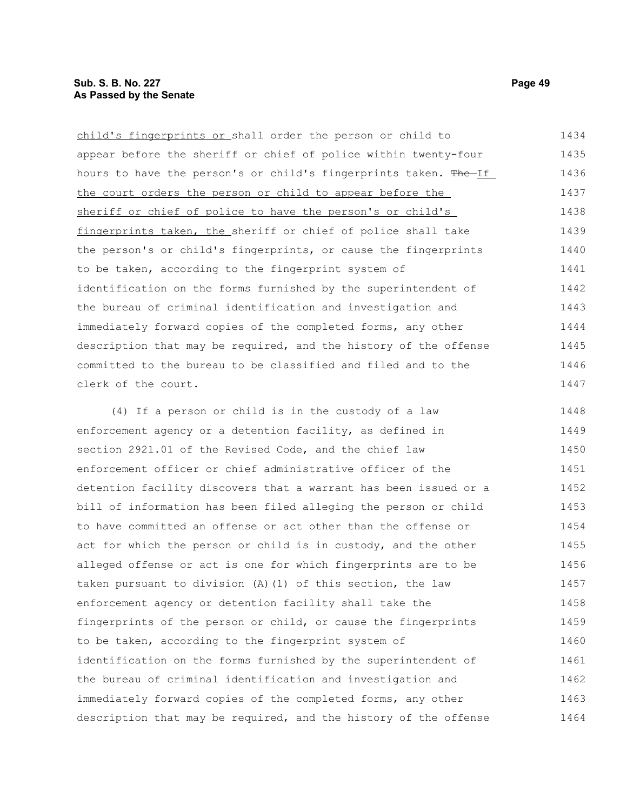child's fingerprints or shall order the person or child to appear before the sheriff or chief of police within twenty-four hours to have the person's or child's fingerprints taken. The If the court orders the person or child to appear before the sheriff or chief of police to have the person's or child's fingerprints taken, the sheriff or chief of police shall take the person's or child's fingerprints, or cause the fingerprints to be taken, according to the fingerprint system of identification on the forms furnished by the superintendent of the bureau of criminal identification and investigation and immediately forward copies of the completed forms, any other description that may be required, and the history of the offense committed to the bureau to be classified and filed and to the clerk of the court. (4) If a person or child is in the custody of a law enforcement agency or a detention facility, as defined in section 2921.01 of the Revised Code, and the chief law enforcement officer or chief administrative officer of the detention facility discovers that a warrant has been issued or a bill of information has been filed alleging the person or child to have committed an offense or act other than the offense or act for which the person or child is in custody, and the other alleged offense or act is one for which fingerprints are to be taken pursuant to division (A)(1) of this section, the law enforcement agency or detention facility shall take the fingerprints of the person or child, or cause the fingerprints to be taken, according to the fingerprint system of identification on the forms furnished by the superintendent of the bureau of criminal identification and investigation and 1434 1435 1436 1437 1438 1439 1440 1441 1442 1443 1444 1445 1446 1447 1448 1449 1450 1451 1452 1453 1454 1455 1456 1457 1458 1459 1460 1461 1462

description that may be required, and the history of the offense 1464

immediately forward copies of the completed forms, any other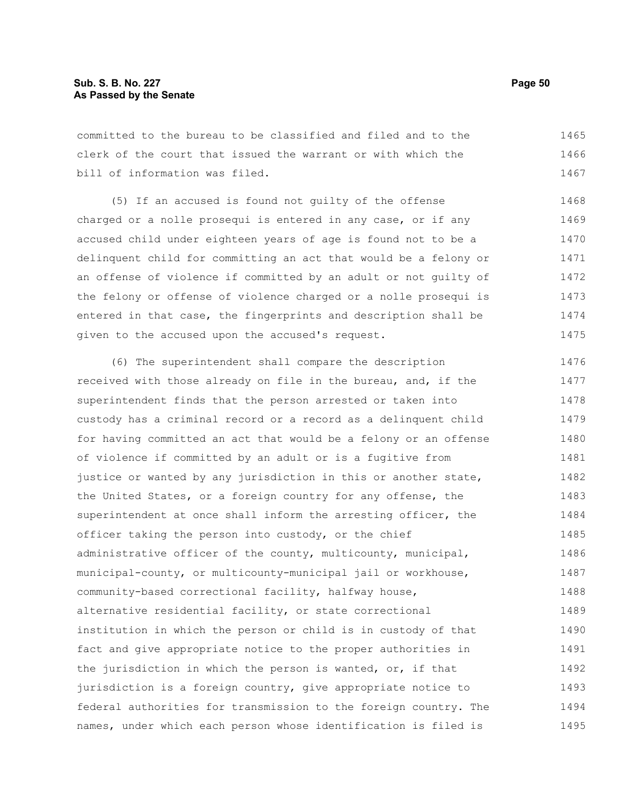committed to the bureau to be classified and filed and to the clerk of the court that issued the warrant or with which the bill of information was filed. 1465 1466 1467

(5) If an accused is found not guilty of the offense charged or a nolle prosequi is entered in any case, or if any accused child under eighteen years of age is found not to be a delinquent child for committing an act that would be a felony or an offense of violence if committed by an adult or not guilty of the felony or offense of violence charged or a nolle prosequi is entered in that case, the fingerprints and description shall be given to the accused upon the accused's request. 1468 1469 1470 1471 1472 1473 1474 1475

(6) The superintendent shall compare the description received with those already on file in the bureau, and, if the superintendent finds that the person arrested or taken into custody has a criminal record or a record as a delinquent child for having committed an act that would be a felony or an offense of violence if committed by an adult or is a fugitive from justice or wanted by any jurisdiction in this or another state, the United States, or a foreign country for any offense, the superintendent at once shall inform the arresting officer, the officer taking the person into custody, or the chief administrative officer of the county, multicounty, municipal, municipal-county, or multicounty-municipal jail or workhouse, community-based correctional facility, halfway house, alternative residential facility, or state correctional institution in which the person or child is in custody of that fact and give appropriate notice to the proper authorities in the jurisdiction in which the person is wanted, or, if that jurisdiction is a foreign country, give appropriate notice to federal authorities for transmission to the foreign country. The names, under which each person whose identification is filed is 1476 1477 1478 1479 1480 1481 1482 1483 1484 1485 1486 1487 1488 1489 1490 1491 1492 1493 1494 1495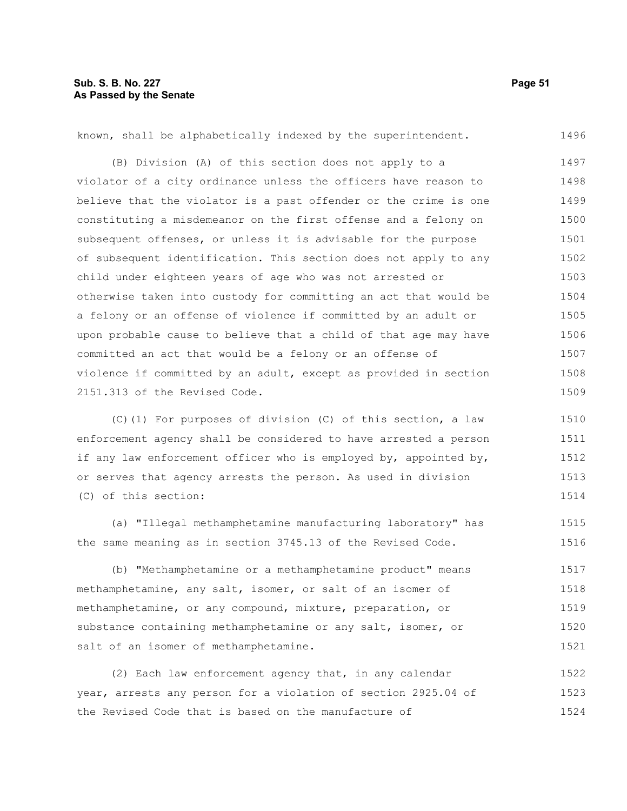| known, shall be alphabetically indexed by the superintendent.    | 1496 |
|------------------------------------------------------------------|------|
| (B) Division (A) of this section does not apply to a             | 1497 |
| violator of a city ordinance unless the officers have reason to  | 1498 |
| believe that the violator is a past offender or the crime is one | 1499 |
| constituting a misdemeanor on the first offense and a felony on  | 1500 |
| subsequent offenses, or unless it is advisable for the purpose   | 1501 |
| of subsequent identification. This section does not apply to any | 1502 |
| child under eighteen years of age who was not arrested or        | 1503 |
| otherwise taken into custody for committing an act that would be | 1504 |
| a felony or an offense of violence if committed by an adult or   | 1505 |
| upon probable cause to believe that a child of that age may have | 1506 |
| committed an act that would be a felony or an offense of         | 1507 |
| violence if committed by an adult, except as provided in section | 1508 |
| 2151.313 of the Revised Code.                                    | 1509 |
| (C)(1) For purposes of division (C) of this section, a law       | 1510 |
| enforcement agency shall be considered to have arrested a person | 1511 |
| if any law enforcement officer who is employed by, appointed by, | 1512 |
| or serves that agency arrests the person. As used in division    | 1513 |
| (C) of this section:                                             | 1514 |
| (a) "Illegal methamphetamine manufacturing laboratory" has       | 1515 |
| the same meaning as in section 3745.13 of the Revised Code.      | 1516 |
| (b) "Methamphetamine or a methamphetamine product" means         | 1517 |
| methamphetamine, any salt, isomer, or salt of an isomer of       | 1518 |
| methamphetamine, or any compound, mixture, preparation, or       | 1519 |
| substance containing methamphetamine or any salt, isomer, or     | 1520 |
| salt of an isomer of methamphetamine.                            | 1521 |
| (2) Each law enforcement agency that, in any calendar            | 1522 |
| year, arrests any person for a violation of section 2925.04 of   | 1523 |
| the Revised Code that is based on the manufacture of             | 1524 |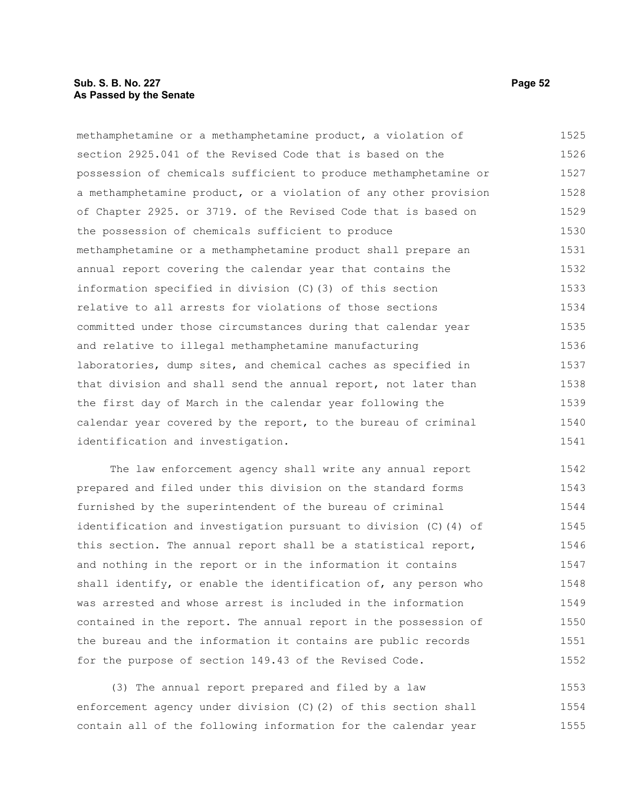## **Sub. S. B. No. 227 Page 52 As Passed by the Senate**

methamphetamine or a methamphetamine product, a violation of section 2925.041 of the Revised Code that is based on the possession of chemicals sufficient to produce methamphetamine or a methamphetamine product, or a violation of any other provision of Chapter 2925. or 3719. of the Revised Code that is based on the possession of chemicals sufficient to produce methamphetamine or a methamphetamine product shall prepare an annual report covering the calendar year that contains the information specified in division (C)(3) of this section relative to all arrests for violations of those sections committed under those circumstances during that calendar year and relative to illegal methamphetamine manufacturing laboratories, dump sites, and chemical caches as specified in that division and shall send the annual report, not later than the first day of March in the calendar year following the calendar year covered by the report, to the bureau of criminal identification and investigation. 1525 1526 1527 1528 1529 1530 1531 1532 1533 1534 1535 1536 1537 1538 1539 1540 1541

The law enforcement agency shall write any annual report prepared and filed under this division on the standard forms furnished by the superintendent of the bureau of criminal identification and investigation pursuant to division (C)(4) of this section. The annual report shall be a statistical report, and nothing in the report or in the information it contains shall identify, or enable the identification of, any person who was arrested and whose arrest is included in the information contained in the report. The annual report in the possession of the bureau and the information it contains are public records for the purpose of section 149.43 of the Revised Code. 1542 1543 1544 1545 1546 1547 1548 1549 1550 1551 1552

(3) The annual report prepared and filed by a law enforcement agency under division (C)(2) of this section shall contain all of the following information for the calendar year 1553 1554 1555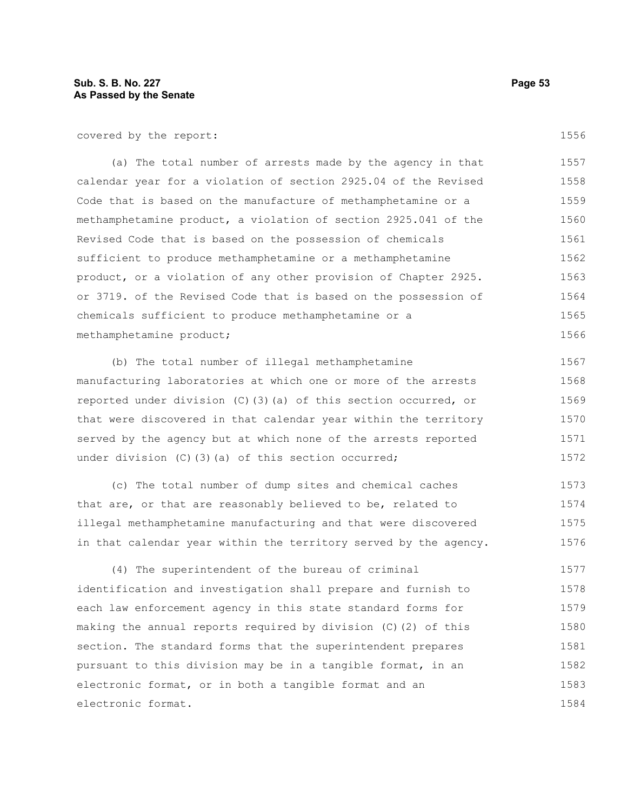covered by the report:

(a) The total number of arrests made by the agency in that calendar year for a violation of section 2925.04 of the Revised Code that is based on the manufacture of methamphetamine or a methamphetamine product, a violation of section 2925.041 of the Revised Code that is based on the possession of chemicals sufficient to produce methamphetamine or a methamphetamine product, or a violation of any other provision of Chapter 2925. or 3719. of the Revised Code that is based on the possession of chemicals sufficient to produce methamphetamine or a methamphetamine product; 1557 1558 1559 1560 1561 1562 1563 1564 1565 1566

(b) The total number of illegal methamphetamine manufacturing laboratories at which one or more of the arrests reported under division (C)(3)(a) of this section occurred, or that were discovered in that calendar year within the territory served by the agency but at which none of the arrests reported under division (C)(3)(a) of this section occurred; 1567 1568 1569 1570 1571 1572

(c) The total number of dump sites and chemical caches that are, or that are reasonably believed to be, related to illegal methamphetamine manufacturing and that were discovered in that calendar year within the territory served by the agency. 1573 1574 1575 1576

(4) The superintendent of the bureau of criminal identification and investigation shall prepare and furnish to each law enforcement agency in this state standard forms for making the annual reports required by division (C)(2) of this section. The standard forms that the superintendent prepares pursuant to this division may be in a tangible format, in an electronic format, or in both a tangible format and an electronic format. 1577 1578 1579 1580 1581 1582 1583 1584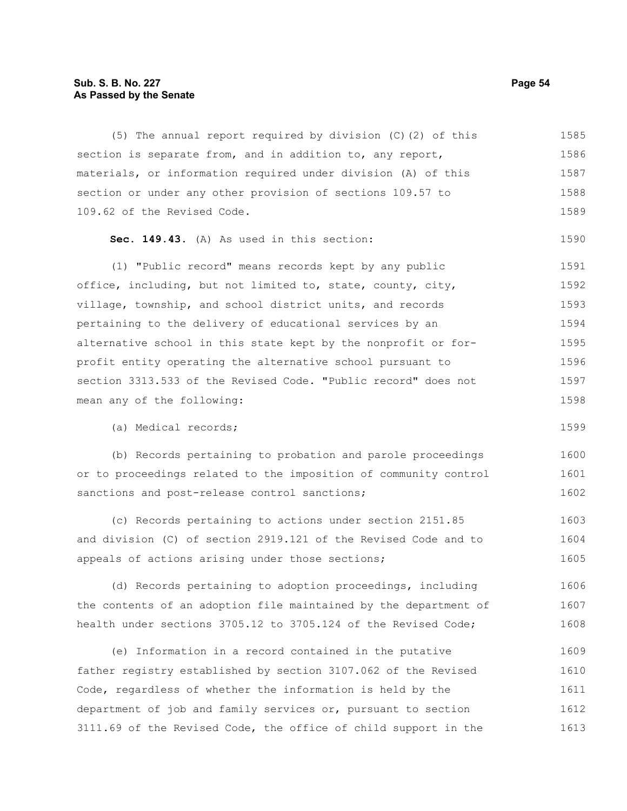## **Sub. S. B. No. 227 Page 54 As Passed by the Senate**

(5) The annual report required by division (C)(2) of this section is separate from, and in addition to, any report, materials, or information required under division (A) of this section or under any other provision of sections 109.57 to 109.62 of the Revised Code. 1585 1586 1587 1588 1589

**Sec. 149.43.** (A) As used in this section:

(1) "Public record" means records kept by any public office, including, but not limited to, state, county, city, village, township, and school district units, and records pertaining to the delivery of educational services by an alternative school in this state kept by the nonprofit or forprofit entity operating the alternative school pursuant to section 3313.533 of the Revised Code. "Public record" does not mean any of the following: 1591 1592 1593 1594 1595 1596 1597 1598

(a) Medical records;

(b) Records pertaining to probation and parole proceedings or to proceedings related to the imposition of community control sanctions and post-release control sanctions; 1600 1601 1602

(c) Records pertaining to actions under section 2151.85 and division (C) of section 2919.121 of the Revised Code and to appeals of actions arising under those sections; 1603 1604 1605

(d) Records pertaining to adoption proceedings, including the contents of an adoption file maintained by the department of health under sections 3705.12 to 3705.124 of the Revised Code; 1606 1607 1608

(e) Information in a record contained in the putative father registry established by section 3107.062 of the Revised Code, regardless of whether the information is held by the department of job and family services or, pursuant to section 3111.69 of the Revised Code, the office of child support in the 1609 1610 1611 1612 1613

1590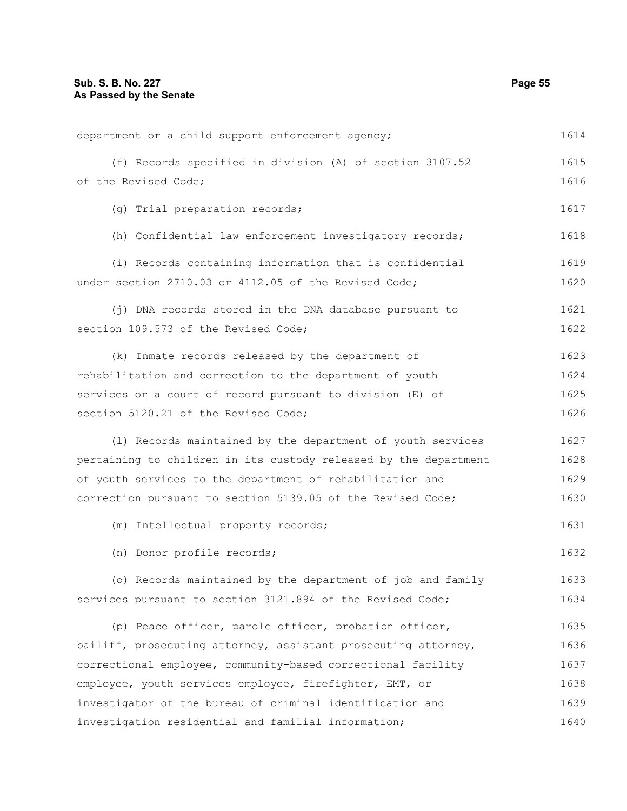department or a child support enforcement agency; (f) Records specified in division (A) of section 3107.52 of the Revised Code; (g) Trial preparation records; (h) Confidential law enforcement investigatory records; (i) Records containing information that is confidential under section 2710.03 or 4112.05 of the Revised Code; (j) DNA records stored in the DNA database pursuant to section 109.573 of the Revised Code: (k) Inmate records released by the department of rehabilitation and correction to the department of youth services or a court of record pursuant to division (E) of section 5120.21 of the Revised Code; (l) Records maintained by the department of youth services pertaining to children in its custody released by the department of youth services to the department of rehabilitation and correction pursuant to section 5139.05 of the Revised Code; (m) Intellectual property records; (n) Donor profile records; (o) Records maintained by the department of job and family services pursuant to section 3121.894 of the Revised Code; (p) Peace officer, parole officer, probation officer, bailiff, prosecuting attorney, assistant prosecuting attorney, correctional employee, community-based correctional facility employee, youth services employee, firefighter, EMT, or investigator of the bureau of criminal identification and investigation residential and familial information; 1615 1616 1617 1618 1619 1620 1621 1622 1623 1624 1625 1626 1627 1628 1629 1630 1631 1632 1633 1634 1635 1636 1637 1638 1639 1640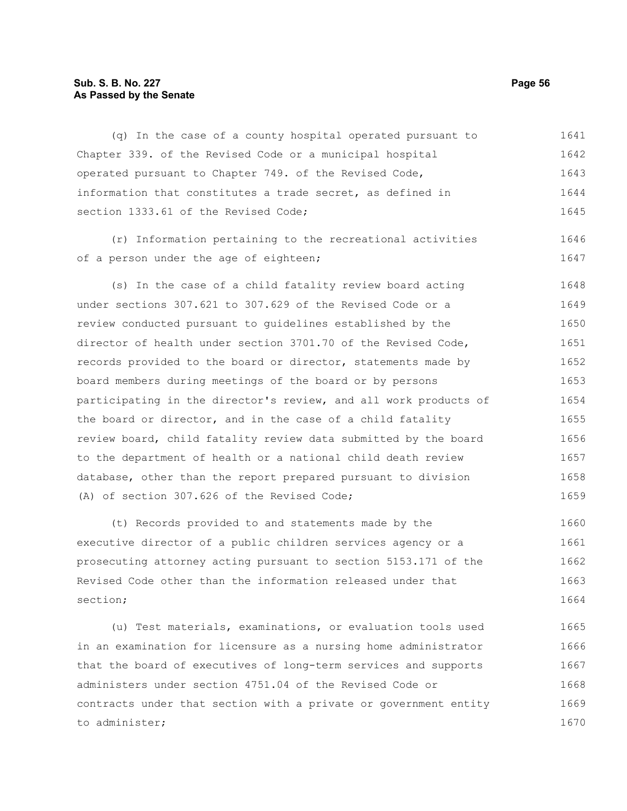## **Sub. S. B. No. 227 Page 56 As Passed by the Senate**

(q) In the case of a county hospital operated pursuant to Chapter 339. of the Revised Code or a municipal hospital operated pursuant to Chapter 749. of the Revised Code, information that constitutes a trade secret, as defined in section 1333.61 of the Revised Code; (r) Information pertaining to the recreational activities of a person under the age of eighteen; (s) In the case of a child fatality review board acting under sections 307.621 to 307.629 of the Revised Code or a review conducted pursuant to guidelines established by the director of health under section 3701.70 of the Revised Code, records provided to the board or director, statements made by board members during meetings of the board or by persons participating in the director's review, and all work products of the board or director, and in the case of a child fatality review board, child fatality review data submitted by the board to the department of health or a national child death review database, other than the report prepared pursuant to division (A) of section 307.626 of the Revised Code; (t) Records provided to and statements made by the executive director of a public children services agency or a prosecuting attorney acting pursuant to section 5153.171 of the Revised Code other than the information released under that section; 1641 1642 1643 1644 1645 1646 1647 1648 1649 1650 1651 1652 1653 1654 1655 1656 1657 1658 1659 1660 1661 1662 1663 1664

(u) Test materials, examinations, or evaluation tools used in an examination for licensure as a nursing home administrator that the board of executives of long-term services and supports administers under section 4751.04 of the Revised Code or contracts under that section with a private or government entity to administer; 1665 1666 1667 1668 1669 1670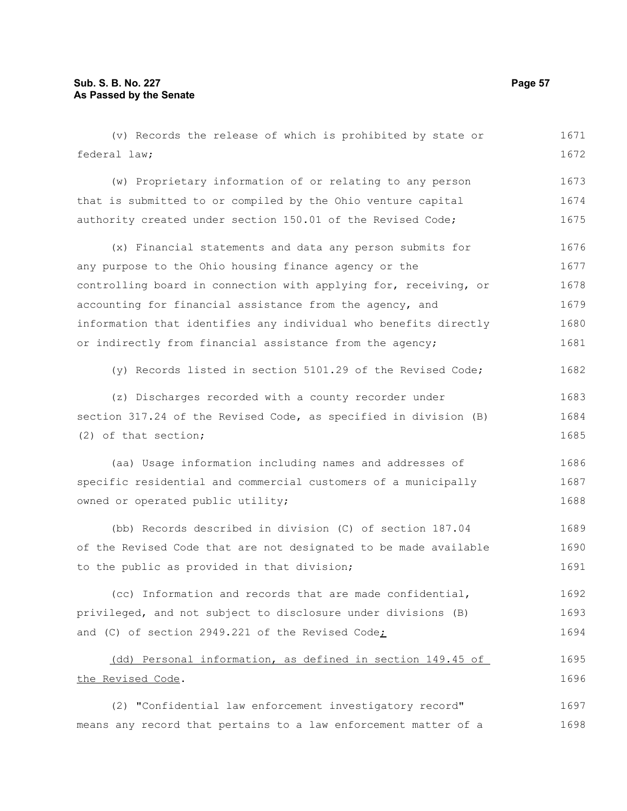the Revised Code.

(v) Records the release of which is prohibited by state or federal law; (w) Proprietary information of or relating to any person that is submitted to or compiled by the Ohio venture capital authority created under section 150.01 of the Revised Code; (x) Financial statements and data any person submits for any purpose to the Ohio housing finance agency or the controlling board in connection with applying for, receiving, or accounting for financial assistance from the agency, and information that identifies any individual who benefits directly or indirectly from financial assistance from the agency; (y) Records listed in section 5101.29 of the Revised Code; (z) Discharges recorded with a county recorder under section 317.24 of the Revised Code, as specified in division (B) (2) of that section; (aa) Usage information including names and addresses of specific residential and commercial customers of a municipally owned or operated public utility; (bb) Records described in division (C) of section 187.04 of the Revised Code that are not designated to be made available to the public as provided in that division; (cc) Information and records that are made confidential, privileged, and not subject to disclosure under divisions (B) and (C) of section 2949.221 of the Revised Code; (dd) Personal information, as defined in section 149.45 of 1671 1672 1673 1674 1675 1676 1677 1678 1679 1680 1681 1682 1683 1684 1685 1686 1687 1688 1689 1690 1691 1692 1693 1694 1695

(2) "Confidential law enforcement investigatory record" means any record that pertains to a law enforcement matter of a 1697 1698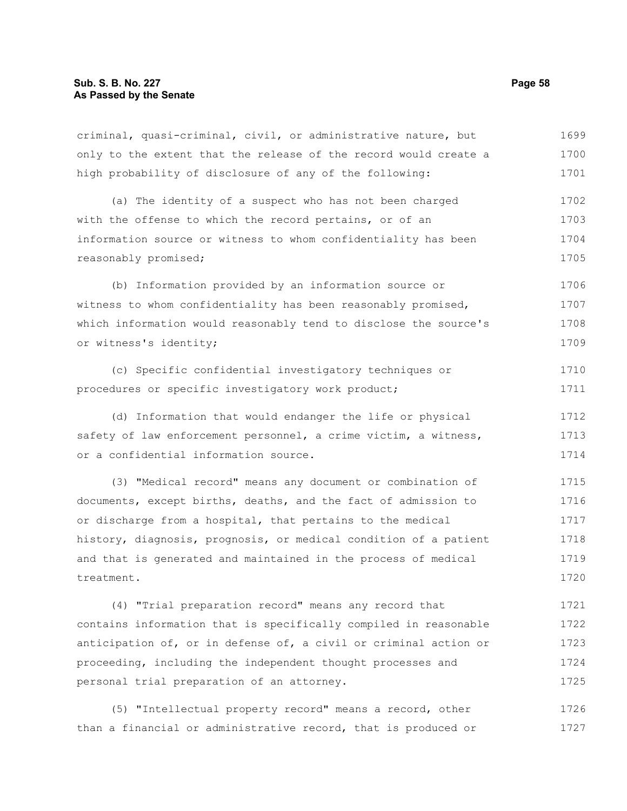criminal, quasi-criminal, civil, or administrative nature, but only to the extent that the release of the record would create a high probability of disclosure of any of the following: 1699 1700 1701

(a) The identity of a suspect who has not been charged with the offense to which the record pertains, or of an information source or witness to whom confidentiality has been reasonably promised; 1702 1703 1704 1705

(b) Information provided by an information source or witness to whom confidentiality has been reasonably promised, which information would reasonably tend to disclose the source's or witness's identity; 1706 1707 1708 1709

(c) Specific confidential investigatory techniques or procedures or specific investigatory work product; 1710 1711

(d) Information that would endanger the life or physical safety of law enforcement personnel, a crime victim, a witness, or a confidential information source. 1712 1713 1714

(3) "Medical record" means any document or combination of documents, except births, deaths, and the fact of admission to or discharge from a hospital, that pertains to the medical history, diagnosis, prognosis, or medical condition of a patient and that is generated and maintained in the process of medical treatment. 1715 1716 1717 1718 1719 1720

(4) "Trial preparation record" means any record that contains information that is specifically compiled in reasonable anticipation of, or in defense of, a civil or criminal action or proceeding, including the independent thought processes and personal trial preparation of an attorney. 1721 1722 1723 1724 1725

(5) "Intellectual property record" means a record, other than a financial or administrative record, that is produced or 1726 1727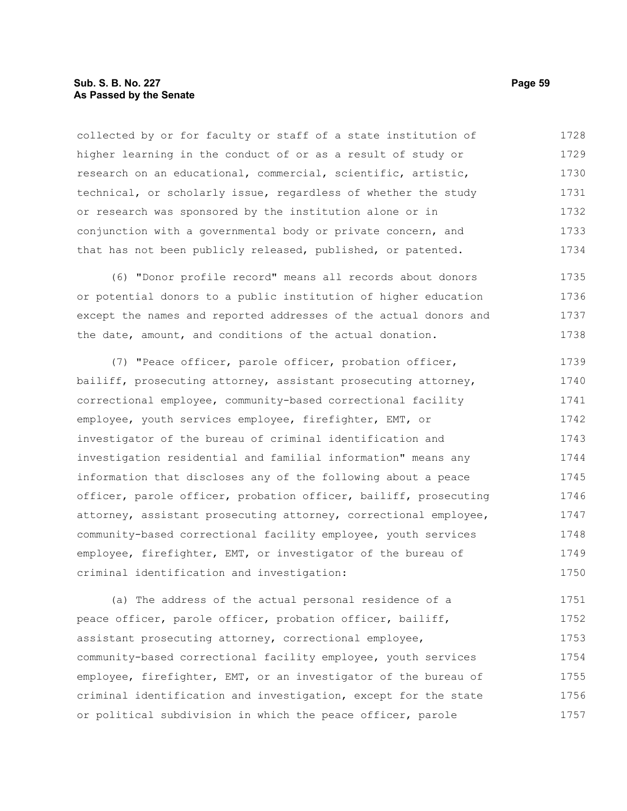# **Sub. S. B. No. 227 Page 59 As Passed by the Senate**

collected by or for faculty or staff of a state institution of higher learning in the conduct of or as a result of study or research on an educational, commercial, scientific, artistic, technical, or scholarly issue, regardless of whether the study or research was sponsored by the institution alone or in conjunction with a governmental body or private concern, and that has not been publicly released, published, or patented. 1728 1729 1730 1731 1732 1733 1734

(6) "Donor profile record" means all records about donors or potential donors to a public institution of higher education except the names and reported addresses of the actual donors and the date, amount, and conditions of the actual donation. 1735 1736 1737 1738

(7) "Peace officer, parole officer, probation officer, bailiff, prosecuting attorney, assistant prosecuting attorney, correctional employee, community-based correctional facility employee, youth services employee, firefighter, EMT, or investigator of the bureau of criminal identification and investigation residential and familial information" means any information that discloses any of the following about a peace officer, parole officer, probation officer, bailiff, prosecuting attorney, assistant prosecuting attorney, correctional employee, community-based correctional facility employee, youth services employee, firefighter, EMT, or investigator of the bureau of criminal identification and investigation: 1739 1740 1741 1742 1743 1744 1745 1746 1747 1748 1749 1750

(a) The address of the actual personal residence of a peace officer, parole officer, probation officer, bailiff, assistant prosecuting attorney, correctional employee, community-based correctional facility employee, youth services employee, firefighter, EMT, or an investigator of the bureau of criminal identification and investigation, except for the state or political subdivision in which the peace officer, parole 1751 1752 1753 1754 1755 1756 1757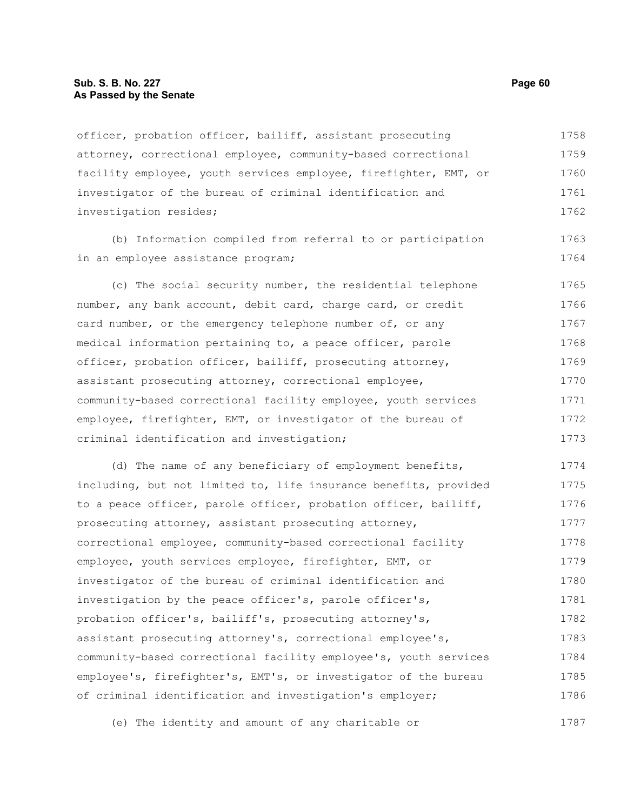officer, probation officer, bailiff, assistant prosecuting attorney, correctional employee, community-based correctional facility employee, youth services employee, firefighter, EMT, or investigator of the bureau of criminal identification and investigation resides; 1758 1759 1760 1761 1762

(b) Information compiled from referral to or participation in an employee assistance program;

(c) The social security number, the residential telephone number, any bank account, debit card, charge card, or credit card number, or the emergency telephone number of, or any medical information pertaining to, a peace officer, parole officer, probation officer, bailiff, prosecuting attorney, assistant prosecuting attorney, correctional employee, community-based correctional facility employee, youth services employee, firefighter, EMT, or investigator of the bureau of criminal identification and investigation; 1765 1766 1767 1768 1769 1770 1771 1772 1773

(d) The name of any beneficiary of employment benefits, including, but not limited to, life insurance benefits, provided to a peace officer, parole officer, probation officer, bailiff, prosecuting attorney, assistant prosecuting attorney, correctional employee, community-based correctional facility employee, youth services employee, firefighter, EMT, or investigator of the bureau of criminal identification and investigation by the peace officer's, parole officer's, probation officer's, bailiff's, prosecuting attorney's, assistant prosecuting attorney's, correctional employee's, community-based correctional facility employee's, youth services employee's, firefighter's, EMT's, or investigator of the bureau of criminal identification and investigation's employer; 1774 1775 1776 1777 1778 1779 1780 1781 1782 1783 1784 1785 1786

(e) The identity and amount of any charitable or 1787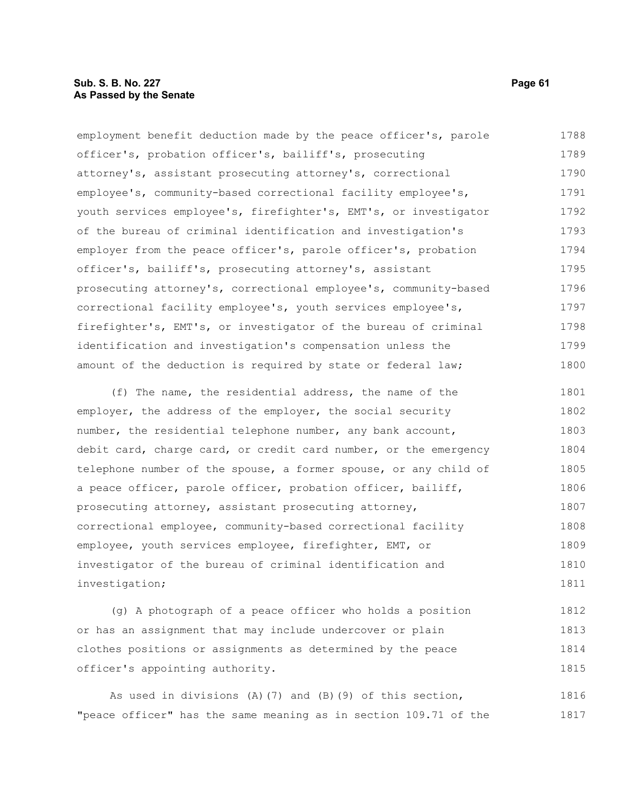employment benefit deduction made by the peace officer's, parole officer's, probation officer's, bailiff's, prosecuting attorney's, assistant prosecuting attorney's, correctional employee's, community-based correctional facility employee's, youth services employee's, firefighter's, EMT's, or investigator of the bureau of criminal identification and investigation's employer from the peace officer's, parole officer's, probation officer's, bailiff's, prosecuting attorney's, assistant prosecuting attorney's, correctional employee's, community-based correctional facility employee's, youth services employee's, firefighter's, EMT's, or investigator of the bureau of criminal identification and investigation's compensation unless the amount of the deduction is required by state or federal law; 1788 1789 1790 1791 1792 1793 1794 1795 1796 1797 1798 1799 1800

(f) The name, the residential address, the name of the employer, the address of the employer, the social security number, the residential telephone number, any bank account, debit card, charge card, or credit card number, or the emergency telephone number of the spouse, a former spouse, or any child of a peace officer, parole officer, probation officer, bailiff, prosecuting attorney, assistant prosecuting attorney, correctional employee, community-based correctional facility employee, youth services employee, firefighter, EMT, or investigator of the bureau of criminal identification and investigation; 1801 1802 1803 1804 1805 1806 1807 1808 1809 1810 1811

(g) A photograph of a peace officer who holds a position or has an assignment that may include undercover or plain clothes positions or assignments as determined by the peace officer's appointing authority. 1812 1813 1814 1815

As used in divisions (A)(7) and (B)(9) of this section, "peace officer" has the same meaning as in section 109.71 of the 1816 1817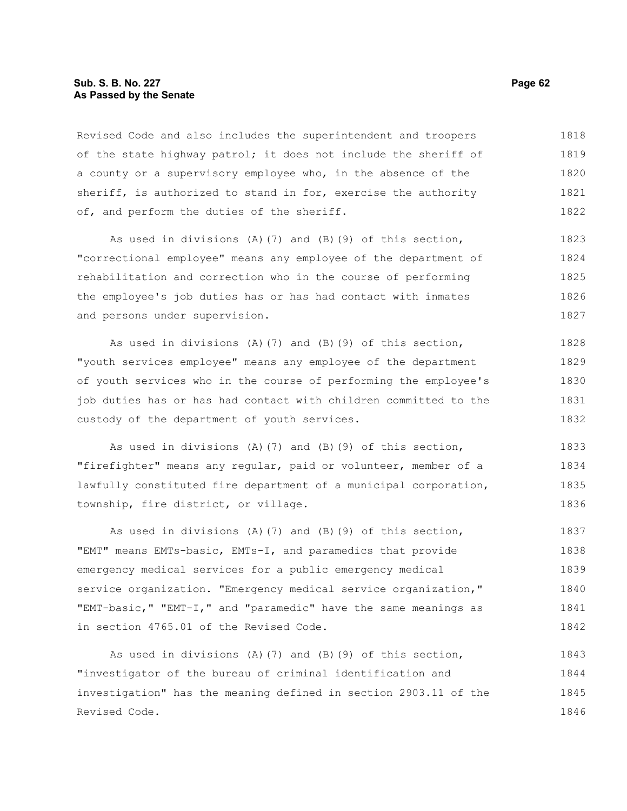## **Sub. S. B. No. 227 Page 62 As Passed by the Senate**

Revised Code and also includes the superintendent and troopers of the state highway patrol; it does not include the sheriff of a county or a supervisory employee who, in the absence of the sheriff, is authorized to stand in for, exercise the authority of, and perform the duties of the sheriff. 1818 1819 1820 1821 1822

As used in divisions (A)(7) and (B)(9) of this section, "correctional employee" means any employee of the department of rehabilitation and correction who in the course of performing the employee's job duties has or has had contact with inmates and persons under supervision. 1823 1824 1825 1826 1827

As used in divisions (A)(7) and (B)(9) of this section, "youth services employee" means any employee of the department of youth services who in the course of performing the employee's job duties has or has had contact with children committed to the custody of the department of youth services. 1828 1829 1830 1831 1832

As used in divisions (A)(7) and (B)(9) of this section, "firefighter" means any regular, paid or volunteer, member of a lawfully constituted fire department of a municipal corporation, township, fire district, or village. 1833 1834 1835 1836

As used in divisions (A)(7) and (B)(9) of this section, "EMT" means EMTs-basic, EMTs-I, and paramedics that provide emergency medical services for a public emergency medical service organization. "Emergency medical service organization," "EMT-basic," "EMT-I," and "paramedic" have the same meanings as in section 4765.01 of the Revised Code. 1837 1838 1839 1840 1841 1842

As used in divisions (A)(7) and (B)(9) of this section, "investigator of the bureau of criminal identification and investigation" has the meaning defined in section 2903.11 of the Revised Code. 1843 1844 1845 1846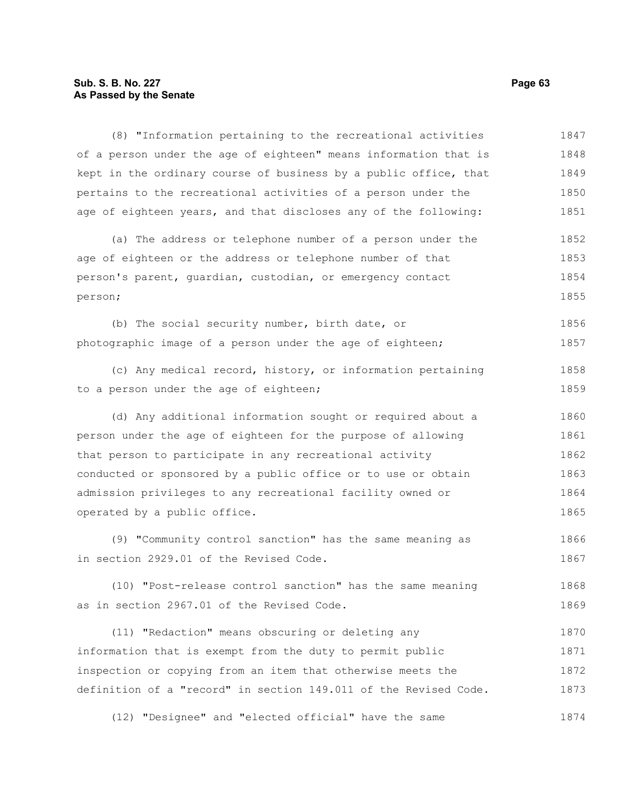# **Sub. S. B. No. 227 Page 63 As Passed by the Senate**

(8) "Information pertaining to the recreational activities of a person under the age of eighteen" means information that is kept in the ordinary course of business by a public office, that pertains to the recreational activities of a person under the age of eighteen years, and that discloses any of the following: (a) The address or telephone number of a person under the age of eighteen or the address or telephone number of that person's parent, guardian, custodian, or emergency contact person; (b) The social security number, birth date, or photographic image of a person under the age of eighteen; (c) Any medical record, history, or information pertaining to a person under the age of eighteen; (d) Any additional information sought or required about a person under the age of eighteen for the purpose of allowing that person to participate in any recreational activity conducted or sponsored by a public office or to use or obtain admission privileges to any recreational facility owned or operated by a public office. (9) "Community control sanction" has the same meaning as in section 2929.01 of the Revised Code. (10) "Post-release control sanction" has the same meaning as in section 2967.01 of the Revised Code. 1847 1848 1849 1850 1851 1852 1853 1854 1855 1856 1857 1858 1859 1860 1861 1862 1863 1864 1865 1866 1867 1868 1869

(11) "Redaction" means obscuring or deleting any information that is exempt from the duty to permit public inspection or copying from an item that otherwise meets the definition of a "record" in section 149.011 of the Revised Code. 1870 1871 1872 1873

(12) "Designee" and "elected official" have the same 1874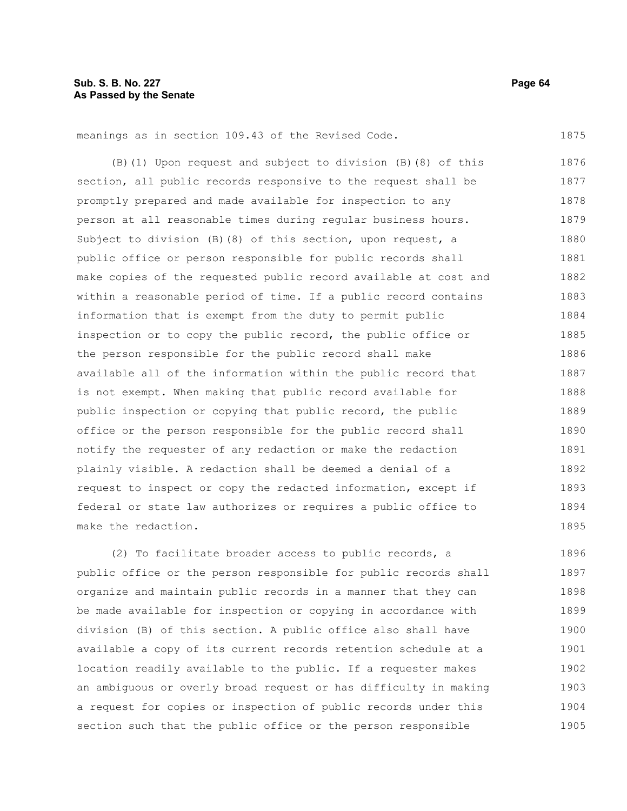meanings as in section 109.43 of the Revised Code.

(B)(1) Upon request and subject to division (B)(8) of this section, all public records responsive to the request shall be promptly prepared and made available for inspection to any person at all reasonable times during regular business hours. Subject to division (B)(8) of this section, upon request, a public office or person responsible for public records shall make copies of the requested public record available at cost and within a reasonable period of time. If a public record contains information that is exempt from the duty to permit public inspection or to copy the public record, the public office or the person responsible for the public record shall make available all of the information within the public record that is not exempt. When making that public record available for public inspection or copying that public record, the public office or the person responsible for the public record shall notify the requester of any redaction or make the redaction plainly visible. A redaction shall be deemed a denial of a request to inspect or copy the redacted information, except if federal or state law authorizes or requires a public office to make the redaction. 1876 1877 1878 1879 1880 1881 1882 1883 1884 1885 1886 1887 1888 1889 1890 1891 1892 1893 1894 1895

(2) To facilitate broader access to public records, a public office or the person responsible for public records shall organize and maintain public records in a manner that they can be made available for inspection or copying in accordance with division (B) of this section. A public office also shall have available a copy of its current records retention schedule at a location readily available to the public. If a requester makes an ambiguous or overly broad request or has difficulty in making a request for copies or inspection of public records under this section such that the public office or the person responsible 1896 1897 1898 1899 1900 1901 1902 1903 1904 1905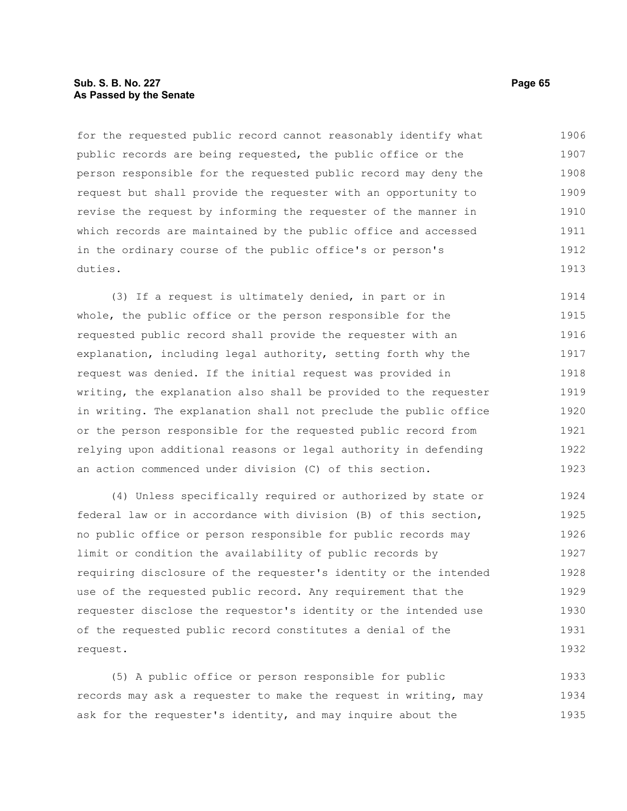# **Sub. S. B. No. 227 Page 65 As Passed by the Senate**

for the requested public record cannot reasonably identify what public records are being requested, the public office or the person responsible for the requested public record may deny the request but shall provide the requester with an opportunity to revise the request by informing the requester of the manner in which records are maintained by the public office and accessed in the ordinary course of the public office's or person's duties. 1906 1907 1908 1909 1910 1911 1912 1913

(3) If a request is ultimately denied, in part or in whole, the public office or the person responsible for the requested public record shall provide the requester with an explanation, including legal authority, setting forth why the request was denied. If the initial request was provided in writing, the explanation also shall be provided to the requester in writing. The explanation shall not preclude the public office or the person responsible for the requested public record from relying upon additional reasons or legal authority in defending an action commenced under division (C) of this section. 1914 1915 1916 1917 1918 1919 1920 1921 1922 1923

(4) Unless specifically required or authorized by state or federal law or in accordance with division (B) of this section, no public office or person responsible for public records may limit or condition the availability of public records by requiring disclosure of the requester's identity or the intended use of the requested public record. Any requirement that the requester disclose the requestor's identity or the intended use of the requested public record constitutes a denial of the request. 1924 1925 1926 1927 1928 1929 1930 1931 1932

(5) A public office or person responsible for public records may ask a requester to make the request in writing, may ask for the requester's identity, and may inquire about the 1933 1934 1935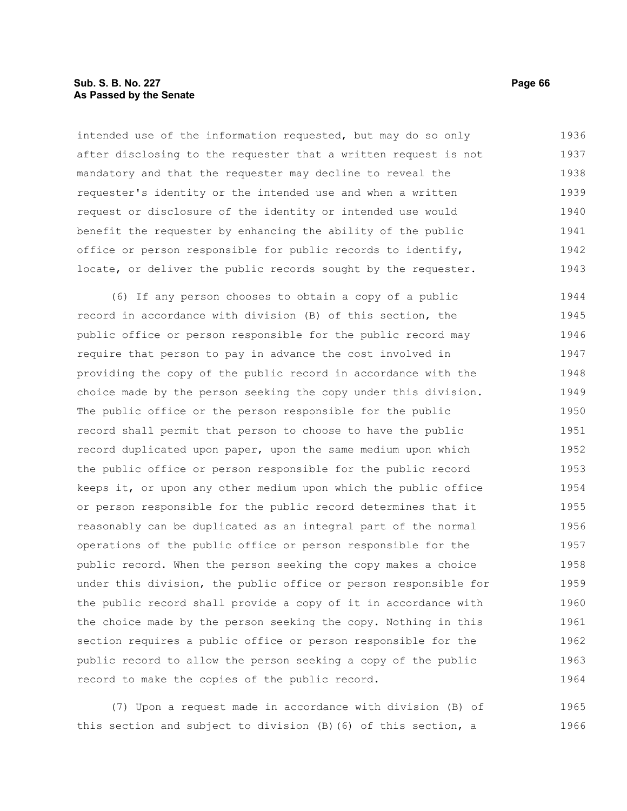# **Sub. S. B. No. 227 Page 66 As Passed by the Senate**

intended use of the information requested, but may do so only after disclosing to the requester that a written request is not mandatory and that the requester may decline to reveal the requester's identity or the intended use and when a written request or disclosure of the identity or intended use would benefit the requester by enhancing the ability of the public office or person responsible for public records to identify, locate, or deliver the public records sought by the requester. 1936 1937 1938 1939 1940 1941 1942 1943

(6) If any person chooses to obtain a copy of a public record in accordance with division (B) of this section, the public office or person responsible for the public record may require that person to pay in advance the cost involved in providing the copy of the public record in accordance with the choice made by the person seeking the copy under this division. The public office or the person responsible for the public record shall permit that person to choose to have the public record duplicated upon paper, upon the same medium upon which the public office or person responsible for the public record keeps it, or upon any other medium upon which the public office or person responsible for the public record determines that it reasonably can be duplicated as an integral part of the normal operations of the public office or person responsible for the public record. When the person seeking the copy makes a choice under this division, the public office or person responsible for the public record shall provide a copy of it in accordance with the choice made by the person seeking the copy. Nothing in this section requires a public office or person responsible for the public record to allow the person seeking a copy of the public record to make the copies of the public record. 1944 1945 1946 1947 1948 1949 1950 1951 1952 1953 1954 1955 1956 1957 1958 1959 1960 1961 1962 1963 1964

(7) Upon a request made in accordance with division (B) of this section and subject to division (B)(6) of this section, a 1965 1966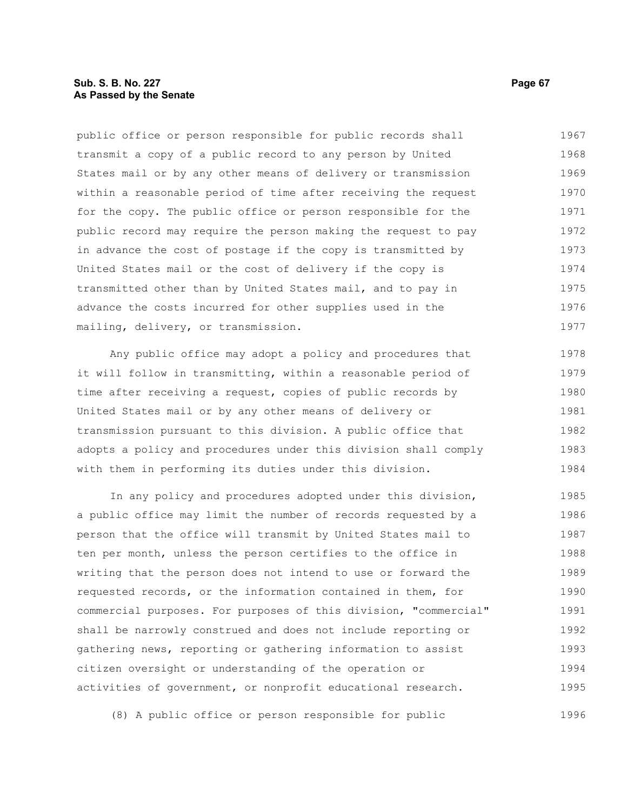# **Sub. S. B. No. 227 Page 67 As Passed by the Senate**

public office or person responsible for public records shall transmit a copy of a public record to any person by United States mail or by any other means of delivery or transmission within a reasonable period of time after receiving the request for the copy. The public office or person responsible for the public record may require the person making the request to pay in advance the cost of postage if the copy is transmitted by United States mail or the cost of delivery if the copy is transmitted other than by United States mail, and to pay in advance the costs incurred for other supplies used in the mailing, delivery, or transmission. 1967 1968 1969 1970 1971 1972 1973 1974 1975 1976 1977

Any public office may adopt a policy and procedures that it will follow in transmitting, within a reasonable period of time after receiving a request, copies of public records by United States mail or by any other means of delivery or transmission pursuant to this division. A public office that adopts a policy and procedures under this division shall comply with them in performing its duties under this division. 1978 1979 1980 1981 1982 1983 1984

In any policy and procedures adopted under this division, a public office may limit the number of records requested by a person that the office will transmit by United States mail to ten per month, unless the person certifies to the office in writing that the person does not intend to use or forward the requested records, or the information contained in them, for commercial purposes. For purposes of this division, "commercial" shall be narrowly construed and does not include reporting or gathering news, reporting or gathering information to assist citizen oversight or understanding of the operation or activities of government, or nonprofit educational research. 1985 1986 1987 1988 1989 1990 1991 1992 1993 1994 1995

(8) A public office or person responsible for public 1996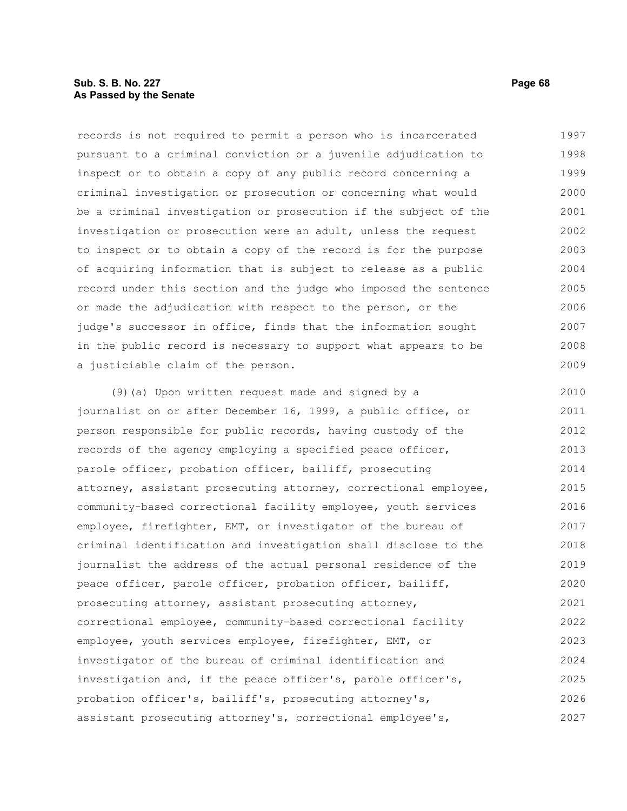# **Sub. S. B. No. 227 Page 68 As Passed by the Senate**

records is not required to permit a person who is incarcerated pursuant to a criminal conviction or a juvenile adjudication to inspect or to obtain a copy of any public record concerning a criminal investigation or prosecution or concerning what would be a criminal investigation or prosecution if the subject of the investigation or prosecution were an adult, unless the request to inspect or to obtain a copy of the record is for the purpose of acquiring information that is subject to release as a public record under this section and the judge who imposed the sentence or made the adjudication with respect to the person, or the judge's successor in office, finds that the information sought in the public record is necessary to support what appears to be a justiciable claim of the person. 1997 1998 1999 2000 2001 2002 2003 2004 2005 2006 2007 2008 2009

(9)(a) Upon written request made and signed by a journalist on or after December 16, 1999, a public office, or person responsible for public records, having custody of the records of the agency employing a specified peace officer, parole officer, probation officer, bailiff, prosecuting attorney, assistant prosecuting attorney, correctional employee, community-based correctional facility employee, youth services employee, firefighter, EMT, or investigator of the bureau of criminal identification and investigation shall disclose to the journalist the address of the actual personal residence of the peace officer, parole officer, probation officer, bailiff, prosecuting attorney, assistant prosecuting attorney, correctional employee, community-based correctional facility employee, youth services employee, firefighter, EMT, or investigator of the bureau of criminal identification and investigation and, if the peace officer's, parole officer's, probation officer's, bailiff's, prosecuting attorney's, assistant prosecuting attorney's, correctional employee's, 2010 2011 2012 2013 2014 2015 2016 2017 2018 2019 2020 2021 2022 2023 2024 2025 2026 2027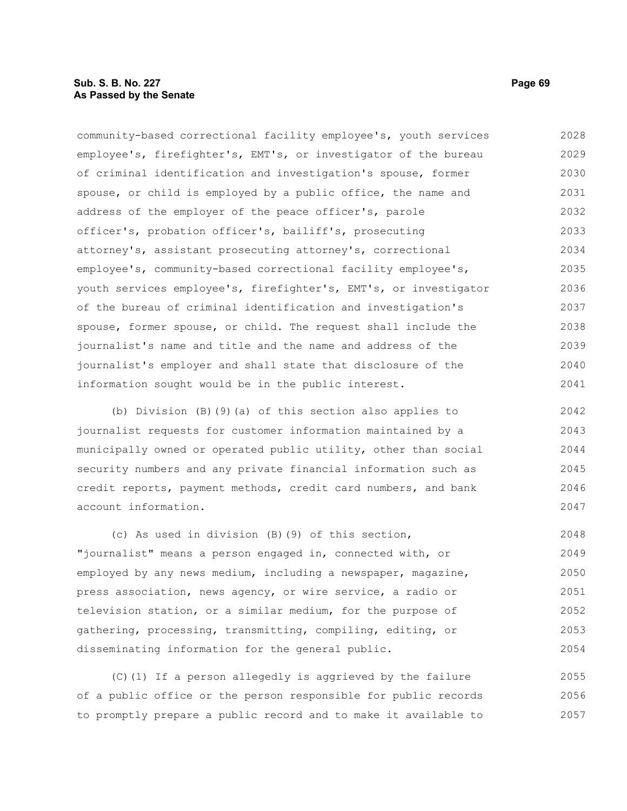# **Sub. S. B. No. 227 Page 69 As Passed by the Senate**

community-based correctional facility employee's, youth services employee's, firefighter's, EMT's, or investigator of the bureau of criminal identification and investigation's spouse, former spouse, or child is employed by a public office, the name and address of the employer of the peace officer's, parole officer's, probation officer's, bailiff's, prosecuting attorney's, assistant prosecuting attorney's, correctional employee's, community-based correctional facility employee's, youth services employee's, firefighter's, EMT's, or investigator of the bureau of criminal identification and investigation's spouse, former spouse, or child. The request shall include the journalist's name and title and the name and address of the journalist's employer and shall state that disclosure of the information sought would be in the public interest. 2028 2029 2030 2031 2032 2033 2034 2035 2036 2037 2038 2039 2040 2041

(b) Division (B)(9)(a) of this section also applies to journalist requests for customer information maintained by a municipally owned or operated public utility, other than social security numbers and any private financial information such as credit reports, payment methods, credit card numbers, and bank account information. 2042 2043 2044 2045 2046 2047

(c) As used in division (B)(9) of this section, "journalist" means a person engaged in, connected with, or employed by any news medium, including a newspaper, magazine, press association, news agency, or wire service, a radio or television station, or a similar medium, for the purpose of gathering, processing, transmitting, compiling, editing, or disseminating information for the general public. 2048 2049 2050 2051 2052 2053 2054

(C)(1) If a person allegedly is aggrieved by the failure of a public office or the person responsible for public records to promptly prepare a public record and to make it available to 2055 2056 2057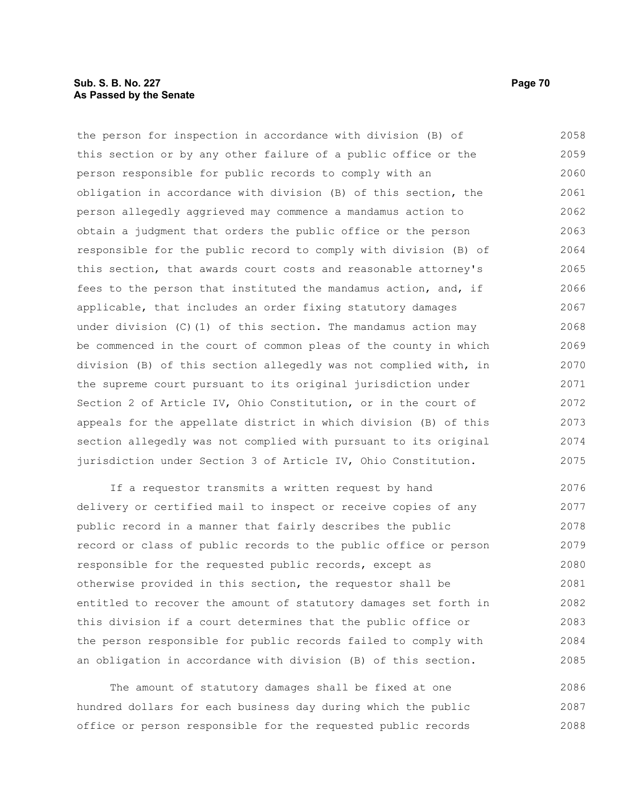# **Sub. S. B. No. 227 Page 70 As Passed by the Senate**

the person for inspection in accordance with division (B) of this section or by any other failure of a public office or the person responsible for public records to comply with an obligation in accordance with division (B) of this section, the person allegedly aggrieved may commence a mandamus action to obtain a judgment that orders the public office or the person responsible for the public record to comply with division (B) of this section, that awards court costs and reasonable attorney's fees to the person that instituted the mandamus action, and, if applicable, that includes an order fixing statutory damages under division  $(C)$  (1) of this section. The mandamus action may be commenced in the court of common pleas of the county in which division (B) of this section allegedly was not complied with, in the supreme court pursuant to its original jurisdiction under Section 2 of Article IV, Ohio Constitution, or in the court of appeals for the appellate district in which division (B) of this section allegedly was not complied with pursuant to its original jurisdiction under Section 3 of Article IV, Ohio Constitution. 2058 2059 2060 2061 2062 2063 2064 2065 2066 2067 2068 2069 2070 2071 2072 2073 2074 2075

If a requestor transmits a written request by hand delivery or certified mail to inspect or receive copies of any public record in a manner that fairly describes the public record or class of public records to the public office or person responsible for the requested public records, except as otherwise provided in this section, the requestor shall be entitled to recover the amount of statutory damages set forth in this division if a court determines that the public office or the person responsible for public records failed to comply with an obligation in accordance with division (B) of this section. 2076 2077 2078 2079 2080 2081 2082 2083 2084 2085

The amount of statutory damages shall be fixed at one hundred dollars for each business day during which the public office or person responsible for the requested public records 2086 2087 2088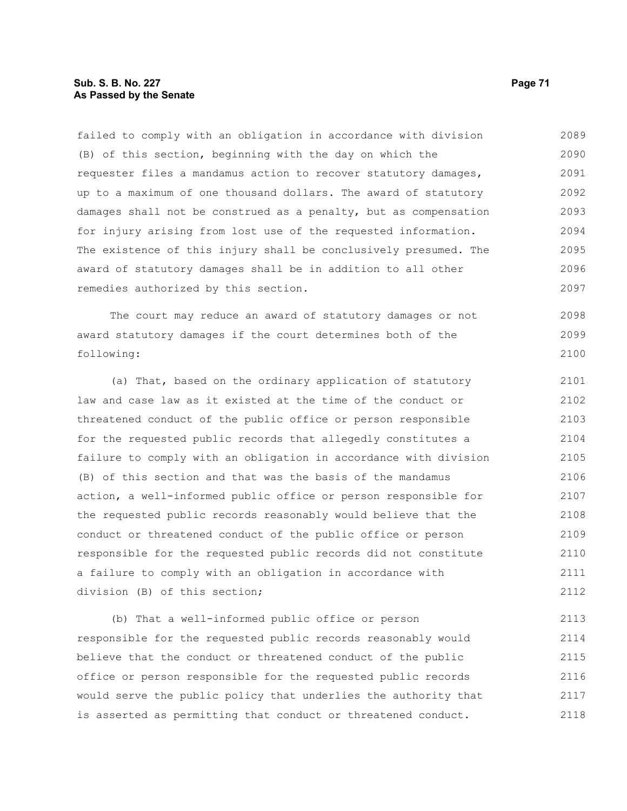## **Sub. S. B. No. 227 Page 71 As Passed by the Senate**

failed to comply with an obligation in accordance with division (B) of this section, beginning with the day on which the requester files a mandamus action to recover statutory damages, up to a maximum of one thousand dollars. The award of statutory damages shall not be construed as a penalty, but as compensation for injury arising from lost use of the requested information. The existence of this injury shall be conclusively presumed. The award of statutory damages shall be in addition to all other remedies authorized by this section. 2089 2090 2091 2092 2093 2094 2095 2096 2097

The court may reduce an award of statutory damages or not award statutory damages if the court determines both of the following: 2098 2099 2100

(a) That, based on the ordinary application of statutory law and case law as it existed at the time of the conduct or threatened conduct of the public office or person responsible for the requested public records that allegedly constitutes a failure to comply with an obligation in accordance with division (B) of this section and that was the basis of the mandamus action, a well-informed public office or person responsible for the requested public records reasonably would believe that the conduct or threatened conduct of the public office or person responsible for the requested public records did not constitute a failure to comply with an obligation in accordance with division (B) of this section; 2101 2102 2103 2104 2105 2106 2107 2108 2109 2110 2111 2112

(b) That a well-informed public office or person responsible for the requested public records reasonably would believe that the conduct or threatened conduct of the public office or person responsible for the requested public records would serve the public policy that underlies the authority that is asserted as permitting that conduct or threatened conduct. 2113 2114 2115 2116 2117 2118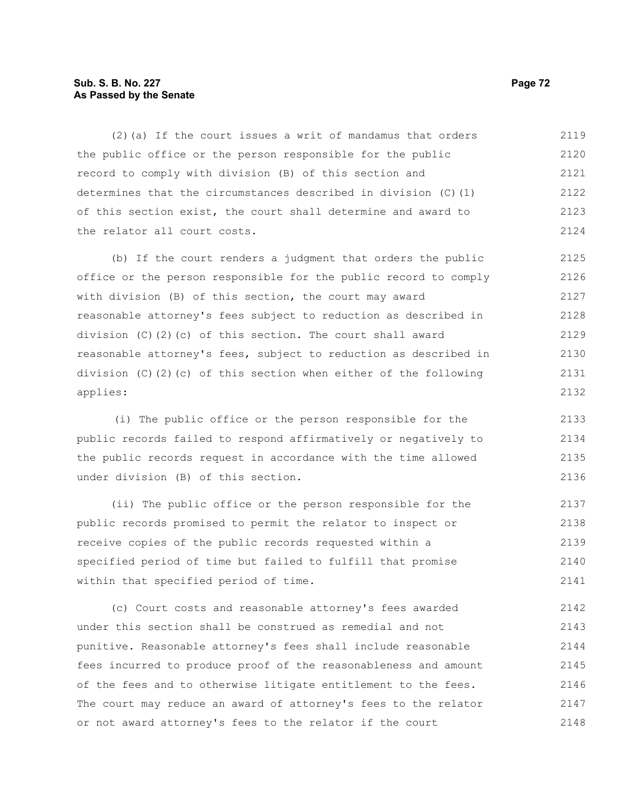# **Sub. S. B. No. 227 Page 72 As Passed by the Senate**

(2)(a) If the court issues a writ of mandamus that orders the public office or the person responsible for the public record to comply with division (B) of this section and determines that the circumstances described in division (C)(1) of this section exist, the court shall determine and award to the relator all court costs. 2119 2120 2121 2122 2123 2124

(b) If the court renders a judgment that orders the public office or the person responsible for the public record to comply with division (B) of this section, the court may award reasonable attorney's fees subject to reduction as described in division  $(C)$   $(2)$   $(c)$  of this section. The court shall award reasonable attorney's fees, subject to reduction as described in division (C)(2)(c) of this section when either of the following applies: 2125 2126 2127 2128 2129 2130 2131 2132

(i) The public office or the person responsible for the public records failed to respond affirmatively or negatively to the public records request in accordance with the time allowed under division (B) of this section. 2133 2134 2135 2136

(ii) The public office or the person responsible for the public records promised to permit the relator to inspect or receive copies of the public records requested within a specified period of time but failed to fulfill that promise within that specified period of time. 2137 2138 2139 2140 2141

(c) Court costs and reasonable attorney's fees awarded under this section shall be construed as remedial and not punitive. Reasonable attorney's fees shall include reasonable fees incurred to produce proof of the reasonableness and amount of the fees and to otherwise litigate entitlement to the fees. The court may reduce an award of attorney's fees to the relator or not award attorney's fees to the relator if the court 2142 2143 2144 2145 2146 2147 2148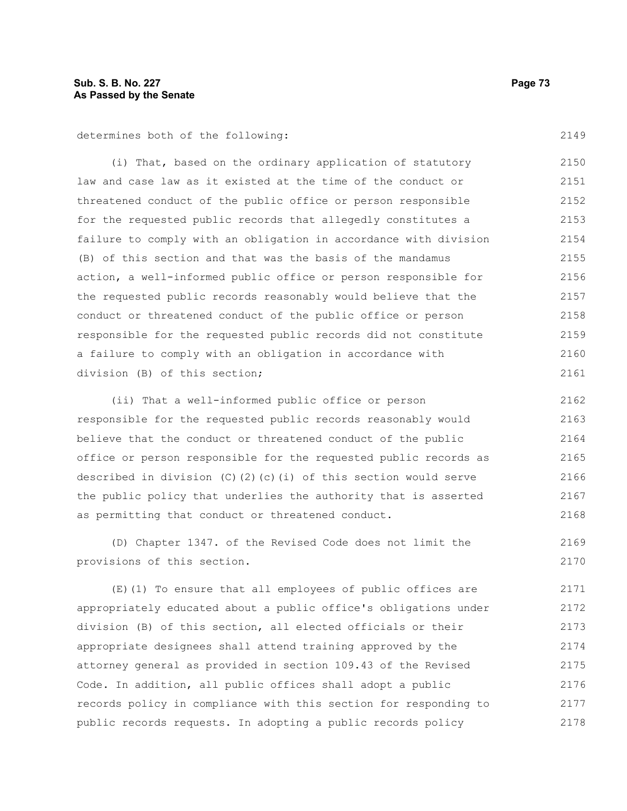determines both of the following:

(i) That, based on the ordinary application of statutory law and case law as it existed at the time of the conduct or threatened conduct of the public office or person responsible for the requested public records that allegedly constitutes a failure to comply with an obligation in accordance with division (B) of this section and that was the basis of the mandamus action, a well-informed public office or person responsible for the requested public records reasonably would believe that the conduct or threatened conduct of the public office or person responsible for the requested public records did not constitute a failure to comply with an obligation in accordance with division (B) of this section; 2150 2151 2152 2153 2154 2155 2156 2157 2158 2159 2160 2161

(ii) That a well-informed public office or person responsible for the requested public records reasonably would believe that the conduct or threatened conduct of the public office or person responsible for the requested public records as described in division (C)(2)(c)(i) of this section would serve the public policy that underlies the authority that is asserted as permitting that conduct or threatened conduct. 2162 2163 2164 2165 2166 2167 2168

(D) Chapter 1347. of the Revised Code does not limit the provisions of this section. 2169 2170

(E)(1) To ensure that all employees of public offices are appropriately educated about a public office's obligations under division (B) of this section, all elected officials or their appropriate designees shall attend training approved by the attorney general as provided in section 109.43 of the Revised Code. In addition, all public offices shall adopt a public records policy in compliance with this section for responding to public records requests. In adopting a public records policy 2171 2172 2173 2174 2175 2176 2177 2178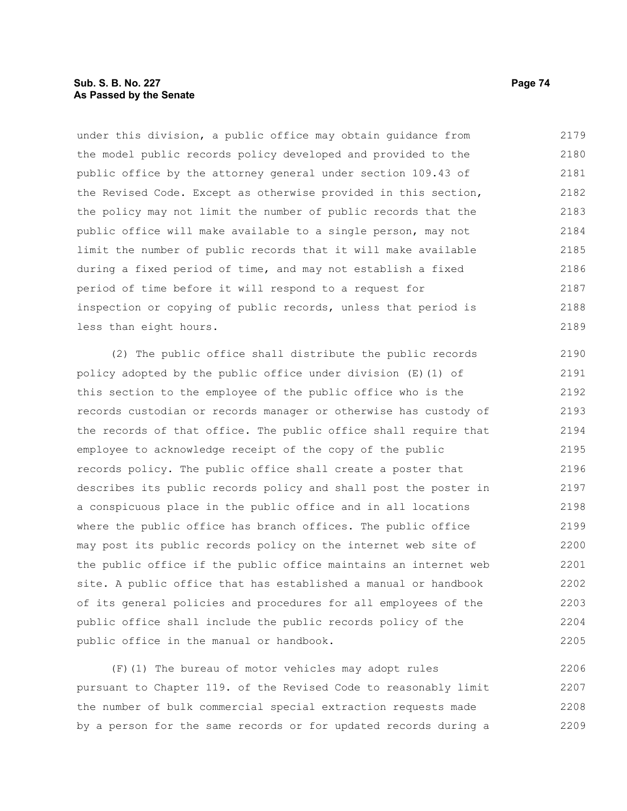# **Sub. S. B. No. 227 Page 74 As Passed by the Senate**

under this division, a public office may obtain guidance from the model public records policy developed and provided to the public office by the attorney general under section 109.43 of the Revised Code. Except as otherwise provided in this section, the policy may not limit the number of public records that the public office will make available to a single person, may not limit the number of public records that it will make available during a fixed period of time, and may not establish a fixed period of time before it will respond to a request for inspection or copying of public records, unless that period is less than eight hours. 2179 2180 2181 2182 2183 2184 2185 2186 2187 2188 2189

(2) The public office shall distribute the public records policy adopted by the public office under division (E)(1) of this section to the employee of the public office who is the records custodian or records manager or otherwise has custody of the records of that office. The public office shall require that employee to acknowledge receipt of the copy of the public records policy. The public office shall create a poster that describes its public records policy and shall post the poster in a conspicuous place in the public office and in all locations where the public office has branch offices. The public office may post its public records policy on the internet web site of the public office if the public office maintains an internet web site. A public office that has established a manual or handbook of its general policies and procedures for all employees of the public office shall include the public records policy of the public office in the manual or handbook. 2190 2191 2192 2193 2194 2195 2196 2197 2198 2199 2200 2201 2202 2203 2204 2205

(F)(1) The bureau of motor vehicles may adopt rules pursuant to Chapter 119. of the Revised Code to reasonably limit the number of bulk commercial special extraction requests made by a person for the same records or for updated records during a 2206 2207 2208 2209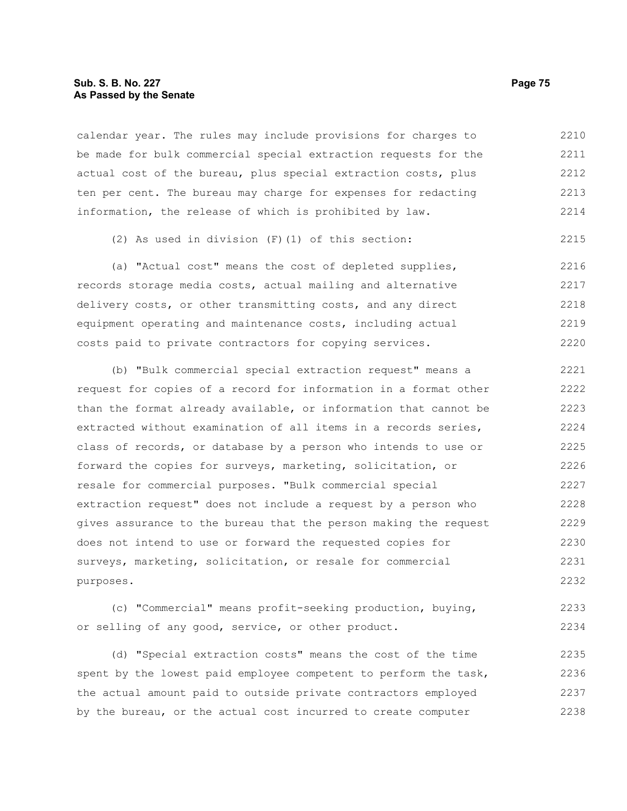## **Sub. S. B. No. 227 Page 75 As Passed by the Senate**

calendar year. The rules may include provisions for charges to be made for bulk commercial special extraction requests for the actual cost of the bureau, plus special extraction costs, plus ten per cent. The bureau may charge for expenses for redacting information, the release of which is prohibited by law. 2210 2211 2212 2213 2214

(2) As used in division (F)(1) of this section:

(a) "Actual cost" means the cost of depleted supplies, records storage media costs, actual mailing and alternative delivery costs, or other transmitting costs, and any direct equipment operating and maintenance costs, including actual costs paid to private contractors for copying services. 2216 2217 2218 2219 2220

(b) "Bulk commercial special extraction request" means a request for copies of a record for information in a format other than the format already available, or information that cannot be extracted without examination of all items in a records series, class of records, or database by a person who intends to use or forward the copies for surveys, marketing, solicitation, or resale for commercial purposes. "Bulk commercial special extraction request" does not include a request by a person who gives assurance to the bureau that the person making the request does not intend to use or forward the requested copies for surveys, marketing, solicitation, or resale for commercial purposes. 2221 2222 2223 2224 2225 2226 2227 2228 2229 2230 2231 2232

(c) "Commercial" means profit-seeking production, buying, or selling of any good, service, or other product. 2233 2234

(d) "Special extraction costs" means the cost of the time spent by the lowest paid employee competent to perform the task, the actual amount paid to outside private contractors employed by the bureau, or the actual cost incurred to create computer 2235 2236 2237 2238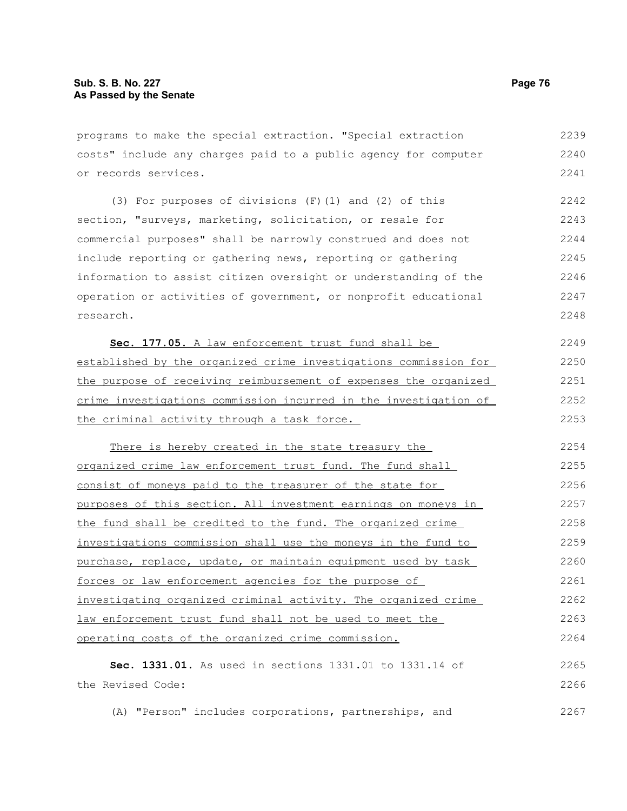programs to make the special extraction. "Special extraction costs" include any charges paid to a public agency for computer or records services. 2239 2240 2241

(3) For purposes of divisions (F)(1) and (2) of this section, "surveys, marketing, solicitation, or resale for commercial purposes" shall be narrowly construed and does not include reporting or gathering news, reporting or gathering information to assist citizen oversight or understanding of the operation or activities of government, or nonprofit educational research. 2242 2243 2244 2245 2246 2247 2248

 **Sec. 177.05.** A law enforcement trust fund shall be established by the organized crime investigations commission for the purpose of receiving reimbursement of expenses the organized crime investigations commission incurred in the investigation of the criminal activity through a task force. 2249 2250 2251 2252 2253

There is hereby created in the state treasury the organized crime law enforcement trust fund. The fund shall consist of moneys paid to the treasurer of the state for purposes of this section. All investment earnings on moneys in the fund shall be credited to the fund. The organized crime investigations commission shall use the moneys in the fund to purchase, replace, update, or maintain equipment used by task forces or law enforcement agencies for the purpose of investigating organized criminal activity. The organized crime law enforcement trust fund shall not be used to meet the operating costs of the organized crime commission. 2254 2255 2256 2257 2258 2259 2260 2261 2262 2263 2264

**Sec. 1331.01.** As used in sections 1331.01 to 1331.14 of the Revised Code: 2265 2266

(A) "Person" includes corporations, partnerships, and 2267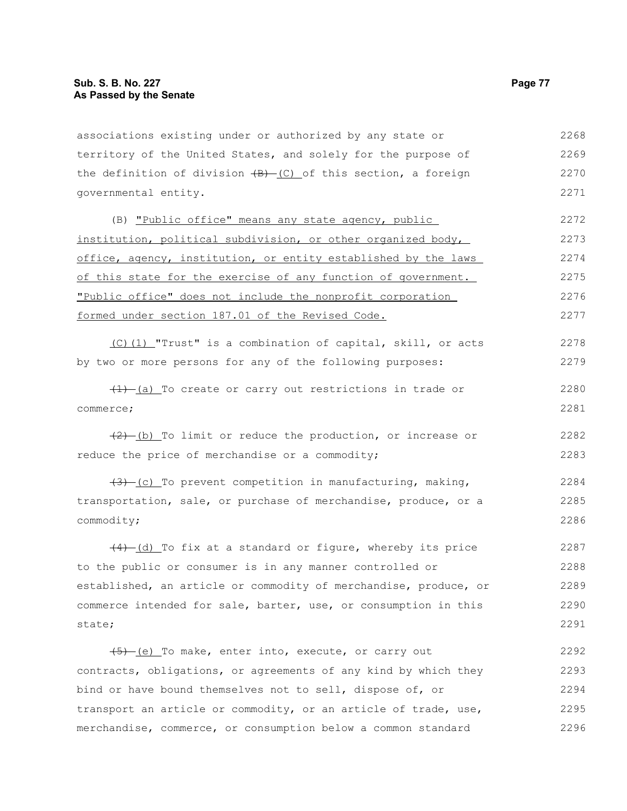associations existing under or authorized by any state or territory of the United States, and solely for the purpose of the definition of division  $\overline{(B) - (C)}$  of this section, a foreign governmental entity. 2268 2269 2270 2271

(B) "Public office" means any state agency, public institution, political subdivision, or other organized body, office, agency, institution, or entity established by the laws of this state for the exercise of any function of government. "Public office" does not include the nonprofit corporation formed under section 187.01 of the Revised Code. 2272 2273 2274 2275 2276 2277

(C)(1) "Trust" is a combination of capital, skill, or acts by two or more persons for any of the following purposes: 2278 2279

 $(1)$  (a) To create or carry out restrictions in trade or commerce; 2280 2281

 $(2)$  (b) To limit or reduce the production, or increase or reduce the price of merchandise or a commodity; 2282 2283

 $(3)$  (c) To prevent competition in manufacturing, making, transportation, sale, or purchase of merchandise, produce, or a commodity; 2284 2285 2286

 $(4)$  (d) To fix at a standard or figure, whereby its price to the public or consumer is in any manner controlled or established, an article or commodity of merchandise, produce, or commerce intended for sale, barter, use, or consumption in this state; 2287 2288 2289 2290 2291

 $(5)$  (e) To make, enter into, execute, or carry out contracts, obligations, or agreements of any kind by which they bind or have bound themselves not to sell, dispose of, or transport an article or commodity, or an article of trade, use, merchandise, commerce, or consumption below a common standard 2292 2293 2294 2295 2296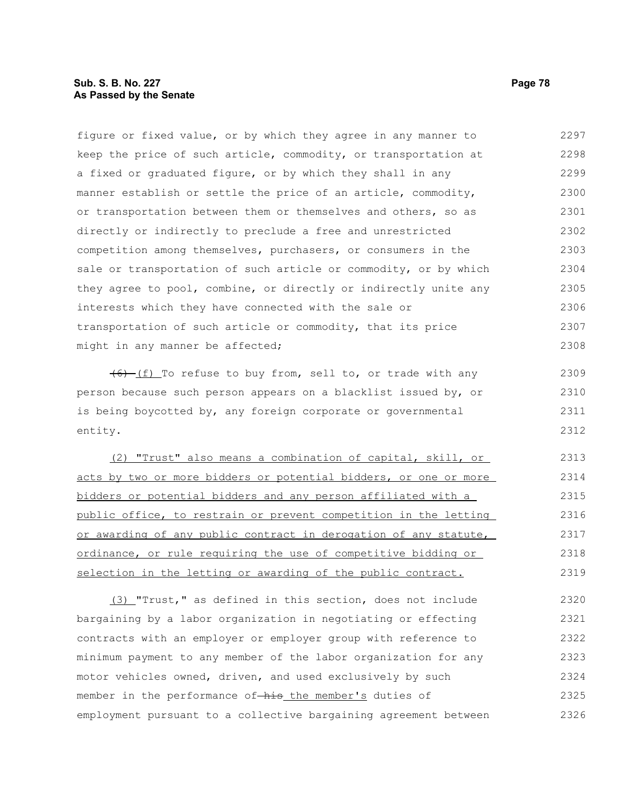figure or fixed value, or by which they agree in any manner to keep the price of such article, commodity, or transportation at a fixed or graduated figure, or by which they shall in any manner establish or settle the price of an article, commodity, or transportation between them or themselves and others, so as directly or indirectly to preclude a free and unrestricted competition among themselves, purchasers, or consumers in the sale or transportation of such article or commodity, or by which they agree to pool, combine, or directly or indirectly unite any interests which they have connected with the sale or transportation of such article or commodity, that its price might in any manner be affected; 2297 2298 2299 2300 2301 2302 2303 2304 2305 2306 2307 2308

 $(6)$  (f) To refuse to buy from, sell to, or trade with any person because such person appears on a blacklist issued by, or is being boycotted by, any foreign corporate or governmental entity. 2309 2310 2311 2312

(2) "Trust" also means a combination of capital, skill, or acts by two or more bidders or potential bidders, or one or more bidders or potential bidders and any person affiliated with a public office, to restrain or prevent competition in the letting or awarding of any public contract in derogation of any statute, ordinance, or rule requiring the use of competitive bidding or selection in the letting or awarding of the public contract. 2313 2314 2315 2316 2317 2318 2319

(3) "Trust," as defined in this section, does not include bargaining by a labor organization in negotiating or effecting contracts with an employer or employer group with reference to minimum payment to any member of the labor organization for any motor vehicles owned, driven, and used exclusively by such member in the performance of-his the member's duties of employment pursuant to a collective bargaining agreement between 2320 2321 2322 2323 2324 2325 2326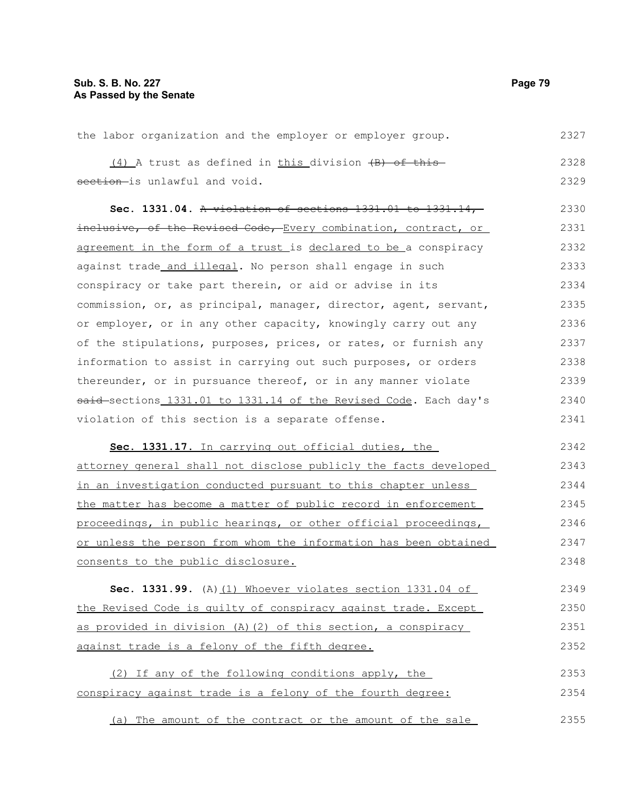the labor organization and the employer or employer group. (4) A trust as defined in this division  $\left(\frac{B}{B}\right)$  of this section-is unlawful and void. **Sec. 1331.04.** A violation of sections 1331.01 to 1331.14, inclusive, of the Revised Code, Every combination, contract, or agreement in the form of a trust is declared to be a conspiracy against trade and illegal. No person shall engage in such conspiracy or take part therein, or aid or advise in its commission, or, as principal, manager, director, agent, servant, or employer, or in any other capacity, knowingly carry out any of the stipulations, purposes, prices, or rates, or furnish any information to assist in carrying out such purposes, or orders thereunder, or in pursuance thereof, or in any manner violate said sections 1331.01 to 1331.14 of the Revised Code. Each day's violation of this section is a separate offense. 2327 2328 2329 2330 2331 2332 2333 2334 2335 2336 2337 2338 2339 2340 2341

 **Sec. 1331.17.** In carrying out official duties, the attorney general shall not disclose publicly the facts developed in an investigation conducted pursuant to this chapter unless the matter has become a matter of public record in enforcement proceedings, in public hearings, or other official proceedings, or unless the person from whom the information has been obtained consents to the public disclosure. 2342 2343 2344 2345 2346 2347 2348

**Sec. 1331.99.** (A)(1) Whoever violates section 1331.04 of the Revised Code is guilty of conspiracy against trade. Except as provided in division (A)(2) of this section, a conspiracy against trade is a felony of the fifth degree. 2349 2350 2351 2352

 (2) If any of the following conditions apply, the conspiracy against trade is a felony of the fourth degree: 2353 2354

(a) The amount of the contract or the amount of the sale 2355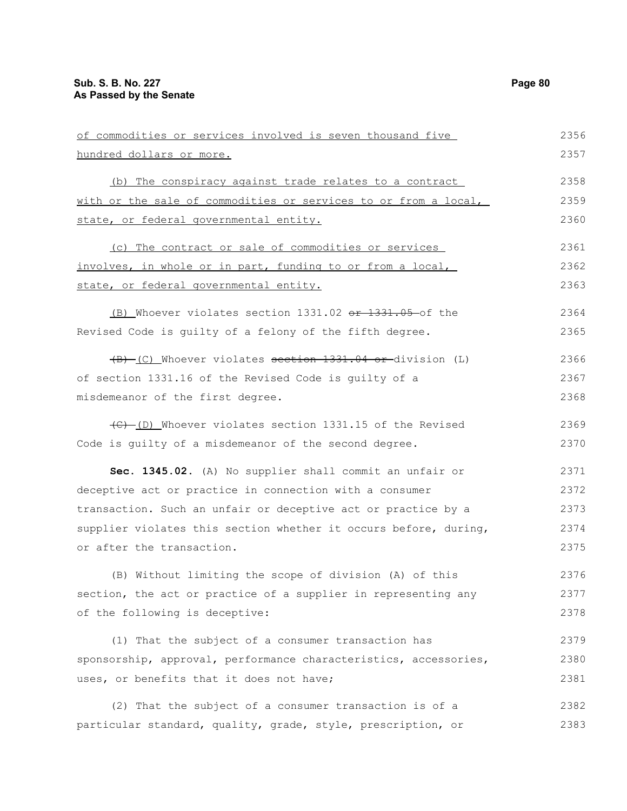of commodities or services involved is seven thousand five

hundred dollars or more. (b) The conspiracy against trade relates to a contract with or the sale of commodities or services to or from a local, state, or federal governmental entity. (c) The contract or sale of commodities or services involves, in whole or in part, funding to or from a local, state, or federal governmental entity. (B) Whoever violates section 1331.02 or 1331.05 of the Revised Code is guilty of a felony of the fifth degree. (B) (C) Whoever violates section 1331.04 or division (L) of section 1331.16 of the Revised Code is guilty of a misdemeanor of the first degree.  $(C)$  (D) Whoever violates section 1331.15 of the Revised Code is guilty of a misdemeanor of the second degree. **Sec. 1345.02.** (A) No supplier shall commit an unfair or deceptive act or practice in connection with a consumer transaction. Such an unfair or deceptive act or practice by a supplier violates this section whether it occurs before, during, or after the transaction. (B) Without limiting the scope of division (A) of this 2357 2358 2359 2360 2361 2362 2363 2364 2365 2366 2367 2368 2369 2370 2371 2372 2373 2374 2375 2376

section, the act or practice of a supplier in representing any of the following is deceptive: 2377 2378

(1) That the subject of a consumer transaction has sponsorship, approval, performance characteristics, accessories, uses, or benefits that it does not have; 2379 2380 2381

(2) That the subject of a consumer transaction is of a particular standard, quality, grade, style, prescription, or 2382 2383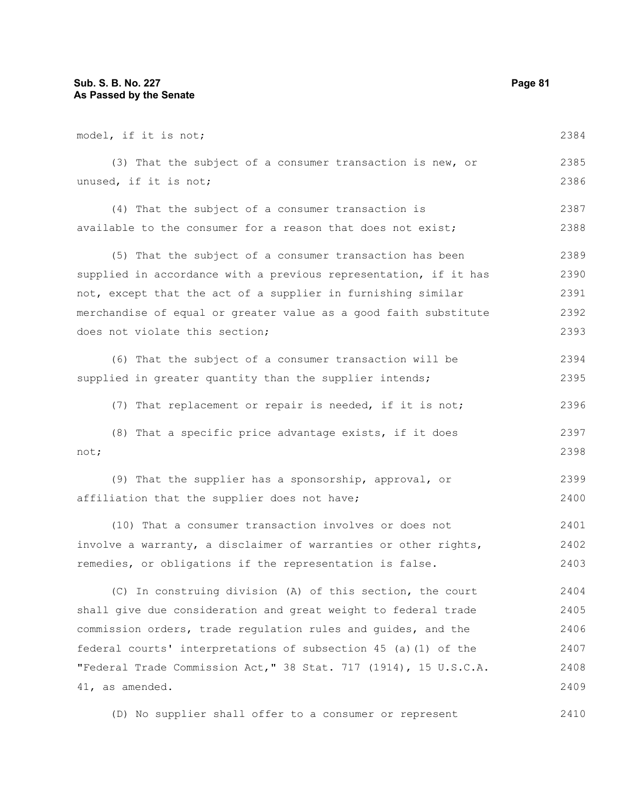| model, if it is not;                                             | 2384 |
|------------------------------------------------------------------|------|
| (3) That the subject of a consumer transaction is new, or        | 2385 |
| unused, if it is not;                                            | 2386 |
| (4) That the subject of a consumer transaction is                | 2387 |
| available to the consumer for a reason that does not exist;      | 2388 |
| (5) That the subject of a consumer transaction has been          | 2389 |
| supplied in accordance with a previous representation, if it has | 2390 |
| not, except that the act of a supplier in furnishing similar     | 2391 |
| merchandise of equal or greater value as a good faith substitute | 2392 |
| does not violate this section;                                   | 2393 |
| (6) That the subject of a consumer transaction will be           | 2394 |
| supplied in greater quantity than the supplier intends;          | 2395 |
| (7) That replacement or repair is needed, if it is not;          | 2396 |
| (8) That a specific price advantage exists, if it does           | 2397 |
| not;                                                             | 2398 |
| (9) That the supplier has a sponsorship, approval, or            | 2399 |
| affiliation that the supplier does not have;                     | 2400 |
| (10) That a consumer transaction involves or does not            | 2401 |
| involve a warranty, a disclaimer of warranties or other rights,  | 2402 |
| remedies, or obligations if the representation is false.         | 2403 |
| (C) In construing division (A) of this section, the court        | 2404 |
| shall give due consideration and great weight to federal trade   | 2405 |
| commission orders, trade regulation rules and guides, and the    | 2406 |
| federal courts' interpretations of subsection 45 (a) (1) of the  | 2407 |
| "Federal Trade Commission Act," 38 Stat. 717 (1914), 15 U.S.C.A. | 2408 |
| 41, as amended.                                                  | 2409 |
| (D) No supplier shall offer to a consumer or represent           | 2410 |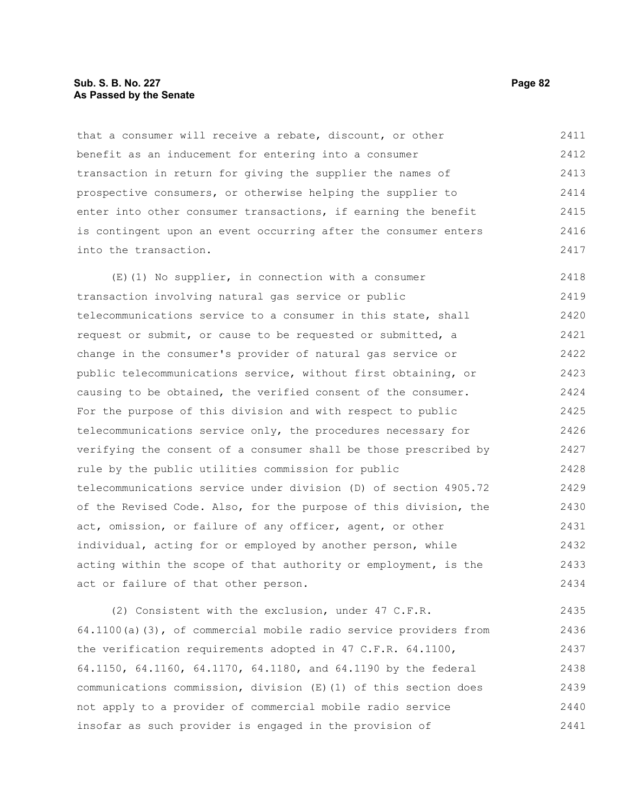# **Sub. S. B. No. 227 Page 82 As Passed by the Senate**

that a consumer will receive a rebate, discount, or other benefit as an inducement for entering into a consumer transaction in return for giving the supplier the names of prospective consumers, or otherwise helping the supplier to enter into other consumer transactions, if earning the benefit is contingent upon an event occurring after the consumer enters into the transaction. 2411 2412 2413 2414 2415 2416 2417

(E)(1) No supplier, in connection with a consumer transaction involving natural gas service or public telecommunications service to a consumer in this state, shall request or submit, or cause to be requested or submitted, a change in the consumer's provider of natural gas service or public telecommunications service, without first obtaining, or causing to be obtained, the verified consent of the consumer. For the purpose of this division and with respect to public telecommunications service only, the procedures necessary for verifying the consent of a consumer shall be those prescribed by rule by the public utilities commission for public telecommunications service under division (D) of section 4905.72 of the Revised Code. Also, for the purpose of this division, the act, omission, or failure of any officer, agent, or other individual, acting for or employed by another person, while acting within the scope of that authority or employment, is the act or failure of that other person. 2418 2419 2420 2421 2422 2423 2424 2425 2426 2427 2428 2429 2430 2431 2432 2433 2434

(2) Consistent with the exclusion, under 47 C.F.R. 64.1100(a)(3), of commercial mobile radio service providers from the verification requirements adopted in 47 C.F.R. 64.1100, 64.1150, 64.1160, 64.1170, 64.1180, and 64.1190 by the federal communications commission, division (E)(1) of this section does not apply to a provider of commercial mobile radio service insofar as such provider is engaged in the provision of 2435 2436 2437 2438 2439 2440 2441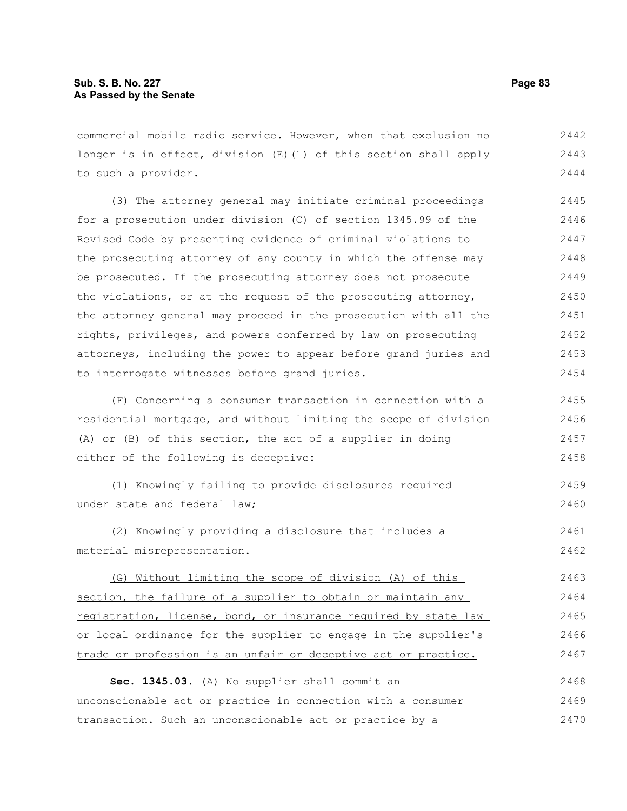commercial mobile radio service. However, when that exclusion no longer is in effect, division (E)(1) of this section shall apply to such a provider. 2442 2443 2444

(3) The attorney general may initiate criminal proceedings for a prosecution under division (C) of section 1345.99 of the Revised Code by presenting evidence of criminal violations to the prosecuting attorney of any county in which the offense may be prosecuted. If the prosecuting attorney does not prosecute the violations, or at the request of the prosecuting attorney, the attorney general may proceed in the prosecution with all the rights, privileges, and powers conferred by law on prosecuting attorneys, including the power to appear before grand juries and to interrogate witnesses before grand juries. 2445 2446 2447 2448 2449 2450 2451 2452 2453 2454

(F) Concerning a consumer transaction in connection with a residential mortgage, and without limiting the scope of division (A) or (B) of this section, the act of a supplier in doing either of the following is deceptive:

(1) Knowingly failing to provide disclosures required under state and federal law; 2459 2460

(2) Knowingly providing a disclosure that includes a material misrepresentation. 2461 2462

(G) Without limiting the scope of division (A) of this section, the failure of a supplier to obtain or maintain any registration, license, bond, or insurance required by state law or local ordinance for the supplier to engage in the supplier's trade or profession is an unfair or deceptive act or practice. 2463 2464 2465 2466 2467

**Sec. 1345.03.** (A) No supplier shall commit an unconscionable act or practice in connection with a consumer transaction. Such an unconscionable act or practice by a 2468 2469 2470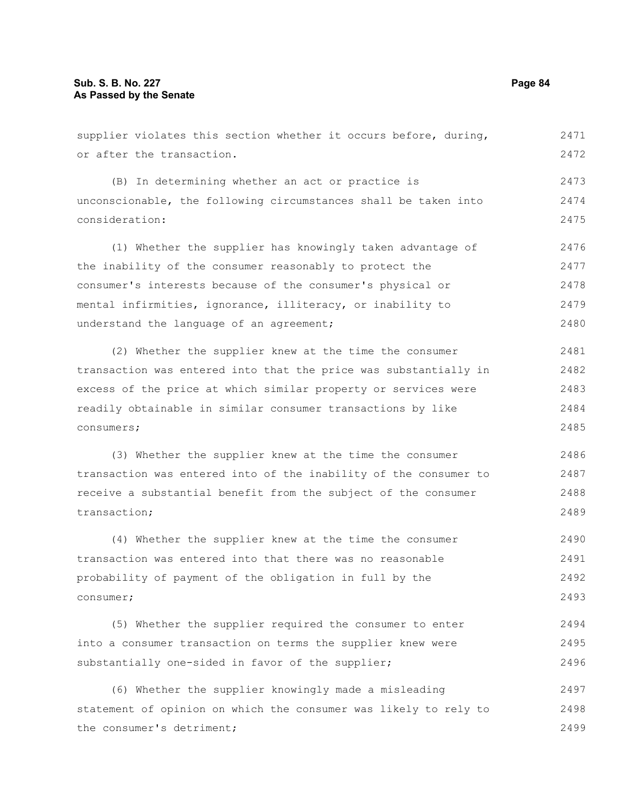or after the transaction.

supplier violates this section whether it occurs before, during,

(B) In determining whether an act or practice is unconscionable, the following circumstances shall be taken into consideration: 2473 2474 2475

(1) Whether the supplier has knowingly taken advantage of the inability of the consumer reasonably to protect the consumer's interests because of the consumer's physical or mental infirmities, ignorance, illiteracy, or inability to understand the language of an agreement; 2476 2477 2478 2479 2480

(2) Whether the supplier knew at the time the consumer transaction was entered into that the price was substantially in excess of the price at which similar property or services were readily obtainable in similar consumer transactions by like consumers; 2481 2482 2483 2484 2485

(3) Whether the supplier knew at the time the consumer transaction was entered into of the inability of the consumer to receive a substantial benefit from the subject of the consumer transaction; 2486 2487 2488 2489

(4) Whether the supplier knew at the time the consumer transaction was entered into that there was no reasonable probability of payment of the obligation in full by the consumer; 2490 2491 2492 2493

(5) Whether the supplier required the consumer to enter into a consumer transaction on terms the supplier knew were substantially one-sided in favor of the supplier; 2494 2495 2496

(6) Whether the supplier knowingly made a misleading statement of opinion on which the consumer was likely to rely to the consumer's detriment; 2497 2498 2499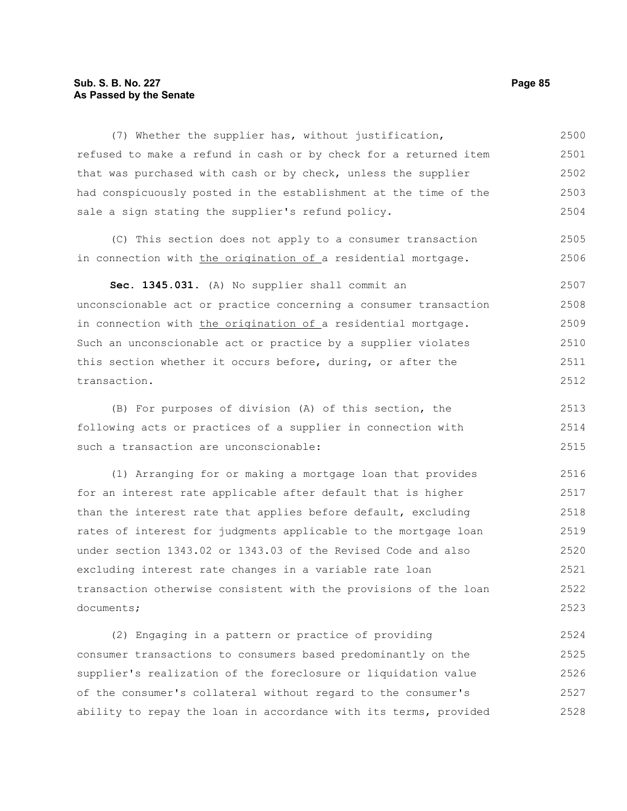## **Sub. S. B. No. 227 Page 85 As Passed by the Senate**

(7) Whether the supplier has, without justification, refused to make a refund in cash or by check for a returned item that was purchased with cash or by check, unless the supplier had conspicuously posted in the establishment at the time of the sale a sign stating the supplier's refund policy. 2500 2501 2502 2503 2504

(C) This section does not apply to a consumer transaction in connection with the origination of a residential mortgage.

**Sec. 1345.031.** (A) No supplier shall commit an unconscionable act or practice concerning a consumer transaction in connection with the origination of a residential mortgage. Such an unconscionable act or practice by a supplier violates this section whether it occurs before, during, or after the transaction. 2507 2508 2509 2510 2511 2512

(B) For purposes of division (A) of this section, the following acts or practices of a supplier in connection with such a transaction are unconscionable: 2513 2514 2515

(1) Arranging for or making a mortgage loan that provides for an interest rate applicable after default that is higher than the interest rate that applies before default, excluding rates of interest for judgments applicable to the mortgage loan under section 1343.02 or 1343.03 of the Revised Code and also excluding interest rate changes in a variable rate loan transaction otherwise consistent with the provisions of the loan documents; 2516 2517 2518 2519 2520 2521 2522 2523

(2) Engaging in a pattern or practice of providing consumer transactions to consumers based predominantly on the supplier's realization of the foreclosure or liquidation value of the consumer's collateral without regard to the consumer's ability to repay the loan in accordance with its terms, provided 2524 2525 2526 2527 2528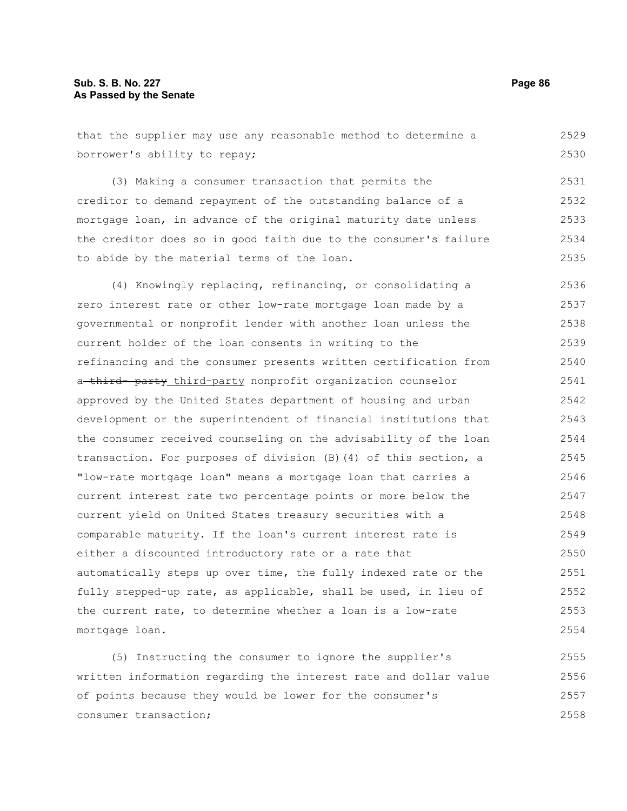that the supplier may use any reasonable method to determine a borrower's ability to repay; (3) Making a consumer transaction that permits the creditor to demand repayment of the outstanding balance of a mortgage loan, in advance of the original maturity date unless the creditor does so in good faith due to the consumer's failure to abide by the material terms of the loan. (4) Knowingly replacing, refinancing, or consolidating a zero interest rate or other low-rate mortgage loan made by a governmental or nonprofit lender with another loan unless the current holder of the loan consents in writing to the refinancing and the consumer presents written certification from a-third- party\_third-party nonprofit organization counselor approved by the United States department of housing and urban development or the superintendent of financial institutions that the consumer received counseling on the advisability of the loan transaction. For purposes of division (B)(4) of this section, a "low-rate mortgage loan" means a mortgage loan that carries a current interest rate two percentage points or more below the current yield on United States treasury securities with a comparable maturity. If the loan's current interest rate is either a discounted introductory rate or a rate that automatically steps up over time, the fully indexed rate or the fully stepped-up rate, as applicable, shall be used, in lieu of the current rate, to determine whether a loan is a low-rate mortgage loan. (5) Instructing the consumer to ignore the supplier's 2529 2530 2531 2532 2533 2534 2535 2536 2537 2538 2539 2540 2541 2542 2543 2544 2545 2546 2547 2548 2549 2550 2551 2552 2553 2554 2555

written information regarding the interest rate and dollar value of points because they would be lower for the consumer's consumer transaction; 2556 2557 2558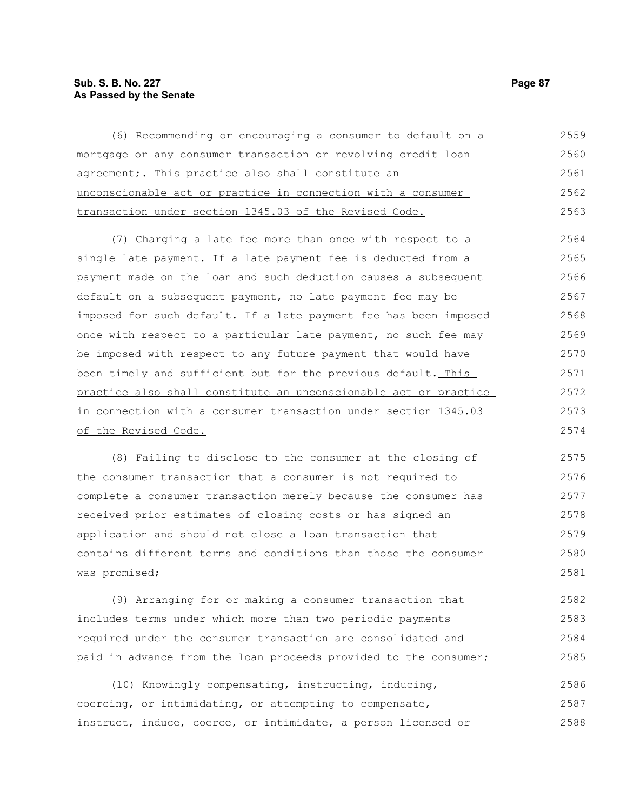## **Sub. S. B. No. 227 Page 87 As Passed by the Senate**

(6) Recommending or encouraging a consumer to default on a mortgage or any consumer transaction or revolving credit loan agreement<sub>?</sub>. This practice also shall constitute an unconscionable act or practice in connection with a consumer transaction under section 1345.03 of the Revised Code. 2559 2560 2561 2562 2563

(7) Charging a late fee more than once with respect to a single late payment. If a late payment fee is deducted from a payment made on the loan and such deduction causes a subsequent default on a subsequent payment, no late payment fee may be imposed for such default. If a late payment fee has been imposed once with respect to a particular late payment, no such fee may be imposed with respect to any future payment that would have been timely and sufficient but for the previous default. This practice also shall constitute an unconscionable act or practice in connection with a consumer transaction under section 1345.03 of the Revised Code. 2564 2565 2566 2567 2568 2569 2570 2571 2572 2573 2574

(8) Failing to disclose to the consumer at the closing of the consumer transaction that a consumer is not required to complete a consumer transaction merely because the consumer has received prior estimates of closing costs or has signed an application and should not close a loan transaction that contains different terms and conditions than those the consumer was promised; 2575 2576 2577 2578 2579 2580 2581

(9) Arranging for or making a consumer transaction that includes terms under which more than two periodic payments required under the consumer transaction are consolidated and paid in advance from the loan proceeds provided to the consumer; 2582 2583 2584 2585

(10) Knowingly compensating, instructing, inducing, coercing, or intimidating, or attempting to compensate, instruct, induce, coerce, or intimidate, a person licensed or 2586 2587 2588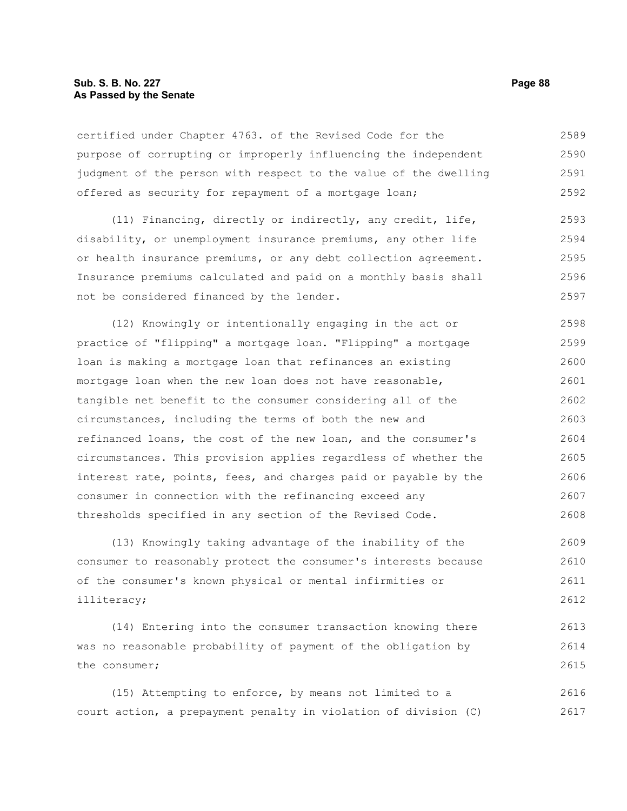# **Sub. S. B. No. 227 Page 88 As Passed by the Senate**

certified under Chapter 4763. of the Revised Code for the purpose of corrupting or improperly influencing the independent judgment of the person with respect to the value of the dwelling offered as security for repayment of a mortgage loan; 2589 2590 2591 2592

(11) Financing, directly or indirectly, any credit, life, disability, or unemployment insurance premiums, any other life or health insurance premiums, or any debt collection agreement. Insurance premiums calculated and paid on a monthly basis shall not be considered financed by the lender. 2593 2594 2595 2596 2597

(12) Knowingly or intentionally engaging in the act or practice of "flipping" a mortgage loan. "Flipping" a mortgage loan is making a mortgage loan that refinances an existing mortgage loan when the new loan does not have reasonable, tangible net benefit to the consumer considering all of the circumstances, including the terms of both the new and refinanced loans, the cost of the new loan, and the consumer's circumstances. This provision applies regardless of whether the interest rate, points, fees, and charges paid or payable by the consumer in connection with the refinancing exceed any thresholds specified in any section of the Revised Code. 2598 2599 2600 2601 2602 2603 2604 2605 2606 2607 2608

(13) Knowingly taking advantage of the inability of the consumer to reasonably protect the consumer's interests because of the consumer's known physical or mental infirmities or illiteracy; 2609 2610 2611 2612

(14) Entering into the consumer transaction knowing there was no reasonable probability of payment of the obligation by the consumer; 2613 2614 2615

(15) Attempting to enforce, by means not limited to a court action, a prepayment penalty in violation of division (C) 2616 2617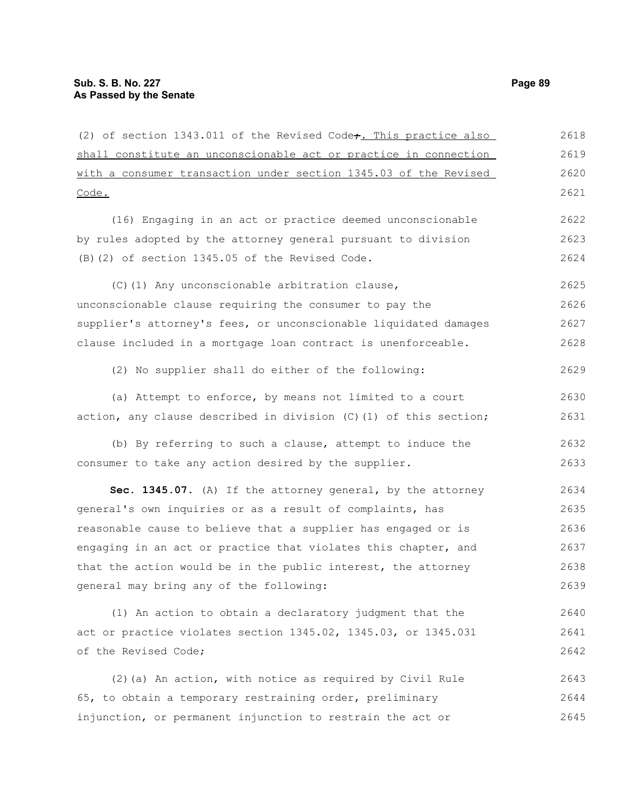| (2) of section 1343.011 of the Revised Code, This practice also   | 2618 |  |  |  |
|-------------------------------------------------------------------|------|--|--|--|
| shall constitute an unconscionable act or practice in connection  |      |  |  |  |
| with a consumer transaction under section 1345.03 of the Revised  |      |  |  |  |
| Code.                                                             | 2621 |  |  |  |
| (16) Engaging in an act or practice deemed unconscionable         | 2622 |  |  |  |
| by rules adopted by the attorney general pursuant to division     | 2623 |  |  |  |
| (B) (2) of section 1345.05 of the Revised Code.                   | 2624 |  |  |  |
| (C)(1) Any unconscionable arbitration clause,                     | 2625 |  |  |  |
| unconscionable clause requiring the consumer to pay the           |      |  |  |  |
| supplier's attorney's fees, or unconscionable liquidated damages  | 2627 |  |  |  |
| clause included in a mortgage loan contract is unenforceable.     | 2628 |  |  |  |
| (2) No supplier shall do either of the following:                 | 2629 |  |  |  |
| (a) Attempt to enforce, by means not limited to a court           | 2630 |  |  |  |
| action, any clause described in division (C) (1) of this section; | 2631 |  |  |  |
| (b) By referring to such a clause, attempt to induce the          | 2632 |  |  |  |
| consumer to take any action desired by the supplier.              | 2633 |  |  |  |
| Sec. 1345.07. (A) If the attorney general, by the attorney        | 2634 |  |  |  |
| general's own inquiries or as a result of complaints, has         | 2635 |  |  |  |
| reasonable cause to believe that a supplier has engaged or is     | 2636 |  |  |  |
| engaging in an act or practice that violates this chapter, and    | 2637 |  |  |  |
| that the action would be in the public interest, the attorney     | 2638 |  |  |  |
| general may bring any of the following:                           | 2639 |  |  |  |
| (1) An action to obtain a declaratory judgment that the           | 2640 |  |  |  |
| act or practice violates section 1345.02, 1345.03, or 1345.031    | 2641 |  |  |  |
| of the Revised Code;                                              | 2642 |  |  |  |
| (2) (a) An action, with notice as required by Civil Rule          | 2643 |  |  |  |
| 65, to obtain a temporary restraining order, preliminary          | 2644 |  |  |  |
| injunction, or permanent injunction to restrain the act or        | 2645 |  |  |  |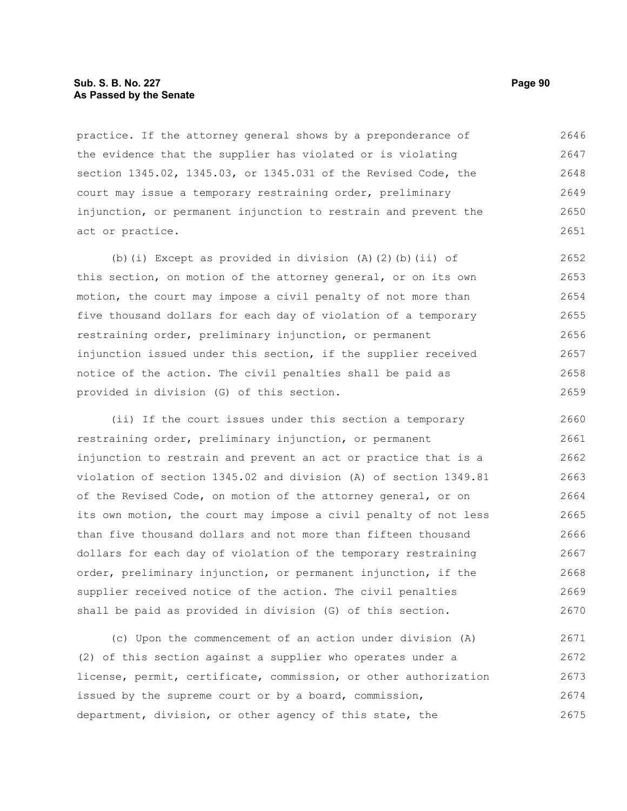# **Sub. S. B. No. 227 Page 90 As Passed by the Senate**

practice. If the attorney general shows by a preponderance of the evidence that the supplier has violated or is violating section 1345.02, 1345.03, or 1345.031 of the Revised Code, the court may issue a temporary restraining order, preliminary injunction, or permanent injunction to restrain and prevent the act or practice. 2646 2647 2648 2649 2650 2651

(b)(i) Except as provided in division (A)(2)(b)(ii) of this section, on motion of the attorney general, or on its own motion, the court may impose a civil penalty of not more than five thousand dollars for each day of violation of a temporary restraining order, preliminary injunction, or permanent injunction issued under this section, if the supplier received notice of the action. The civil penalties shall be paid as provided in division (G) of this section. 2652 2653 2654 2655 2656 2657 2658 2659

(ii) If the court issues under this section a temporary restraining order, preliminary injunction, or permanent injunction to restrain and prevent an act or practice that is a violation of section 1345.02 and division (A) of section 1349.81 of the Revised Code, on motion of the attorney general, or on its own motion, the court may impose a civil penalty of not less than five thousand dollars and not more than fifteen thousand dollars for each day of violation of the temporary restraining order, preliminary injunction, or permanent injunction, if the supplier received notice of the action. The civil penalties shall be paid as provided in division (G) of this section. 2660 2661 2662 2663 2664 2665 2666 2667 2668 2669 2670

(c) Upon the commencement of an action under division (A) (2) of this section against a supplier who operates under a license, permit, certificate, commission, or other authorization issued by the supreme court or by a board, commission, department, division, or other agency of this state, the 2671 2672 2673 2674 2675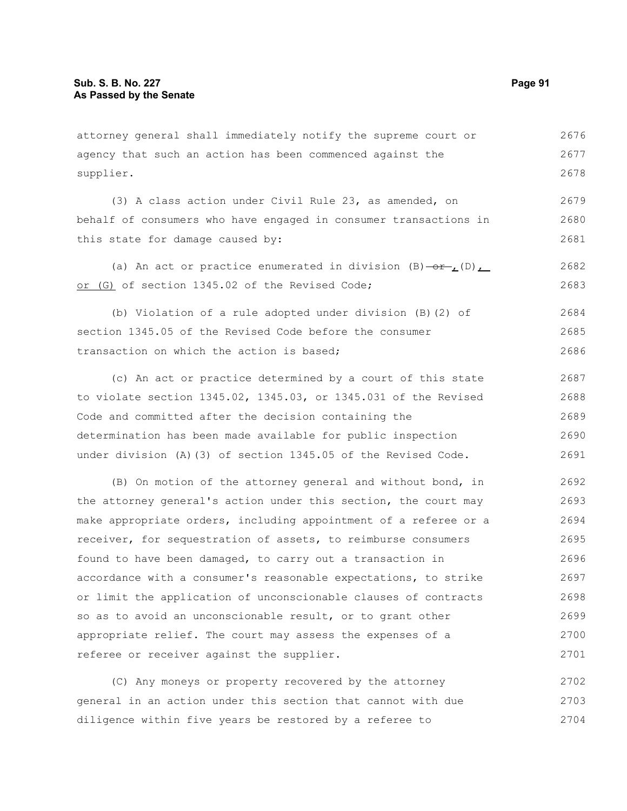attorney general shall immediately notify the supreme court or agency that such an action has been commenced against the supplier. (3) A class action under Civil Rule 23, as amended, on behalf of consumers who have engaged in consumer transactions in this state for damage caused by: (a) An act or practice enumerated in division  $(B)$  -or  $_L(D)$   $\overline{\phantom{L}}$ or (G) of section 1345.02 of the Revised Code; (b) Violation of a rule adopted under division (B)(2) of section 1345.05 of the Revised Code before the consumer transaction on which the action is based; (c) An act or practice determined by a court of this state to violate section 1345.02, 1345.03, or 1345.031 of the Revised Code and committed after the decision containing the determination has been made available for public inspection under division (A)(3) of section 1345.05 of the Revised Code. (B) On motion of the attorney general and without bond, in the attorney general's action under this section, the court may make appropriate orders, including appointment of a referee or a receiver, for sequestration of assets, to reimburse consumers found to have been damaged, to carry out a transaction in accordance with a consumer's reasonable expectations, to strike or limit the application of unconscionable clauses of contracts so as to avoid an unconscionable result, or to grant other appropriate relief. The court may assess the expenses of a referee or receiver against the supplier. (C) Any moneys or property recovered by the attorney general in an action under this section that cannot with due 2676 2677 2678 2679 2680 2681 2682 2683 2684 2685 2686 2687 2688 2689 2690 2691 2692 2693 2694 2695 2696 2697 2698 2699 2700 2701 2702 2703

diligence within five years be restored by a referee to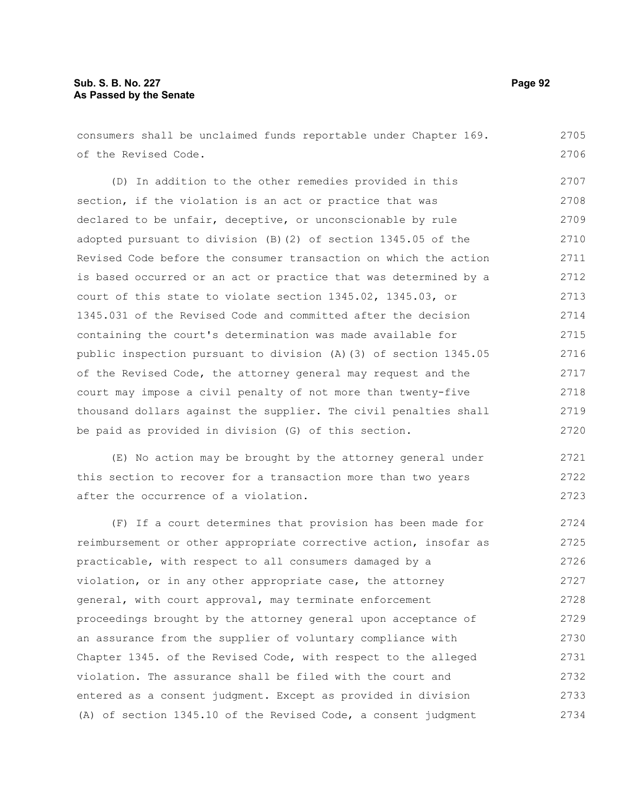consumers shall be unclaimed funds reportable under Chapter 169. of the Revised Code.

(D) In addition to the other remedies provided in this section, if the violation is an act or practice that was declared to be unfair, deceptive, or unconscionable by rule adopted pursuant to division (B)(2) of section 1345.05 of the Revised Code before the consumer transaction on which the action is based occurred or an act or practice that was determined by a court of this state to violate section 1345.02, 1345.03, or 1345.031 of the Revised Code and committed after the decision containing the court's determination was made available for public inspection pursuant to division (A)(3) of section 1345.05 of the Revised Code, the attorney general may request and the court may impose a civil penalty of not more than twenty-five thousand dollars against the supplier. The civil penalties shall be paid as provided in division (G) of this section. 2707 2708 2709 2710 2711 2712 2713 2714 2715 2716 2717 2718 2719 2720

(E) No action may be brought by the attorney general under this section to recover for a transaction more than two years after the occurrence of a violation. 2721 2722 2723

(F) If a court determines that provision has been made for reimbursement or other appropriate corrective action, insofar as practicable, with respect to all consumers damaged by a violation, or in any other appropriate case, the attorney general, with court approval, may terminate enforcement proceedings brought by the attorney general upon acceptance of an assurance from the supplier of voluntary compliance with Chapter 1345. of the Revised Code, with respect to the alleged violation. The assurance shall be filed with the court and entered as a consent judgment. Except as provided in division (A) of section 1345.10 of the Revised Code, a consent judgment 2724 2725 2726 2727 2728 2729 2730 2731 2732 2733 2734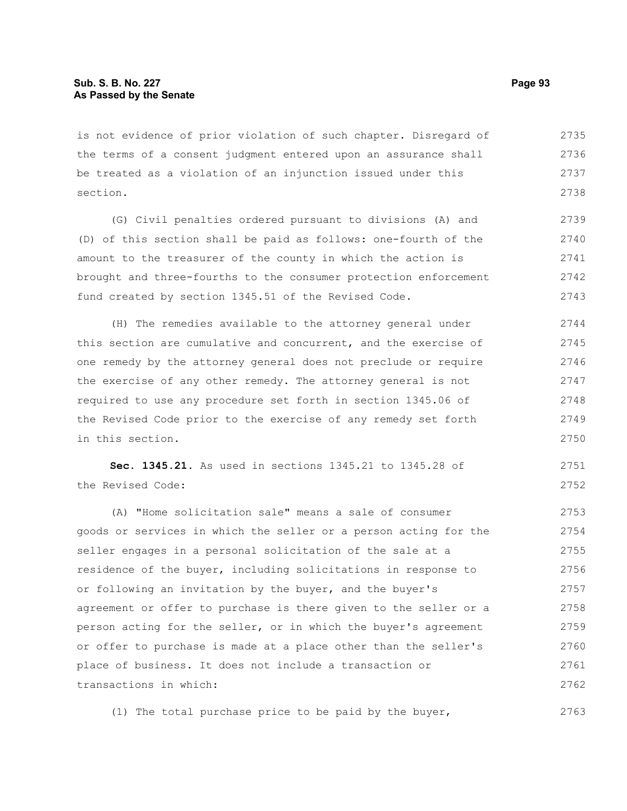is not evidence of prior violation of such chapter. Disregard of the terms of a consent judgment entered upon an assurance shall be treated as a violation of an injunction issued under this section. 2735 2736 2737 2738

(G) Civil penalties ordered pursuant to divisions (A) and (D) of this section shall be paid as follows: one-fourth of the amount to the treasurer of the county in which the action is brought and three-fourths to the consumer protection enforcement fund created by section 1345.51 of the Revised Code. 2739 2740 2741 2742 2743

(H) The remedies available to the attorney general under this section are cumulative and concurrent, and the exercise of one remedy by the attorney general does not preclude or require the exercise of any other remedy. The attorney general is not required to use any procedure set forth in section 1345.06 of the Revised Code prior to the exercise of any remedy set forth in this section. 2744 2745 2746 2747 2748 2749 2750

**Sec. 1345.21.** As used in sections 1345.21 to 1345.28 of the Revised Code: 2751 2752

(A) "Home solicitation sale" means a sale of consumer goods or services in which the seller or a person acting for the seller engages in a personal solicitation of the sale at a residence of the buyer, including solicitations in response to or following an invitation by the buyer, and the buyer's agreement or offer to purchase is there given to the seller or a person acting for the seller, or in which the buyer's agreement or offer to purchase is made at a place other than the seller's place of business. It does not include a transaction or transactions in which: 2753 2754 2755 2756 2757 2758 2759 2760 2761 2762

(1) The total purchase price to be paid by the buyer,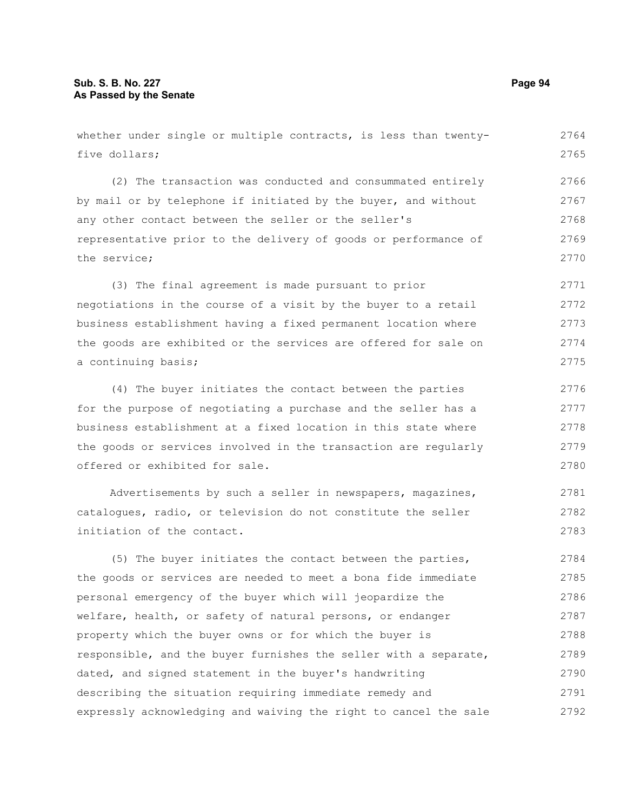whether under single or multiple contracts, is less than twentyfive dollars; (2) The transaction was conducted and consummated entirely by mail or by telephone if initiated by the buyer, and without any other contact between the seller or the seller's representative prior to the delivery of goods or performance of the service; (3) The final agreement is made pursuant to prior negotiations in the course of a visit by the buyer to a retail business establishment having a fixed permanent location where the goods are exhibited or the services are offered for sale on a continuing basis; (4) The buyer initiates the contact between the parties for the purpose of negotiating a purchase and the seller has a 2764 2765 2766 2767 2768 2769 2770 2771 2772 2773 2774 2775 2776 2777

business establishment at a fixed location in this state where the goods or services involved in the transaction are regularly offered or exhibited for sale. 2778 2779 2780

Advertisements by such a seller in newspapers, magazines, catalogues, radio, or television do not constitute the seller initiation of the contact. 2781 2782 2783

(5) The buyer initiates the contact between the parties, the goods or services are needed to meet a bona fide immediate personal emergency of the buyer which will jeopardize the welfare, health, or safety of natural persons, or endanger property which the buyer owns or for which the buyer is responsible, and the buyer furnishes the seller with a separate, dated, and signed statement in the buyer's handwriting describing the situation requiring immediate remedy and expressly acknowledging and waiving the right to cancel the sale 2784 2785 2786 2787 2788 2789 2790 2791 2792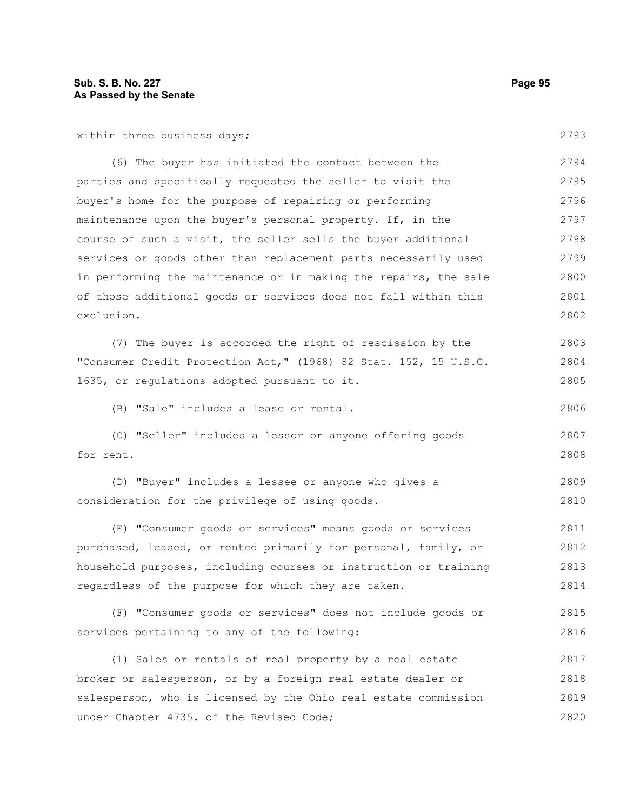within three business days;

(6) The buyer has initiated the contact between the parties and specifically requested the seller to visit the buyer's home for the purpose of repairing or performing maintenance upon the buyer's personal property. If, in the course of such a visit, the seller sells the buyer additional services or goods other than replacement parts necessarily used in performing the maintenance or in making the repairs, the sale of those additional goods or services does not fall within this exclusion. 2794 2795 2796 2797 2798 2799 2800 2801 2802

(7) The buyer is accorded the right of rescission by the "Consumer Credit Protection Act," (1968) 82 Stat. 152, 15 U.S.C. 1635, or regulations adopted pursuant to it. 2803 2804 2805

(B) "Sale" includes a lease or rental.

(C) "Seller" includes a lessor or anyone offering goods for rent. 2807 2808

(D) "Buyer" includes a lessee or anyone who gives a consideration for the privilege of using goods. 2809 2810

(E) "Consumer goods or services" means goods or services purchased, leased, or rented primarily for personal, family, or household purposes, including courses or instruction or training regardless of the purpose for which they are taken. 2811 2812 2813 2814

(F) "Consumer goods or services" does not include goods or services pertaining to any of the following: 2815 2816

(1) Sales or rentals of real property by a real estate broker or salesperson, or by a foreign real estate dealer or salesperson, who is licensed by the Ohio real estate commission under Chapter 4735. of the Revised Code; 2817 2818 2819 2820

2793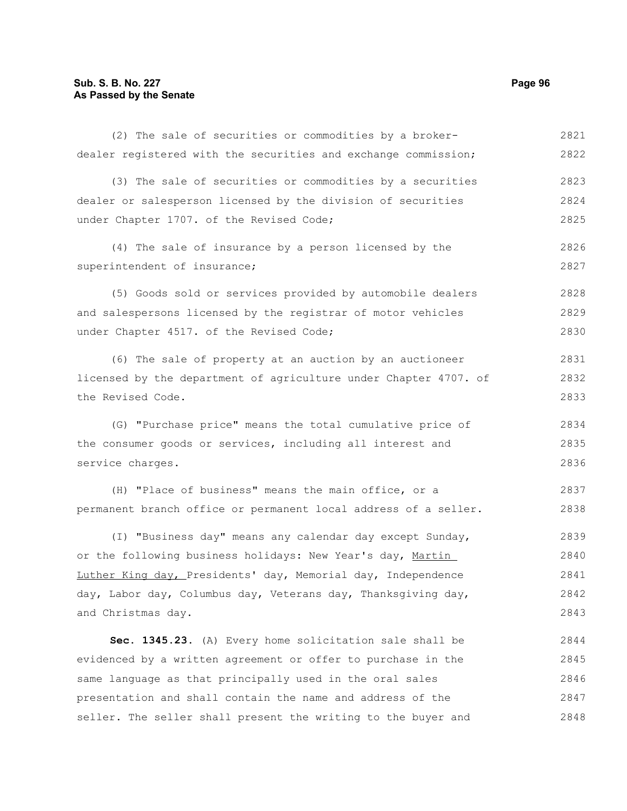# **Sub. S. B. No. 227 Page 96 As Passed by the Senate**

| (2) The sale of securities or commodities by a broker-           | 2821 |
|------------------------------------------------------------------|------|
| dealer registered with the securities and exchange commission;   | 2822 |
| (3) The sale of securities or commodities by a securities        | 2823 |
| dealer or salesperson licensed by the division of securities     | 2824 |
| under Chapter 1707. of the Revised Code;                         | 2825 |
| (4) The sale of insurance by a person licensed by the            | 2826 |
| superintendent of insurance;                                     | 2827 |
| (5) Goods sold or services provided by automobile dealers        | 2828 |
| and salespersons licensed by the registrar of motor vehicles     | 2829 |
| under Chapter 4517. of the Revised Code;                         | 2830 |
| (6) The sale of property at an auction by an auctioneer          | 2831 |
| licensed by the department of agriculture under Chapter 4707. of | 2832 |
| the Revised Code.                                                | 2833 |
| (G) "Purchase price" means the total cumulative price of         | 2834 |
| the consumer goods or services, including all interest and       | 2835 |
| service charges.                                                 | 2836 |
| (H) "Place of business" means the main office, or a              | 2837 |
| permanent branch office or permanent local address of a seller.  | 2838 |
| (I) "Business day" means any calendar day except Sunday,         | 2839 |
| or the following business holidays: New Year's day, Martin       | 2840 |
| Luther King day, Presidents' day, Memorial day, Independence     | 2841 |
| day, Labor day, Columbus day, Veterans day, Thanksgiving day,    | 2842 |
| and Christmas day.                                               | 2843 |
| Sec. 1345.23. (A) Every home solicitation sale shall be          | 2844 |
| evidenced by a written agreement or offer to purchase in the     | 2845 |
| same language as that principally used in the oral sales         | 2846 |
| presentation and shall contain the name and address of the       | 2847 |
| seller. The seller shall present the writing to the buyer and    | 2848 |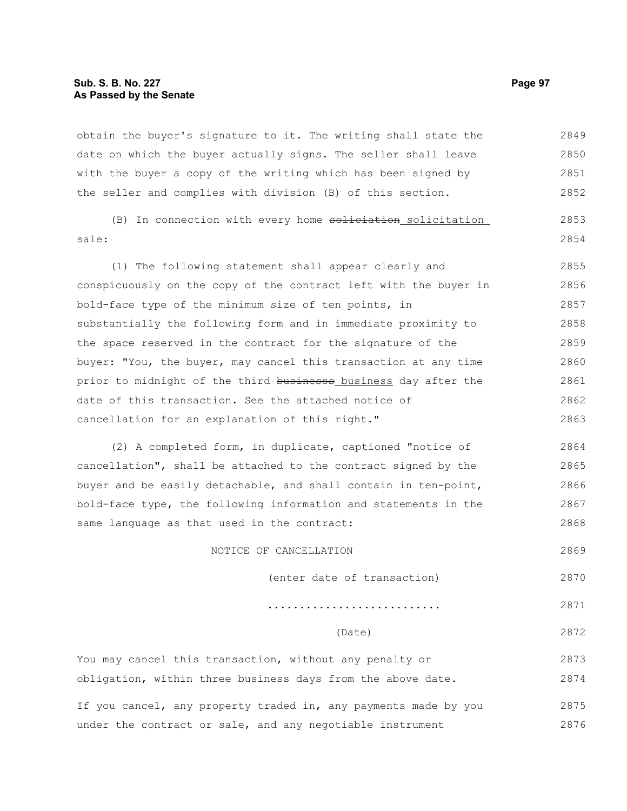# **Sub. S. B. No. 227 Page 97 As Passed by the Senate**

obtain the buyer's signature to it. The writing shall state the date on which the buyer actually signs. The seller shall leave with the buyer a copy of the writing which has been signed by the seller and complies with division (B) of this section. 2849 2850 2851 2852

(B) In connection with every home solicitation solicitation sale: 2853 2854

(1) The following statement shall appear clearly and conspicuously on the copy of the contract left with the buyer in bold-face type of the minimum size of ten points, in substantially the following form and in immediate proximity to the space reserved in the contract for the signature of the buyer: "You, the buyer, may cancel this transaction at any time prior to midnight of the third businesss business day after the date of this transaction. See the attached notice of cancellation for an explanation of this right." 2855 2856 2857 2858 2859 2860 2861 2862 2863

(2) A completed form, in duplicate, captioned "notice of cancellation", shall be attached to the contract signed by the buyer and be easily detachable, and shall contain in ten-point, bold-face type, the following information and statements in the same language as that used in the contract: 2864 2865 2866 2867 2868

> NOTICE OF CANCELLATION 2869

> > (enter date of transaction) 2870

- ........................... 2871
	- (Date) 2872

You may cancel this transaction, without any penalty or obligation, within three business days from the above date. If you cancel, any property traded in, any payments made by you under the contract or sale, and any negotiable instrument 2873 2874 2875 2876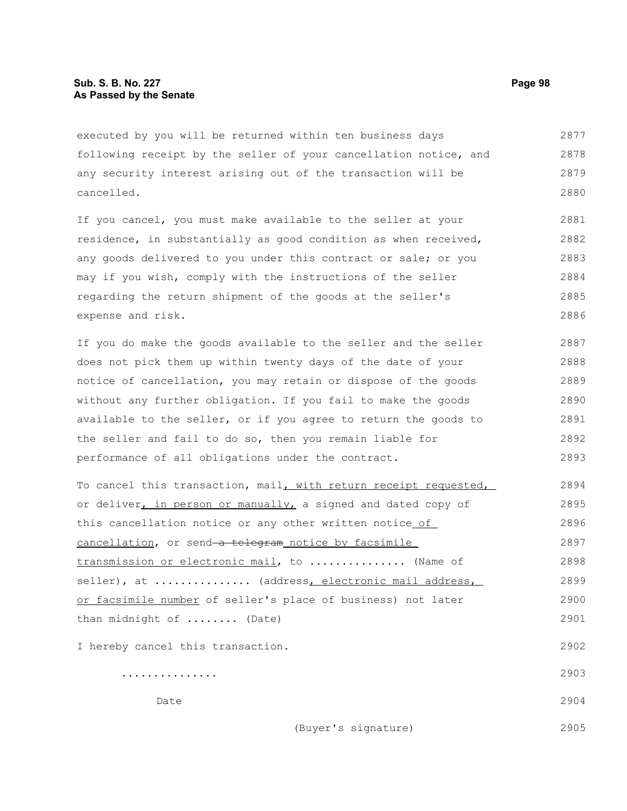# **Sub. S. B. No. 227 Page 98 As Passed by the Senate**

executed by you will be returned within ten business days following receipt by the seller of your cancellation notice, and any security interest arising out of the transaction will be cancelled. 2877 2878 2879 2880

If you cancel, you must make available to the seller at your residence, in substantially as good condition as when received, any goods delivered to you under this contract or sale; or you may if you wish, comply with the instructions of the seller regarding the return shipment of the goods at the seller's expense and risk. 2881 2882 2883 2884 2885 2886

If you do make the goods available to the seller and the seller does not pick them up within twenty days of the date of your notice of cancellation, you may retain or dispose of the goods without any further obligation. If you fail to make the goods available to the seller, or if you agree to return the goods to the seller and fail to do so, then you remain liable for performance of all obligations under the contract. 2887 2888 2889 2890 2891 2892 2893

To cancel this transaction, mail, with return receipt requested, or deliver, in person or manually, a signed and dated copy of this cancellation notice or any other written notice of cancellation, or send a telegram notice by facsimile transmission or electronic mail, to ............... (Name of seller), at ............... (address, electronic mail address, or facsimile number of seller's place of business) not later than midnight of ........ (Date) 2894 2895 2896 2897 2898 2899 2900 2901

I hereby cancel this transaction.

...............

Date 2904

> (Buyer's signature) 2905

2902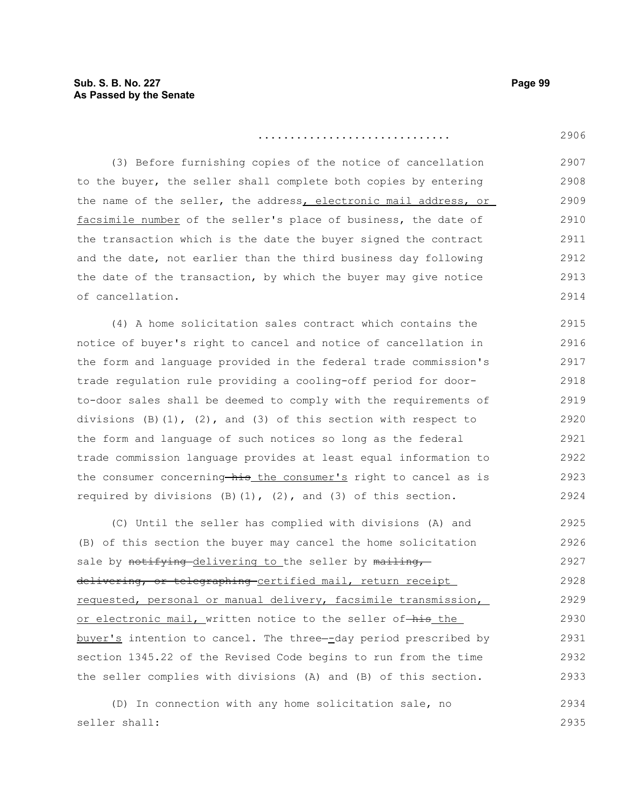2906

..............................

(3) Before furnishing copies of the notice of cancellation to the buyer, the seller shall complete both copies by entering the name of the seller, the address, electronic mail address, or facsimile number of the seller's place of business, the date of the transaction which is the date the buyer signed the contract and the date, not earlier than the third business day following the date of the transaction, by which the buyer may give notice of cancellation. 2907 2908 2909 2910 2911 2912 2913 2914

(4) A home solicitation sales contract which contains the notice of buyer's right to cancel and notice of cancellation in the form and language provided in the federal trade commission's trade regulation rule providing a cooling-off period for doorto-door sales shall be deemed to comply with the requirements of divisions  $(B)(1)$ ,  $(2)$ , and  $(3)$  of this section with respect to the form and language of such notices so long as the federal trade commission language provides at least equal information to the consumer concerning-his the consumer's right to cancel as is required by divisions  $(B)$   $(1)$ ,  $(2)$ , and  $(3)$  of this section. 2915 2916 2917 2918 2919 2920 2921 2922 2923 2924

(C) Until the seller has complied with divisions (A) and (B) of this section the buyer may cancel the home solicitation sale by notifying-delivering to the seller by mailing, delivering, or telegraphing certified mail, return receipt requested, personal or manual delivery, facsimile transmission, or electronic mail, written notice to the seller of-his the buyer's intention to cancel. The three--day period prescribed by section 1345.22 of the Revised Code begins to run from the time the seller complies with divisions (A) and (B) of this section. 2925 2926 2927 2928 2929 2930 2931 2932 2933

(D) In connection with any home solicitation sale, no seller shall: 2934 2935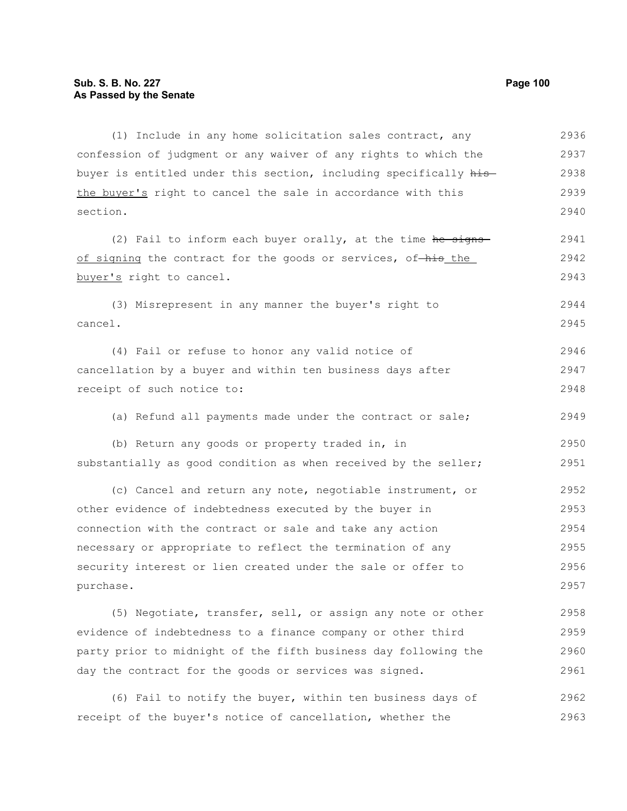## **Sub. S. B. No. 227 Page 100 As Passed by the Senate**

(1) Include in any home solicitation sales contract, any confession of judgment or any waiver of any rights to which the buyer is entitled under this section, including specifically histhe buyer's right to cancel the sale in accordance with this section. 2936 2937 2938 2939 2940

(2) Fail to inform each buyer orally, at the time  $he$  signsof signing the contract for the goods or services, of-his the buyer's right to cancel.

(3) Misrepresent in any manner the buyer's right to cancel.

(4) Fail or refuse to honor any valid notice of cancellation by a buyer and within ten business days after receipt of such notice to: 2946 2947 2948

(a) Refund all payments made under the contract or sale; 2949

(b) Return any goods or property traded in, in substantially as good condition as when received by the seller; 2950 2951

(c) Cancel and return any note, negotiable instrument, or other evidence of indebtedness executed by the buyer in connection with the contract or sale and take any action necessary or appropriate to reflect the termination of any security interest or lien created under the sale or offer to purchase. 2952 2953 2954 2955 2956 2957

(5) Negotiate, transfer, sell, or assign any note or other evidence of indebtedness to a finance company or other third party prior to midnight of the fifth business day following the day the contract for the goods or services was signed. 2958 2959 2960 2961

(6) Fail to notify the buyer, within ten business days of receipt of the buyer's notice of cancellation, whether the 2962 2963

2941 2942 2943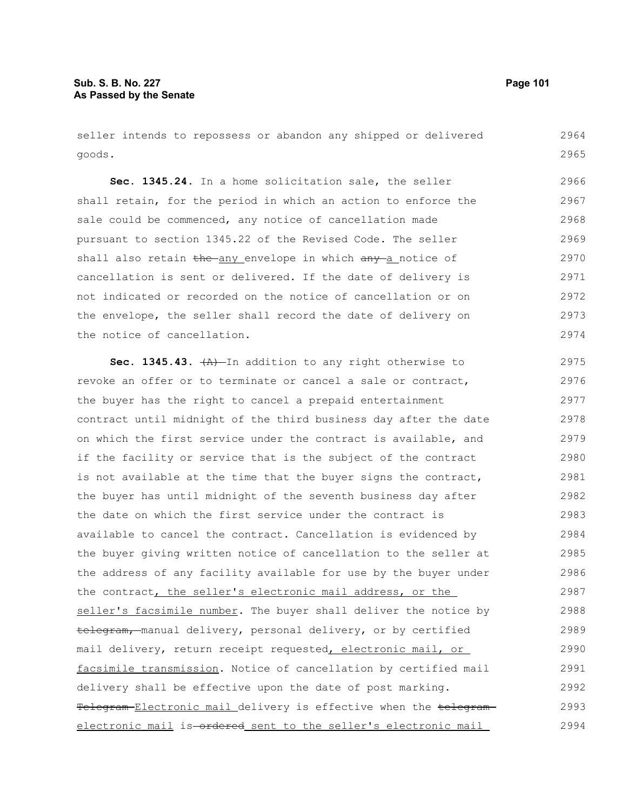seller intends to repossess or abandon any shipped or delivered goods.

**Sec. 1345.24.** In a home solicitation sale, the seller shall retain, for the period in which an action to enforce the sale could be commenced, any notice of cancellation made pursuant to section 1345.22 of the Revised Code. The seller shall also retain the any envelope in which any a notice of cancellation is sent or delivered. If the date of delivery is not indicated or recorded on the notice of cancellation or on the envelope, the seller shall record the date of delivery on the notice of cancellation. 2966 2967 2968 2969 2970 2971 2972 2973 2974

Sec. 1345.43.  $\overline{(A)}$  In addition to any right otherwise to revoke an offer or to terminate or cancel a sale or contract, the buyer has the right to cancel a prepaid entertainment contract until midnight of the third business day after the date on which the first service under the contract is available, and if the facility or service that is the subject of the contract is not available at the time that the buyer signs the contract, the buyer has until midnight of the seventh business day after the date on which the first service under the contract is available to cancel the contract. Cancellation is evidenced by the buyer giving written notice of cancellation to the seller at the address of any facility available for use by the buyer under the contract, the seller's electronic mail address, or the seller's facsimile number. The buyer shall deliver the notice by telegram, manual delivery, personal delivery, or by certified mail delivery, return receipt requested, electronic mail, or facsimile transmission. Notice of cancellation by certified mail delivery shall be effective upon the date of post marking. Telegram-Electronic mail delivery is effective when the telegramelectronic mail is-ordered sent to the seller's electronic mail 2975 2976 2977 2978 2979 2980 2981 2982 2983 2984 2985 2986 2987 2988 2989 2990 2991 2992 2993 2994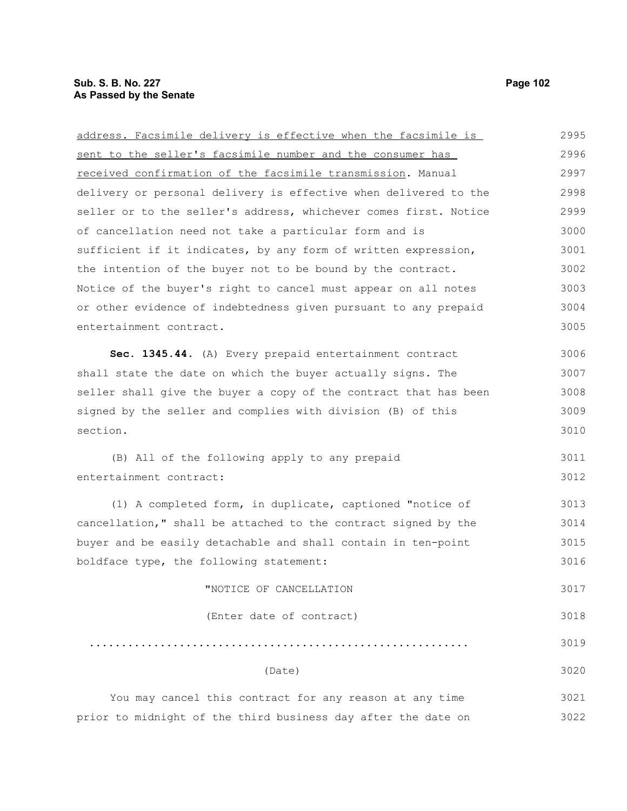address. Facsimile delivery is effective when the facsimile is sent to the seller's facsimile number and the consumer has received confirmation of the facsimile transmission. Manual delivery or personal delivery is effective when delivered to the seller or to the seller's address, whichever comes first. Notice of cancellation need not take a particular form and is sufficient if it indicates, by any form of written expression, the intention of the buyer not to be bound by the contract. Notice of the buyer's right to cancel must appear on all notes or other evidence of indebtedness given pursuant to any prepaid entertainment contract. **Sec. 1345.44.** (A) Every prepaid entertainment contract shall state the date on which the buyer actually signs. The seller shall give the buyer a copy of the contract that has been signed by the seller and complies with division (B) of this section. (B) All of the following apply to any prepaid entertainment contract: (1) A completed form, in duplicate, captioned "notice of cancellation," shall be attached to the contract signed by the buyer and be easily detachable and shall contain in ten-point boldface type, the following statement: "NOTICE OF CANCELLATION (Enter date of contract) ........................................................... (Date) 2995 2996 2997 2998 2999 3000 3001 3002 3003 3004 3005 3006 3007 3008 3009 3010 3011 3012 3013 3014 3015 3016 3017 3018 3019 3020

You may cancel this contract for any reason at any time prior to midnight of the third business day after the date on 3021 3022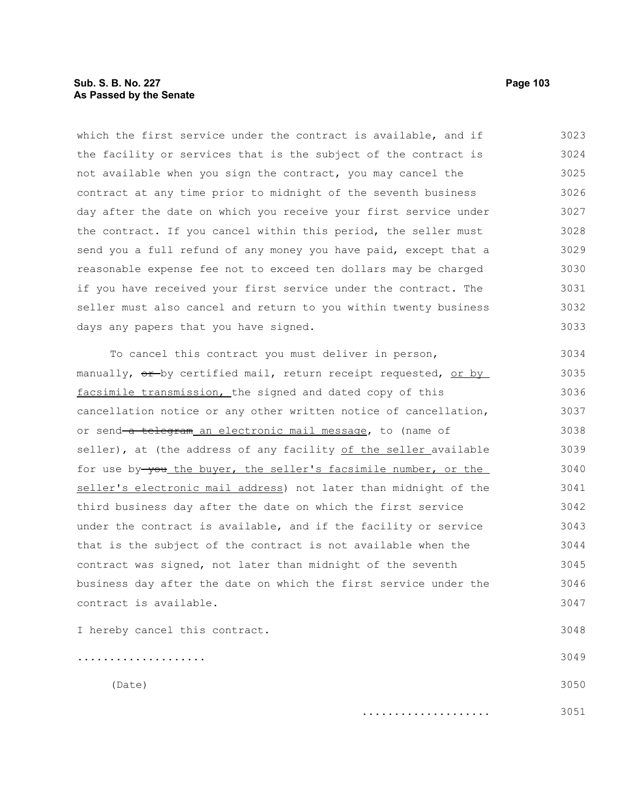# **Sub. S. B. No. 227 Page 103 As Passed by the Senate**

which the first service under the contract is available, and if the facility or services that is the subject of the contract is not available when you sign the contract, you may cancel the contract at any time prior to midnight of the seventh business day after the date on which you receive your first service under the contract. If you cancel within this period, the seller must send you a full refund of any money you have paid, except that a reasonable expense fee not to exceed ten dollars may be charged if you have received your first service under the contract. The seller must also cancel and return to you within twenty business days any papers that you have signed. 3023 3024 3025 3026 3027 3028 3029 3030 3031 3032 3033

To cancel this contract you must deliver in person, manually, or-by certified mail, return receipt requested, or by facsimile transmission, the signed and dated copy of this cancellation notice or any other written notice of cancellation, or send-a telegram an electronic mail message, to (name of seller), at (the address of any facility of the seller available for use by-you the buyer, the seller's facsimile number, or the seller's electronic mail address) not later than midnight of the third business day after the date on which the first service under the contract is available, and if the facility or service that is the subject of the contract is not available when the contract was signed, not later than midnight of the seventh business day after the date on which the first service under the contract is available. 3034 3035 3036 3037 3038 3039 3040 3041 3042 3043 3044 3045 3046 3047

....................

I hereby cancel this contract.

3048 3049 3050

3051

(Date)

....................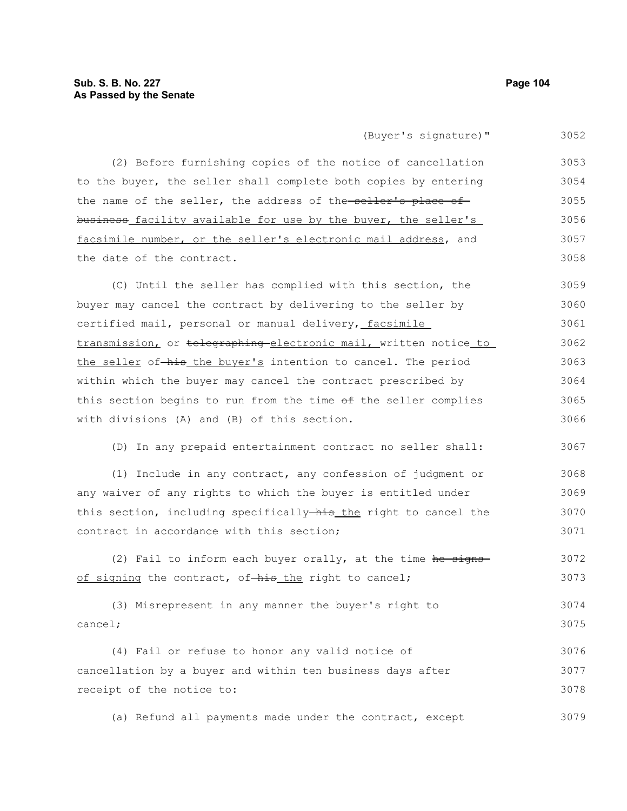(Buyer's signature)" 3052

(2) Before furnishing copies of the notice of cancellation to the buyer, the seller shall complete both copies by entering the name of the seller, the address of the seller's place of business facility available for use by the buyer, the seller's facsimile number, or the seller's electronic mail address, and the date of the contract. 3053 3054 3055 3056 3057 3058

(C) Until the seller has complied with this section, the buyer may cancel the contract by delivering to the seller by certified mail, personal or manual delivery, facsimile transmission, or telegraphing electronic mail, written notice to the seller of-his the buyer's intention to cancel. The period within which the buyer may cancel the contract prescribed by this section begins to run from the time of the seller complies with divisions (A) and (B) of this section. 3059 3060 3061 3062 3063 3064 3065 3066

(D) In any prepaid entertainment contract no seller shall: 3067

(1) Include in any contract, any confession of judgment or any waiver of any rights to which the buyer is entitled under this section, including specifically his the right to cancel the contract in accordance with this section; 3068 3069 3070 3071

(2) Fail to inform each buyer orally, at the time  $he$  signsof signing the contract, of-his the right to cancel; 3072 3073

(3) Misrepresent in any manner the buyer's right to cancel; 3074 3075

(4) Fail or refuse to honor any valid notice of cancellation by a buyer and within ten business days after receipt of the notice to: 3076 3077 3078

(a) Refund all payments made under the contract, except 3079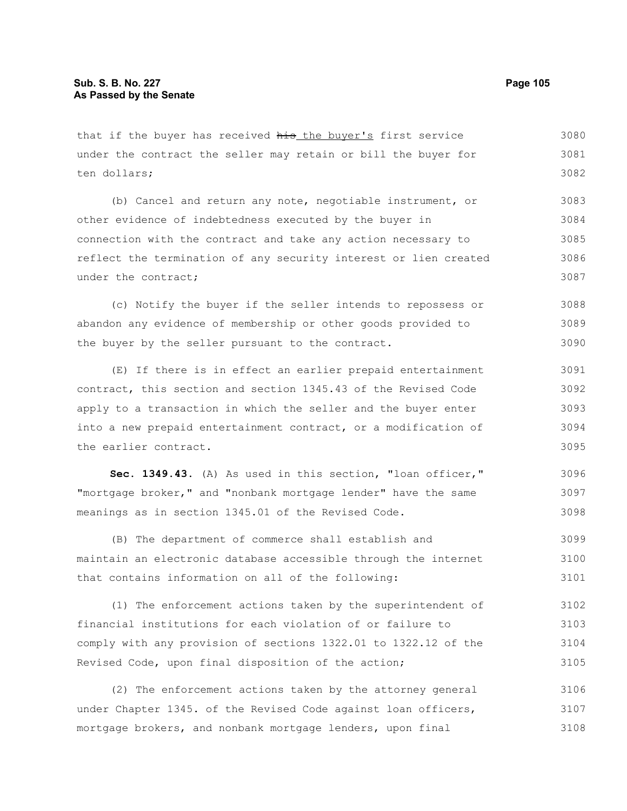that if the buyer has received his the buyer's first service under the contract the seller may retain or bill the buyer for ten dollars; 3080 3081 3082

(b) Cancel and return any note, negotiable instrument, or other evidence of indebtedness executed by the buyer in connection with the contract and take any action necessary to reflect the termination of any security interest or lien created under the contract; 3083 3084 3085 3086 3087

(c) Notify the buyer if the seller intends to repossess or abandon any evidence of membership or other goods provided to the buyer by the seller pursuant to the contract. 3088 3089 3090

(E) If there is in effect an earlier prepaid entertainment contract, this section and section 1345.43 of the Revised Code apply to a transaction in which the seller and the buyer enter into a new prepaid entertainment contract, or a modification of the earlier contract. 3091 3092 3093 3094 3095

**Sec. 1349.43.** (A) As used in this section, "loan officer," "mortgage broker," and "nonbank mortgage lender" have the same meanings as in section 1345.01 of the Revised Code. 3096 3097 3098

(B) The department of commerce shall establish and maintain an electronic database accessible through the internet that contains information on all of the following: 3099 3100 3101

(1) The enforcement actions taken by the superintendent of financial institutions for each violation of or failure to comply with any provision of sections 1322.01 to 1322.12 of the Revised Code, upon final disposition of the action; 3102 3103 3104 3105

(2) The enforcement actions taken by the attorney general under Chapter 1345. of the Revised Code against loan officers, mortgage brokers, and nonbank mortgage lenders, upon final 3106 3107 3108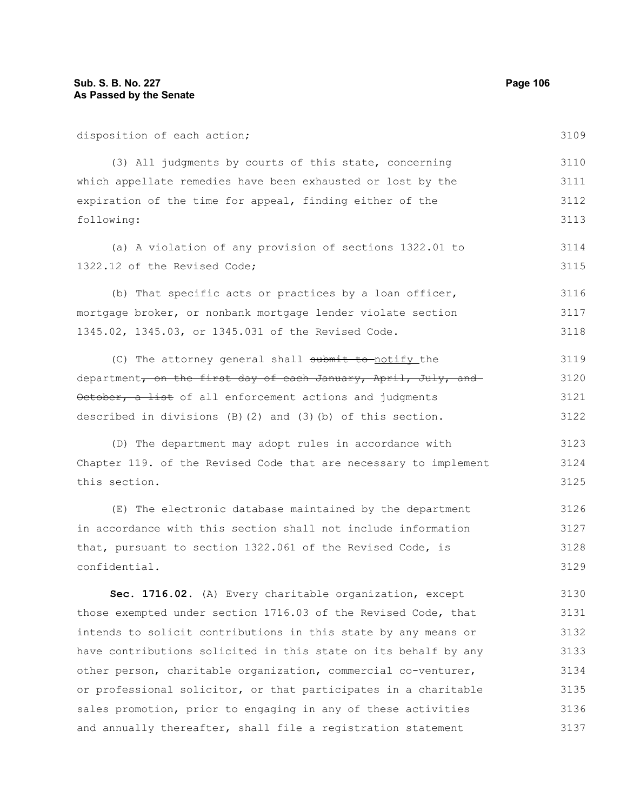| disposition of each action;                                                 |
|-----------------------------------------------------------------------------|
| (3) All judgments by courts of this state, concerning                       |
| which appellate remedies have been exhausted or lost by the                 |
| expiration of the time for appeal, finding either of the                    |
| following:                                                                  |
| (a) A violation of any provision of sections 1322.01 to                     |
| 1322.12 of the Revised Code;                                                |
| (b) That specific acts or practices by a loan officer,                      |
| mortgage broker, or nonbank mortgage lender violate section                 |
| 1345.02, 1345.03, or 1345.031 of the Revised Code.                          |
| (C) The attorney general shall submit to notify the                         |
| department <del>, on the first day of each January, April, July, and-</del> |
| <del>October, a list</del> of all enforcement actions and judgments         |
| described in divisions $(B)$ $(2)$ and $(3)$ $(b)$ of this section.         |
| (D) The department may adopt rules in accordance with                       |
| Chapter 119. of the Revised Code that are necessary to implement            |
| this section.                                                               |
| (E) The electronic database maintained by the department                    |
| in accordance with this section shall not include information               |
| that, pursuant to section 1322.061 of the Revised Code, is                  |
| confidential.                                                               |
| Sec. 1716.02. (A) Every charitable organization, except                     |
| those exempted under section 1716.03 of the Revised Code, that              |
| intends to solicit contributions in this state by any means or              |
| have contributions solicited in this state on its behalf by any             |
| other person, charitable organization, commercial co-venturer,              |

or professional solicitor, or that participates in a charitable sales promotion, prior to engaging in any of these activities and annually thereafter, shall file a registration statement 3134 3135 3136 3137

3109

3114 3115

3116 3117 3118

3123 3124 3125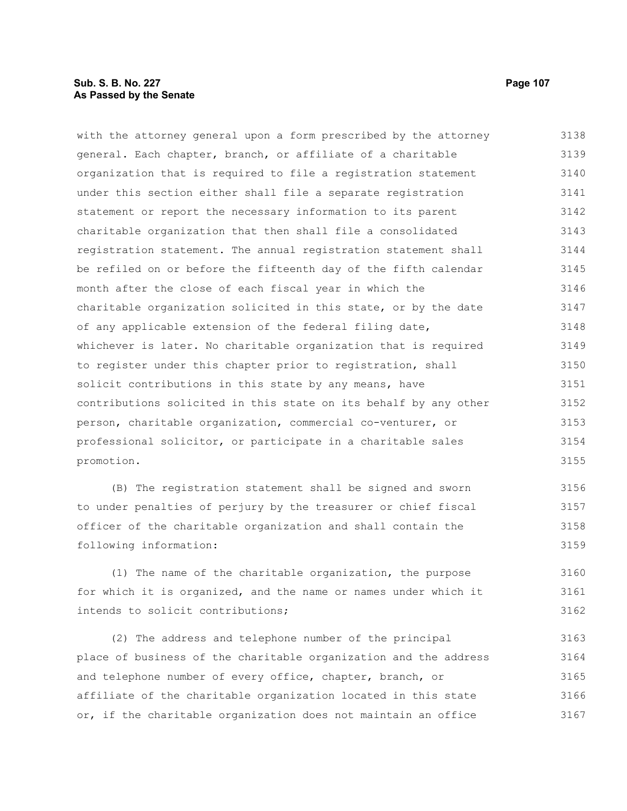# **Sub. S. B. No. 227 Page 107 As Passed by the Senate**

with the attorney general upon a form prescribed by the attorney general. Each chapter, branch, or affiliate of a charitable organization that is required to file a registration statement under this section either shall file a separate registration statement or report the necessary information to its parent charitable organization that then shall file a consolidated registration statement. The annual registration statement shall be refiled on or before the fifteenth day of the fifth calendar month after the close of each fiscal year in which the charitable organization solicited in this state, or by the date of any applicable extension of the federal filing date, whichever is later. No charitable organization that is required to register under this chapter prior to registration, shall solicit contributions in this state by any means, have contributions solicited in this state on its behalf by any other person, charitable organization, commercial co-venturer, or professional solicitor, or participate in a charitable sales promotion. 3138 3139 3140 3141 3142 3143 3144 3145 3146 3147 3148 3149 3150 3151 3152 3153 3154 3155

(B) The registration statement shall be signed and sworn to under penalties of perjury by the treasurer or chief fiscal officer of the charitable organization and shall contain the following information: 3156 3157 3158 3159

(1) The name of the charitable organization, the purpose for which it is organized, and the name or names under which it intends to solicit contributions; 3160 3161 3162

(2) The address and telephone number of the principal place of business of the charitable organization and the address and telephone number of every office, chapter, branch, or affiliate of the charitable organization located in this state or, if the charitable organization does not maintain an office 3163 3164 3165 3166 3167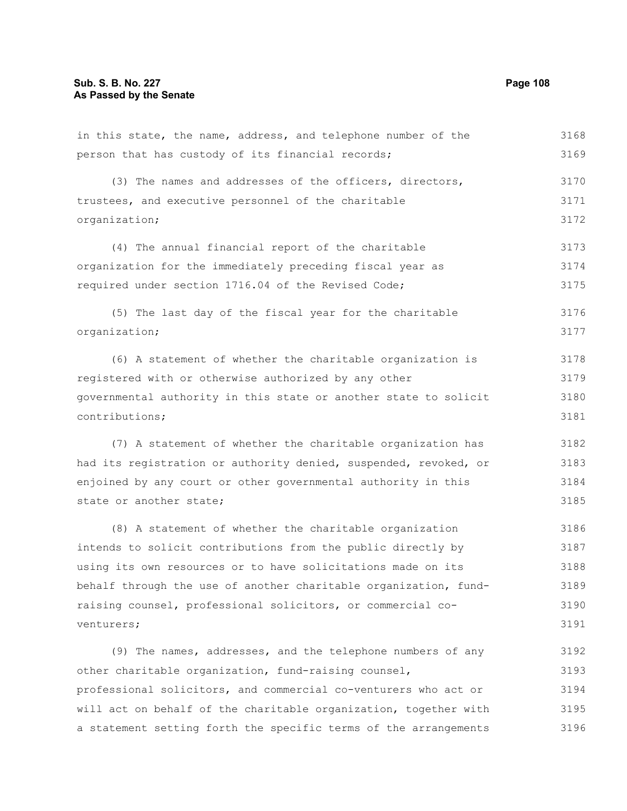person that has custody of its financial records; (3) The names and addresses of the officers, directors, trustees, and executive personnel of the charitable organization; (4) The annual financial report of the charitable organization for the immediately preceding fiscal year as required under section 1716.04 of the Revised Code; (5) The last day of the fiscal year for the charitable organization; (6) A statement of whether the charitable organization is registered with or otherwise authorized by any other governmental authority in this state or another state to solicit contributions; (7) A statement of whether the charitable organization has had its registration or authority denied, suspended, revoked, or enjoined by any court or other governmental authority in this state or another state; 3169 3170 3171 3172 3173 3174 3175 3176 3177 3178 3179 3180 3181 3182 3183 3184 3185

in this state, the name, address, and telephone number of the

(8) A statement of whether the charitable organization intends to solicit contributions from the public directly by using its own resources or to have solicitations made on its behalf through the use of another charitable organization, fundraising counsel, professional solicitors, or commercial coventurers; 3186 3187 3188 3189 3190 3191

(9) The names, addresses, and the telephone numbers of any other charitable organization, fund-raising counsel, professional solicitors, and commercial co-venturers who act or will act on behalf of the charitable organization, together with a statement setting forth the specific terms of the arrangements 3192 3193 3194 3195 3196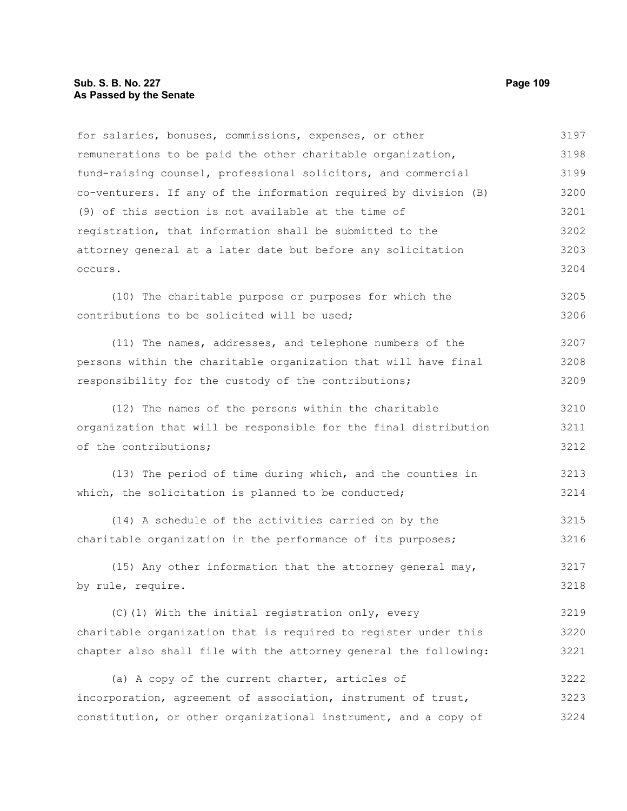# **Sub. S. B. No. 227 Page 109 As Passed by the Senate**

for salaries, bonuses, commissions, expenses, or other remunerations to be paid the other charitable organization, fund-raising counsel, professional solicitors, and commercial co-venturers. If any of the information required by division (B) (9) of this section is not available at the time of registration, that information shall be submitted to the attorney general at a later date but before any solicitation occurs. (10) The charitable purpose or purposes for which the contributions to be solicited will be used; (11) The names, addresses, and telephone numbers of the persons within the charitable organization that will have final responsibility for the custody of the contributions; (12) The names of the persons within the charitable organization that will be responsible for the final distribution of the contributions; (13) The period of time during which, and the counties in which, the solicitation is planned to be conducted; (14) A schedule of the activities carried on by the charitable organization in the performance of its purposes; (15) Any other information that the attorney general may, by rule, require. (C)(1) With the initial registration only, every charitable organization that is required to register under this chapter also shall file with the attorney general the following: (a) A copy of the current charter, articles of incorporation, agreement of association, instrument of trust, constitution, or other organizational instrument, and a copy of 3197 3198 3199 3200 3201 3202 3203 3204 3205 3206 3207 3208 3209 3210 3211 3212 3213 3214 3215 3216 3217 3218 3219 3220 3221 3222 3223 3224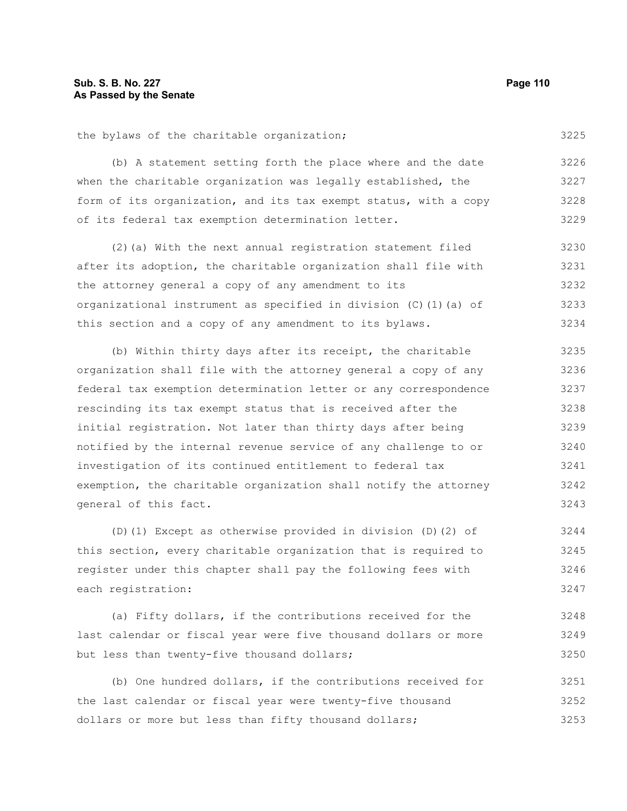the bylaws of the charitable organization;

(b) A statement setting forth the place where and the date when the charitable organization was legally established, the form of its organization, and its tax exempt status, with a copy of its federal tax exemption determination letter. (2)(a) With the next annual registration statement filed after its adoption, the charitable organization shall file with the attorney general a copy of any amendment to its organizational instrument as specified in division (C)(1)(a) of this section and a copy of any amendment to its bylaws. 3226 3227 3228 3229 3230 3231 3232 3233 3234

(b) Within thirty days after its receipt, the charitable organization shall file with the attorney general a copy of any federal tax exemption determination letter or any correspondence rescinding its tax exempt status that is received after the initial registration. Not later than thirty days after being notified by the internal revenue service of any challenge to or investigation of its continued entitlement to federal tax exemption, the charitable organization shall notify the attorney general of this fact. 3235 3236 3237 3238 3239 3240 3241 3242 3243

(D)(1) Except as otherwise provided in division (D)(2) of this section, every charitable organization that is required to register under this chapter shall pay the following fees with each registration: 3244 3245 3246 3247

(a) Fifty dollars, if the contributions received for the last calendar or fiscal year were five thousand dollars or more but less than twenty-five thousand dollars; 3248 3249 3250

(b) One hundred dollars, if the contributions received for the last calendar or fiscal year were twenty-five thousand dollars or more but less than fifty thousand dollars; 3251 3252 3253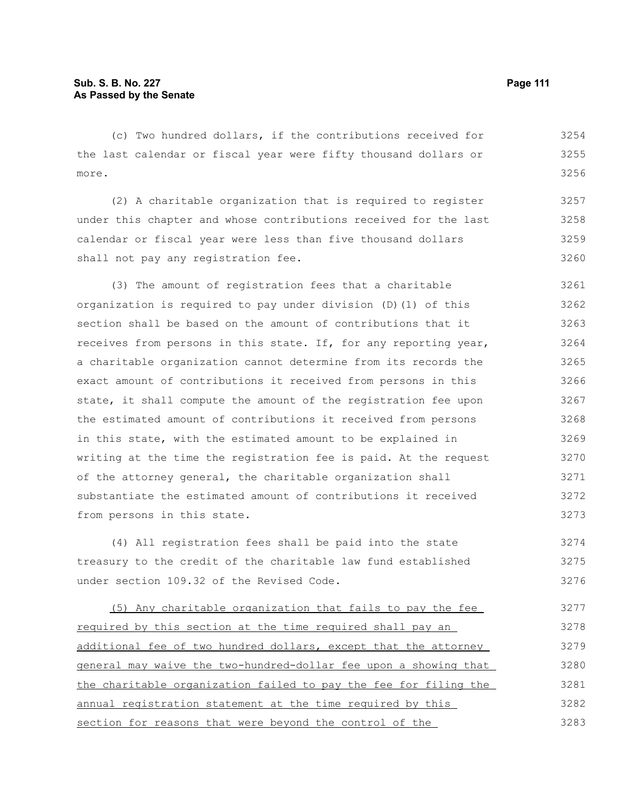(c) Two hundred dollars, if the contributions received for the last calendar or fiscal year were fifty thousand dollars or more. 3254 3255 3256

(2) A charitable organization that is required to register under this chapter and whose contributions received for the last calendar or fiscal year were less than five thousand dollars shall not pay any registration fee. 3257 3258 3259 3260

(3) The amount of registration fees that a charitable organization is required to pay under division (D)(1) of this section shall be based on the amount of contributions that it receives from persons in this state. If, for any reporting year, a charitable organization cannot determine from its records the exact amount of contributions it received from persons in this state, it shall compute the amount of the registration fee upon the estimated amount of contributions it received from persons in this state, with the estimated amount to be explained in writing at the time the registration fee is paid. At the request of the attorney general, the charitable organization shall substantiate the estimated amount of contributions it received from persons in this state. 3261 3262 3263 3264 3265 3266 3267 3268 3269 3270 3271 3272 3273

(4) All registration fees shall be paid into the state treasury to the credit of the charitable law fund established under section 109.32 of the Revised Code. 3274 3275 3276

(5) Any charitable organization that fails to pay the fee required by this section at the time required shall pay an additional fee of two hundred dollars, except that the attorney general may waive the two-hundred-dollar fee upon a showing that the charitable organization failed to pay the fee for filing the annual registration statement at the time required by this section for reasons that were beyond the control of the 3277 3278 3279 3280 3281 3282 3283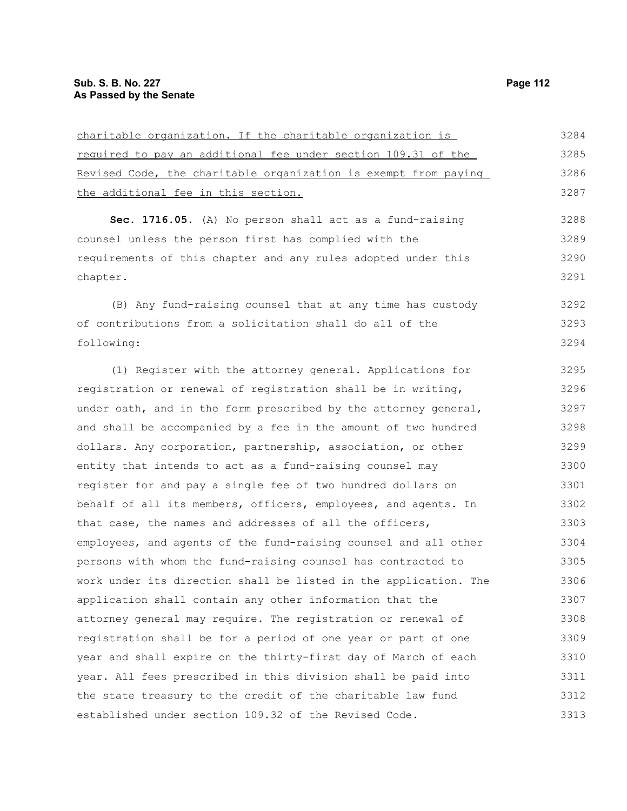| charitable organization. If the charitable organization is       | 3284 |
|------------------------------------------------------------------|------|
| required to pay an additional fee under section 109.31 of the    | 3285 |
| Revised Code, the charitable organization is exempt from paying  | 3286 |
| the additional fee in this section.                              | 3287 |
| Sec. 1716.05. (A) No person shall act as a fund-raising          | 3288 |
| counsel unless the person first has complied with the            | 3289 |
| requirements of this chapter and any rules adopted under this    | 3290 |
| chapter.                                                         | 3291 |
| (B) Any fund-raising counsel that at any time has custody        | 3292 |
| of contributions from a solicitation shall do all of the         | 3293 |
| following:                                                       | 3294 |
| (1) Register with the attorney general. Applications for         | 3295 |
| registration or renewal of registration shall be in writing,     | 3296 |
| under oath, and in the form prescribed by the attorney general,  | 3297 |
| and shall be accompanied by a fee in the amount of two hundred   | 3298 |
| dollars. Any corporation, partnership, association, or other     | 3299 |
| entity that intends to act as a fund-raising counsel may         | 3300 |
| register for and pay a single fee of two hundred dollars on      | 3301 |
| behalf of all its members, officers, employees, and agents. In   | 3302 |
| that case, the names and addresses of all the officers,          | 3303 |
| employees, and agents of the fund-raising counsel and all other  | 3304 |
| persons with whom the fund-raising counsel has contracted to     | 3305 |
| work under its direction shall be listed in the application. The | 3306 |
| application shall contain any other information that the         | 3307 |
| attorney general may require. The registration or renewal of     | 3308 |
| registration shall be for a period of one year or part of one    | 3309 |
| year and shall expire on the thirty-first day of March of each   | 3310 |
| year. All fees prescribed in this division shall be paid into    | 3311 |
| the state treasury to the credit of the charitable law fund      | 3312 |
| established under section 109.32 of the Revised Code.            | 3313 |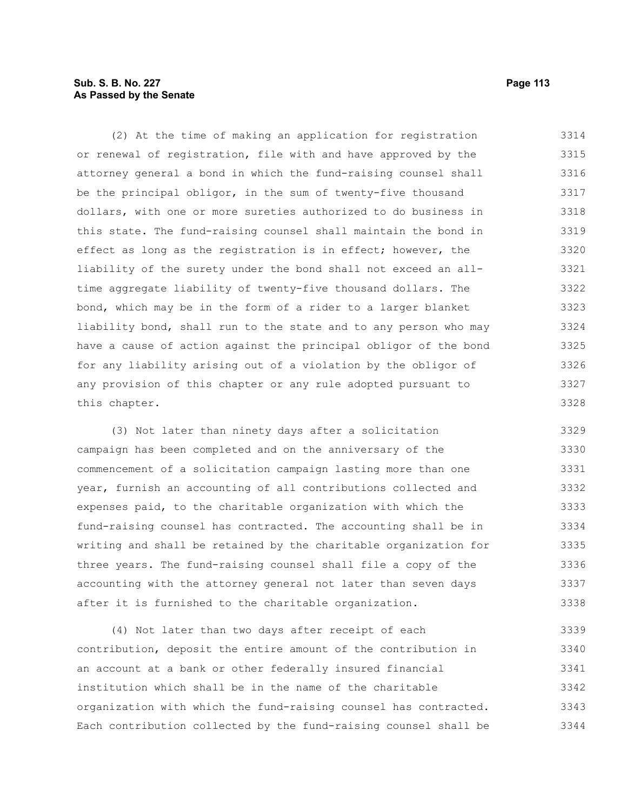# **Sub. S. B. No. 227 Page 113 As Passed by the Senate**

(2) At the time of making an application for registration or renewal of registration, file with and have approved by the attorney general a bond in which the fund-raising counsel shall be the principal obligor, in the sum of twenty-five thousand dollars, with one or more sureties authorized to do business in this state. The fund-raising counsel shall maintain the bond in effect as long as the registration is in effect; however, the liability of the surety under the bond shall not exceed an alltime aggregate liability of twenty-five thousand dollars. The bond, which may be in the form of a rider to a larger blanket liability bond, shall run to the state and to any person who may have a cause of action against the principal obligor of the bond for any liability arising out of a violation by the obligor of any provision of this chapter or any rule adopted pursuant to this chapter. 3314 3315 3316 3317 3318 3319 3320 3321 3322 3323 3324 3325 3326 3327 3328

(3) Not later than ninety days after a solicitation campaign has been completed and on the anniversary of the commencement of a solicitation campaign lasting more than one year, furnish an accounting of all contributions collected and expenses paid, to the charitable organization with which the fund-raising counsel has contracted. The accounting shall be in writing and shall be retained by the charitable organization for three years. The fund-raising counsel shall file a copy of the accounting with the attorney general not later than seven days after it is furnished to the charitable organization. 3329 3330 3331 3332 3333 3334 3335 3336 3337 3338

(4) Not later than two days after receipt of each contribution, deposit the entire amount of the contribution in an account at a bank or other federally insured financial institution which shall be in the name of the charitable organization with which the fund-raising counsel has contracted. Each contribution collected by the fund-raising counsel shall be 3339 3340 3341 3342 3343 3344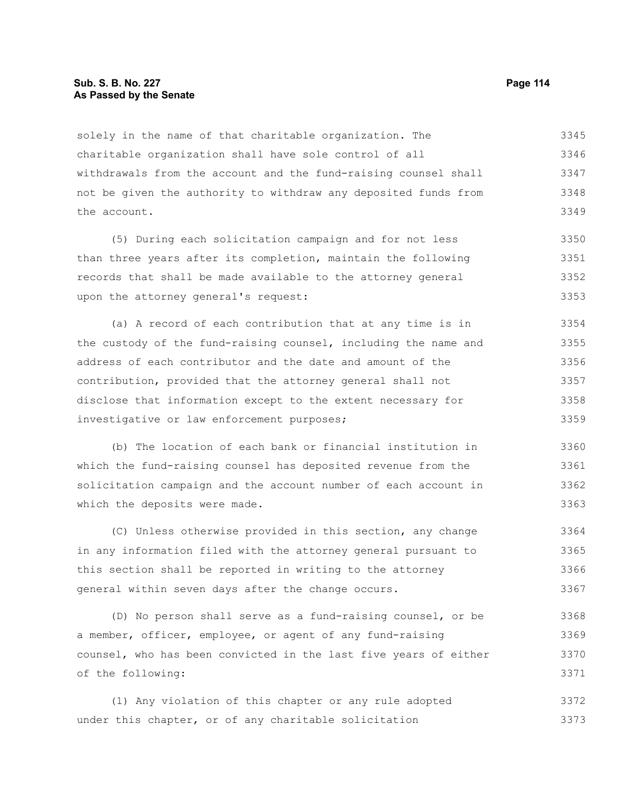# **Sub. S. B. No. 227 Page 114 As Passed by the Senate**

solely in the name of that charitable organization. The charitable organization shall have sole control of all withdrawals from the account and the fund-raising counsel shall not be given the authority to withdraw any deposited funds from the account. 3345 3346 3347 3348 3349

(5) During each solicitation campaign and for not less than three years after its completion, maintain the following records that shall be made available to the attorney general upon the attorney general's request: 3350 3351 3352 3353

(a) A record of each contribution that at any time is in the custody of the fund-raising counsel, including the name and address of each contributor and the date and amount of the contribution, provided that the attorney general shall not disclose that information except to the extent necessary for investigative or law enforcement purposes; 3354 3355 3356 3357 3358 3359

(b) The location of each bank or financial institution in which the fund-raising counsel has deposited revenue from the solicitation campaign and the account number of each account in which the deposits were made. 3360 3361 3362 3363

(C) Unless otherwise provided in this section, any change in any information filed with the attorney general pursuant to this section shall be reported in writing to the attorney general within seven days after the change occurs. 3364 3365 3366 3367

(D) No person shall serve as a fund-raising counsel, or be a member, officer, employee, or agent of any fund-raising counsel, who has been convicted in the last five years of either of the following: 3368 3369 3370 3371

(1) Any violation of this chapter or any rule adopted under this chapter, or of any charitable solicitation 3372 3373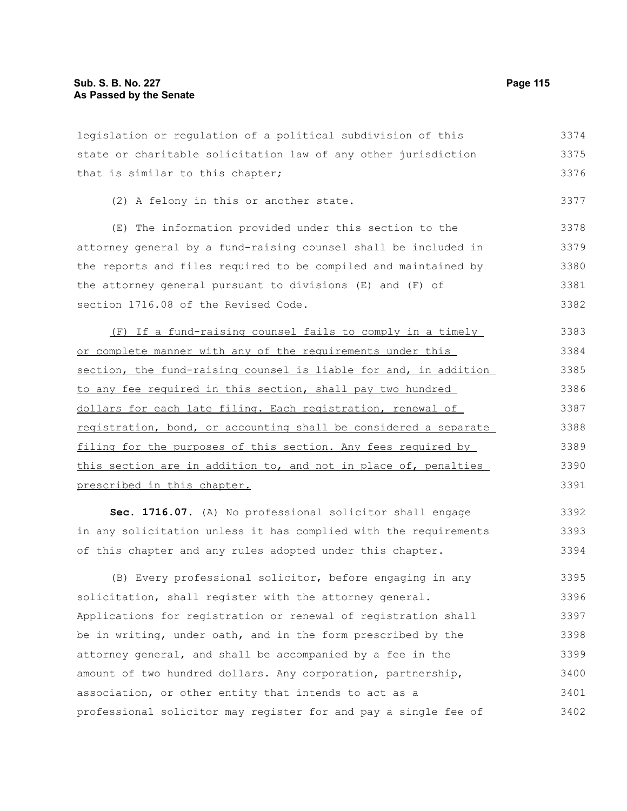legislation or regulation of a political subdivision of this state or charitable solicitation law of any other jurisdiction that is similar to this chapter; 3374 3375 3376

(2) A felony in this or another state.

(E) The information provided under this section to the attorney general by a fund-raising counsel shall be included in the reports and files required to be compiled and maintained by the attorney general pursuant to divisions (E) and (F) of section 1716.08 of the Revised Code. 3378 3379 3380 3381 3382

(F) If a fund-raising counsel fails to comply in a timely or complete manner with any of the requirements under this section, the fund-raising counsel is liable for and, in addition to any fee required in this section, shall pay two hundred dollars for each late filing. Each registration, renewal of registration, bond, or accounting shall be considered a separate filing for the purposes of this section. Any fees required by this section are in addition to, and not in place of, penalties prescribed in this chapter. 3383 3384 3385 3386 3387 3388 3389 3390 3391

**Sec. 1716.07.** (A) No professional solicitor shall engage in any solicitation unless it has complied with the requirements of this chapter and any rules adopted under this chapter.

(B) Every professional solicitor, before engaging in any solicitation, shall register with the attorney general. Applications for registration or renewal of registration shall be in writing, under oath, and in the form prescribed by the attorney general, and shall be accompanied by a fee in the amount of two hundred dollars. Any corporation, partnership, association, or other entity that intends to act as a professional solicitor may register for and pay a single fee of 3395 3396 3397 3398 3399 3400 3401 3402

3377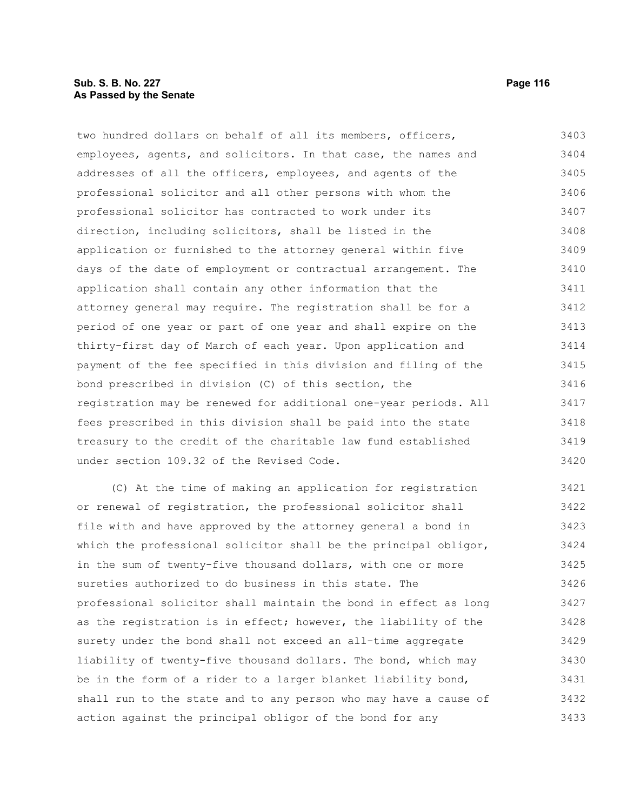# **Sub. S. B. No. 227 Page 116 As Passed by the Senate**

two hundred dollars on behalf of all its members, officers, employees, agents, and solicitors. In that case, the names and addresses of all the officers, employees, and agents of the professional solicitor and all other persons with whom the professional solicitor has contracted to work under its direction, including solicitors, shall be listed in the application or furnished to the attorney general within five days of the date of employment or contractual arrangement. The application shall contain any other information that the attorney general may require. The registration shall be for a period of one year or part of one year and shall expire on the thirty-first day of March of each year. Upon application and payment of the fee specified in this division and filing of the bond prescribed in division (C) of this section, the registration may be renewed for additional one-year periods. All fees prescribed in this division shall be paid into the state treasury to the credit of the charitable law fund established under section 109.32 of the Revised Code. 3403 3404 3405 3406 3407 3408 3409 3410 3411 3412 3413 3414 3415 3416 3417 3418 3419 3420

(C) At the time of making an application for registration or renewal of registration, the professional solicitor shall file with and have approved by the attorney general a bond in which the professional solicitor shall be the principal obligor, in the sum of twenty-five thousand dollars, with one or more sureties authorized to do business in this state. The professional solicitor shall maintain the bond in effect as long as the registration is in effect; however, the liability of the surety under the bond shall not exceed an all-time aggregate liability of twenty-five thousand dollars. The bond, which may be in the form of a rider to a larger blanket liability bond, shall run to the state and to any person who may have a cause of action against the principal obligor of the bond for any 3421 3422 3423 3424 3425 3426 3427 3428 3429 3430 3431 3432 3433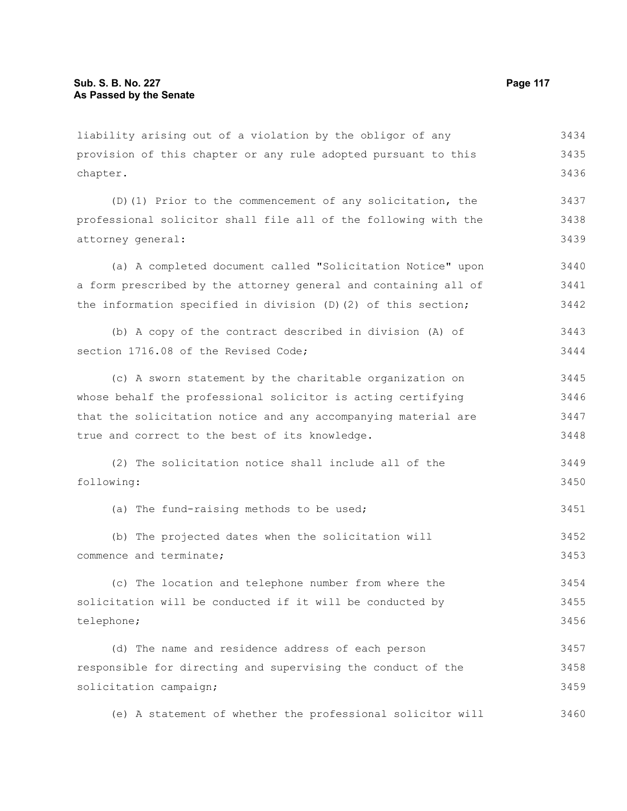| liability arising out of a violation by the obligor of any      | 3434 |
|-----------------------------------------------------------------|------|
| provision of this chapter or any rule adopted pursuant to this  | 3435 |
| chapter.                                                        | 3436 |
| (D)(1) Prior to the commencement of any solicitation, the       | 3437 |
| professional solicitor shall file all of the following with the | 3438 |
| attorney general:                                               | 3439 |
| (a) A completed document called "Solicitation Notice" upon      | 3440 |
| a form prescribed by the attorney general and containing all of | 3441 |
| the information specified in division $(D)(2)$ of this section; | 3442 |
| (b) A copy of the contract described in division (A) of         | 3443 |
| section 1716.08 of the Revised Code;                            | 3444 |
| (c) A sworn statement by the charitable organization on         | 3445 |
| whose behalf the professional solicitor is acting certifying    | 3446 |
| that the solicitation notice and any accompanying material are  | 3447 |
| true and correct to the best of its knowledge.                  | 3448 |
| (2) The solicitation notice shall include all of the            | 3449 |
| following:                                                      | 3450 |
| (a) The fund-raising methods to be used;                        | 3451 |
| (b) The projected dates when the solicitation will              | 3452 |
| commence and terminate;                                         | 3453 |
| (c) The location and telephone number from where the            | 3454 |
| solicitation will be conducted if it will be conducted by       | 3455 |
| telephone;                                                      | 3456 |
| (d) The name and residence address of each person               | 3457 |
| responsible for directing and supervising the conduct of the    | 3458 |
| solicitation campaign;                                          | 3459 |
| (e) A statement of whether the professional solicitor will      | 3460 |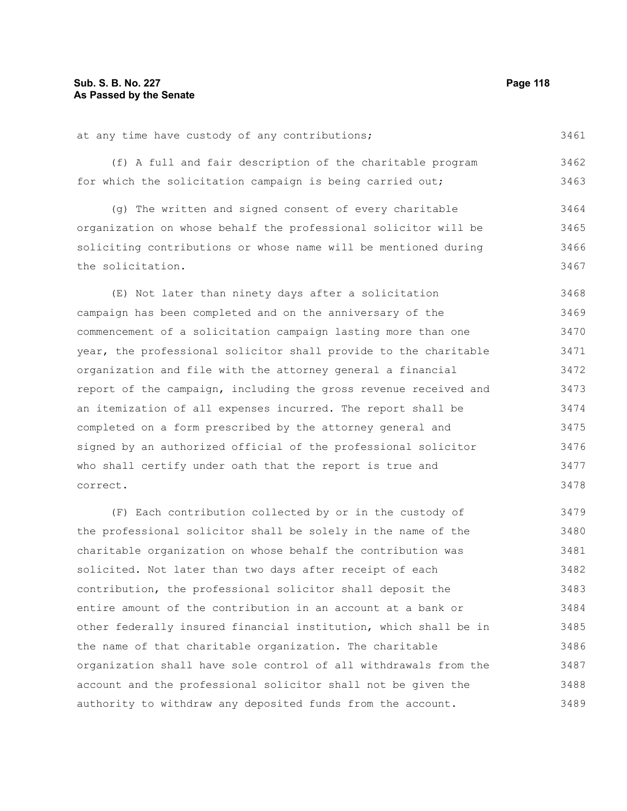| at any time have custody of any contributions;                   | 3461 |
|------------------------------------------------------------------|------|
| (f) A full and fair description of the charitable program        | 3462 |
| for which the solicitation campaign is being carried out;        | 3463 |
| (g) The written and signed consent of every charitable           | 3464 |
| organization on whose behalf the professional solicitor will be  | 3465 |
| soliciting contributions or whose name will be mentioned during  | 3466 |
| the solicitation.                                                | 3467 |
| (E) Not later than ninety days after a solicitation              | 3468 |
| campaign has been completed and on the anniversary of the        | 3469 |
| commencement of a solicitation campaign lasting more than one    | 3470 |
| year, the professional solicitor shall provide to the charitable | 3471 |
| organization and file with the attorney general a financial      | 3472 |
| report of the campaign, including the gross revenue received and | 3473 |
| an itemization of all expenses incurred. The report shall be     | 3474 |
| completed on a form prescribed by the attorney general and       | 3475 |
| signed by an authorized official of the professional solicitor   | 3476 |
| who shall certify under oath that the report is true and         | 3477 |
| correct.                                                         | 3478 |
| (F) Each contribution collected by or in the custody of          | 3479 |
| the professional solicitor shall be solely in the name of the    | 3480 |
| charitable organization on whose behalf the contribution was     | 3481 |
| solicited. Not later than two days after receipt of each         | 3482 |
| contribution, the professional solicitor shall deposit the       | 3483 |
| entire amount of the contribution in an account at a bank or     | 3484 |
| other federally insured financial institution, which shall be in | 3485 |

the name of that charitable organization. The charitable organization shall have sole control of all withdrawals from the account and the professional solicitor shall not be given the authority to withdraw any deposited funds from the account. 3486 3487 3488 3489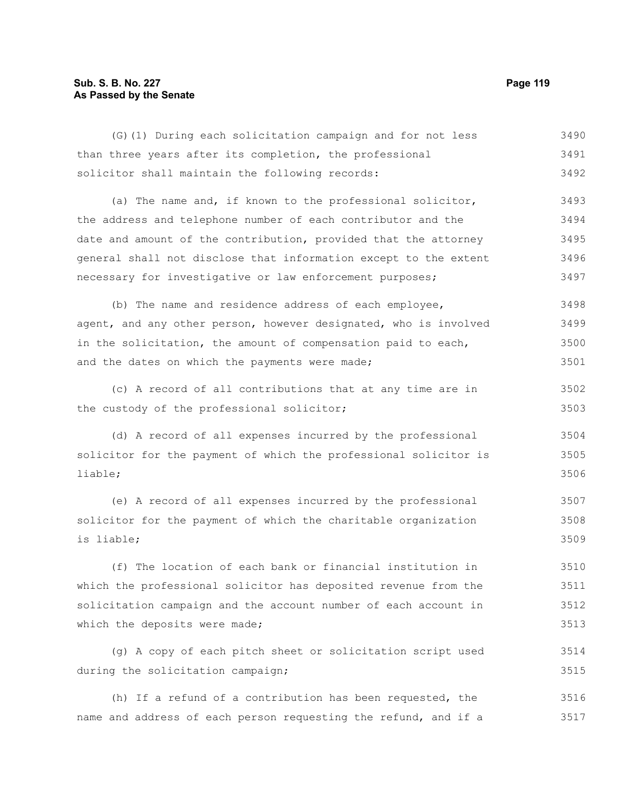# **Sub. S. B. No. 227 Page 119 As Passed by the Senate**

(G)(1) During each solicitation campaign and for not less than three years after its completion, the professional solicitor shall maintain the following records: (a) The name and, if known to the professional solicitor, the address and telephone number of each contributor and the date and amount of the contribution, provided that the attorney general shall not disclose that information except to the extent necessary for investigative or law enforcement purposes; (b) The name and residence address of each employee, agent, and any other person, however designated, who is involved in the solicitation, the amount of compensation paid to each, and the dates on which the payments were made; (c) A record of all contributions that at any time are in the custody of the professional solicitor; (d) A record of all expenses incurred by the professional solicitor for the payment of which the professional solicitor is liable; (e) A record of all expenses incurred by the professional solicitor for the payment of which the charitable organization is liable; (f) The location of each bank or financial institution in which the professional solicitor has deposited revenue from the solicitation campaign and the account number of each account in which the deposits were made; (g) A copy of each pitch sheet or solicitation script used during the solicitation campaign; 3490 3491 3492 3493 3494 3495 3496 3497 3498 3499 3500 3501 3502 3503 3504 3505 3506 3507 3508 3509 3510 3511 3512 3513 3514 3515

(h) If a refund of a contribution has been requested, the name and address of each person requesting the refund, and if a 3516 3517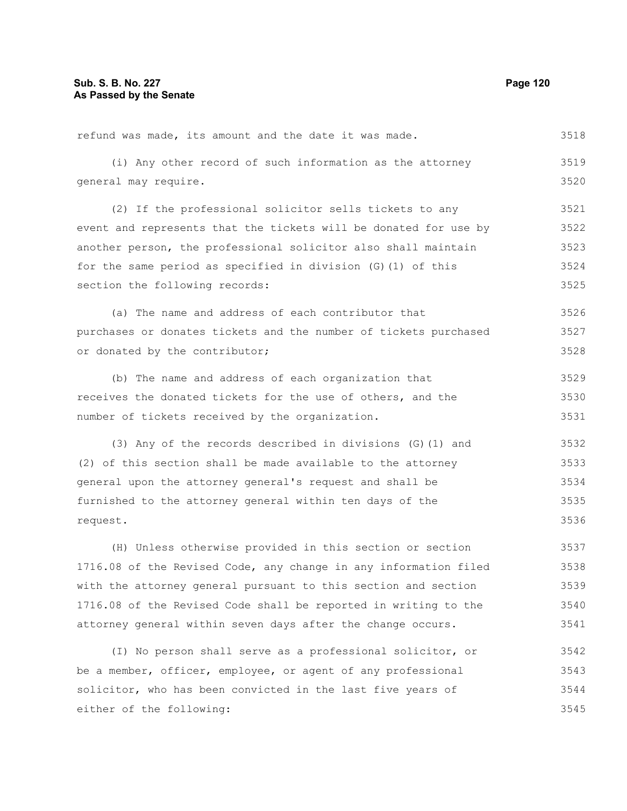| refund was made, its amount and the date it was made.            | 3518 |
|------------------------------------------------------------------|------|
| (i) Any other record of such information as the attorney         | 3519 |
| general may require.                                             | 3520 |
| (2) If the professional solicitor sells tickets to any           | 3521 |
| event and represents that the tickets will be donated for use by | 3522 |
| another person, the professional solicitor also shall maintain   | 3523 |
| for the same period as specified in division (G) (1) of this     | 3524 |
| section the following records:                                   | 3525 |
| (a) The name and address of each contributor that                | 3526 |
| purchases or donates tickets and the number of tickets purchased | 3527 |
| or donated by the contributor;                                   | 3528 |
| (b) The name and address of each organization that               | 3529 |
| receives the donated tickets for the use of others, and the      | 3530 |
| number of tickets received by the organization.                  | 3531 |
| (3) Any of the records described in divisions (G) (1) and        | 3532 |
| (2) of this section shall be made available to the attorney      | 3533 |
| general upon the attorney general's request and shall be         | 3534 |
| furnished to the attorney general within ten days of the         | 3535 |
| request.                                                         | 3536 |
| (H) Unless otherwise provided in this section or section         | 3537 |
| 1716.08 of the Revised Code, any change in any information filed | 3538 |
| with the attorney general pursuant to this section and section   | 3539 |
| 1716.08 of the Revised Code shall be reported in writing to the  | 3540 |
| attorney general within seven days after the change occurs.      | 3541 |
| (I) No person shall serve as a professional solicitor, or        | 3542 |
| be a member, officer, employee, or agent of any professional     | 3543 |
| solicitor, who has been convicted in the last five years of      | 3544 |
| either of the following:                                         | 3545 |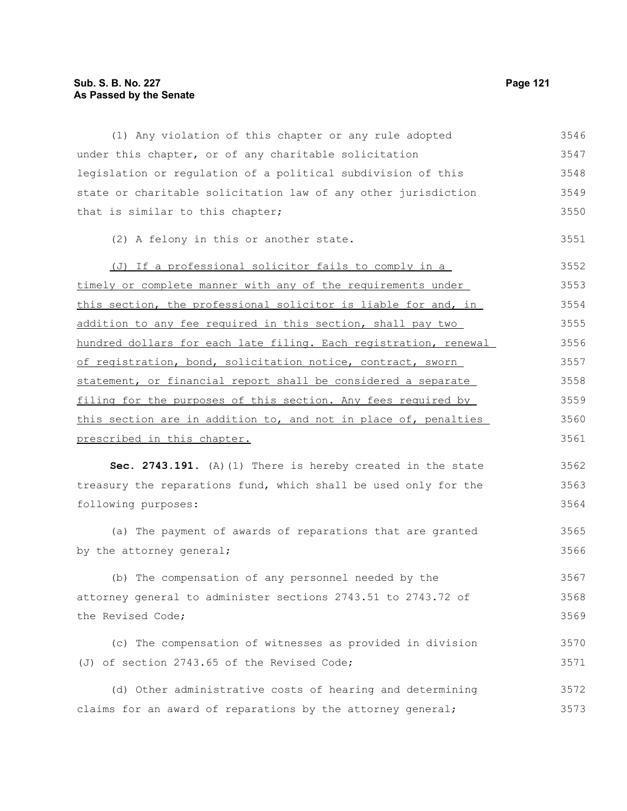# **Sub. S. B. No. 227 Page 121 As Passed by the Senate**

(1) Any violation of this chapter or any rule adopted under this chapter, or of any charitable solicitation legislation or regulation of a political subdivision of this state or charitable solicitation law of any other jurisdiction that is similar to this chapter; (2) A felony in this or another state. (J) If a professional solicitor fails to comply in a timely or complete manner with any of the requirements under this section, the professional solicitor is liable for and, in addition to any fee required in this section, shall pay two hundred dollars for each late filing. Each registration, renewal of registration, bond, solicitation notice, contract, sworn statement, or financial report shall be considered a separate filing for the purposes of this section. Any fees required by this section are in addition to, and not in place of, penalties prescribed in this chapter. **Sec. 2743.191.** (A)(1) There is hereby created in the state treasury the reparations fund, which shall be used only for the following purposes: (a) The payment of awards of reparations that are granted by the attorney general; (b) The compensation of any personnel needed by the attorney general to administer sections 2743.51 to 2743.72 of the Revised Code; (c) The compensation of witnesses as provided in division (J) of section 2743.65 of the Revised Code; (d) Other administrative costs of hearing and determining claims for an award of reparations by the attorney general; 3546 3547 3548 3549 3550 3551 3552 3553 3554 3555 3556 3557 3558 3559 3560 3561 3562 3563 3564 3565 3566 3567 3568 3569 3570 3571 3572 3573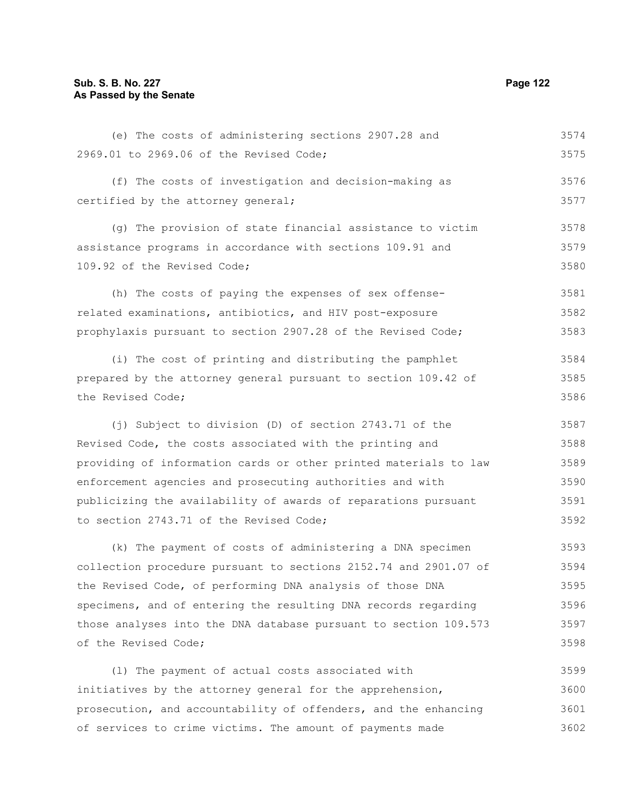(e) The costs of administering sections 2907.28 and 2969.01 to 2969.06 of the Revised Code; (f) The costs of investigation and decision-making as certified by the attorney general; (g) The provision of state financial assistance to victim assistance programs in accordance with sections 109.91 and 109.92 of the Revised Code; (h) The costs of paying the expenses of sex offense-3574 3575 3576 3577 3578 3579 3580 3581

related examinations, antibiotics, and HIV post-exposure prophylaxis pursuant to section 2907.28 of the Revised Code; 3582 3583

(i) The cost of printing and distributing the pamphlet prepared by the attorney general pursuant to section 109.42 of the Revised Code; 3584 3585 3586

(j) Subject to division (D) of section 2743.71 of the Revised Code, the costs associated with the printing and providing of information cards or other printed materials to law enforcement agencies and prosecuting authorities and with publicizing the availability of awards of reparations pursuant to section 2743.71 of the Revised Code; 3587 3588 3589 3590 3591 3592

(k) The payment of costs of administering a DNA specimen collection procedure pursuant to sections 2152.74 and 2901.07 of the Revised Code, of performing DNA analysis of those DNA specimens, and of entering the resulting DNA records regarding those analyses into the DNA database pursuant to section 109.573 of the Revised Code; 3593 3594 3595 3596 3597 3598

(l) The payment of actual costs associated with initiatives by the attorney general for the apprehension, prosecution, and accountability of offenders, and the enhancing of services to crime victims. The amount of payments made 3599 3600 3601 3602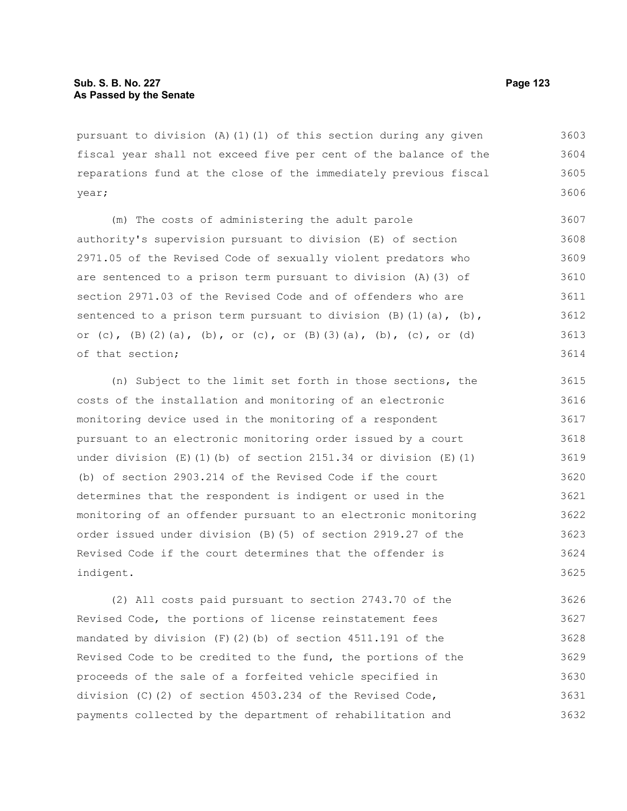pursuant to division (A)(1)(1) of this section during any given fiscal year shall not exceed five per cent of the balance of the reparations fund at the close of the immediately previous fiscal year; 3603 3604 3605 3606

(m) The costs of administering the adult parole authority's supervision pursuant to division (E) of section 2971.05 of the Revised Code of sexually violent predators who are sentenced to a prison term pursuant to division (A)(3) of section 2971.03 of the Revised Code and of offenders who are sentenced to a prison term pursuant to division  $(B)$   $(1)$   $(a)$ ,  $(b)$ , or (c),  $(B) (2) (a)$ ,  $(b)$ , or  $(c)$ , or  $(B) (3) (a)$ ,  $(b)$ ,  $(c)$ , or  $(d)$ of that section; 3607 3608 3609 3610 3611 3612 3613 3614

(n) Subject to the limit set forth in those sections, the costs of the installation and monitoring of an electronic monitoring device used in the monitoring of a respondent pursuant to an electronic monitoring order issued by a court under division  $(E)$  (1)(b) of section 2151.34 or division  $(E)$  (1) (b) of section 2903.214 of the Revised Code if the court determines that the respondent is indigent or used in the monitoring of an offender pursuant to an electronic monitoring order issued under division (B)(5) of section 2919.27 of the Revised Code if the court determines that the offender is indigent. 3615 3616 3617 3618 3619 3620 3621 3622 3623 3624 3625

(2) All costs paid pursuant to section 2743.70 of the Revised Code, the portions of license reinstatement fees mandated by division  $(F)(2)(b)$  of section 4511.191 of the Revised Code to be credited to the fund, the portions of the proceeds of the sale of a forfeited vehicle specified in division (C)(2) of section 4503.234 of the Revised Code, payments collected by the department of rehabilitation and 3626 3627 3628 3629 3630 3631 3632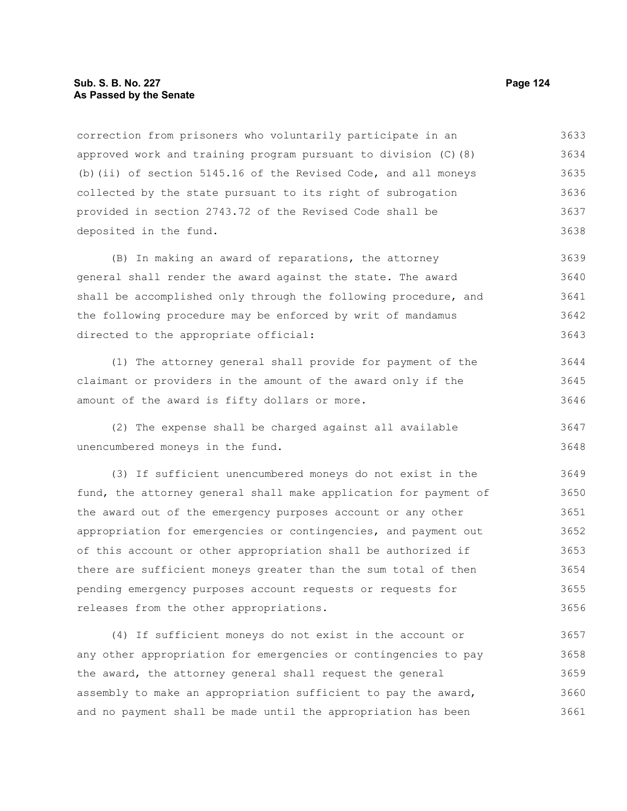# **Sub. S. B. No. 227 Page 124 As Passed by the Senate**

correction from prisoners who voluntarily participate in an approved work and training program pursuant to division (C)(8) (b)(ii) of section 5145.16 of the Revised Code, and all moneys collected by the state pursuant to its right of subrogation provided in section 2743.72 of the Revised Code shall be deposited in the fund. 3633 3634 3635 3636 3637 3638

(B) In making an award of reparations, the attorney general shall render the award against the state. The award shall be accomplished only through the following procedure, and the following procedure may be enforced by writ of mandamus directed to the appropriate official: 3639 3640 3641 3642 3643

(1) The attorney general shall provide for payment of the claimant or providers in the amount of the award only if the amount of the award is fifty dollars or more. 3644 3645 3646

(2) The expense shall be charged against all available unencumbered moneys in the fund. 3647 3648

(3) If sufficient unencumbered moneys do not exist in the fund, the attorney general shall make application for payment of the award out of the emergency purposes account or any other appropriation for emergencies or contingencies, and payment out of this account or other appropriation shall be authorized if there are sufficient moneys greater than the sum total of then pending emergency purposes account requests or requests for releases from the other appropriations. 3649 3650 3651 3652 3653 3654 3655 3656

(4) If sufficient moneys do not exist in the account or any other appropriation for emergencies or contingencies to pay the award, the attorney general shall request the general assembly to make an appropriation sufficient to pay the award, and no payment shall be made until the appropriation has been 3657 3658 3659 3660 3661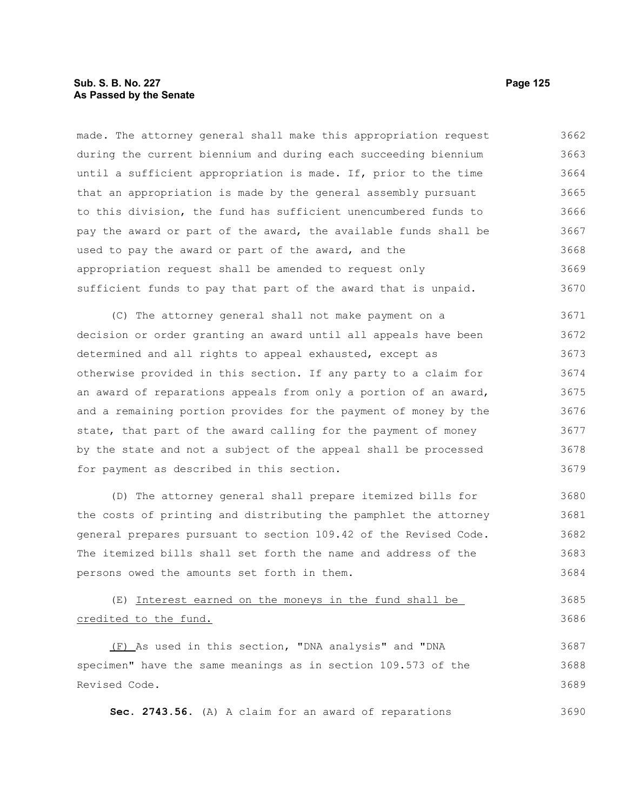# **Sub. S. B. No. 227 Page 125 As Passed by the Senate**

made. The attorney general shall make this appropriation request during the current biennium and during each succeeding biennium until a sufficient appropriation is made. If, prior to the time that an appropriation is made by the general assembly pursuant to this division, the fund has sufficient unencumbered funds to pay the award or part of the award, the available funds shall be used to pay the award or part of the award, and the appropriation request shall be amended to request only sufficient funds to pay that part of the award that is unpaid. 3662 3663 3664 3665 3666 3667 3668 3669 3670

(C) The attorney general shall not make payment on a decision or order granting an award until all appeals have been determined and all rights to appeal exhausted, except as otherwise provided in this section. If any party to a claim for an award of reparations appeals from only a portion of an award, and a remaining portion provides for the payment of money by the state, that part of the award calling for the payment of money by the state and not a subject of the appeal shall be processed for payment as described in this section. 3671 3672 3673 3674 3675 3676 3677 3678 3679

(D) The attorney general shall prepare itemized bills for the costs of printing and distributing the pamphlet the attorney general prepares pursuant to section 109.42 of the Revised Code. The itemized bills shall set forth the name and address of the persons owed the amounts set forth in them. 3680 3681 3682 3683 3684

(E) Interest earned on the moneys in the fund shall be credited to the fund. 3685 3686

(F) As used in this section, "DNA analysis" and "DNA specimen" have the same meanings as in section 109.573 of the Revised Code. 3687 3688 3689

**Sec. 2743.56.** (A) A claim for an award of reparations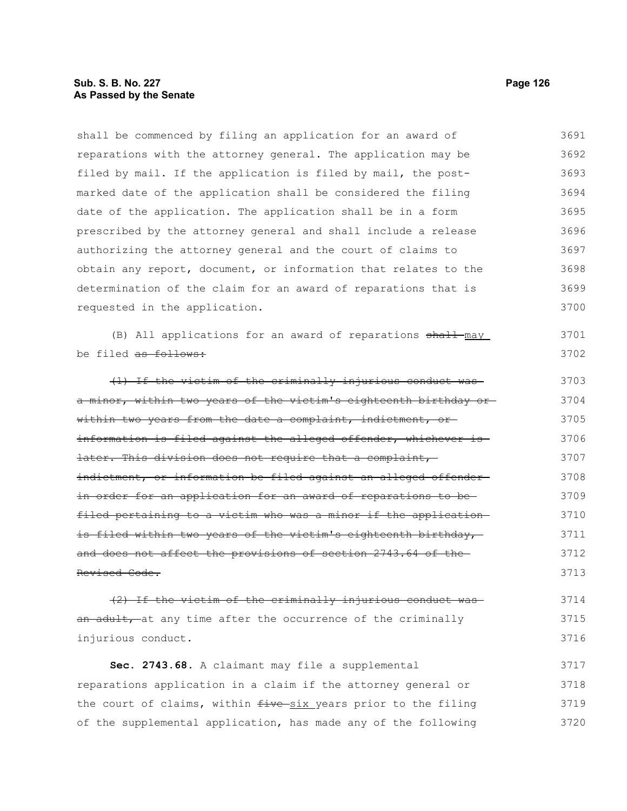# **Sub. S. B. No. 227 Page 126 As Passed by the Senate**

shall be commenced by filing an application for an award of reparations with the attorney general. The application may be filed by mail. If the application is filed by mail, the postmarked date of the application shall be considered the filing date of the application. The application shall be in a form prescribed by the attorney general and shall include a release authorizing the attorney general and the court of claims to obtain any report, document, or information that relates to the determination of the claim for an award of reparations that is requested in the application. (B) All applications for an award of reparations shall-may be filed as follows: (1) If the victim of the criminally injurious conduct was a minor, within two years of the victim's eighteenth birthday or within two years from the date a complaint, indictment, orinformation is filed against the alleged offender, whichever is later. This division does not require that a complaint, indictment, or information be filed against an alleged offender in order for an application for an award of reparations to be filed pertaining to a victim who was a minor if the application is filed within two years of the victim's eighteenth birthday, and does not affect the provisions of section 2743.64 of the Revised Code. (2) If the victim of the criminally injurious conduct was an adult, at any time after the occurrence of the criminally injurious conduct. **Sec. 2743.68.** A claimant may file a supplemental reparations application in a claim if the attorney general or the court of claims, within  $f$ ive six years prior to the filing 3691 3692 3693 3694 3695 3696 3697 3698 3699 3700 3701 3702 3703 3704 3705 3706 3707 3708 3709 3710 3711 3712 3713 3714 3715 3716 3717 3718 3719

of the supplemental application, has made any of the following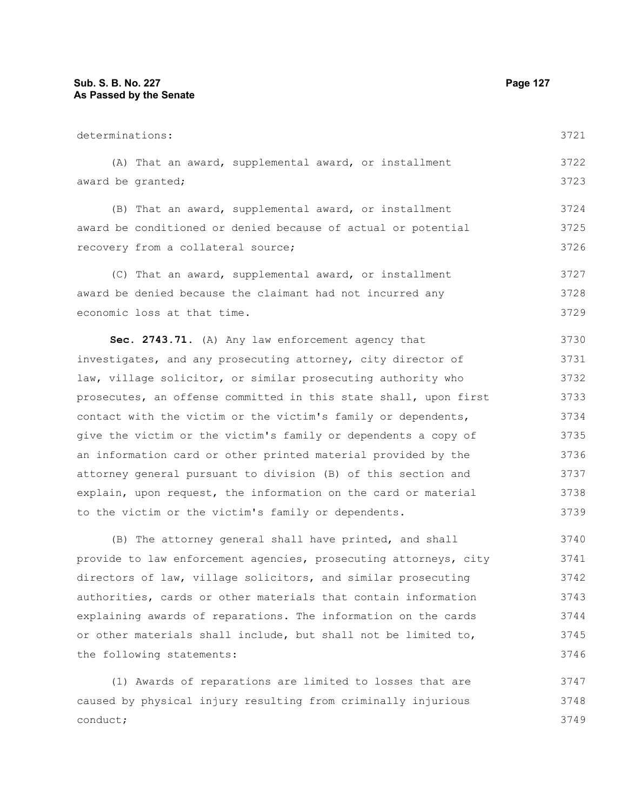determinations: (A) That an award, supplemental award, or installment award be granted; (B) That an award, supplemental award, or installment award be conditioned or denied because of actual or potential recovery from a collateral source; (C) That an award, supplemental award, or installment award be denied because the claimant had not incurred any economic loss at that time. **Sec. 2743.71.** (A) Any law enforcement agency that investigates, and any prosecuting attorney, city director of law, village solicitor, or similar prosecuting authority who prosecutes, an offense committed in this state shall, upon first contact with the victim or the victim's family or dependents, give the victim or the victim's family or dependents a copy of an information card or other printed material provided by the attorney general pursuant to division (B) of this section and explain, upon request, the information on the card or material to the victim or the victim's family or dependents. (B) The attorney general shall have printed, and shall 3721 3722 3723 3724 3725 3726 3727 3728 3729 3730 3731 3732 3733 3734 3735 3736 3737 3738 3739 3740

provide to law enforcement agencies, prosecuting attorneys, city directors of law, village solicitors, and similar prosecuting authorities, cards or other materials that contain information explaining awards of reparations. The information on the cards or other materials shall include, but shall not be limited to, the following statements: 3741 3742 3743 3744 3745 3746

(1) Awards of reparations are limited to losses that are caused by physical injury resulting from criminally injurious conduct; 3747 3748 3749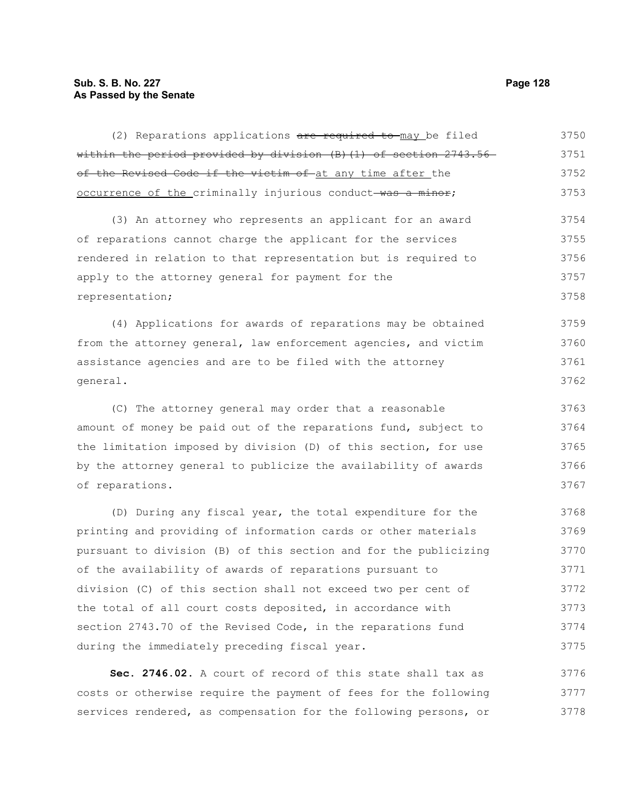# **Sub. S. B. No. 227 Page 128 As Passed by the Senate**

(2) Reparations applications are required to may be filed within the period provided by division (B)(1) of section 2743.56 of the Revised Code if the victim of at any time after the occurrence of the criminally injurious conduct-was a minor; (3) An attorney who represents an applicant for an award of reparations cannot charge the applicant for the services rendered in relation to that representation but is required to apply to the attorney general for payment for the representation; (4) Applications for awards of reparations may be obtained from the attorney general, law enforcement agencies, and victim assistance agencies and are to be filed with the attorney general. (C) The attorney general may order that a reasonable amount of money be paid out of the reparations fund, subject to the limitation imposed by division (D) of this section, for use by the attorney general to publicize the availability of awards of reparations. (D) During any fiscal year, the total expenditure for the printing and providing of information cards or other materials pursuant to division (B) of this section and for the publicizing of the availability of awards of reparations pursuant to division (C) of this section shall not exceed two per cent of the total of all court costs deposited, in accordance with section 2743.70 of the Revised Code, in the reparations fund during the immediately preceding fiscal year. 3750 3751 3752 3753 3754 3755 3756 3757 3758 3759 3760 3761 3762 3763 3764 3765 3766 3767 3768 3769 3770 3771 3772 3773 3774 3775

**Sec. 2746.02.** A court of record of this state shall tax as costs or otherwise require the payment of fees for the following services rendered, as compensation for the following persons, or 3776 3777 3778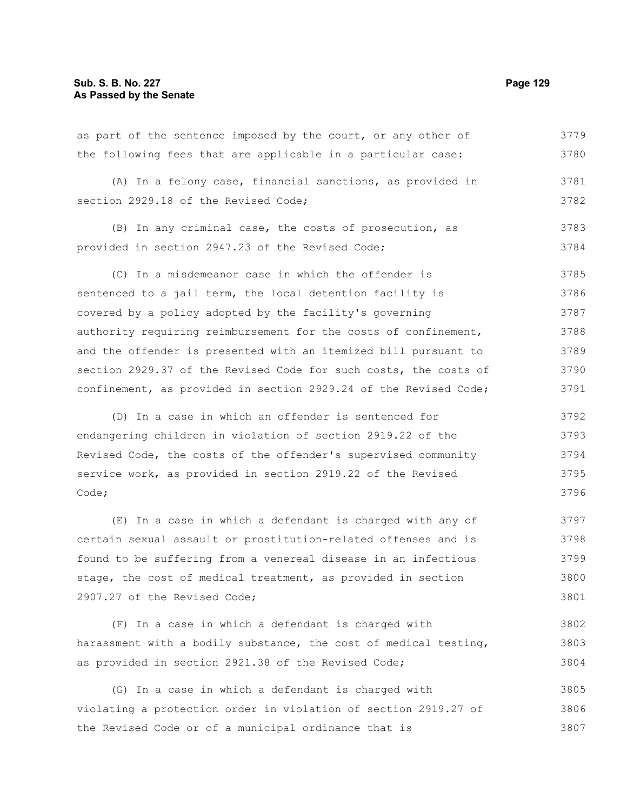as part of the sentence imposed by the court, or any other of the following fees that are applicable in a particular case: (A) In a felony case, financial sanctions, as provided in section 2929.18 of the Revised Code; (B) In any criminal case, the costs of prosecution, as provided in section 2947.23 of the Revised Code; (C) In a misdemeanor case in which the offender is sentenced to a jail term, the local detention facility is covered by a policy adopted by the facility's governing authority requiring reimbursement for the costs of confinement, and the offender is presented with an itemized bill pursuant to section 2929.37 of the Revised Code for such costs, the costs of confinement, as provided in section 2929.24 of the Revised Code; (D) In a case in which an offender is sentenced for endangering children in violation of section 2919.22 of the Revised Code, the costs of the offender's supervised community service work, as provided in section 2919.22 of the Revised Code; (E) In a case in which a defendant is charged with any of 3779 3780 3781 3782 3783 3784 3785 3786 3787 3788 3789 3790 3791 3792 3793 3794 3795 3796 3797

certain sexual assault or prostitution-related offenses and is found to be suffering from a venereal disease in an infectious stage, the cost of medical treatment, as provided in section 2907.27 of the Revised Code; 3798 3799 3800 3801

(F) In a case in which a defendant is charged with harassment with a bodily substance, the cost of medical testing, as provided in section 2921.38 of the Revised Code; 3802 3803 3804

(G) In a case in which a defendant is charged with violating a protection order in violation of section 2919.27 of the Revised Code or of a municipal ordinance that is 3805 3806 3807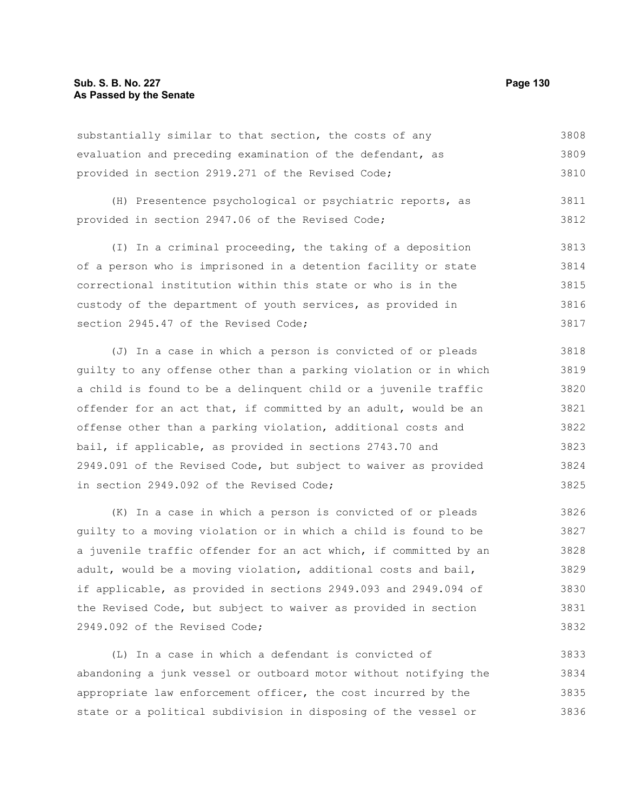substantially similar to that section, the costs of any evaluation and preceding examination of the defendant, as provided in section 2919.271 of the Revised Code; 3808 3809 3810

(H) Presentence psychological or psychiatric reports, as provided in section 2947.06 of the Revised Code; 3811 3812

(I) In a criminal proceeding, the taking of a deposition of a person who is imprisoned in a detention facility or state correctional institution within this state or who is in the custody of the department of youth services, as provided in section 2945.47 of the Revised Code; 3813 3814 3815 3816 3817

(J) In a case in which a person is convicted of or pleads guilty to any offense other than a parking violation or in which a child is found to be a delinquent child or a juvenile traffic offender for an act that, if committed by an adult, would be an offense other than a parking violation, additional costs and bail, if applicable, as provided in sections 2743.70 and 2949.091 of the Revised Code, but subject to waiver as provided in section 2949.092 of the Revised Code; 3818 3819 3820 3821 3822 3823 3824 3825

(K) In a case in which a person is convicted of or pleads guilty to a moving violation or in which a child is found to be a juvenile traffic offender for an act which, if committed by an adult, would be a moving violation, additional costs and bail, if applicable, as provided in sections 2949.093 and 2949.094 of the Revised Code, but subject to waiver as provided in section 2949.092 of the Revised Code; 3826 3827 3828 3829 3830 3831 3832

(L) In a case in which a defendant is convicted of abandoning a junk vessel or outboard motor without notifying the appropriate law enforcement officer, the cost incurred by the state or a political subdivision in disposing of the vessel or 3833 3834 3835 3836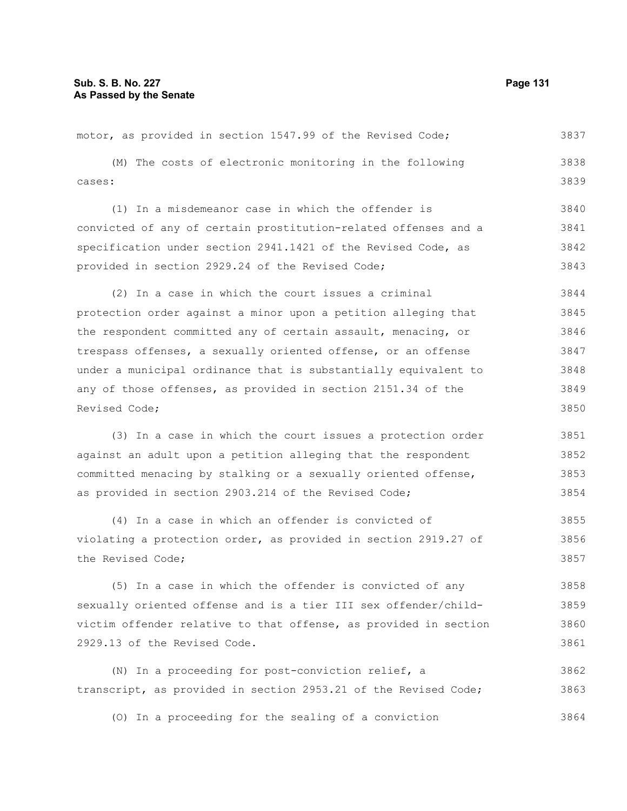| motor, as provided in section 1547.99 of the Revised Code;       | 3837 |
|------------------------------------------------------------------|------|
| (M) The costs of electronic monitoring in the following          | 3838 |
| cases:                                                           | 3839 |
| (1) In a misdemeanor case in which the offender is               | 3840 |
| convicted of any of certain prostitution-related offenses and a  | 3841 |
| specification under section 2941.1421 of the Revised Code, as    | 3842 |
| provided in section 2929.24 of the Revised Code;                 | 3843 |
| (2) In a case in which the court issues a criminal               | 3844 |
| protection order against a minor upon a petition alleging that   | 3845 |
| the respondent committed any of certain assault, menacing, or    | 3846 |
| trespass offenses, a sexually oriented offense, or an offense    | 3847 |
| under a municipal ordinance that is substantially equivalent to  | 3848 |
| any of those offenses, as provided in section 2151.34 of the     | 3849 |
| Revised Code:                                                    | 3850 |
| (3) In a case in which the court issues a protection order       | 3851 |
| against an adult upon a petition alleging that the respondent    | 3852 |
| committed menacing by stalking or a sexually oriented offense,   | 3853 |
| as provided in section 2903.214 of the Revised Code;             | 3854 |
| (4) In a case in which an offender is convicted of               | 3855 |
| violating a protection order, as provided in section 2919.27 of  | 3856 |
| the Revised Code;                                                | 3857 |
| (5) In a case in which the offender is convicted of any          | 3858 |
|                                                                  |      |
| sexually oriented offense and is a tier III sex offender/child-  | 3859 |
| victim offender relative to that offense, as provided in section | 3860 |
| 2929.13 of the Revised Code.                                     | 3861 |
| (N) In a proceeding for post-conviction relief, a                | 3862 |
| transcript, as provided in section 2953.21 of the Revised Code;  | 3863 |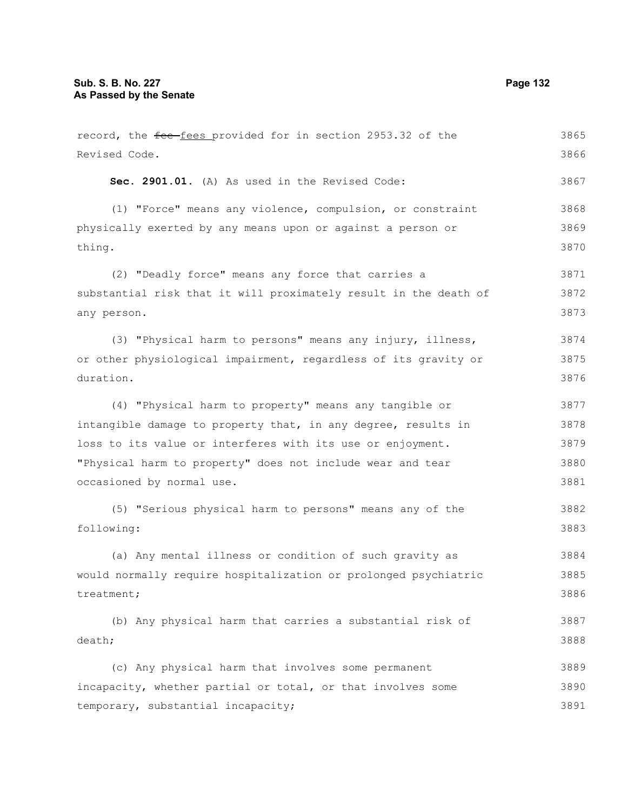| record, the fee fees provided for in section 2953.32 of the      | 3865 |
|------------------------------------------------------------------|------|
| Revised Code.                                                    | 3866 |
| Sec. 2901.01. (A) As used in the Revised Code:                   | 3867 |
| (1) "Force" means any violence, compulsion, or constraint        | 3868 |
| physically exerted by any means upon or against a person or      | 3869 |
| thing.                                                           | 3870 |
| (2) "Deadly force" means any force that carries a                | 3871 |
| substantial risk that it will proximately result in the death of | 3872 |
| any person.                                                      | 3873 |
| (3) "Physical harm to persons" means any injury, illness,        | 3874 |
| or other physiological impairment, regardless of its gravity or  | 3875 |
| duration.                                                        | 3876 |
| (4) "Physical harm to property" means any tangible or            | 3877 |
| intangible damage to property that, in any degree, results in    | 3878 |
| loss to its value or interferes with its use or enjoyment.       | 3879 |
| "Physical harm to property" does not include wear and tear       | 3880 |
| occasioned by normal use.                                        | 3881 |
| (5) "Serious physical harm to persons" means any of the          | 3882 |
| following:                                                       | 3883 |
| (a) Any mental illness or condition of such gravity as           | 3884 |
| would normally require hospitalization or prolonged psychiatric  | 3885 |
| treatment;                                                       | 3886 |
| (b) Any physical harm that carries a substantial risk of         | 3887 |
| death;                                                           | 3888 |
| (c) Any physical harm that involves some permanent               | 3889 |
| incapacity, whether partial or total, or that involves some      | 3890 |
| temporary, substantial incapacity;                               | 3891 |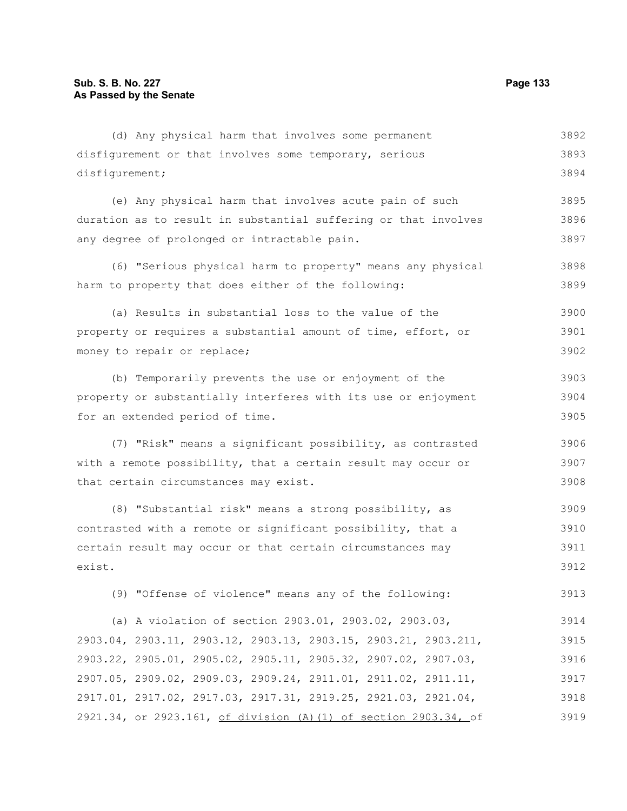(d) Any physical harm that involves some permanent disfigurement or that involves some temporary, serious disfigurement; (e) Any physical harm that involves acute pain of such duration as to result in substantial suffering or that involves any degree of prolonged or intractable pain. (6) "Serious physical harm to property" means any physical harm to property that does either of the following: (a) Results in substantial loss to the value of the property or requires a substantial amount of time, effort, or money to repair or replace; (b) Temporarily prevents the use or enjoyment of the property or substantially interferes with its use or enjoyment for an extended period of time. (7) "Risk" means a significant possibility, as contrasted with a remote possibility, that a certain result may occur or that certain circumstances may exist. (8) "Substantial risk" means a strong possibility, as contrasted with a remote or significant possibility, that a certain result may occur or that certain circumstances may exist. (9) "Offense of violence" means any of the following: (a) A violation of section 2903.01, 2903.02, 2903.03, 2903.04, 2903.11, 2903.12, 2903.13, 2903.15, 2903.21, 2903.211, 2903.22, 2905.01, 2905.02, 2905.11, 2905.32, 2907.02, 2907.03, 2907.05, 2909.02, 2909.03, 2909.24, 2911.01, 2911.02, 2911.11, 2917.01, 2917.02, 2917.03, 2917.31, 2919.25, 2921.03, 2921.04, 3892 3893 3894 3895 3896 3897 3898 3899 3900 3901 3902 3903 3904 3905 3906 3907 3908 3909 3910 3911 3912 3913 3914 3915 3916 3917 3918

2921.34, or 2923.161, of division (A)(1) of section 2903.34, of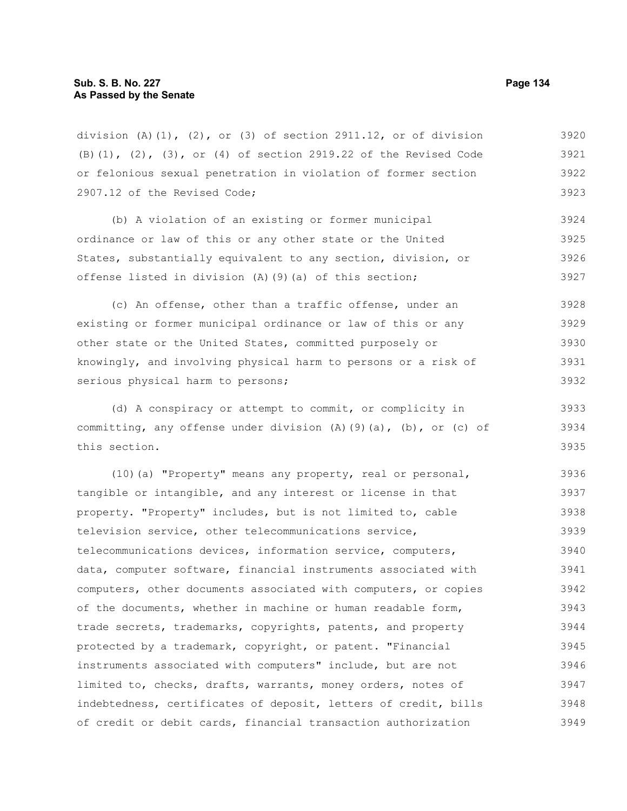division (A)(1), (2), or (3) of section 2911.12, or of division (B)(1), (2), (3), or (4) of section 2919.22 of the Revised Code or felonious sexual penetration in violation of former section 2907.12 of the Revised Code; 3920 3921 3922 3923

(b) A violation of an existing or former municipal ordinance or law of this or any other state or the United States, substantially equivalent to any section, division, or offense listed in division (A)(9)(a) of this section; 3924 3925 3926 3927

(c) An offense, other than a traffic offense, under an existing or former municipal ordinance or law of this or any other state or the United States, committed purposely or knowingly, and involving physical harm to persons or a risk of serious physical harm to persons; 3928 3929 3930 3931 3932

(d) A conspiracy or attempt to commit, or complicity in committing, any offense under division  $(A)$  (9)(a), (b), or (c) of this section. 3933 3934 3935

(10)(a) "Property" means any property, real or personal, tangible or intangible, and any interest or license in that property. "Property" includes, but is not limited to, cable television service, other telecommunications service, telecommunications devices, information service, computers, data, computer software, financial instruments associated with computers, other documents associated with computers, or copies of the documents, whether in machine or human readable form, trade secrets, trademarks, copyrights, patents, and property protected by a trademark, copyright, or patent. "Financial instruments associated with computers" include, but are not limited to, checks, drafts, warrants, money orders, notes of indebtedness, certificates of deposit, letters of credit, bills of credit or debit cards, financial transaction authorization 3936 3937 3938 3939 3940 3941 3942 3943 3944 3945 3946 3947 3948 3949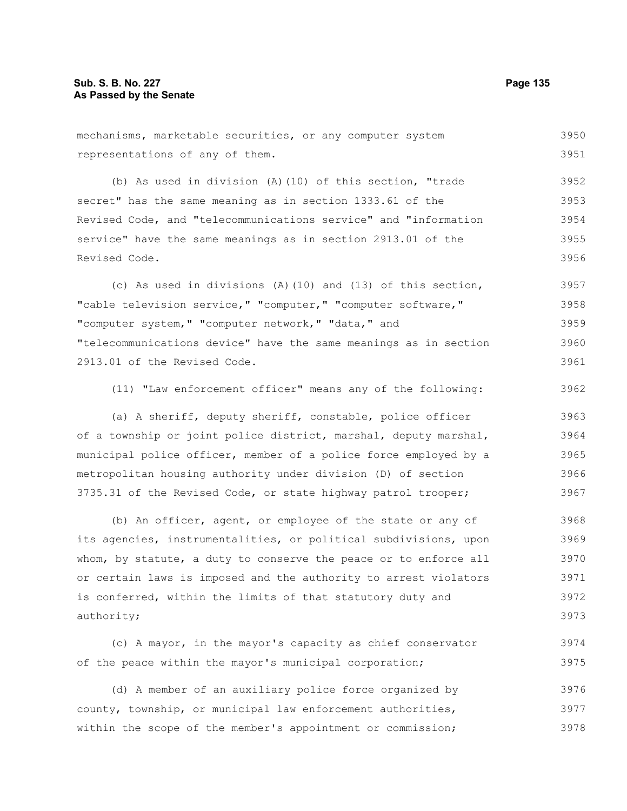mechanisms, marketable securities, or any computer system representations of any of them. (b) As used in division (A)(10) of this section, "trade secret" has the same meaning as in section 1333.61 of the Revised Code, and "telecommunications service" and "information service" have the same meanings as in section 2913.01 of the Revised Code. (c) As used in divisions (A)(10) and (13) of this section, "cable television service," "computer," "computer software," "computer system," "computer network," "data," and "telecommunications device" have the same meanings as in section 2913.01 of the Revised Code. (11) "Law enforcement officer" means any of the following: (a) A sheriff, deputy sheriff, constable, police officer of a township or joint police district, marshal, deputy marshal, municipal police officer, member of a police force employed by a metropolitan housing authority under division (D) of section 3735.31 of the Revised Code, or state highway patrol trooper; 3950 3951 3952 3953 3954 3955 3956 3957 3958 3959 3960 3961 3962 3963 3964 3965 3966 3967

(b) An officer, agent, or employee of the state or any of its agencies, instrumentalities, or political subdivisions, upon whom, by statute, a duty to conserve the peace or to enforce all or certain laws is imposed and the authority to arrest violators is conferred, within the limits of that statutory duty and authority; 3968 3969 3970 3971 3972 3973

(c) A mayor, in the mayor's capacity as chief conservator of the peace within the mayor's municipal corporation; 3974 3975

(d) A member of an auxiliary police force organized by county, township, or municipal law enforcement authorities, within the scope of the member's appointment or commission; 3976 3977 3978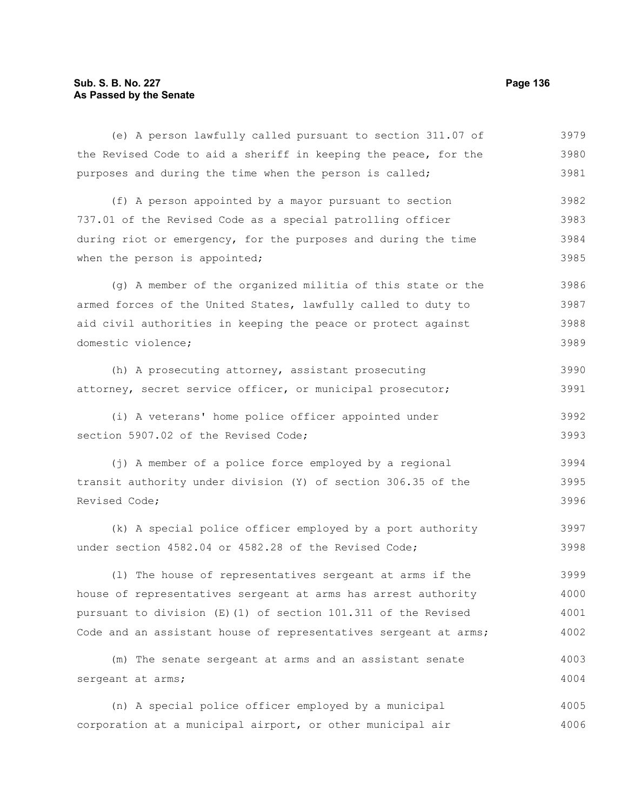# **Sub. S. B. No. 227 Page 136 As Passed by the Senate**

(e) A person lawfully called pursuant to section 311.07 of the Revised Code to aid a sheriff in keeping the peace, for the purposes and during the time when the person is called; (f) A person appointed by a mayor pursuant to section 737.01 of the Revised Code as a special patrolling officer during riot or emergency, for the purposes and during the time when the person is appointed; (g) A member of the organized militia of this state or the armed forces of the United States, lawfully called to duty to aid civil authorities in keeping the peace or protect against domestic violence; (h) A prosecuting attorney, assistant prosecuting attorney, secret service officer, or municipal prosecutor; (i) A veterans' home police officer appointed under section 5907.02 of the Revised Code; (j) A member of a police force employed by a regional transit authority under division (Y) of section 306.35 of the Revised Code; (k) A special police officer employed by a port authority under section 4582.04 or 4582.28 of the Revised Code; (l) The house of representatives sergeant at arms if the house of representatives sergeant at arms has arrest authority pursuant to division (E)(1) of section 101.311 of the Revised Code and an assistant house of representatives sergeant at arms; (m) The senate sergeant at arms and an assistant senate sergeant at arms; 3979 3980 3981 3982 3983 3984 3985 3986 3987 3988 3989 3990 3991 3992 3993 3994 3995 3996 3997 3998 3999 4000 4001 4002 4003 4004

(n) A special police officer employed by a municipal corporation at a municipal airport, or other municipal air 4005 4006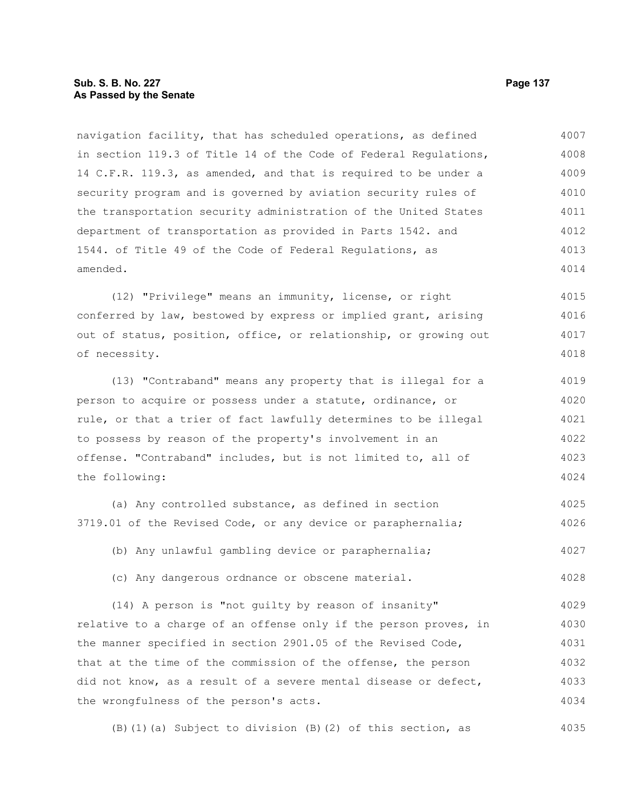# **Sub. S. B. No. 227 Page 137 As Passed by the Senate**

navigation facility, that has scheduled operations, as defined in section 119.3 of Title 14 of the Code of Federal Regulations, 14 C.F.R. 119.3, as amended, and that is required to be under a security program and is governed by aviation security rules of the transportation security administration of the United States department of transportation as provided in Parts 1542. and 1544. of Title 49 of the Code of Federal Regulations, as amended. 4007 4008 4009 4010 4011 4012 4013 4014

(12) "Privilege" means an immunity, license, or right conferred by law, bestowed by express or implied grant, arising out of status, position, office, or relationship, or growing out of necessity. 4015 4016 4017 4018

(13) "Contraband" means any property that is illegal for a person to acquire or possess under a statute, ordinance, or rule, or that a trier of fact lawfully determines to be illegal to possess by reason of the property's involvement in an offense. "Contraband" includes, but is not limited to, all of the following: 4019 4020 4021 4022 4023 4024

(a) Any controlled substance, as defined in section 3719.01 of the Revised Code, or any device or paraphernalia; 4025 4026

(b) Any unlawful gambling device or paraphernalia; 4027

(c) Any dangerous ordnance or obscene material.

(14) A person is "not guilty by reason of insanity" relative to a charge of an offense only if the person proves, in the manner specified in section 2901.05 of the Revised Code, that at the time of the commission of the offense, the person did not know, as a result of a severe mental disease or defect, the wrongfulness of the person's acts. 4029 4030 4031 4032 4033 4034

(B)(1)(a) Subject to division (B)(2) of this section, as 4035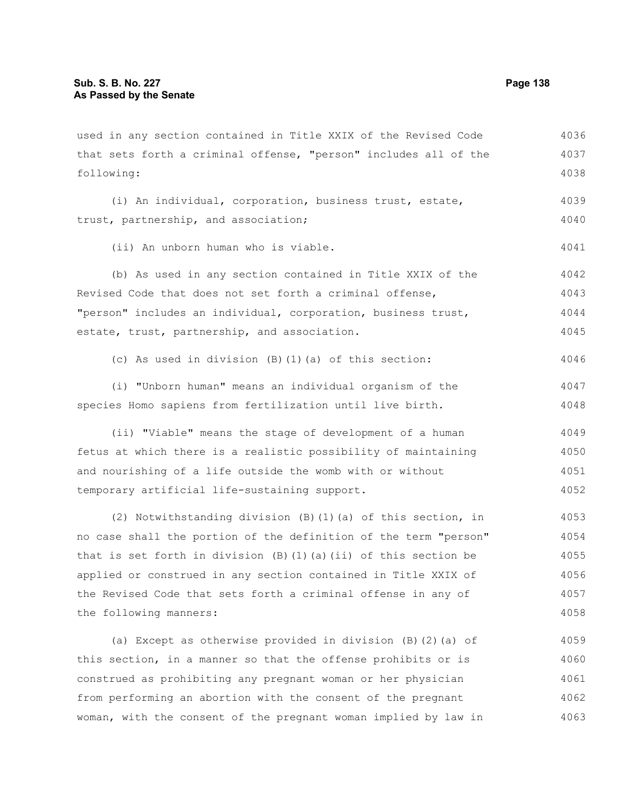the following manners:

that sets forth a criminal offense, "person" includes all of the following: (i) An individual, corporation, business trust, estate, trust, partnership, and association; (ii) An unborn human who is viable. (b) As used in any section contained in Title XXIX of the Revised Code that does not set forth a criminal offense, "person" includes an individual, corporation, business trust, estate, trust, partnership, and association. (c) As used in division (B)(1)(a) of this section: (i) "Unborn human" means an individual organism of the species Homo sapiens from fertilization until live birth. (ii) "Viable" means the stage of development of a human fetus at which there is a realistic possibility of maintaining and nourishing of a life outside the womb with or without temporary artificial life-sustaining support. (2) Notwithstanding division (B)(1)(a) of this section, in no case shall the portion of the definition of the term "person" that is set forth in division  $(B)$   $(1)$   $(a)$   $(i$ i) of this section be applied or construed in any section contained in Title XXIX of the Revised Code that sets forth a criminal offense in any of 4037 4038 4039 4040 4041 4042 4043 4044 4045 4046 4047 4048 4049 4050 4051 4052 4053 4054 4055 4056 4057

used in any section contained in Title XXIX of the Revised Code

(a) Except as otherwise provided in division (B)(2)(a) of this section, in a manner so that the offense prohibits or is construed as prohibiting any pregnant woman or her physician from performing an abortion with the consent of the pregnant woman, with the consent of the pregnant woman implied by law in 4059 4060 4061 4062 4063

4036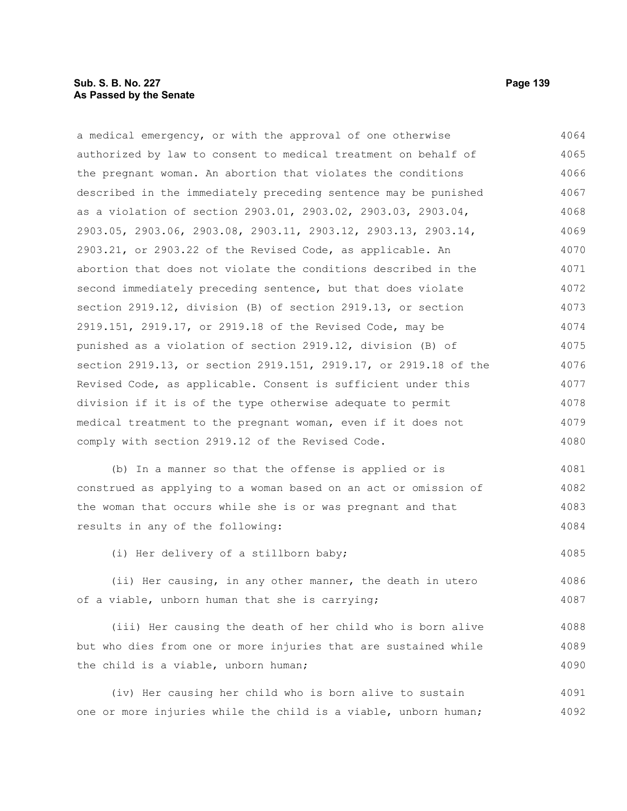# **Sub. S. B. No. 227 Page 139 As Passed by the Senate**

a medical emergency, or with the approval of one otherwise authorized by law to consent to medical treatment on behalf of the pregnant woman. An abortion that violates the conditions described in the immediately preceding sentence may be punished as a violation of section 2903.01, 2903.02, 2903.03, 2903.04, 2903.05, 2903.06, 2903.08, 2903.11, 2903.12, 2903.13, 2903.14, 2903.21, or 2903.22 of the Revised Code, as applicable. An abortion that does not violate the conditions described in the second immediately preceding sentence, but that does violate section 2919.12, division (B) of section 2919.13, or section 2919.151, 2919.17, or 2919.18 of the Revised Code, may be punished as a violation of section 2919.12, division (B) of section 2919.13, or section 2919.151, 2919.17, or 2919.18 of the Revised Code, as applicable. Consent is sufficient under this division if it is of the type otherwise adequate to permit medical treatment to the pregnant woman, even if it does not comply with section 2919.12 of the Revised Code. 4064 4065 4066 4067 4068 4069 4070 4071 4072 4073 4074 4075 4076 4077 4078 4079 4080

(b) In a manner so that the offense is applied or is construed as applying to a woman based on an act or omission of the woman that occurs while she is or was pregnant and that results in any of the following: 4081 4082 4083 4084

(i) Her delivery of a stillborn baby; 4085

(ii) Her causing, in any other manner, the death in utero of a viable, unborn human that she is carrying; 4086 4087

(iii) Her causing the death of her child who is born alive but who dies from one or more injuries that are sustained while the child is a viable, unborn human; 4088 4089 4090

(iv) Her causing her child who is born alive to sustain one or more injuries while the child is a viable, unborn human; 4091 4092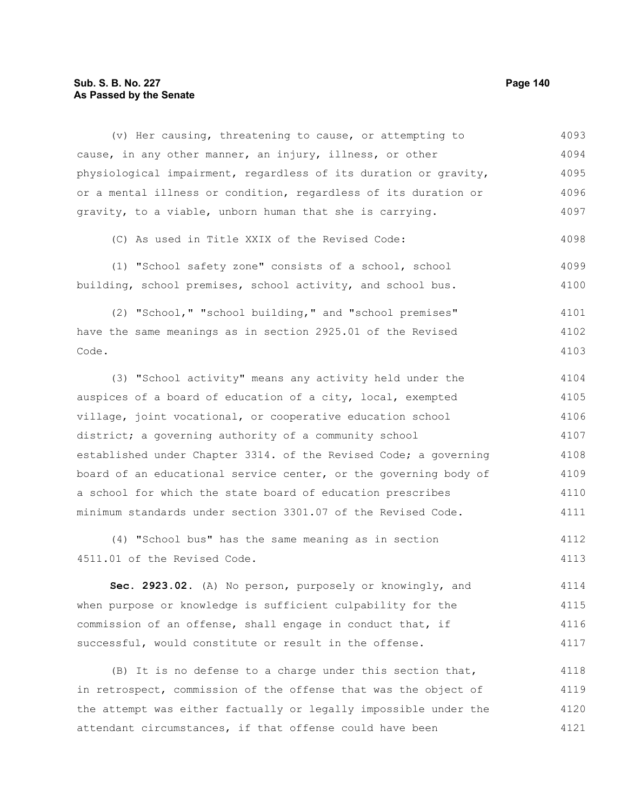# **Sub. S. B. No. 227 Page 140 As Passed by the Senate**

(v) Her causing, threatening to cause, or attempting to cause, in any other manner, an injury, illness, or other physiological impairment, regardless of its duration or gravity, or a mental illness or condition, regardless of its duration or gravity, to a viable, unborn human that she is carrying. 4093 4094 4095 4096 4097

(C) As used in Title XXIX of the Revised Code:

(1) "School safety zone" consists of a school, school building, school premises, school activity, and school bus. 4099 4100

(2) "School," "school building," and "school premises" have the same meanings as in section 2925.01 of the Revised Code. 4101 4102 4103

(3) "School activity" means any activity held under the auspices of a board of education of a city, local, exempted village, joint vocational, or cooperative education school district; a governing authority of a community school established under Chapter 3314. of the Revised Code; a governing board of an educational service center, or the governing body of a school for which the state board of education prescribes minimum standards under section 3301.07 of the Revised Code. 4104 4105 4106 4107 4108 4109 4110 4111

(4) "School bus" has the same meaning as in section 4511.01 of the Revised Code. 4112 4113

**Sec. 2923.02.** (A) No person, purposely or knowingly, and when purpose or knowledge is sufficient culpability for the commission of an offense, shall engage in conduct that, if successful, would constitute or result in the offense. 4114 4115 4116 4117

(B) It is no defense to a charge under this section that, in retrospect, commission of the offense that was the object of the attempt was either factually or legally impossible under the attendant circumstances, if that offense could have been 4118 4119 4120 4121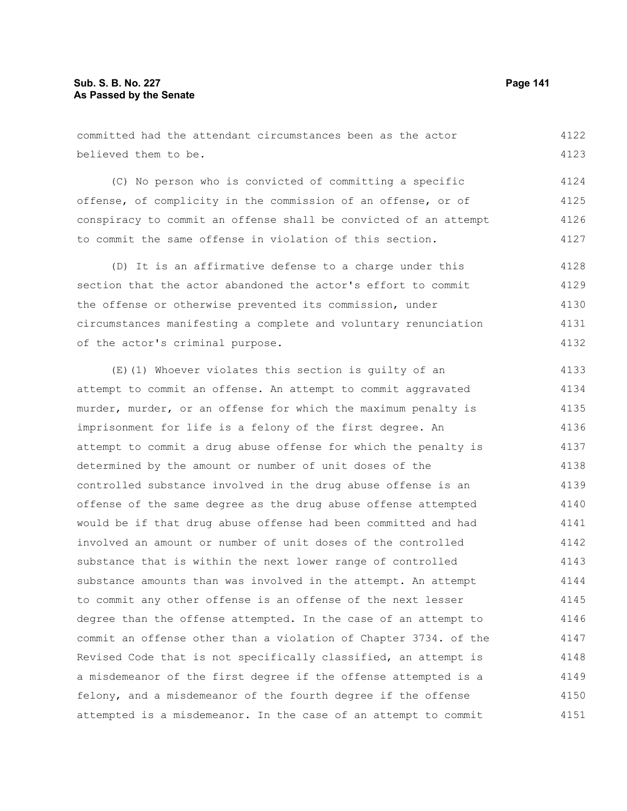4151

| committed had the attendant circumstances been as the actor      | 4122 |
|------------------------------------------------------------------|------|
| believed them to be.                                             | 4123 |
| (C) No person who is convicted of committing a specific          | 4124 |
| offense, of complicity in the commission of an offense, or of    | 4125 |
| conspiracy to commit an offense shall be convicted of an attempt | 4126 |
| to commit the same offense in violation of this section.         | 4127 |
| (D) It is an affirmative defense to a charge under this          | 4128 |
| section that the actor abandoned the actor's effort to commit    | 4129 |
| the offense or otherwise prevented its commission, under         | 4130 |
| circumstances manifesting a complete and voluntary renunciation  | 4131 |
| of the actor's criminal purpose.                                 | 4132 |
| (E) (1) Whoever violates this section is guilty of an            | 4133 |
| attempt to commit an offense. An attempt to commit aggravated    | 4134 |
| murder, murder, or an offense for which the maximum penalty is   | 4135 |
| imprisonment for life is a felony of the first degree. An        | 4136 |
| attempt to commit a drug abuse offense for which the penalty is  | 4137 |
| determined by the amount or number of unit doses of the          | 4138 |
| controlled substance involved in the drug abuse offense is an    | 4139 |
| offense of the same degree as the drug abuse offense attempted   | 4140 |
| would be if that drug abuse offense had been committed and had   | 4141 |
| involved an amount or number of unit doses of the controlled     | 4142 |
| substance that is within the next lower range of controlled      | 4143 |
| substance amounts than was involved in the attempt. An attempt   | 4144 |
| to commit any other offense is an offense of the next lesser     | 4145 |
| degree than the offense attempted. In the case of an attempt to  | 4146 |
| commit an offense other than a violation of Chapter 3734. of the | 4147 |
| Revised Code that is not specifically classified, an attempt is  | 4148 |
| a misdemeanor of the first degree if the offense attempted is a  | 4149 |
| felony, and a misdemeanor of the fourth degree if the offense    | 4150 |

attempted is a misdemeanor. In the case of an attempt to commit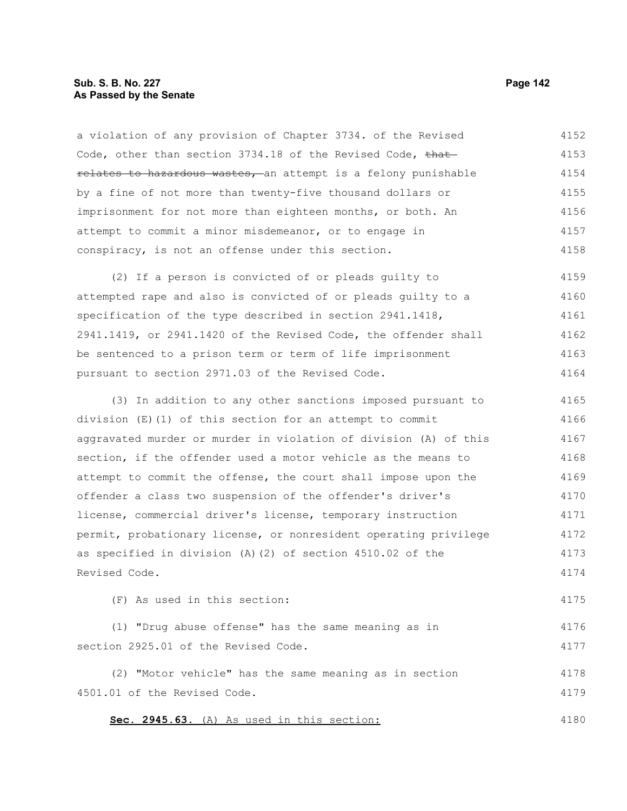# **Sub. S. B. No. 227 Page 142 As Passed by the Senate**

a violation of any provision of Chapter 3734. of the Revised Code, other than section  $3734.18$  of the Revised Code, that relates to hazardous wastes, an attempt is a felony punishable by a fine of not more than twenty-five thousand dollars or imprisonment for not more than eighteen months, or both. An attempt to commit a minor misdemeanor, or to engage in conspiracy, is not an offense under this section. 4152 4153 4154 4155 4156 4157 4158

(2) If a person is convicted of or pleads guilty to attempted rape and also is convicted of or pleads guilty to a specification of the type described in section 2941.1418, 2941.1419, or 2941.1420 of the Revised Code, the offender shall be sentenced to a prison term or term of life imprisonment pursuant to section 2971.03 of the Revised Code. 4159 4160 4161 4162 4163 4164

(3) In addition to any other sanctions imposed pursuant to division (E)(1) of this section for an attempt to commit aggravated murder or murder in violation of division (A) of this section, if the offender used a motor vehicle as the means to attempt to commit the offense, the court shall impose upon the offender a class two suspension of the offender's driver's license, commercial driver's license, temporary instruction permit, probationary license, or nonresident operating privilege as specified in division (A)(2) of section 4510.02 of the Revised Code. 4165 4166 4167 4168 4169 4170 4171 4172 4173 4174

(F) As used in this section:

(1) "Drug abuse offense" has the same meaning as in section 2925.01 of the Revised Code. 4176 4177

(2) "Motor vehicle" has the same meaning as in section 4501.01 of the Revised Code. 4178 4179

 **Sec. 2945.63.** (A) As used in this section: 4180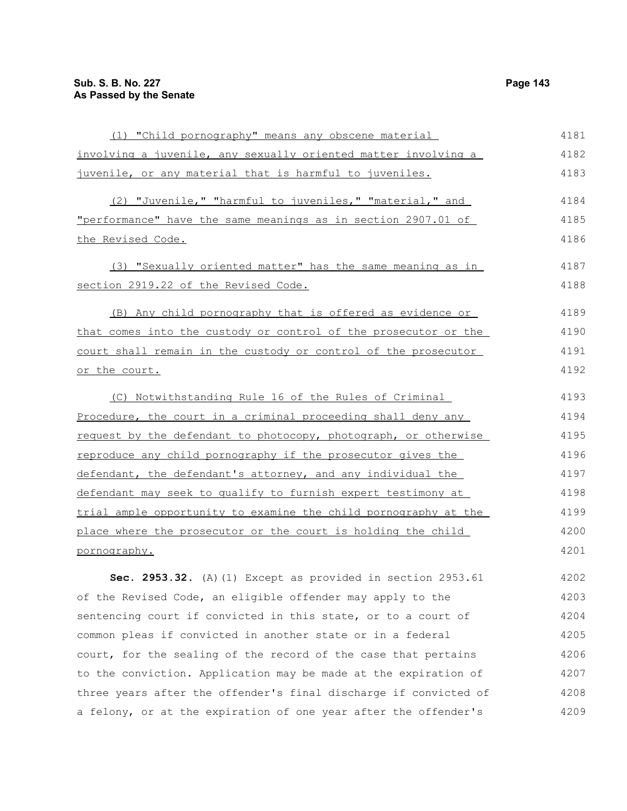| (1) "Child pornography" means any obscene material               | 4181 |
|------------------------------------------------------------------|------|
| involving a juvenile, any sexually oriented matter involving a   | 4182 |
| juvenile, or any material that is harmful to juveniles.          | 4183 |
| (2) "Juvenile," "harmful to juveniles," "material," and          | 4184 |
| "performance" have the same meanings as in section 2907.01 of    | 4185 |
| the Revised Code.                                                | 4186 |
|                                                                  |      |
| (3) "Sexually oriented matter" has the same meaning as in        | 4187 |
| section 2919.22 of the Revised Code.                             | 4188 |
| (B) Any child pornography that is offered as evidence or         | 4189 |
| that comes into the custody or control of the prosecutor or the  | 4190 |
| court shall remain in the custody or control of the prosecutor   | 4191 |
| or the court.                                                    | 4192 |
| (C) Notwithstanding Rule 16 of the Rules of Criminal             | 4193 |
| Procedure, the court in a criminal proceeding shall deny any     | 4194 |
| request by the defendant to photocopy, photograph, or otherwise  | 4195 |
| reproduce any child pornography if the prosecutor gives the      | 4196 |
| defendant, the defendant's attorney, and any individual the      | 4197 |
| defendant may seek to qualify to furnish expert testimony at     | 4198 |
| trial ample opportunity to examine the child pornography at the  | 4199 |
| place where the prosecutor or the court is holding the child     | 4200 |
| pornography.                                                     | 4201 |
| Sec. 2953.32. (A) (1) Except as provided in section 2953.61      | 4202 |
| of the Revised Code, an eligible offender may apply to the       | 4203 |
| sentencing court if convicted in this state, or to a court of    | 4204 |
| common pleas if convicted in another state or in a federal       | 4205 |
| court, for the sealing of the record of the case that pertains   | 4206 |
| to the conviction. Application may be made at the expiration of  | 4207 |
| three years after the offender's final discharge if convicted of | 4208 |

a felony, or at the expiration of one year after the offender's 4209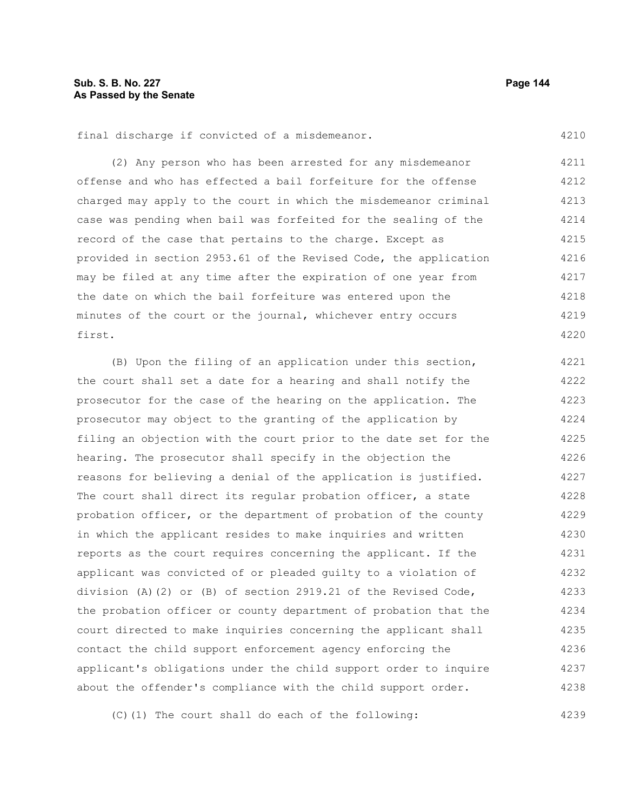4210

final discharge if convicted of a misdemeanor.

(2) Any person who has been arrested for any misdemeanor offense and who has effected a bail forfeiture for the offense charged may apply to the court in which the misdemeanor criminal case was pending when bail was forfeited for the sealing of the record of the case that pertains to the charge. Except as provided in section 2953.61 of the Revised Code, the application may be filed at any time after the expiration of one year from the date on which the bail forfeiture was entered upon the minutes of the court or the journal, whichever entry occurs first. 4211 4212 4213 4214 4215 4216 4217 4218 4219 4220

(B) Upon the filing of an application under this section, the court shall set a date for a hearing and shall notify the prosecutor for the case of the hearing on the application. The prosecutor may object to the granting of the application by filing an objection with the court prior to the date set for the hearing. The prosecutor shall specify in the objection the reasons for believing a denial of the application is justified. The court shall direct its regular probation officer, a state probation officer, or the department of probation of the county in which the applicant resides to make inquiries and written reports as the court requires concerning the applicant. If the applicant was convicted of or pleaded guilty to a violation of division (A)(2) or (B) of section 2919.21 of the Revised Code, the probation officer or county department of probation that the court directed to make inquiries concerning the applicant shall contact the child support enforcement agency enforcing the applicant's obligations under the child support order to inquire about the offender's compliance with the child support order. 4221 4222 4223 4224 4225 4226 4227 4228 4229 4230 4231 4232 4233 4234 4235 4236 4237 4238

(C)(1) The court shall do each of the following: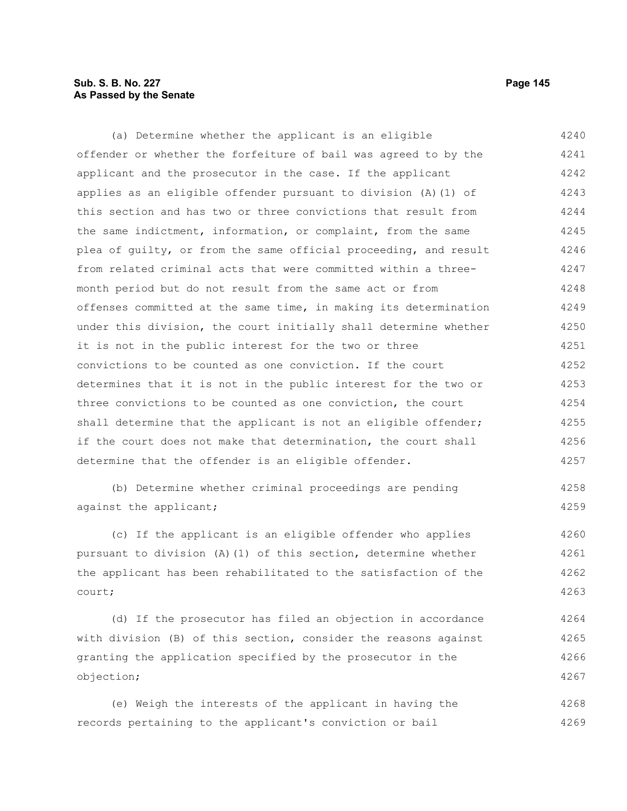## **Sub. S. B. No. 227 Page 145 As Passed by the Senate**

(a) Determine whether the applicant is an eligible offender or whether the forfeiture of bail was agreed to by the applicant and the prosecutor in the case. If the applicant applies as an eligible offender pursuant to division (A)(1) of this section and has two or three convictions that result from the same indictment, information, or complaint, from the same plea of guilty, or from the same official proceeding, and result from related criminal acts that were committed within a threemonth period but do not result from the same act or from offenses committed at the same time, in making its determination under this division, the court initially shall determine whether it is not in the public interest for the two or three convictions to be counted as one conviction. If the court determines that it is not in the public interest for the two or three convictions to be counted as one conviction, the court shall determine that the applicant is not an eligible offender; if the court does not make that determination, the court shall determine that the offender is an eligible offender. (b) Determine whether criminal proceedings are pending against the applicant; 4240 4241 4242 4243 4244 4245 4246 4247 4248 4249 4250 4251 4252 4253 4254 4255 4256 4257 4258 4259

(c) If the applicant is an eligible offender who applies pursuant to division (A)(1) of this section, determine whether the applicant has been rehabilitated to the satisfaction of the court; 4260 4261 4262 4263

(d) If the prosecutor has filed an objection in accordance with division (B) of this section, consider the reasons against granting the application specified by the prosecutor in the objection; 4264 4265 4266 4267

(e) Weigh the interests of the applicant in having the records pertaining to the applicant's conviction or bail 4268 4269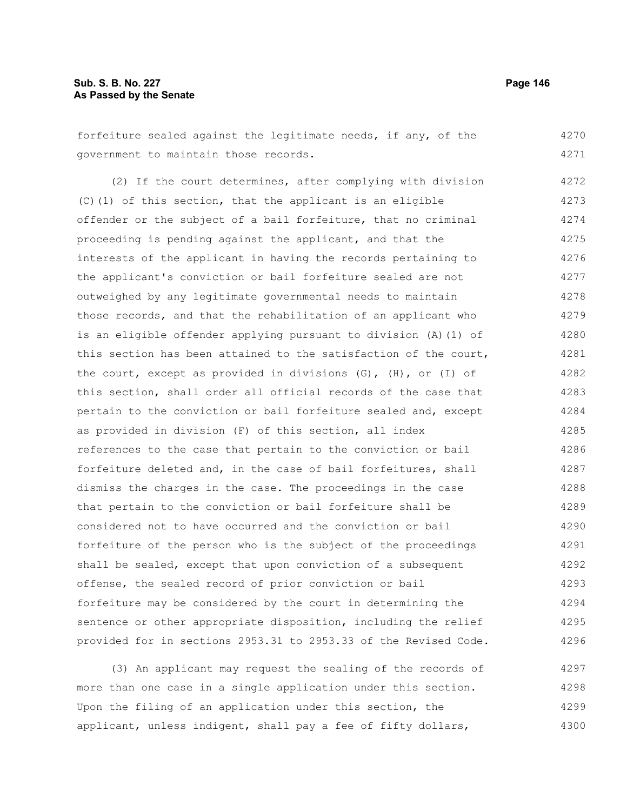forfeiture sealed against the legitimate needs, if any, of the government to maintain those records. (2) If the court determines, after complying with division (C)(1) of this section, that the applicant is an eligible offender or the subject of a bail forfeiture, that no criminal proceeding is pending against the applicant, and that the interests of the applicant in having the records pertaining to the applicant's conviction or bail forfeiture sealed are not outweighed by any legitimate governmental needs to maintain those records, and that the rehabilitation of an applicant who is an eligible offender applying pursuant to division (A)(1) of this section has been attained to the satisfaction of the court, the court, except as provided in divisions  $(G)$ ,  $(H)$ , or  $(I)$  of this section, shall order all official records of the case that pertain to the conviction or bail forfeiture sealed and, except as provided in division (F) of this section, all index references to the case that pertain to the conviction or bail forfeiture deleted and, in the case of bail forfeitures, shall dismiss the charges in the case. The proceedings in the case that pertain to the conviction or bail forfeiture shall be considered not to have occurred and the conviction or bail forfeiture of the person who is the subject of the proceedings shall be sealed, except that upon conviction of a subsequent offense, the sealed record of prior conviction or bail forfeiture may be considered by the court in determining the sentence or other appropriate disposition, including the relief provided for in sections 2953.31 to 2953.33 of the Revised Code. 4270 4271 4272 4273 4274 4275 4276 4277 4278 4279 4280 4281 4282 4283 4284 4285 4286 4287 4288 4289 4290 4291 4292 4293 4294 4295 4296

(3) An applicant may request the sealing of the records of more than one case in a single application under this section. Upon the filing of an application under this section, the applicant, unless indigent, shall pay a fee of fifty dollars, 4297 4298 4299 4300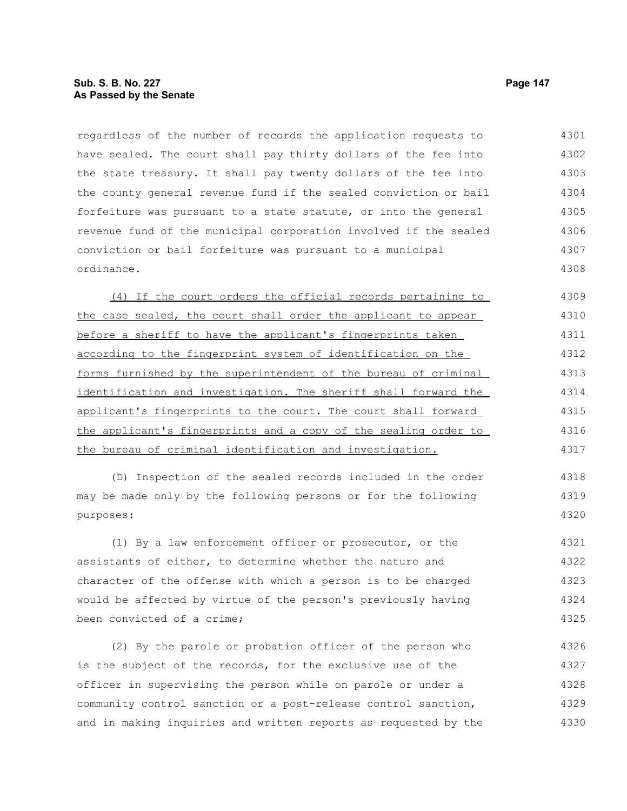## **Sub. S. B. No. 227 Page 147 As Passed by the Senate**

regardless of the number of records the application requests to have sealed. The court shall pay thirty dollars of the fee into the state treasury. It shall pay twenty dollars of the fee into the county general revenue fund if the sealed conviction or bail forfeiture was pursuant to a state statute, or into the general revenue fund of the municipal corporation involved if the sealed conviction or bail forfeiture was pursuant to a municipal ordinance. 4301 4302 4303 4304 4305 4306 4307 4308

 (4) If the court orders the official records pertaining to the case sealed, the court shall order the applicant to appear before a sheriff to have the applicant's fingerprints taken according to the fingerprint system of identification on the forms furnished by the superintendent of the bureau of criminal identification and investigation. The sheriff shall forward the applicant's fingerprints to the court. The court shall forward the applicant's fingerprints and a copy of the sealing order to the bureau of criminal identification and investigation. 4309 4310 4311 4312 4313 4314 4315 4316 4317

(D) Inspection of the sealed records included in the order may be made only by the following persons or for the following purposes: 4318 4319 4320

(1) By a law enforcement officer or prosecutor, or the assistants of either, to determine whether the nature and character of the offense with which a person is to be charged would be affected by virtue of the person's previously having been convicted of a crime; 4321 4322 4323 4324 4325

(2) By the parole or probation officer of the person who is the subject of the records, for the exclusive use of the officer in supervising the person while on parole or under a community control sanction or a post-release control sanction, and in making inquiries and written reports as requested by the 4326 4327 4328 4329 4330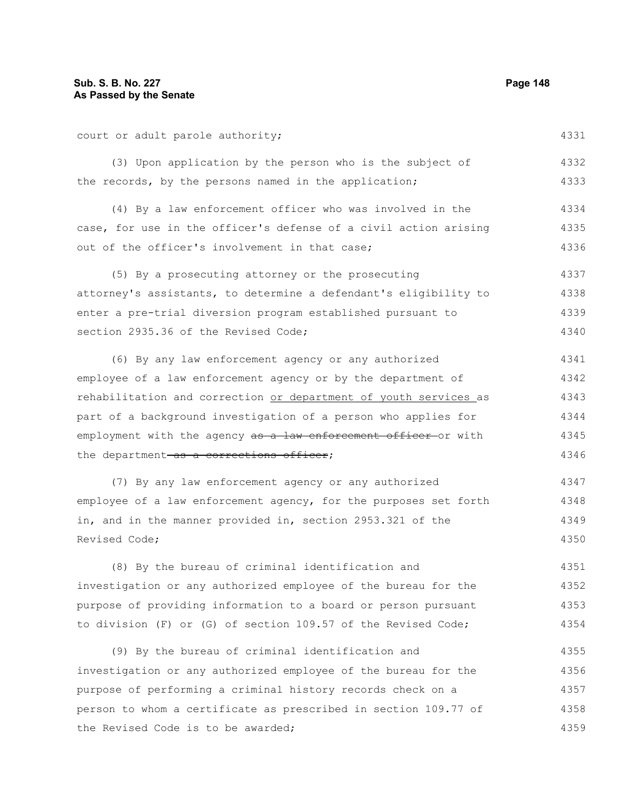## **Sub. S. B. No. 227 Page 148 As Passed by the Senate**

court or adult parole authority;

4331

|  | (3) Upon application by the person who is the subject of | 4332 |
|--|----------------------------------------------------------|------|
|  | the records, by the persons named in the application;    | 4333 |

(4) By a law enforcement officer who was involved in the case, for use in the officer's defense of a civil action arising out of the officer's involvement in that case; 4334 4335 4336

(5) By a prosecuting attorney or the prosecuting attorney's assistants, to determine a defendant's eligibility to enter a pre-trial diversion program established pursuant to section 2935.36 of the Revised Code; 4337 4338 4339 4340

(6) By any law enforcement agency or any authorized employee of a law enforcement agency or by the department of rehabilitation and correction or department of youth services as part of a background investigation of a person who applies for employment with the agency as a law enforcement officer or with the department-as a corrections officer; 4341 4342 4343 4344 4345 4346

(7) By any law enforcement agency or any authorized employee of a law enforcement agency, for the purposes set forth in, and in the manner provided in, section 2953.321 of the Revised Code; 4347 4348 4349 4350

(8) By the bureau of criminal identification and investigation or any authorized employee of the bureau for the purpose of providing information to a board or person pursuant to division (F) or (G) of section 109.57 of the Revised Code; 4351 4352 4353 4354

(9) By the bureau of criminal identification and investigation or any authorized employee of the bureau for the purpose of performing a criminal history records check on a person to whom a certificate as prescribed in section 109.77 of the Revised Code is to be awarded; 4355 4356 4357 4358 4359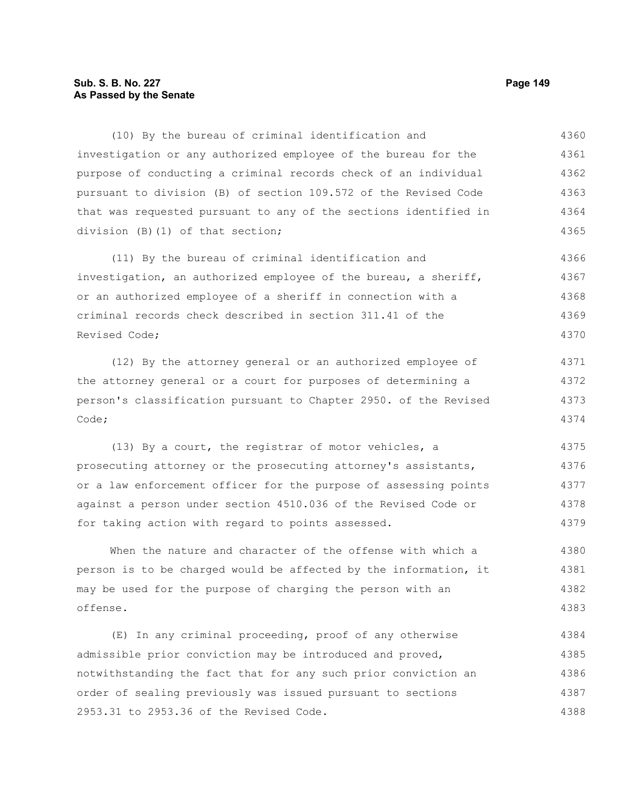### **Sub. S. B. No. 227 Page 149 As Passed by the Senate**

(10) By the bureau of criminal identification and investigation or any authorized employee of the bureau for the purpose of conducting a criminal records check of an individual pursuant to division (B) of section 109.572 of the Revised Code that was requested pursuant to any of the sections identified in division (B)(1) of that section; 4360 4361 4362 4363 4364 4365

(11) By the bureau of criminal identification and investigation, an authorized employee of the bureau, a sheriff, or an authorized employee of a sheriff in connection with a criminal records check described in section 311.41 of the Revised Code; 4366 4367 4368 4369 4370

(12) By the attorney general or an authorized employee of the attorney general or a court for purposes of determining a person's classification pursuant to Chapter 2950. of the Revised Code; 4371 4372 4373 4374

(13) By a court, the registrar of motor vehicles, a prosecuting attorney or the prosecuting attorney's assistants, or a law enforcement officer for the purpose of assessing points against a person under section 4510.036 of the Revised Code or for taking action with regard to points assessed. 4375 4376 4377 4378 4379

When the nature and character of the offense with which a person is to be charged would be affected by the information, it may be used for the purpose of charging the person with an offense. 4380 4381 4382 4383

(E) In any criminal proceeding, proof of any otherwise admissible prior conviction may be introduced and proved, notwithstanding the fact that for any such prior conviction an order of sealing previously was issued pursuant to sections 2953.31 to 2953.36 of the Revised Code. 4384 4385 4386 4387 4388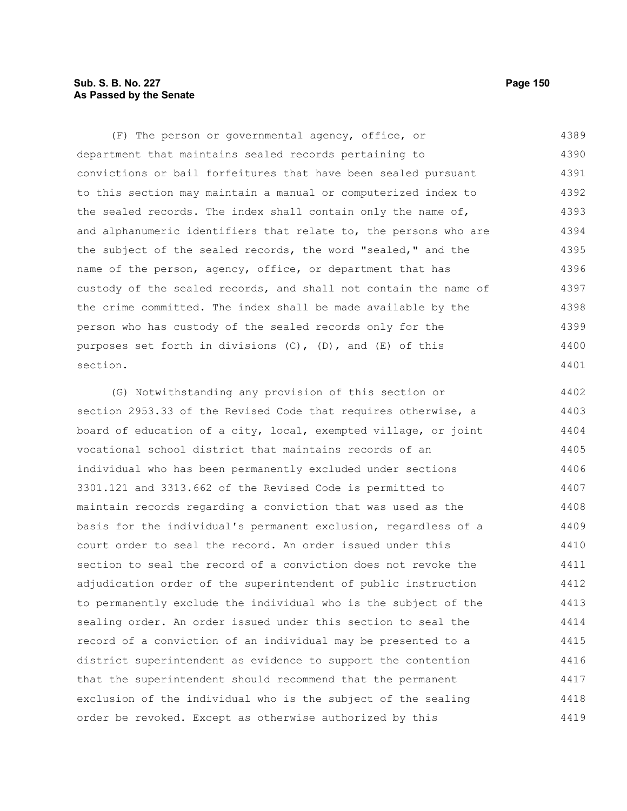## **Sub. S. B. No. 227 Page 150 As Passed by the Senate**

(F) The person or governmental agency, office, or department that maintains sealed records pertaining to convictions or bail forfeitures that have been sealed pursuant to this section may maintain a manual or computerized index to the sealed records. The index shall contain only the name of, and alphanumeric identifiers that relate to, the persons who are the subject of the sealed records, the word "sealed," and the name of the person, agency, office, or department that has custody of the sealed records, and shall not contain the name of the crime committed. The index shall be made available by the person who has custody of the sealed records only for the purposes set forth in divisions (C), (D), and (E) of this section. 4389 4390 4391 4392 4393 4394 4395 4396 4397 4398 4399 4400 4401

(G) Notwithstanding any provision of this section or section 2953.33 of the Revised Code that requires otherwise, a board of education of a city, local, exempted village, or joint vocational school district that maintains records of an individual who has been permanently excluded under sections 3301.121 and 3313.662 of the Revised Code is permitted to maintain records regarding a conviction that was used as the basis for the individual's permanent exclusion, regardless of a court order to seal the record. An order issued under this section to seal the record of a conviction does not revoke the adjudication order of the superintendent of public instruction to permanently exclude the individual who is the subject of the sealing order. An order issued under this section to seal the record of a conviction of an individual may be presented to a district superintendent as evidence to support the contention that the superintendent should recommend that the permanent exclusion of the individual who is the subject of the sealing order be revoked. Except as otherwise authorized by this 4402 4403 4404 4405 4406 4407 4408 4409 4410 4411 4412 4413 4414 4415 4416 4417 4418 4419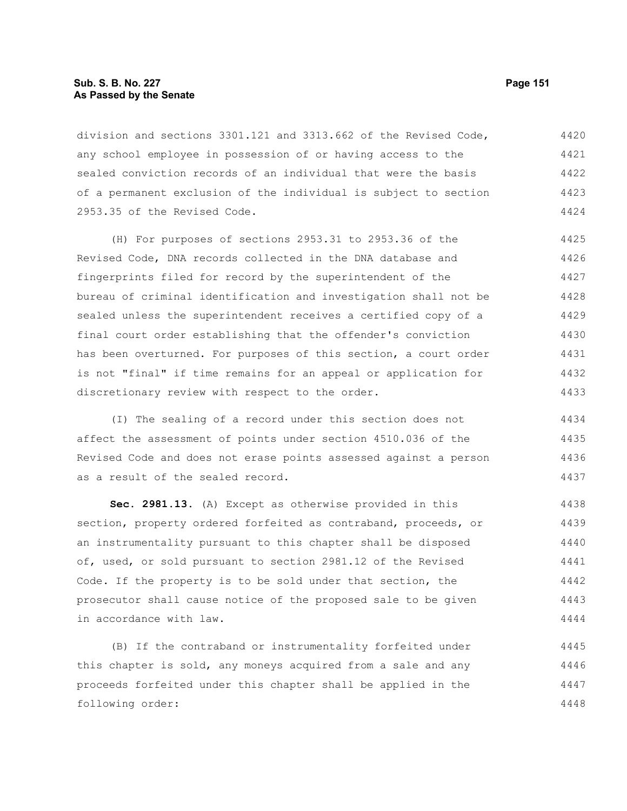#### **Sub. S. B. No. 227 Page 151 As Passed by the Senate**

division and sections 3301.121 and 3313.662 of the Revised Code, any school employee in possession of or having access to the sealed conviction records of an individual that were the basis of a permanent exclusion of the individual is subject to section 2953.35 of the Revised Code. 4420 4421 4422 4423 4424

(H) For purposes of sections 2953.31 to 2953.36 of the Revised Code, DNA records collected in the DNA database and fingerprints filed for record by the superintendent of the bureau of criminal identification and investigation shall not be sealed unless the superintendent receives a certified copy of a final court order establishing that the offender's conviction has been overturned. For purposes of this section, a court order is not "final" if time remains for an appeal or application for discretionary review with respect to the order. 4425 4426 4427 4428 4429 4430 4431 4432 4433

(I) The sealing of a record under this section does not affect the assessment of points under section 4510.036 of the Revised Code and does not erase points assessed against a person as a result of the sealed record. 4434 4435 4436 4437

**Sec. 2981.13.** (A) Except as otherwise provided in this section, property ordered forfeited as contraband, proceeds, or an instrumentality pursuant to this chapter shall be disposed of, used, or sold pursuant to section 2981.12 of the Revised Code. If the property is to be sold under that section, the prosecutor shall cause notice of the proposed sale to be given in accordance with law. 4438 4439 4440 4441 4442 4443 4444

(B) If the contraband or instrumentality forfeited under this chapter is sold, any moneys acquired from a sale and any proceeds forfeited under this chapter shall be applied in the following order: 4445 4446 4447 4448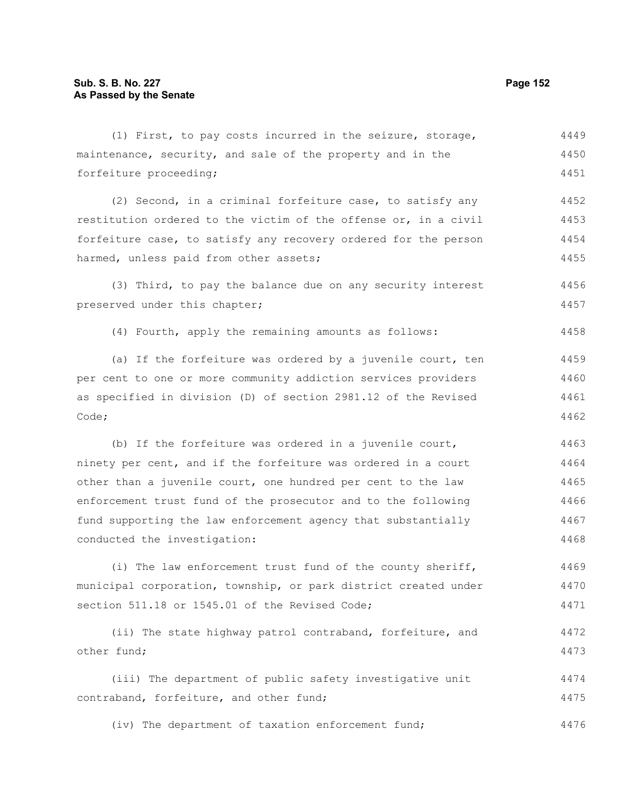| (1) First, to pay costs incurred in the seizure, storage,       | 4449 |  |
|-----------------------------------------------------------------|------|--|
| maintenance, security, and sale of the property and in the      | 4450 |  |
| forfeiture proceeding;                                          | 4451 |  |
| (2) Second, in a criminal forfeiture case, to satisfy any       | 4452 |  |
| restitution ordered to the victim of the offense or, in a civil | 4453 |  |
| forfeiture case, to satisfy any recovery ordered for the person | 4454 |  |
| harmed, unless paid from other assets;                          | 4455 |  |
| (3) Third, to pay the balance due on any security interest      | 4456 |  |
| preserved under this chapter;                                   |      |  |
| (4) Fourth, apply the remaining amounts as follows:             | 4458 |  |
| (a) If the forfeiture was ordered by a juvenile court, ten      | 4459 |  |
| per cent to one or more community addiction services providers  | 4460 |  |
| as specified in division (D) of section 2981.12 of the Revised  | 4461 |  |
| Code;                                                           | 4462 |  |
| (b) If the forfeiture was ordered in a juvenile court,          | 4463 |  |
| ninety per cent, and if the forfeiture was ordered in a court   |      |  |
| other than a juvenile court, one hundred per cent to the law    |      |  |
| enforcement trust fund of the prosecutor and to the following   |      |  |
| fund supporting the law enforcement agency that substantially   |      |  |
| conducted the investigation:                                    | 4468 |  |
| (i) The law enforcement trust fund of the county sheriff,       | 4469 |  |
| municipal corporation, township, or park district created under |      |  |
| section 511.18 or 1545.01 of the Revised Code;                  | 4471 |  |
| (ii) The state highway patrol contraband, forfeiture, and       | 4472 |  |
| other fund;                                                     | 4473 |  |
| (iii) The department of public safety investigative unit        | 4474 |  |
| contraband, forfeiture, and other fund;                         | 4475 |  |
| (iv) The department of taxation enforcement fund;               | 4476 |  |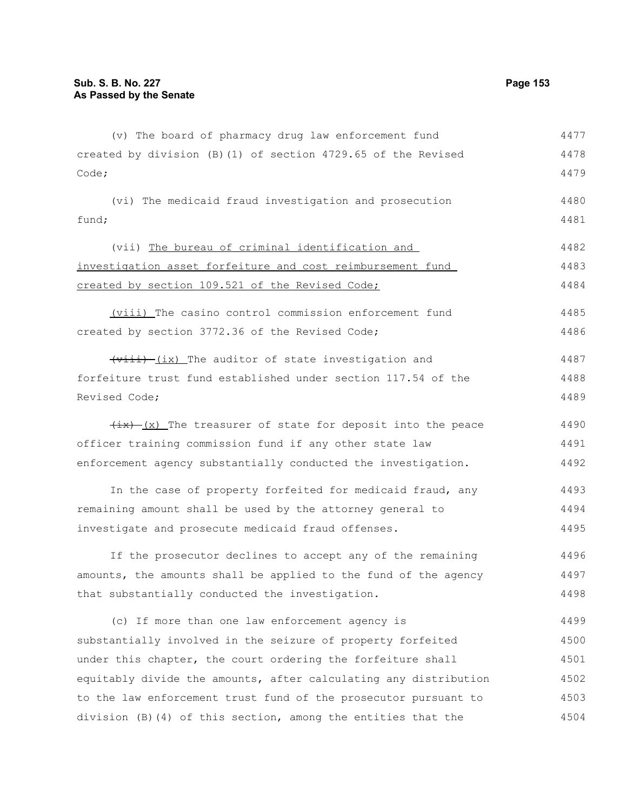| (v) The board of pharmacy drug law enforcement fund                   | 4477 |
|-----------------------------------------------------------------------|------|
| created by division (B) (1) of section 4729.65 of the Revised         | 4478 |
| Code;                                                                 | 4479 |
| (vi) The medicaid fraud investigation and prosecution                 | 4480 |
| fund;                                                                 | 4481 |
| (vii) The bureau of criminal identification and                       | 4482 |
| investigation asset forfeiture and cost reimbursement fund            | 4483 |
| created by section 109.521 of the Revised Code;                       | 4484 |
| (viii) The casino control commission enforcement fund                 | 4485 |
| created by section 3772.36 of the Revised Code;                       | 4486 |
| (viii)-(ix) The auditor of state investigation and                    | 4487 |
| forfeiture trust fund established under section 117.54 of the         | 4488 |
| Revised Code;                                                         | 4489 |
| $\frac{f(x)}{f(x)}$ The treasurer of state for deposit into the peace | 4490 |
| officer training commission fund if any other state law               | 4491 |
| enforcement agency substantially conducted the investigation.         | 4492 |
| In the case of property forfeited for medicaid fraud, any             | 4493 |
| remaining amount shall be used by the attorney general to             | 4494 |
| investigate and prosecute medicaid fraud offenses.                    | 4495 |
| If the prosecutor declines to accept any of the remaining             | 4496 |
| amounts, the amounts shall be applied to the fund of the agency       | 4497 |
| that substantially conducted the investigation.                       | 4498 |
| (c) If more than one law enforcement agency is                        | 4499 |
| substantially involved in the seizure of property forfeited           | 4500 |
| under this chapter, the court ordering the forfeiture shall           | 4501 |
| equitably divide the amounts, after calculating any distribution      | 4502 |
| to the law enforcement trust fund of the prosecutor pursuant to       | 4503 |
| division (B) (4) of this section, among the entities that the         | 4504 |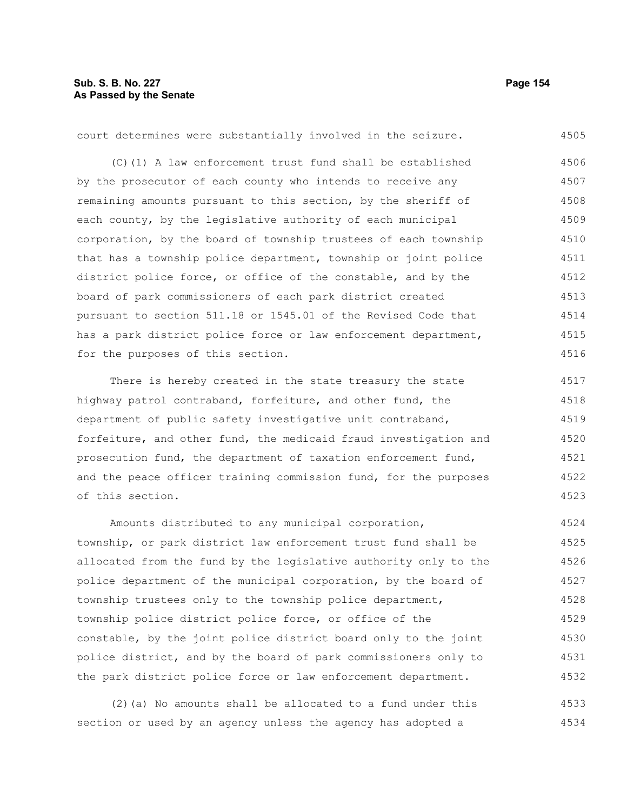court determines were substantially involved in the seizure. 4505

(C)(1) A law enforcement trust fund shall be established by the prosecutor of each county who intends to receive any remaining amounts pursuant to this section, by the sheriff of each county, by the legislative authority of each municipal corporation, by the board of township trustees of each township that has a township police department, township or joint police district police force, or office of the constable, and by the board of park commissioners of each park district created pursuant to section 511.18 or 1545.01 of the Revised Code that has a park district police force or law enforcement department, for the purposes of this section. 4506 4507 4508 4509 4510 4511 4512 4513 4514 4515 4516

There is hereby created in the state treasury the state highway patrol contraband, forfeiture, and other fund, the department of public safety investigative unit contraband, forfeiture, and other fund, the medicaid fraud investigation and prosecution fund, the department of taxation enforcement fund, and the peace officer training commission fund, for the purposes of this section. 4517 4518 4519 4520 4521 4522 4523

Amounts distributed to any municipal corporation, township, or park district law enforcement trust fund shall be allocated from the fund by the legislative authority only to the police department of the municipal corporation, by the board of township trustees only to the township police department, township police district police force, or office of the constable, by the joint police district board only to the joint police district, and by the board of park commissioners only to the park district police force or law enforcement department. 4524 4525 4526 4527 4528 4529 4530 4531 4532

(2)(a) No amounts shall be allocated to a fund under this section or used by an agency unless the agency has adopted a 4533 4534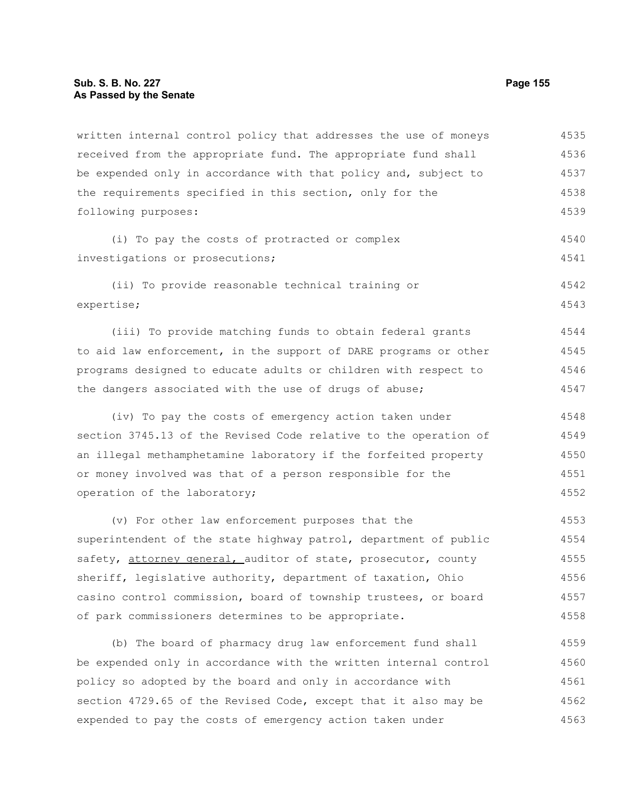received from the appropriate fund. The appropriate fund shall be expended only in accordance with that policy and, subject to the requirements specified in this section, only for the following purposes: (i) To pay the costs of protracted or complex investigations or prosecutions; (ii) To provide reasonable technical training or expertise; (iii) To provide matching funds to obtain federal grants to aid law enforcement, in the support of DARE programs or other programs designed to educate adults or children with respect to the dangers associated with the use of drugs of abuse; (iv) To pay the costs of emergency action taken under section 3745.13 of the Revised Code relative to the operation of an illegal methamphetamine laboratory if the forfeited property or money involved was that of a person responsible for the operation of the laboratory; (v) For other law enforcement purposes that the superintendent of the state highway patrol, department of public safety, attorney general, auditor of state, prosecutor, county sheriff, legislative authority, department of taxation, Ohio casino control commission, board of township trustees, or board 4536 4537 4538 4539 4540 4541 4542 4543 4544 4545 4546 4547 4548 4549 4550 4551 4552 4553 4554 4555 4556 4557

written internal control policy that addresses the use of moneys

(b) The board of pharmacy drug law enforcement fund shall be expended only in accordance with the written internal control policy so adopted by the board and only in accordance with section 4729.65 of the Revised Code, except that it also may be expended to pay the costs of emergency action taken under 4559 4560 4561 4562 4563

of park commissioners determines to be appropriate.

4535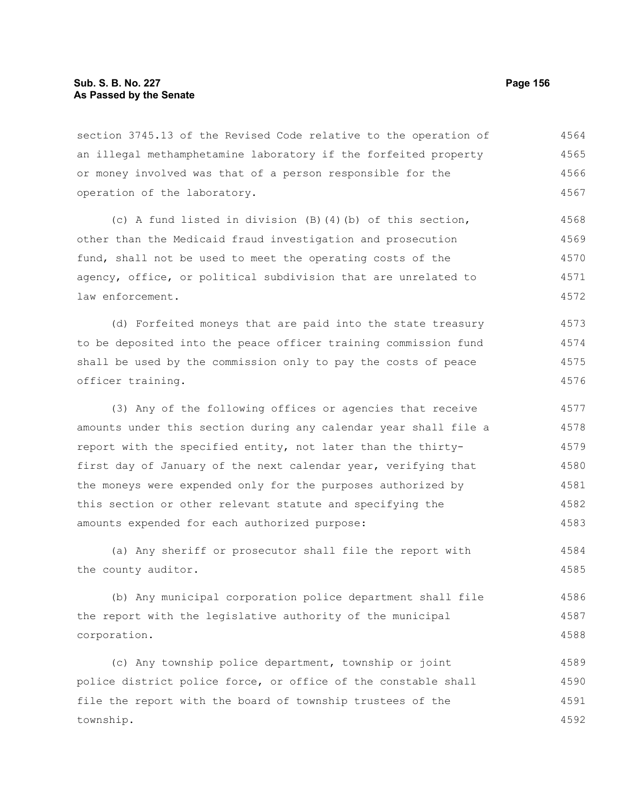section 3745.13 of the Revised Code relative to the operation of an illegal methamphetamine laboratory if the forfeited property or money involved was that of a person responsible for the operation of the laboratory. 4564 4565 4566 4567

(c) A fund listed in division (B)(4)(b) of this section, other than the Medicaid fraud investigation and prosecution fund, shall not be used to meet the operating costs of the agency, office, or political subdivision that are unrelated to law enforcement. 4568 4569 4570 4571 4572

(d) Forfeited moneys that are paid into the state treasury to be deposited into the peace officer training commission fund shall be used by the commission only to pay the costs of peace officer training. 4573 4574 4575 4576

(3) Any of the following offices or agencies that receive amounts under this section during any calendar year shall file a report with the specified entity, not later than the thirtyfirst day of January of the next calendar year, verifying that the moneys were expended only for the purposes authorized by this section or other relevant statute and specifying the amounts expended for each authorized purpose: 4577 4578 4579 4580 4581 4582 4583

(a) Any sheriff or prosecutor shall file the report with the county auditor. 4584 4585

(b) Any municipal corporation police department shall file the report with the legislative authority of the municipal corporation. 4586 4587 4588

(c) Any township police department, township or joint police district police force, or office of the constable shall file the report with the board of township trustees of the township. 4589 4590 4591 4592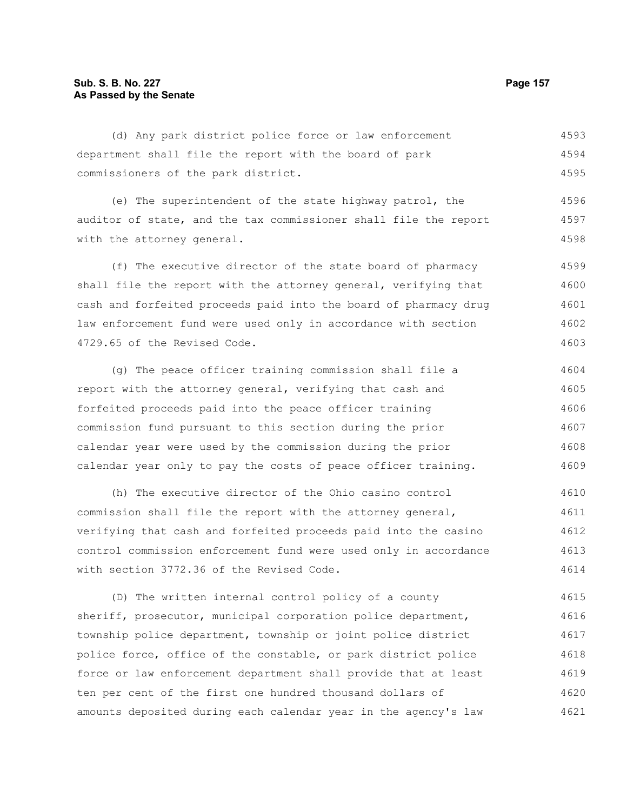### **Sub. S. B. No. 227 Page 157 As Passed by the Senate**

(d) Any park district police force or law enforcement department shall file the report with the board of park commissioners of the park district. 4593 4594 4595

(e) The superintendent of the state highway patrol, the auditor of state, and the tax commissioner shall file the report with the attorney general. 4596 4597 4598

(f) The executive director of the state board of pharmacy shall file the report with the attorney general, verifying that cash and forfeited proceeds paid into the board of pharmacy drug law enforcement fund were used only in accordance with section 4729.65 of the Revised Code. 4599 4600 4601 4602 4603

(g) The peace officer training commission shall file a report with the attorney general, verifying that cash and forfeited proceeds paid into the peace officer training commission fund pursuant to this section during the prior calendar year were used by the commission during the prior calendar year only to pay the costs of peace officer training. 4604 4605 4606 4607 4608 4609

(h) The executive director of the Ohio casino control commission shall file the report with the attorney general, verifying that cash and forfeited proceeds paid into the casino control commission enforcement fund were used only in accordance with section 3772.36 of the Revised Code. 4610 4611 4612 4613 4614

(D) The written internal control policy of a county sheriff, prosecutor, municipal corporation police department, township police department, township or joint police district police force, office of the constable, or park district police force or law enforcement department shall provide that at least ten per cent of the first one hundred thousand dollars of amounts deposited during each calendar year in the agency's law 4615 4616 4617 4618 4619 4620 4621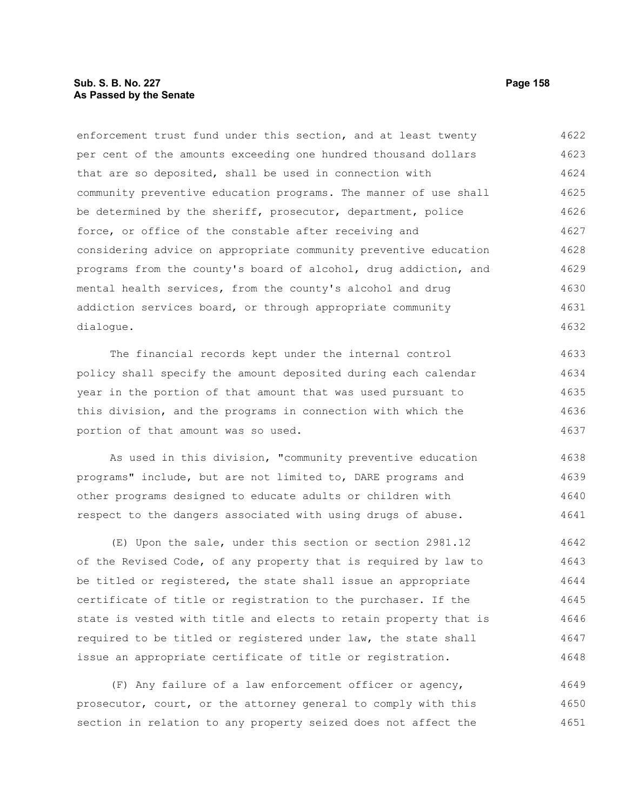### **Sub. S. B. No. 227 Page 158 As Passed by the Senate**

enforcement trust fund under this section, and at least twenty per cent of the amounts exceeding one hundred thousand dollars that are so deposited, shall be used in connection with community preventive education programs. The manner of use shall be determined by the sheriff, prosecutor, department, police force, or office of the constable after receiving and considering advice on appropriate community preventive education programs from the county's board of alcohol, drug addiction, and mental health services, from the county's alcohol and drug addiction services board, or through appropriate community dialogue. 4622 4623 4624 4625 4626 4627 4628 4629 4630 4631 4632

The financial records kept under the internal control policy shall specify the amount deposited during each calendar year in the portion of that amount that was used pursuant to this division, and the programs in connection with which the portion of that amount was so used. 4633 4634 4635 4636 4637

As used in this division, "community preventive education programs" include, but are not limited to, DARE programs and other programs designed to educate adults or children with respect to the dangers associated with using drugs of abuse. 4638 4639 4640 4641

(E) Upon the sale, under this section or section 2981.12 of the Revised Code, of any property that is required by law to be titled or registered, the state shall issue an appropriate certificate of title or registration to the purchaser. If the state is vested with title and elects to retain property that is required to be titled or registered under law, the state shall issue an appropriate certificate of title or registration. 4642 4643 4644 4645 4646 4647 4648

(F) Any failure of a law enforcement officer or agency, prosecutor, court, or the attorney general to comply with this section in relation to any property seized does not affect the 4649 4650 4651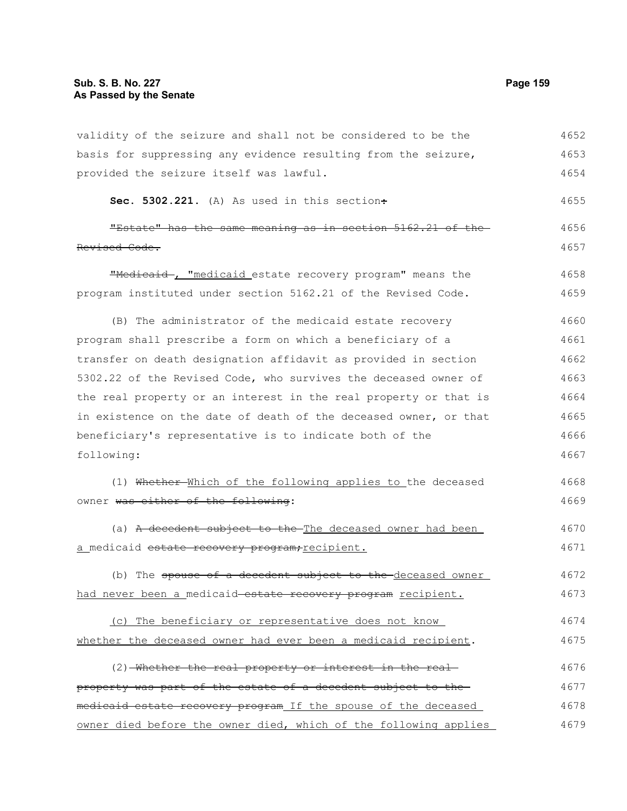validity of the seizure and shall not be considered to be the basis for suppressing any evidence resulting from the seizure, provided the seizure itself was lawful. Sec. 5302.221. (A) As used in this section÷ "Estate" has the same meaning as in section 5162.21 of the Revised Code. "Medicaid-, "medicaid estate recovery program" means the program instituted under section 5162.21 of the Revised Code. (B) The administrator of the medicaid estate recovery program shall prescribe a form on which a beneficiary of a transfer on death designation affidavit as provided in section 5302.22 of the Revised Code, who survives the deceased owner of the real property or an interest in the real property or that is in existence on the date of death of the deceased owner, or that beneficiary's representative is to indicate both of the following: (1) Whether Which of the following applies to the deceased owner was either of the following: (a) A decedent subject to the The deceased owner had been a medicaid estate recovery program; recipient. (b) The spouse of a decedent subject to the deceased owner had never been a medicaid estate recovery program recipient. (c) The beneficiary or representative does not know whether the deceased owner had ever been a medicaid recipient. (2) Whether the real property or interest in the real property was part of the estate of a decedent subject to the medicaid estate recovery program If the spouse of the deceased owner died before the owner died, which of the following applies 4652 4653 4654 4655 4656 4657 4658 4659 4660 4661 4662 4663 4664 4665 4666 4667 4668 4669 4670 4671 4672 4673 4674 4675 4676 4677 4678 4679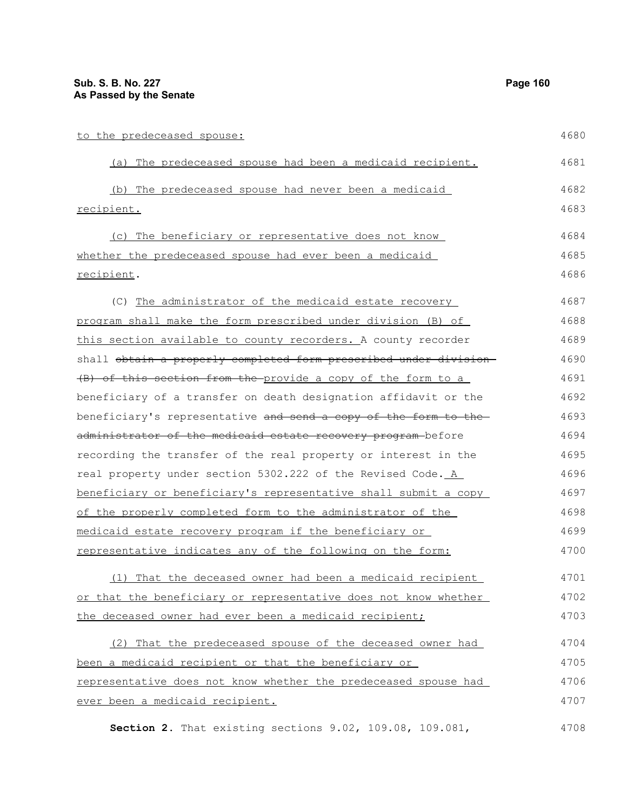to the predeceased spouse: (a) The predeceased spouse had been a medicaid recipient. (b) The predeceased spouse had never been a medicaid recipient. (c) The beneficiary or representative does not know whether the predeceased spouse had ever been a medicaid recipient. (C) The administrator of the medicaid estate recovery program shall make the form prescribed under division (B) of this section available to county recorders. A county recorder shall obtain a properly completed form prescribed under division-(B) of this section from the provide a copy of the form to a beneficiary of a transfer on death designation affidavit or the beneficiary's representative and send a copy of the form to theadministrator of the medicaid estate recovery program before recording the transfer of the real property or interest in the real property under section 5302.222 of the Revised Code. A beneficiary or beneficiary's representative shall submit a copy of the properly completed form to the administrator of the medicaid estate recovery program if the beneficiary or representative indicates any of the following on the form: (1) That the deceased owner had been a medicaid recipient or that the beneficiary or representative does not know whether the deceased owner had ever been a medicaid recipient; (2) That the predeceased spouse of the deceased owner had been a medicaid recipient or that the beneficiary or representative does not know whether the predeceased spouse had 4680 4681 4682 4683 4684 4685 4686 4687 4688 4689 4690 4691 4692 4693 4694 4695 4696 4697 4698 4699 4700 4701 4702 4703 4704 4705 4706

ever been a medicaid recipient.

**Section 2.** That existing sections 9.02, 109.08, 109.081,

4707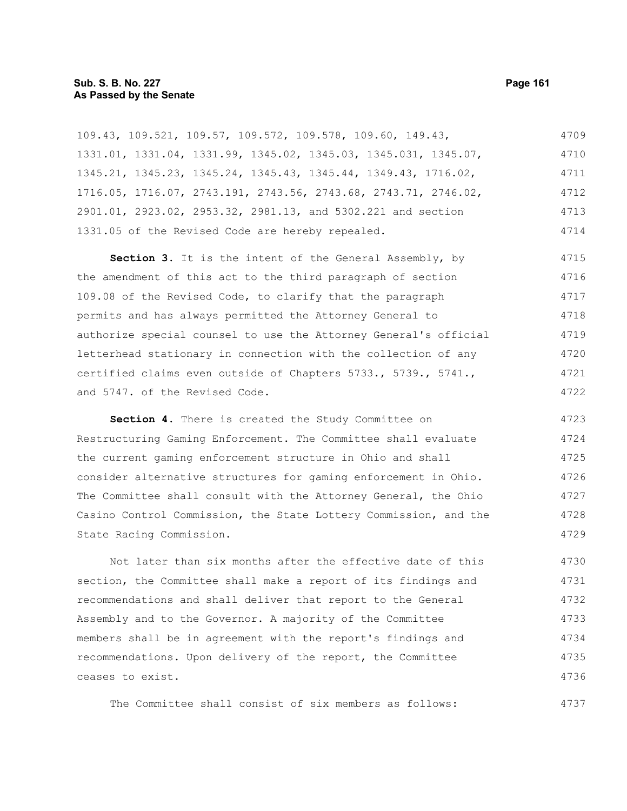#### **Sub. S. B. No. 227 Page 161 As Passed by the Senate**

and 5747. of the Revised Code.

109.43, 109.521, 109.57, 109.572, 109.578, 109.60, 149.43, 1331.01, 1331.04, 1331.99, 1345.02, 1345.03, 1345.031, 1345.07, 1345.21, 1345.23, 1345.24, 1345.43, 1345.44, 1349.43, 1716.02, 1716.05, 1716.07, 2743.191, 2743.56, 2743.68, 2743.71, 2746.02, 2901.01, 2923.02, 2953.32, 2981.13, and 5302.221 and section 1331.05 of the Revised Code are hereby repealed. **Section 3.** It is the intent of the General Assembly, by the amendment of this act to the third paragraph of section 109.08 of the Revised Code, to clarify that the paragraph permits and has always permitted the Attorney General to authorize special counsel to use the Attorney General's official letterhead stationary in connection with the collection of any certified claims even outside of Chapters 5733., 5739., 5741., 4709 4710 4711 4712 4713 4714 4715 4716 4717 4718 4719 4720 4721

**Section 4.** There is created the Study Committee on Restructuring Gaming Enforcement. The Committee shall evaluate the current gaming enforcement structure in Ohio and shall consider alternative structures for gaming enforcement in Ohio. The Committee shall consult with the Attorney General, the Ohio Casino Control Commission, the State Lottery Commission, and the State Racing Commission. 4723 4724 4725 4726 4727 4728 4729

Not later than six months after the effective date of this section, the Committee shall make a report of its findings and recommendations and shall deliver that report to the General Assembly and to the Governor. A majority of the Committee members shall be in agreement with the report's findings and recommendations. Upon delivery of the report, the Committee ceases to exist. 4730 4731 4732 4733 4734 4735 4736

The Committee shall consist of six members as follows: 4737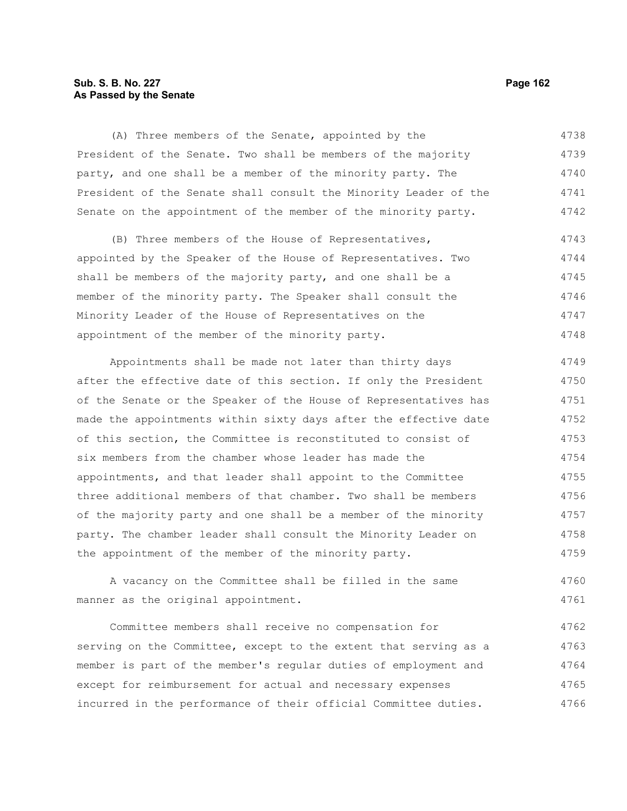## **Sub. S. B. No. 227 Page 162 As Passed by the Senate**

(A) Three members of the Senate, appointed by the President of the Senate. Two shall be members of the majority party, and one shall be a member of the minority party. The President of the Senate shall consult the Minority Leader of the Senate on the appointment of the member of the minority party. 4738 4739 4740 4741 4742

(B) Three members of the House of Representatives, appointed by the Speaker of the House of Representatives. Two shall be members of the majority party, and one shall be a member of the minority party. The Speaker shall consult the Minority Leader of the House of Representatives on the appointment of the member of the minority party. 4743 4744 4745 4746 4747 4748

Appointments shall be made not later than thirty days after the effective date of this section. If only the President of the Senate or the Speaker of the House of Representatives has made the appointments within sixty days after the effective date of this section, the Committee is reconstituted to consist of six members from the chamber whose leader has made the appointments, and that leader shall appoint to the Committee three additional members of that chamber. Two shall be members of the majority party and one shall be a member of the minority party. The chamber leader shall consult the Minority Leader on the appointment of the member of the minority party. 4749 4750 4751 4752 4753 4754 4755 4756 4757 4758 4759

A vacancy on the Committee shall be filled in the same manner as the original appointment. 4760 4761

Committee members shall receive no compensation for serving on the Committee, except to the extent that serving as a member is part of the member's regular duties of employment and except for reimbursement for actual and necessary expenses incurred in the performance of their official Committee duties. 4762 4763 4764 4765 4766